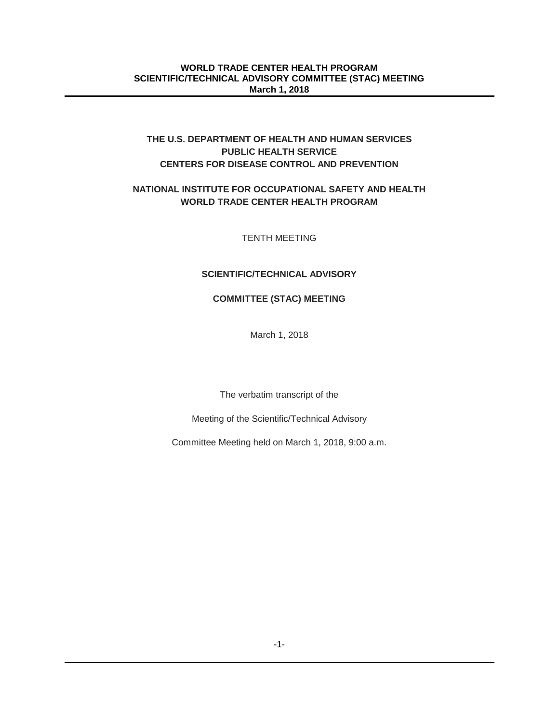# **THE U.S. DEPARTMENT OF HEALTH AND HUMAN SERVICES PUBLIC HEALTH SERVICE CENTERS FOR DISEASE CONTROL AND PREVENTION**

# **NATIONAL INSTITUTE FOR OCCUPATIONAL SAFETY AND HEALTH WORLD TRADE CENTER HEALTH PROGRAM**

TENTH MEETING

# **SCIENTIFIC/TECHNICAL ADVISORY**

# **COMMITTEE (STAC) MEETING**

March 1, 2018

The verbatim transcript of the

Meeting of the Scientific/Technical Advisory

Committee Meeting held on March 1, 2018, 9:00 a.m.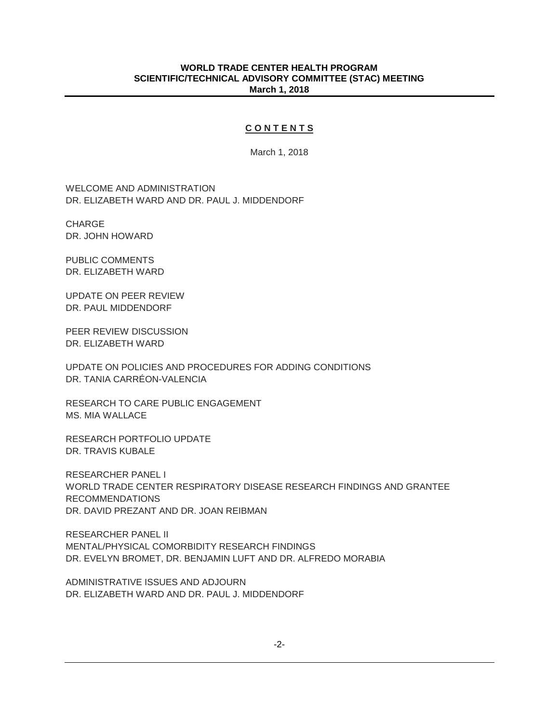### **C O N T E N T S**

March 1, 2018

WELCOME AND ADMINISTRATION DR. ELIZABETH WARD AND DR. PAUL J. MIDDENDORF

CHARGE DR. JOHN HOWARD

PUBLIC COMMENTS DR. ELIZABETH WARD

UPDATE ON PEER REVIEW DR. PAUL MIDDENDORF

PEER REVIEW DISCUSSION DR. ELIZABETH WARD

UPDATE ON POLICIES AND PROCEDURES FOR ADDING CONDITIONS DR. TANIA CARRÉON-VALENCIA

RESEARCH TO CARE PUBLIC ENGAGEMENT MS. MIA WALLACE

RESEARCH PORTFOLIO UPDATE DR. TRAVIS KUBALE

RESEARCHER PANEL I WORLD TRADE CENTER RESPIRATORY DISEASE RESEARCH FINDINGS AND GRANTEE RECOMMENDATIONS DR. DAVID PREZANT AND DR. JOAN REIBMAN

RESEARCHER PANEL II MENTAL/PHYSICAL COMORBIDITY RESEARCH FINDINGS DR. EVELYN BROMET, DR. BENJAMIN LUFT AND DR. ALFREDO MORABIA

ADMINISTRATIVE ISSUES AND ADJOURN DR. ELIZABETH WARD AND DR. PAUL J. MIDDENDORF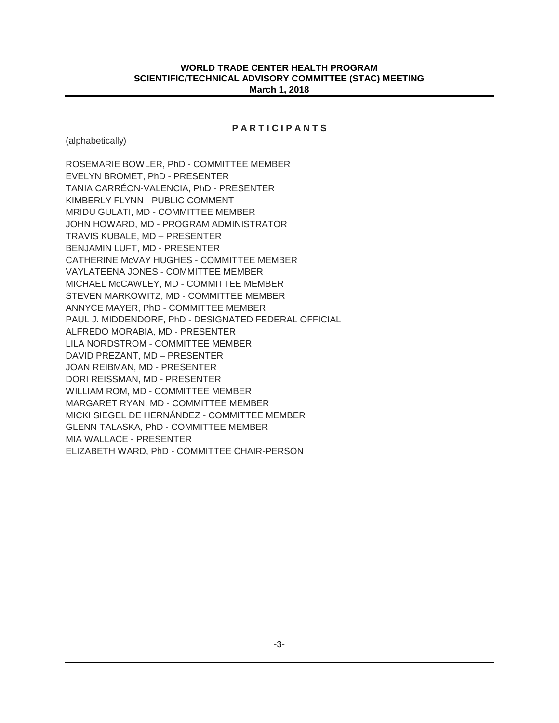### **P A R T I C I P A N T S**

(alphabetically)

ROSEMARIE BOWLER, PhD - COMMITTEE MEMBER EVELYN BROMET, PhD - PRESENTER TANIA CARRÉON-VALENCIA, PhD - PRESENTER KIMBERLY FLYNN - PUBLIC COMMENT MRIDU GULATI, MD - COMMITTEE MEMBER JOHN HOWARD, MD - PROGRAM ADMINISTRATOR TRAVIS KUBALE, MD – PRESENTER BENJAMIN LUFT, MD - PRESENTER CATHERINE McVAY HUGHES - COMMITTEE MEMBER VAYLATEENA JONES - COMMITTEE MEMBER MICHAEL McCAWLEY, MD - COMMITTEE MEMBER STEVEN MARKOWITZ, MD - COMMITTEE MEMBER ANNYCE MAYER, PhD - COMMITTEE MEMBER PAUL J. MIDDENDORF, PhD - DESIGNATED FEDERAL OFFICIAL ALFREDO MORABIA, MD - PRESENTER LILA NORDSTROM - COMMITTEE MEMBER DAVID PREZANT, MD – PRESENTER JOAN REIBMAN, MD - PRESENTER DORI REISSMAN, MD - PRESENTER WILLIAM ROM, MD - COMMITTEE MEMBER MARGARET RYAN, MD - COMMITTEE MEMBER MICKI SIEGEL DE HERNÁNDEZ - COMMITTEE MEMBER GLENN TALASKA, PhD - COMMITTEE MEMBER MIA WALLACE - PRESENTER ELIZABETH WARD, PhD - COMMITTEE CHAIR-PERSON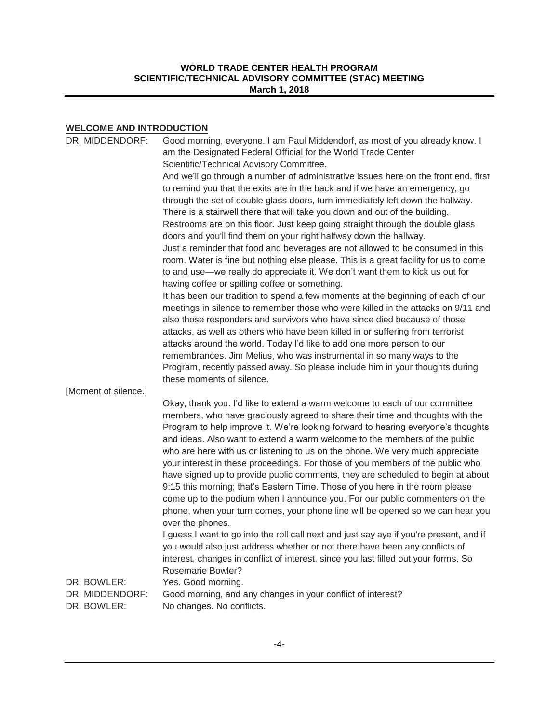# **WELCOME AND INTRODUCTION**

| DR. MIDDENDORF:                | Good morning, everyone. I am Paul Middendorf, as most of you already know. I<br>am the Designated Federal Official for the World Trade Center                                                                                                                                                                                                                                                                                                                                                                                                                                                                                                                                                                                                                                                                                                                                                                                                                                                                                       |
|--------------------------------|-------------------------------------------------------------------------------------------------------------------------------------------------------------------------------------------------------------------------------------------------------------------------------------------------------------------------------------------------------------------------------------------------------------------------------------------------------------------------------------------------------------------------------------------------------------------------------------------------------------------------------------------------------------------------------------------------------------------------------------------------------------------------------------------------------------------------------------------------------------------------------------------------------------------------------------------------------------------------------------------------------------------------------------|
|                                | Scientific/Technical Advisory Committee.                                                                                                                                                                                                                                                                                                                                                                                                                                                                                                                                                                                                                                                                                                                                                                                                                                                                                                                                                                                            |
|                                | And we'll go through a number of administrative issues here on the front end, first<br>to remind you that the exits are in the back and if we have an emergency, go<br>through the set of double glass doors, turn immediately left down the hallway.                                                                                                                                                                                                                                                                                                                                                                                                                                                                                                                                                                                                                                                                                                                                                                               |
|                                | There is a stairwell there that will take you down and out of the building.<br>Restrooms are on this floor. Just keep going straight through the double glass<br>doors and you'll find them on your right halfway down the hallway.                                                                                                                                                                                                                                                                                                                                                                                                                                                                                                                                                                                                                                                                                                                                                                                                 |
|                                | Just a reminder that food and beverages are not allowed to be consumed in this<br>room. Water is fine but nothing else please. This is a great facility for us to come<br>to and use—we really do appreciate it. We don't want them to kick us out for<br>having coffee or spilling coffee or something.                                                                                                                                                                                                                                                                                                                                                                                                                                                                                                                                                                                                                                                                                                                            |
|                                | It has been our tradition to spend a few moments at the beginning of each of our<br>meetings in silence to remember those who were killed in the attacks on 9/11 and<br>also those responders and survivors who have since died because of those<br>attacks, as well as others who have been killed in or suffering from terrorist<br>attacks around the world. Today I'd like to add one more person to our<br>remembrances. Jim Melius, who was instrumental in so many ways to the<br>Program, recently passed away. So please include him in your thoughts during<br>these moments of silence.                                                                                                                                                                                                                                                                                                                                                                                                                                  |
| [Moment of silence.]           |                                                                                                                                                                                                                                                                                                                                                                                                                                                                                                                                                                                                                                                                                                                                                                                                                                                                                                                                                                                                                                     |
|                                | Okay, thank you. I'd like to extend a warm welcome to each of our committee<br>members, who have graciously agreed to share their time and thoughts with the<br>Program to help improve it. We're looking forward to hearing everyone's thoughts<br>and ideas. Also want to extend a warm welcome to the members of the public<br>who are here with us or listening to us on the phone. We very much appreciate<br>your interest in these proceedings. For those of you members of the public who<br>have signed up to provide public comments, they are scheduled to begin at about<br>9:15 this morning; that's Eastern Time. Those of you here in the room please<br>come up to the podium when I announce you. For our public commenters on the<br>phone, when your turn comes, your phone line will be opened so we can hear you<br>over the phones.<br>I guess I want to go into the roll call next and just say aye if you're present, and if<br>you would also just address whether or not there have been any conflicts of |
|                                | interest, changes in conflict of interest, since you last filled out your forms. So<br><b>Rosemarie Bowler?</b>                                                                                                                                                                                                                                                                                                                                                                                                                                                                                                                                                                                                                                                                                                                                                                                                                                                                                                                     |
| DR. BOWLER:                    | Yes. Good morning.                                                                                                                                                                                                                                                                                                                                                                                                                                                                                                                                                                                                                                                                                                                                                                                                                                                                                                                                                                                                                  |
| DR. MIDDENDORF:<br>DR. BOWLER: | Good morning, and any changes in your conflict of interest?<br>No changes. No conflicts.                                                                                                                                                                                                                                                                                                                                                                                                                                                                                                                                                                                                                                                                                                                                                                                                                                                                                                                                            |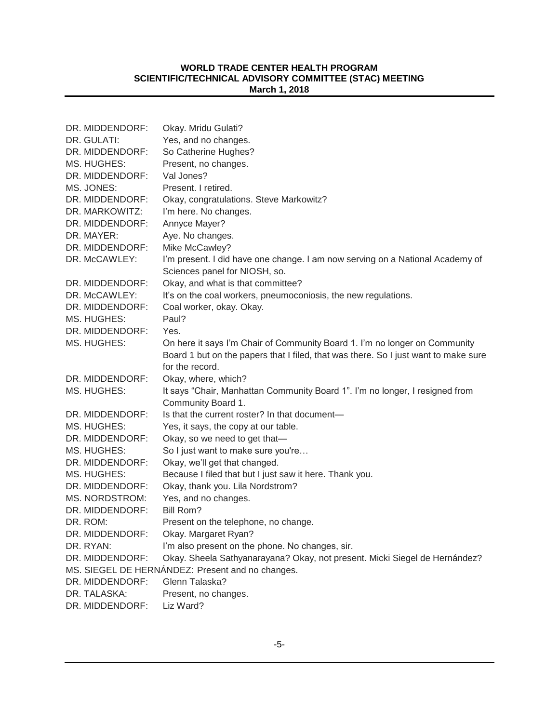| DR. MIDDENDORF: | Okay. Mridu Gulati?                                                                 |
|-----------------|-------------------------------------------------------------------------------------|
| DR. GULATI:     | Yes, and no changes.                                                                |
| DR. MIDDENDORF: | So Catherine Hughes?                                                                |
| MS. HUGHES:     | Present, no changes.                                                                |
| DR. MIDDENDORF: | Val Jones?                                                                          |
| MS. JONES:      | Present. I retired.                                                                 |
| DR. MIDDENDORF: | Okay, congratulations. Steve Markowitz?                                             |
| DR. MARKOWITZ:  | I'm here. No changes.                                                               |
| DR. MIDDENDORF: | Annyce Mayer?                                                                       |
| DR. MAYER:      | Aye. No changes.                                                                    |
| DR. MIDDENDORF: | Mike McCawley?                                                                      |
| DR. McCAWLEY:   | I'm present. I did have one change. I am now serving on a National Academy of       |
|                 | Sciences panel for NIOSH, so.                                                       |
| DR. MIDDENDORF: | Okay, and what is that committee?                                                   |
| DR. McCAWLEY:   | It's on the coal workers, pneumoconiosis, the new regulations.                      |
| DR. MIDDENDORF: | Coal worker, okay. Okay.                                                            |
| MS. HUGHES:     | Paul?                                                                               |
| DR. MIDDENDORF: | Yes.                                                                                |
| MS. HUGHES:     | On here it says I'm Chair of Community Board 1. I'm no longer on Community          |
|                 | Board 1 but on the papers that I filed, that was there. So I just want to make sure |
|                 | for the record.                                                                     |
| DR. MIDDENDORF: | Okay, where, which?                                                                 |
| MS. HUGHES:     | It says "Chair, Manhattan Community Board 1". I'm no longer, I resigned from        |
|                 | Community Board 1.                                                                  |
| DR. MIDDENDORF: | Is that the current roster? In that document—                                       |
| MS. HUGHES:     | Yes, it says, the copy at our table.                                                |
| DR. MIDDENDORF: | Okay, so we need to get that-                                                       |
| MS. HUGHES:     | So I just want to make sure you're                                                  |
| DR. MIDDENDORF: | Okay, we'll get that changed.                                                       |
| MS. HUGHES:     | Because I filed that but I just saw it here. Thank you.                             |
| DR. MIDDENDORF: | Okay, thank you. Lila Nordstrom?                                                    |
| MS. NORDSTROM:  | Yes, and no changes.                                                                |
| DR. MIDDENDORF: | Bill Rom?                                                                           |
| DR. ROM:        | Present on the telephone, no change.                                                |
| DR. MIDDENDORF: | Okay. Margaret Ryan?                                                                |
| DR. RYAN:       | I'm also present on the phone. No changes, sir.                                     |
| DR. MIDDENDORF: | Okay. Sheela Sathyanarayana? Okay, not present. Micki Siegel de Hernández?          |
|                 | MS. SIEGEL DE HERNÁNDEZ: Present and no changes.                                    |
| DR. MIDDENDORF: | Glenn Talaska?                                                                      |
| DR. TALASKA:    | Present, no changes.                                                                |
| DR. MIDDENDORF: | Liz Ward?                                                                           |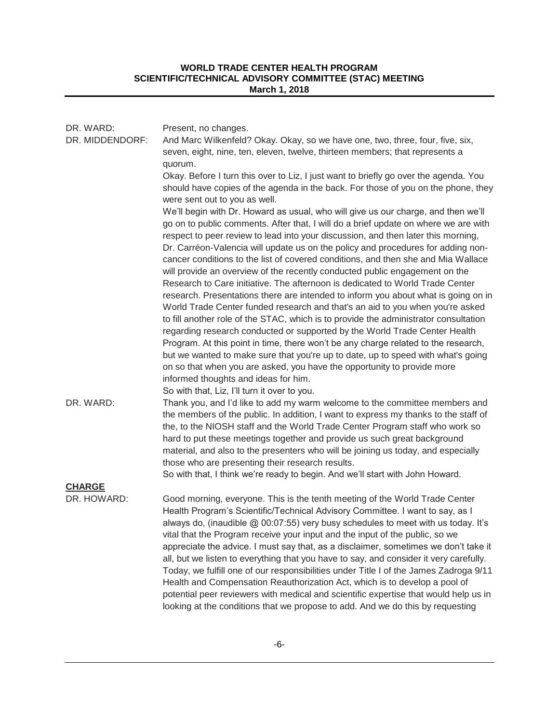| DR. WARD:       | Present, no changes.                                                                                                                                                                                                                                                                                                                                                                                                                                                                                                                                                                                                                                                                                                                                                              |
|-----------------|-----------------------------------------------------------------------------------------------------------------------------------------------------------------------------------------------------------------------------------------------------------------------------------------------------------------------------------------------------------------------------------------------------------------------------------------------------------------------------------------------------------------------------------------------------------------------------------------------------------------------------------------------------------------------------------------------------------------------------------------------------------------------------------|
| DR. MIDDENDORF: | And Marc Wilkenfeld? Okay. Okay, so we have one, two, three, four, five, six,<br>seven, eight, nine, ten, eleven, twelve, thirteen members; that represents a<br>quorum.                                                                                                                                                                                                                                                                                                                                                                                                                                                                                                                                                                                                          |
|                 | Okay. Before I turn this over to Liz, I just want to briefly go over the agenda. You<br>should have copies of the agenda in the back. For those of you on the phone, they<br>were sent out to you as well.                                                                                                                                                                                                                                                                                                                                                                                                                                                                                                                                                                        |
|                 | We'll begin with Dr. Howard as usual, who will give us our charge, and then we'll<br>go on to public comments. After that, I will do a brief update on where we are with<br>respect to peer review to lead into your discussion, and then later this morning,<br>Dr. Carréon-Valencia will update us on the policy and procedures for adding non-<br>cancer conditions to the list of covered conditions, and then she and Mia Wallace<br>will provide an overview of the recently conducted public engagement on the<br>Research to Care initiative. The afternoon is dedicated to World Trade Center                                                                                                                                                                            |
|                 | research. Presentations there are intended to inform you about what is going on in<br>World Trade Center funded research and that's an aid to you when you're asked<br>to fill another role of the STAC, which is to provide the administrator consultation<br>regarding research conducted or supported by the World Trade Center Health<br>Program. At this point in time, there won't be any charge related to the research,<br>but we wanted to make sure that you're up to date, up to speed with what's going<br>on so that when you are asked, you have the opportunity to provide more                                                                                                                                                                                    |
|                 | informed thoughts and ideas for him.                                                                                                                                                                                                                                                                                                                                                                                                                                                                                                                                                                                                                                                                                                                                              |
| DR. WARD:       | So with that, Liz, I'll turn it over to you.<br>Thank you, and I'd like to add my warm welcome to the committee members and<br>the members of the public. In addition, I want to express my thanks to the staff of<br>the, to the NIOSH staff and the World Trade Center Program staff who work so<br>hard to put these meetings together and provide us such great background<br>material, and also to the presenters who will be joining us today, and especially<br>those who are presenting their research results.                                                                                                                                                                                                                                                           |
|                 | So with that, I think we're ready to begin. And we'll start with John Howard.                                                                                                                                                                                                                                                                                                                                                                                                                                                                                                                                                                                                                                                                                                     |
| <b>CHARGE</b>   |                                                                                                                                                                                                                                                                                                                                                                                                                                                                                                                                                                                                                                                                                                                                                                                   |
| DR. HOWARD:     | Good morning, everyone. This is the tenth meeting of the World Trade Center<br>Health Program's Scientific/Technical Advisory Committee. I want to say, as I<br>always do, (inaudible @ 00:07:55) very busy schedules to meet with us today. It's<br>vital that the Program receive your input and the input of the public, so we<br>appreciate the advice. I must say that, as a disclaimer, sometimes we don't take it<br>all, but we listen to everything that you have to say, and consider it very carefully.<br>Today, we fulfill one of our responsibilities under Title I of the James Zadroga 9/11<br>Health and Compensation Reauthorization Act, which is to develop a pool of<br>potential peer reviewers with medical and scientific expertise that would help us in |

looking at the conditions that we propose to add. And we do this by requesting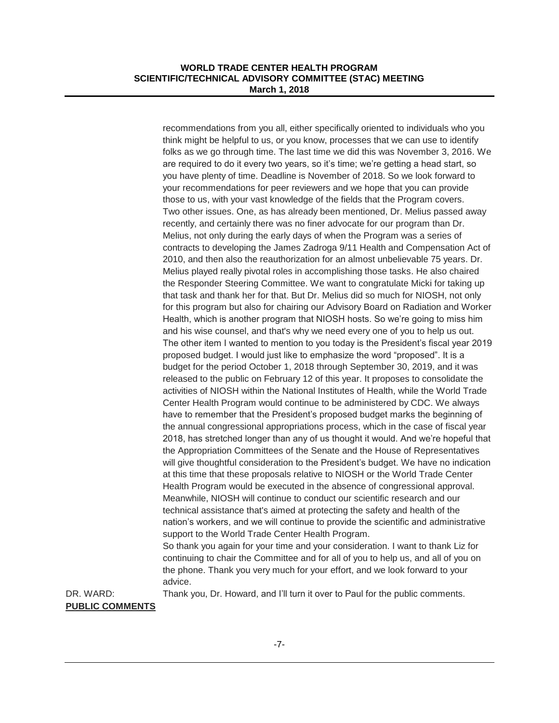recommendations from you all, either specifically oriented to individuals who you think might be helpful to us, or you know, processes that we can use to identify folks as we go through time. The last time we did this was November 3, 2016. We are required to do it every two years, so it's time; we're getting a head start, so you have plenty of time. Deadline is November of 2018. So we look forward to your recommendations for peer reviewers and we hope that you can provide those to us, with your vast knowledge of the fields that the Program covers. Two other issues. One, as has already been mentioned, Dr. Melius passed away recently, and certainly there was no finer advocate for our program than Dr. Melius, not only during the early days of when the Program was a series of contracts to developing the James Zadroga 9/11 Health and Compensation Act of 2010, and then also the reauthorization for an almost unbelievable 75 years. Dr. Melius played really pivotal roles in accomplishing those tasks. He also chaired the Responder Steering Committee. We want to congratulate Micki for taking up that task and thank her for that. But Dr. Melius did so much for NIOSH, not only for this program but also for chairing our Advisory Board on Radiation and Worker Health, which is another program that NIOSH hosts. So we're going to miss him and his wise counsel, and that's why we need every one of you to help us out. The other item I wanted to mention to you today is the President's fiscal year 2019 proposed budget. I would just like to emphasize the word "proposed". It is a budget for the period October 1, 2018 through September 30, 2019, and it was released to the public on February 12 of this year. It proposes to consolidate the activities of NIOSH within the National Institutes of Health, while the World Trade Center Health Program would continue to be administered by CDC. We always have to remember that the President's proposed budget marks the beginning of the annual congressional appropriations process, which in the case of fiscal year 2018, has stretched longer than any of us thought it would. And we're hopeful that the Appropriation Committees of the Senate and the House of Representatives will give thoughtful consideration to the President's budget. We have no indication at this time that these proposals relative to NIOSH or the World Trade Center Health Program would be executed in the absence of congressional approval. Meanwhile, NIOSH will continue to conduct our scientific research and our technical assistance that's aimed at protecting the safety and health of the nation's workers, and we will continue to provide the scientific and administrative support to the World Trade Center Health Program. So thank you again for your time and your consideration. I want to thank Liz for

continuing to chair the Committee and for all of you to help us, and all of you on the phone. Thank you very much for your effort, and we look forward to your advice.

DR. WARD: Thank you, Dr. Howard, and I'll turn it over to Paul for the public comments. **PUBLIC COMMENTS**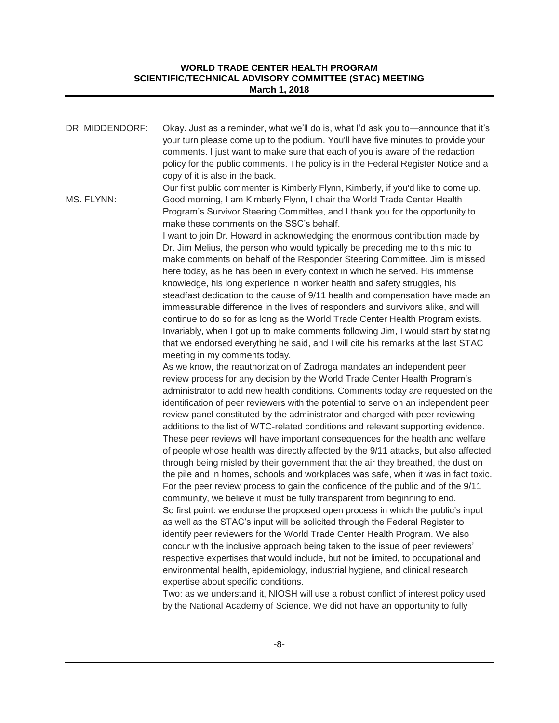| DR. MIDDENDORF: | Okay. Just as a reminder, what we'll do is, what I'd ask you to—announce that it's<br>your turn please come up to the podium. You'll have five minutes to provide your<br>comments. I just want to make sure that each of you is aware of the redaction<br>policy for the public comments. The policy is in the Federal Register Notice and a<br>copy of it is also in the back.                                                     |
|-----------------|--------------------------------------------------------------------------------------------------------------------------------------------------------------------------------------------------------------------------------------------------------------------------------------------------------------------------------------------------------------------------------------------------------------------------------------|
| MS. FLYNN:      | Our first public commenter is Kimberly Flynn, Kimberly, if you'd like to come up.<br>Good morning, I am Kimberly Flynn, I chair the World Trade Center Health<br>Program's Survivor Steering Committee, and I thank you for the opportunity to<br>make these comments on the SSC's behalf.                                                                                                                                           |
|                 | I want to join Dr. Howard in acknowledging the enormous contribution made by<br>Dr. Jim Melius, the person who would typically be preceding me to this mic to<br>make comments on behalf of the Responder Steering Committee. Jim is missed<br>here today, as he has been in every context in which he served. His immense                                                                                                           |
|                 | knowledge, his long experience in worker health and safety struggles, his<br>steadfast dedication to the cause of 9/11 health and compensation have made an<br>immeasurable difference in the lives of responders and survivors alike, and will<br>continue to do so for as long as the World Trade Center Health Program exists.                                                                                                    |
|                 | Invariably, when I got up to make comments following Jim, I would start by stating<br>that we endorsed everything he said, and I will cite his remarks at the last STAC<br>meeting in my comments today.                                                                                                                                                                                                                             |
|                 | As we know, the reauthorization of Zadroga mandates an independent peer<br>review process for any decision by the World Trade Center Health Program's<br>administrator to add new health conditions. Comments today are requested on the<br>identification of peer reviewers with the potential to serve on an independent peer<br>review panel constituted by the administrator and charged with peer reviewing                     |
|                 | additions to the list of WTC-related conditions and relevant supporting evidence.<br>These peer reviews will have important consequences for the health and welfare<br>of people whose health was directly affected by the 9/11 attacks, but also affected<br>through being misled by their government that the air they breathed, the dust on<br>the pile and in homes, schools and workplaces was safe, when it was in fact toxic. |
|                 | For the peer review process to gain the confidence of the public and of the 9/11<br>community, we believe it must be fully transparent from beginning to end.<br>So first point: we endorse the proposed open process in which the public's input<br>as well as the STAC's input will be solicited through the Federal Register to                                                                                                   |
|                 | identify peer reviewers for the World Trade Center Health Program. We also<br>concur with the inclusive approach being taken to the issue of peer reviewers'<br>respective expertises that would include, but not be limited, to occupational and<br>environmental health, epidemiology, industrial hygiene, and clinical research<br>expertise about specific conditions.                                                           |
|                 | Two: as we understand it. NIOSH will use a robust conflict of interest policy used                                                                                                                                                                                                                                                                                                                                                   |

Two: as we understand it, NIOSH will use a robust conflict of interest policy used by the National Academy of Science. We did not have an opportunity to fully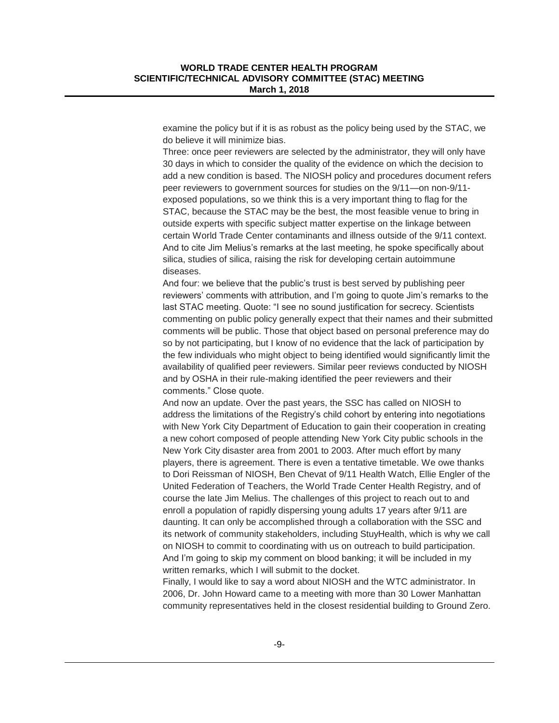examine the policy but if it is as robust as the policy being used by the STAC, we do believe it will minimize bias.

Three: once peer reviewers are selected by the administrator, they will only have 30 days in which to consider the quality of the evidence on which the decision to add a new condition is based. The NIOSH policy and procedures document refers peer reviewers to government sources for studies on the 9/11—on non-9/11 exposed populations, so we think this is a very important thing to flag for the STAC, because the STAC may be the best, the most feasible venue to bring in outside experts with specific subject matter expertise on the linkage between certain World Trade Center contaminants and illness outside of the 9/11 context. And to cite Jim Melius's remarks at the last meeting, he spoke specifically about silica, studies of silica, raising the risk for developing certain autoimmune diseases.

And four: we believe that the public's trust is best served by publishing peer reviewers' comments with attribution, and I'm going to quote Jim's remarks to the last STAC meeting. Quote: "I see no sound justification for secrecy. Scientists commenting on public policy generally expect that their names and their submitted comments will be public. Those that object based on personal preference may do so by not participating, but I know of no evidence that the lack of participation by the few individuals who might object to being identified would significantly limit the availability of qualified peer reviewers. Similar peer reviews conducted by NIOSH and by OSHA in their rule-making identified the peer reviewers and their comments." Close quote.

And now an update. Over the past years, the SSC has called on NIOSH to address the limitations of the Registry's child cohort by entering into negotiations with New York City Department of Education to gain their cooperation in creating a new cohort composed of people attending New York City public schools in the New York City disaster area from 2001 to 2003. After much effort by many players, there is agreement. There is even a tentative timetable. We owe thanks to Dori Reissman of NIOSH, Ben Chevat of 9/11 Health Watch, Ellie Engler of the United Federation of Teachers, the World Trade Center Health Registry, and of course the late Jim Melius. The challenges of this project to reach out to and enroll a population of rapidly dispersing young adults 17 years after 9/11 are daunting. It can only be accomplished through a collaboration with the SSC and its network of community stakeholders, including StuyHealth, which is why we call on NIOSH to commit to coordinating with us on outreach to build participation. And I'm going to skip my comment on blood banking; it will be included in my written remarks, which I will submit to the docket.

Finally, I would like to say a word about NIOSH and the WTC administrator. In 2006, Dr. John Howard came to a meeting with more than 30 Lower Manhattan community representatives held in the closest residential building to Ground Zero.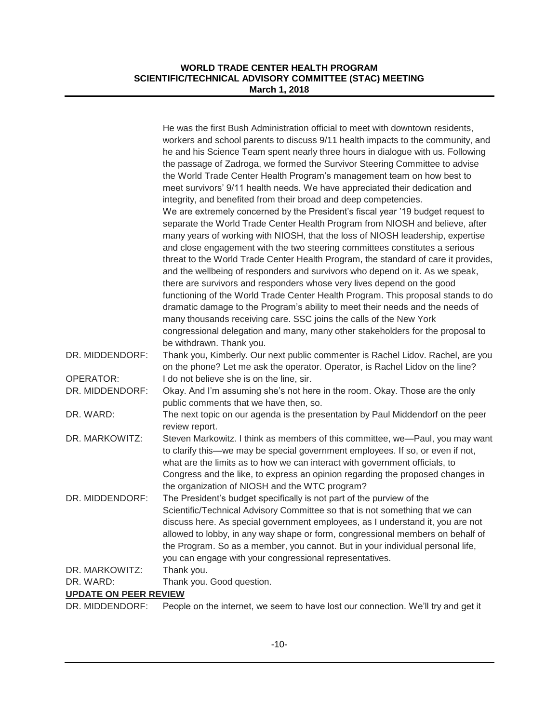|                              | He was the first Bush Administration official to meet with downtown residents,     |
|------------------------------|------------------------------------------------------------------------------------|
|                              | workers and school parents to discuss 9/11 health impacts to the community, and    |
|                              | he and his Science Team spent nearly three hours in dialogue with us. Following    |
|                              | the passage of Zadroga, we formed the Survivor Steering Committee to advise        |
|                              | the World Trade Center Health Program's management team on how best to             |
|                              | meet survivors' 9/11 health needs. We have appreciated their dedication and        |
|                              | integrity, and benefited from their broad and deep competencies.                   |
|                              | We are extremely concerned by the President's fiscal year '19 budget request to    |
|                              | separate the World Trade Center Health Program from NIOSH and believe, after       |
|                              | many years of working with NIOSH, that the loss of NIOSH leadership, expertise     |
|                              | and close engagement with the two steering committees constitutes a serious        |
|                              |                                                                                    |
|                              | threat to the World Trade Center Health Program, the standard of care it provides, |
|                              | and the wellbeing of responders and survivors who depend on it. As we speak,       |
|                              | there are survivors and responders whose very lives depend on the good             |
|                              | functioning of the World Trade Center Health Program. This proposal stands to do   |
|                              | dramatic damage to the Program's ability to meet their needs and the needs of      |
|                              | many thousands receiving care. SSC joins the calls of the New York                 |
|                              | congressional delegation and many, many other stakeholders for the proposal to     |
|                              | be withdrawn. Thank you.                                                           |
| DR. MIDDENDORF:              | Thank you, Kimberly. Our next public commenter is Rachel Lidov. Rachel, are you    |
|                              | on the phone? Let me ask the operator. Operator, is Rachel Lidov on the line?      |
| <b>OPERATOR:</b>             | I do not believe she is on the line, sir.                                          |
| DR. MIDDENDORF:              | Okay. And I'm assuming she's not here in the room. Okay. Those are the only        |
|                              | public comments that we have then, so.                                             |
| DR. WARD:                    | The next topic on our agenda is the presentation by Paul Middendorf on the peer    |
|                              | review report.                                                                     |
| DR. MARKOWITZ:               | Steven Markowitz. I think as members of this committee, we-Paul, you may want      |
|                              | to clarify this—we may be special government employees. If so, or even if not,     |
|                              | what are the limits as to how we can interact with government officials, to        |
|                              | Congress and the like, to express an opinion regarding the proposed changes in     |
|                              | the organization of NIOSH and the WTC program?                                     |
| DR. MIDDENDORF:              | The President's budget specifically is not part of the purview of the              |
|                              | Scientific/Technical Advisory Committee so that is not something that we can       |
|                              | discuss here. As special government employees, as I understand it, you are not     |
|                              | allowed to lobby, in any way shape or form, congressional members on behalf of     |
|                              | the Program. So as a member, you cannot. But in your individual personal life,     |
|                              | you can engage with your congressional representatives.                            |
| DR. MARKOWITZ:               | Thank you.                                                                         |
| DR. WARD:                    | Thank you. Good question.                                                          |
| <b>UPDATE ON PEER REVIEW</b> |                                                                                    |
| DR. MIDDENDORF:              | People on the internet, we seem to have lost our connection. We'll try and get it  |
|                              |                                                                                    |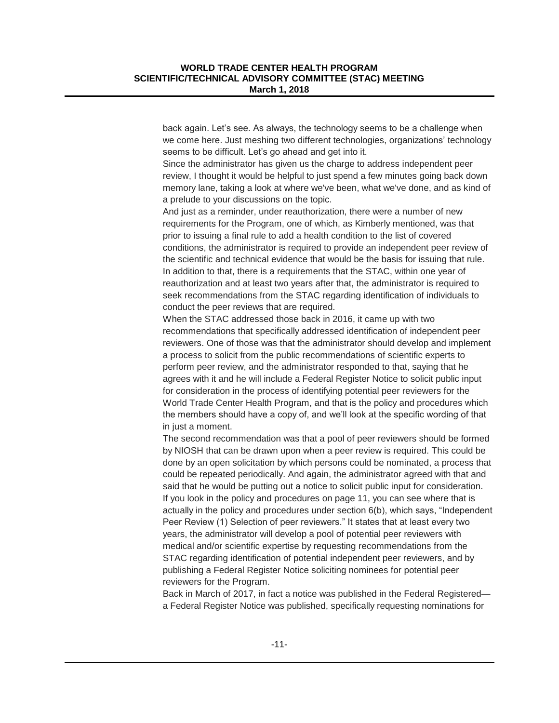back again. Let's see. As always, the technology seems to be a challenge when we come here. Just meshing two different technologies, organizations' technology seems to be difficult. Let's go ahead and get into it.

Since the administrator has given us the charge to address independent peer review, I thought it would be helpful to just spend a few minutes going back down memory lane, taking a look at where we've been, what we've done, and as kind of a prelude to your discussions on the topic.

And just as a reminder, under reauthorization, there were a number of new requirements for the Program, one of which, as Kimberly mentioned, was that prior to issuing a final rule to add a health condition to the list of covered conditions, the administrator is required to provide an independent peer review of the scientific and technical evidence that would be the basis for issuing that rule. In addition to that, there is a requirements that the STAC, within one year of reauthorization and at least two years after that, the administrator is required to seek recommendations from the STAC regarding identification of individuals to conduct the peer reviews that are required.

When the STAC addressed those back in 2016, it came up with two recommendations that specifically addressed identification of independent peer reviewers. One of those was that the administrator should develop and implement a process to solicit from the public recommendations of scientific experts to perform peer review, and the administrator responded to that, saying that he agrees with it and he will include a Federal Register Notice to solicit public input for consideration in the process of identifying potential peer reviewers for the World Trade Center Health Program, and that is the policy and procedures which the members should have a copy of, and we'll look at the specific wording of that in just a moment.

The second recommendation was that a pool of peer reviewers should be formed by NIOSH that can be drawn upon when a peer review is required. This could be done by an open solicitation by which persons could be nominated, a process that could be repeated periodically. And again, the administrator agreed with that and said that he would be putting out a notice to solicit public input for consideration. If you look in the policy and procedures on page 11, you can see where that is actually in the policy and procedures under section 6(b), which says, "Independent Peer Review (1) Selection of peer reviewers." It states that at least every two years, the administrator will develop a pool of potential peer reviewers with medical and/or scientific expertise by requesting recommendations from the STAC regarding identification of potential independent peer reviewers, and by publishing a Federal Register Notice soliciting nominees for potential peer reviewers for the Program.

Back in March of 2017, in fact a notice was published in the Federal Registered a Federal Register Notice was published, specifically requesting nominations for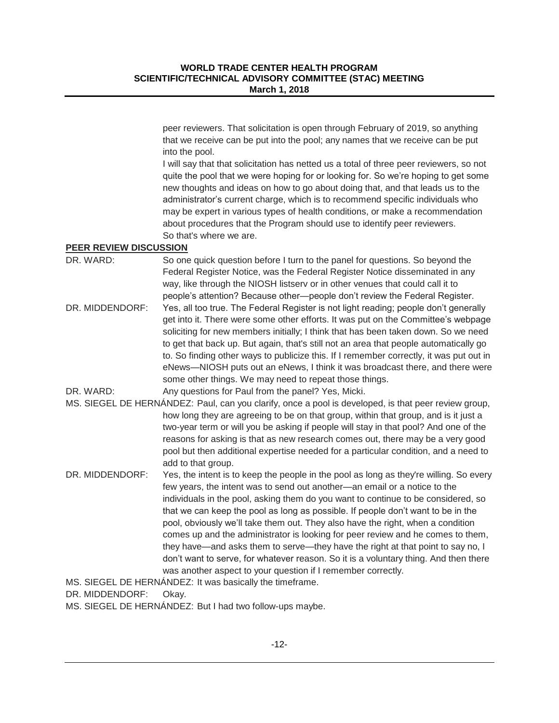peer reviewers. That solicitation is open through February of 2019, so anything that we receive can be put into the pool; any names that we receive can be put into the pool.

I will say that that solicitation has netted us a total of three peer reviewers, so not quite the pool that we were hoping for or looking for. So we're hoping to get some new thoughts and ideas on how to go about doing that, and that leads us to the administrator's current charge, which is to recommend specific individuals who may be expert in various types of health conditions, or make a recommendation about procedures that the Program should use to identify peer reviewers. So that's where we are.

#### **PEER REVIEW DISCUSSION**

| DR. WARD:       | So one quick question before I turn to the panel for questions. So beyond the<br>Federal Register Notice, was the Federal Register Notice disseminated in any                                                                                                                                                                                            |
|-----------------|----------------------------------------------------------------------------------------------------------------------------------------------------------------------------------------------------------------------------------------------------------------------------------------------------------------------------------------------------------|
|                 | way, like through the NIOSH listsery or in other venues that could call it to<br>people's attention? Because other-people don't review the Federal Register.                                                                                                                                                                                             |
| DR. MIDDENDORF: | Yes, all too true. The Federal Register is not light reading; people don't generally<br>get into it. There were some other efforts. It was put on the Committee's webpage<br>soliciting for new members initially; I think that has been taken down. So we need<br>to get that back up. But again, that's still not an area that people automatically go |
|                 | to. So finding other ways to publicize this. If I remember correctly, it was put out in                                                                                                                                                                                                                                                                  |
|                 | eNews-NIOSH puts out an eNews, I think it was broadcast there, and there were                                                                                                                                                                                                                                                                            |
|                 | some other things. We may need to repeat those things.                                                                                                                                                                                                                                                                                                   |
| DR. WARD:       | Any questions for Paul from the panel? Yes, Micki.                                                                                                                                                                                                                                                                                                       |
|                 | MS. SIEGEL DE HERNÁNDEZ: Paul, can you clarify, once a pool is developed, is that peer review group,                                                                                                                                                                                                                                                     |
|                 | how long they are agreeing to be on that group, within that group, and is it just a                                                                                                                                                                                                                                                                      |
|                 | two-year term or will you be asking if people will stay in that pool? And one of the                                                                                                                                                                                                                                                                     |
|                 | reasons for asking is that as new research comes out, there may be a very good                                                                                                                                                                                                                                                                           |
|                 | pool but then additional expertise needed for a particular condition, and a need to                                                                                                                                                                                                                                                                      |

DR. MIDDENDORF: Yes, the intent is to keep the people in the pool as long as they're willing. So every few years, the intent was to send out another—an email or a notice to the individuals in the pool, asking them do you want to continue to be considered, so that we can keep the pool as long as possible. If people don't want to be in the pool, obviously we'll take them out. They also have the right, when a condition comes up and the administrator is looking for peer review and he comes to them, they have—and asks them to serve—they have the right at that point to say no, I don't want to serve, for whatever reason. So it is a voluntary thing. And then there was another aspect to your question if I remember correctly.

MS. SIEGEL DE HERNÁNDEZ: It was basically the timeframe.

add to that group.

DR. MIDDENDORF: Okay.

MS. SIEGEL DE HERNÁNDEZ: But I had two follow-ups maybe.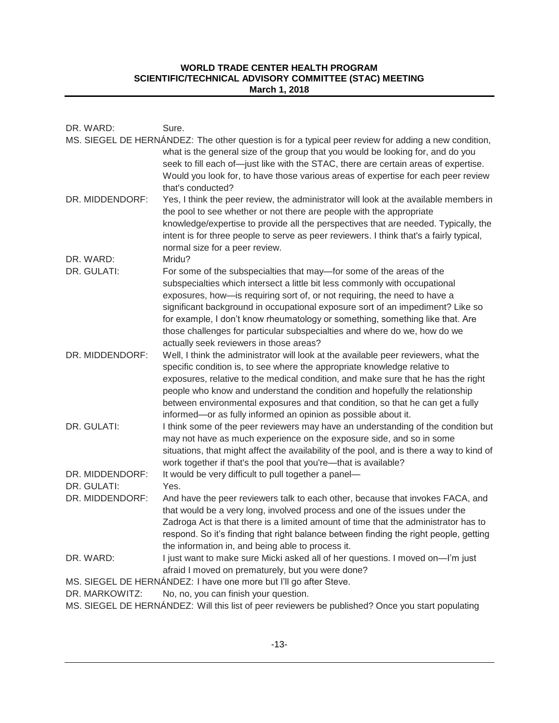| DR. WARD:                                         | Sure.                                                                                                                                                                                                                                                                                                                                                                                                                                                                                                                       |
|---------------------------------------------------|-----------------------------------------------------------------------------------------------------------------------------------------------------------------------------------------------------------------------------------------------------------------------------------------------------------------------------------------------------------------------------------------------------------------------------------------------------------------------------------------------------------------------------|
|                                                   | MS. SIEGEL DE HERNÁNDEZ: The other question is for a typical peer review for adding a new condition,<br>what is the general size of the group that you would be looking for, and do you<br>seek to fill each of-just like with the STAC, there are certain areas of expertise.<br>Would you look for, to have those various areas of expertise for each peer review<br>that's conducted?                                                                                                                                    |
| DR. MIDDENDORF:                                   | Yes, I think the peer review, the administrator will look at the available members in<br>the pool to see whether or not there are people with the appropriate<br>knowledge/expertise to provide all the perspectives that are needed. Typically, the<br>intent is for three people to serve as peer reviewers. I think that's a fairly typical,<br>normal size for a peer review.                                                                                                                                           |
| DR. WARD:                                         | Mridu?                                                                                                                                                                                                                                                                                                                                                                                                                                                                                                                      |
| DR. GULATI:                                       | For some of the subspecialties that may—for some of the areas of the<br>subspecialties which intersect a little bit less commonly with occupational<br>exposures, how-is requiring sort of, or not requiring, the need to have a<br>significant background in occupational exposure sort of an impediment? Like so<br>for example, I don't know rheumatology or something, something like that. Are<br>those challenges for particular subspecialties and where do we, how do we<br>actually seek reviewers in those areas? |
| DR. MIDDENDORF:                                   | Well, I think the administrator will look at the available peer reviewers, what the<br>specific condition is, to see where the appropriate knowledge relative to<br>exposures, relative to the medical condition, and make sure that he has the right<br>people who know and understand the condition and hopefully the relationship<br>between environmental exposures and that condition, so that he can get a fully<br>informed-or as fully informed an opinion as possible about it.                                    |
| DR. GULATI:                                       | I think some of the peer reviewers may have an understanding of the condition but<br>may not have as much experience on the exposure side, and so in some<br>situations, that might affect the availability of the pool, and is there a way to kind of<br>work together if that's the pool that you're-that is available?                                                                                                                                                                                                   |
| DR. MIDDENDORF:                                   | It would be very difficult to pull together a panel-                                                                                                                                                                                                                                                                                                                                                                                                                                                                        |
| DR. GULATI:                                       | Yes.                                                                                                                                                                                                                                                                                                                                                                                                                                                                                                                        |
| DR. MIDDENDORF:                                   | And have the peer reviewers talk to each other, because that invokes FACA, and<br>that would be a very long, involved process and one of the issues under the<br>Zadroga Act is that there is a limited amount of time that the administrator has to<br>respond. So it's finding that right balance between finding the right people, getting<br>the information in, and being able to process it.                                                                                                                          |
| DR. WARD:                                         | I just want to make sure Micki asked all of her questions. I moved on-I'm just                                                                                                                                                                                                                                                                                                                                                                                                                                              |
| afraid I moved on prematurely, but you were done? |                                                                                                                                                                                                                                                                                                                                                                                                                                                                                                                             |
| DR. MARKOWITZ:                                    | MS. SIEGEL DE HERNÁNDEZ: I have one more but I'll go after Steve.                                                                                                                                                                                                                                                                                                                                                                                                                                                           |
|                                                   | No, no, you can finish your question.                                                                                                                                                                                                                                                                                                                                                                                                                                                                                       |

MS. SIEGEL DE HERNÁNDEZ: Will this list of peer reviewers be published? Once you start populating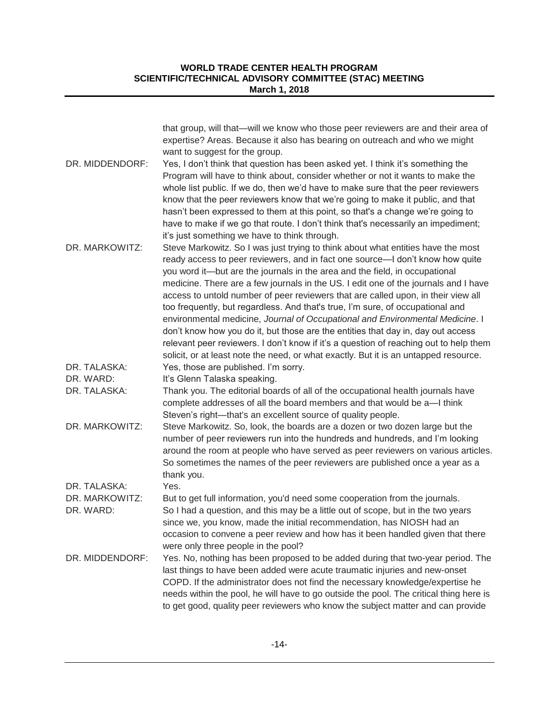|                             | that group, will that—will we know who those peer reviewers are and their area of<br>expertise? Areas. Because it also has bearing on outreach and who we might                                                                                                                                                                                                                                                                                                                                                                                                                                                                                                                                                                                                                                                                                                                                                       |
|-----------------------------|-----------------------------------------------------------------------------------------------------------------------------------------------------------------------------------------------------------------------------------------------------------------------------------------------------------------------------------------------------------------------------------------------------------------------------------------------------------------------------------------------------------------------------------------------------------------------------------------------------------------------------------------------------------------------------------------------------------------------------------------------------------------------------------------------------------------------------------------------------------------------------------------------------------------------|
| DR. MIDDENDORF:             | want to suggest for the group.<br>Yes, I don't think that question has been asked yet. I think it's something the<br>Program will have to think about, consider whether or not it wants to make the<br>whole list public. If we do, then we'd have to make sure that the peer reviewers<br>know that the peer reviewers know that we're going to make it public, and that<br>hasn't been expressed to them at this point, so that's a change we're going to<br>have to make if we go that route. I don't think that's necessarily an impediment;                                                                                                                                                                                                                                                                                                                                                                      |
| DR. MARKOWITZ:              | it's just something we have to think through.<br>Steve Markowitz. So I was just trying to think about what entities have the most<br>ready access to peer reviewers, and in fact one source—I don't know how quite<br>you word it—but are the journals in the area and the field, in occupational<br>medicine. There are a few journals in the US. I edit one of the journals and I have<br>access to untold number of peer reviewers that are called upon, in their view all<br>too frequently, but regardless. And that's true, I'm sure, of occupational and<br>environmental medicine, Journal of Occupational and Environmental Medicine. I<br>don't know how you do it, but those are the entities that day in, day out access<br>relevant peer reviewers. I don't know if it's a question of reaching out to help them<br>solicit, or at least note the need, or what exactly. But it is an untapped resource. |
| DR. TALASKA:                | Yes, those are published. I'm sorry.                                                                                                                                                                                                                                                                                                                                                                                                                                                                                                                                                                                                                                                                                                                                                                                                                                                                                  |
| DR. WARD:                   | It's Glenn Talaska speaking.                                                                                                                                                                                                                                                                                                                                                                                                                                                                                                                                                                                                                                                                                                                                                                                                                                                                                          |
| DR. TALASKA:                | Thank you. The editorial boards of all of the occupational health journals have<br>complete addresses of all the board members and that would be a-I think<br>Steven's right-that's an excellent source of quality people.                                                                                                                                                                                                                                                                                                                                                                                                                                                                                                                                                                                                                                                                                            |
| DR. MARKOWITZ:              | Steve Markowitz. So, look, the boards are a dozen or two dozen large but the<br>number of peer reviewers run into the hundreds and hundreds, and I'm looking<br>around the room at people who have served as peer reviewers on various articles.<br>So sometimes the names of the peer reviewers are published once a year as a<br>thank you.                                                                                                                                                                                                                                                                                                                                                                                                                                                                                                                                                                         |
| DR. TALASKA:                | Yes.                                                                                                                                                                                                                                                                                                                                                                                                                                                                                                                                                                                                                                                                                                                                                                                                                                                                                                                  |
| DR. MARKOWITZ:<br>DR. WARD: | But to get full information, you'd need some cooperation from the journals.<br>So I had a question, and this may be a little out of scope, but in the two years<br>since we, you know, made the initial recommendation, has NIOSH had an<br>occasion to convene a peer review and how has it been handled given that there<br>were only three people in the pool?                                                                                                                                                                                                                                                                                                                                                                                                                                                                                                                                                     |
| DR. MIDDENDORF:             | Yes. No, nothing has been proposed to be added during that two-year period. The<br>last things to have been added were acute traumatic injuries and new-onset<br>COPD. If the administrator does not find the necessary knowledge/expertise he<br>needs within the pool, he will have to go outside the pool. The critical thing here is<br>to get good, quality peer reviewers who know the subject matter and can provide                                                                                                                                                                                                                                                                                                                                                                                                                                                                                           |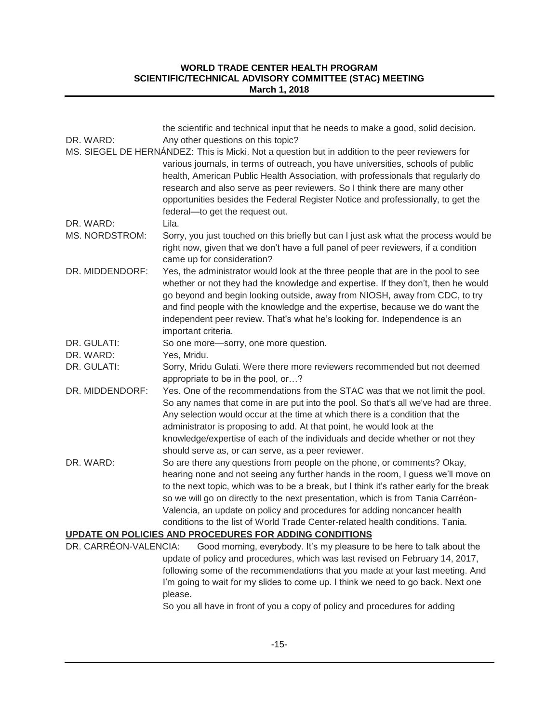| DR. WARD:             | the scientific and technical input that he needs to make a good, solid decision.<br>Any other questions on this topic?                                                      |
|-----------------------|-----------------------------------------------------------------------------------------------------------------------------------------------------------------------------|
|                       | MS. SIEGEL DE HERNÁNDEZ: This is Micki. Not a question but in addition to the peer reviewers for                                                                            |
|                       | various journals, in terms of outreach, you have universities, schools of public<br>health, American Public Health Association, with professionals that regularly do        |
|                       | research and also serve as peer reviewers. So I think there are many other                                                                                                  |
|                       | opportunities besides the Federal Register Notice and professionally, to get the<br>federal-to get the request out.                                                         |
| DR. WARD:             | Lila.                                                                                                                                                                       |
| <b>MS. NORDSTROM:</b> | Sorry, you just touched on this briefly but can I just ask what the process would be                                                                                        |
|                       | right now, given that we don't have a full panel of peer reviewers, if a condition<br>came up for consideration?                                                            |
| DR. MIDDENDORF:       | Yes, the administrator would look at the three people that are in the pool to see                                                                                           |
|                       | whether or not they had the knowledge and expertise. If they don't, then he would                                                                                           |
|                       | go beyond and begin looking outside, away from NIOSH, away from CDC, to try                                                                                                 |
|                       | and find people with the knowledge and the expertise, because we do want the                                                                                                |
|                       | independent peer review. That's what he's looking for. Independence is an                                                                                                   |
| DR. GULATI:           | important criteria.<br>So one more-sorry, one more question.                                                                                                                |
| DR. WARD:             | Yes, Mridu.                                                                                                                                                                 |
| DR. GULATI:           | Sorry, Mridu Gulati. Were there more reviewers recommended but not deemed                                                                                                   |
|                       | appropriate to be in the pool, or?                                                                                                                                          |
| DR. MIDDENDORF:       | Yes. One of the recommendations from the STAC was that we not limit the pool.                                                                                               |
|                       | So any names that come in are put into the pool. So that's all we've had are three.                                                                                         |
|                       | Any selection would occur at the time at which there is a condition that the                                                                                                |
|                       | administrator is proposing to add. At that point, he would look at the                                                                                                      |
|                       | knowledge/expertise of each of the individuals and decide whether or not they                                                                                               |
|                       | should serve as, or can serve, as a peer reviewer.                                                                                                                          |
| DR. WARD:             | So are there any questions from people on the phone, or comments? Okay,                                                                                                     |
|                       | hearing none and not seeing any further hands in the room, I guess we'll move on<br>to the next topic, which was to be a break, but I think it's rather early for the break |
|                       | so we will go on directly to the next presentation, which is from Tania Carréon-                                                                                            |
|                       | Valencia, an update on policy and procedures for adding noncancer health                                                                                                    |
|                       | conditions to the list of World Trade Center-related health conditions. Tania.                                                                                              |
|                       | UPDATE ON POLICIES AND PROCEDURES FOR ADDING CONDITIONS                                                                                                                     |
| DR. CARRÉON-VALENCIA: | Good morning, everybody. It's my pleasure to be here to talk about the                                                                                                      |
|                       | update of policy and procedures, which was last revised on February 14, 2017,                                                                                               |
|                       | following some of the recommendations that you made at your last meeting. And                                                                                               |
|                       | I'm going to wait for my slides to come up. I think we need to go back. Next one                                                                                            |
|                       | please.                                                                                                                                                                     |

So you all have in front of you a copy of policy and procedures for adding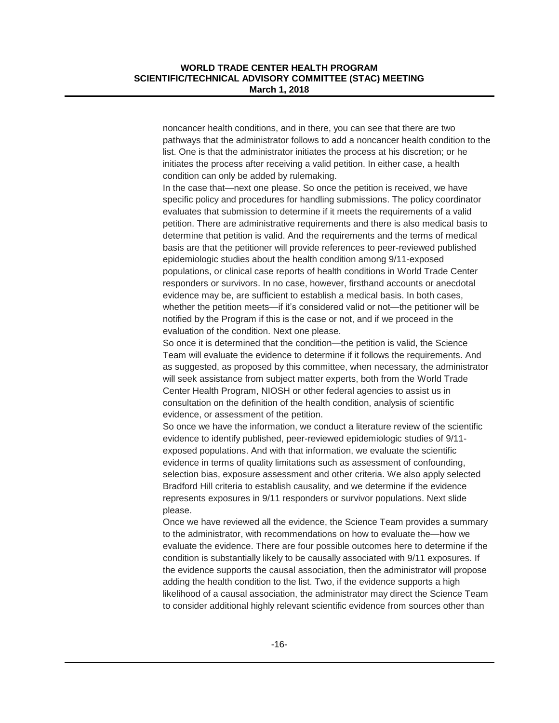noncancer health conditions, and in there, you can see that there are two pathways that the administrator follows to add a noncancer health condition to the list. One is that the administrator initiates the process at his discretion; or he initiates the process after receiving a valid petition. In either case, a health condition can only be added by rulemaking.

In the case that—next one please. So once the petition is received, we have specific policy and procedures for handling submissions. The policy coordinator evaluates that submission to determine if it meets the requirements of a valid petition. There are administrative requirements and there is also medical basis to determine that petition is valid. And the requirements and the terms of medical basis are that the petitioner will provide references to peer-reviewed published epidemiologic studies about the health condition among 9/11-exposed populations, or clinical case reports of health conditions in World Trade Center responders or survivors. In no case, however, firsthand accounts or anecdotal evidence may be, are sufficient to establish a medical basis. In both cases, whether the petition meets—if it's considered valid or not—the petitioner will be notified by the Program if this is the case or not, and if we proceed in the evaluation of the condition. Next one please.

So once it is determined that the condition—the petition is valid, the Science Team will evaluate the evidence to determine if it follows the requirements. And as suggested, as proposed by this committee, when necessary, the administrator will seek assistance from subject matter experts, both from the World Trade Center Health Program, NIOSH or other federal agencies to assist us in consultation on the definition of the health condition, analysis of scientific evidence, or assessment of the petition.

So once we have the information, we conduct a literature review of the scientific evidence to identify published, peer-reviewed epidemiologic studies of 9/11 exposed populations. And with that information, we evaluate the scientific evidence in terms of quality limitations such as assessment of confounding, selection bias, exposure assessment and other criteria. We also apply selected Bradford Hill criteria to establish causality, and we determine if the evidence represents exposures in 9/11 responders or survivor populations. Next slide please.

Once we have reviewed all the evidence, the Science Team provides a summary to the administrator, with recommendations on how to evaluate the—how we evaluate the evidence. There are four possible outcomes here to determine if the condition is substantially likely to be causally associated with 9/11 exposures. If the evidence supports the causal association, then the administrator will propose adding the health condition to the list. Two, if the evidence supports a high likelihood of a causal association, the administrator may direct the Science Team to consider additional highly relevant scientific evidence from sources other than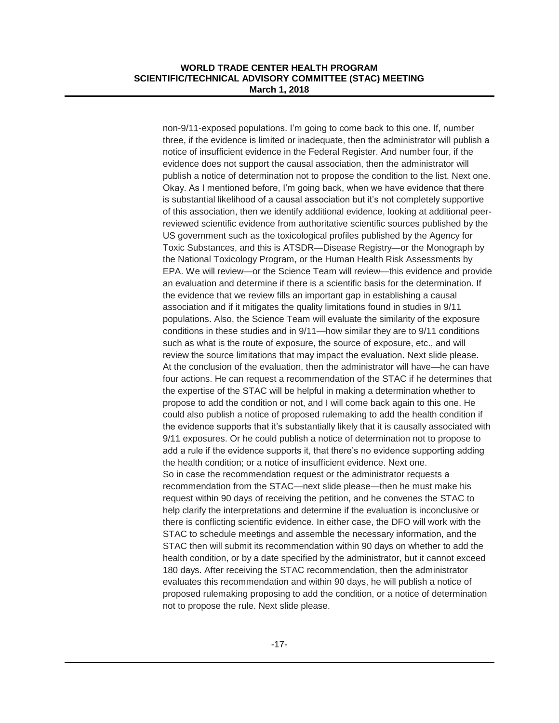non-9/11-exposed populations. I'm going to come back to this one. If, number three, if the evidence is limited or inadequate, then the administrator will publish a notice of insufficient evidence in the Federal Register. And number four, if the evidence does not support the causal association, then the administrator will publish a notice of determination not to propose the condition to the list. Next one. Okay. As I mentioned before, I'm going back, when we have evidence that there is substantial likelihood of a causal association but it's not completely supportive of this association, then we identify additional evidence, looking at additional peerreviewed scientific evidence from authoritative scientific sources published by the US government such as the toxicological profiles published by the Agency for Toxic Substances, and this is ATSDR—Disease Registry—or the Monograph by the National Toxicology Program, or the Human Health Risk Assessments by EPA. We will review—or the Science Team will review—this evidence and provide an evaluation and determine if there is a scientific basis for the determination. If the evidence that we review fills an important gap in establishing a causal association and if it mitigates the quality limitations found in studies in 9/11 populations. Also, the Science Team will evaluate the similarity of the exposure conditions in these studies and in 9/11—how similar they are to 9/11 conditions such as what is the route of exposure, the source of exposure, etc., and will review the source limitations that may impact the evaluation. Next slide please. At the conclusion of the evaluation, then the administrator will have—he can have four actions. He can request a recommendation of the STAC if he determines that the expertise of the STAC will be helpful in making a determination whether to propose to add the condition or not, and I will come back again to this one. He could also publish a notice of proposed rulemaking to add the health condition if the evidence supports that it's substantially likely that it is causally associated with 9/11 exposures. Or he could publish a notice of determination not to propose to add a rule if the evidence supports it, that there's no evidence supporting adding the health condition; or a notice of insufficient evidence. Next one. So in case the recommendation request or the administrator requests a recommendation from the STAC—next slide please—then he must make his request within 90 days of receiving the petition, and he convenes the STAC to help clarify the interpretations and determine if the evaluation is inconclusive or there is conflicting scientific evidence. In either case, the DFO will work with the STAC to schedule meetings and assemble the necessary information, and the STAC then will submit its recommendation within 90 days on whether to add the health condition, or by a date specified by the administrator, but it cannot exceed 180 days. After receiving the STAC recommendation, then the administrator evaluates this recommendation and within 90 days, he will publish a notice of proposed rulemaking proposing to add the condition, or a notice of determination not to propose the rule. Next slide please.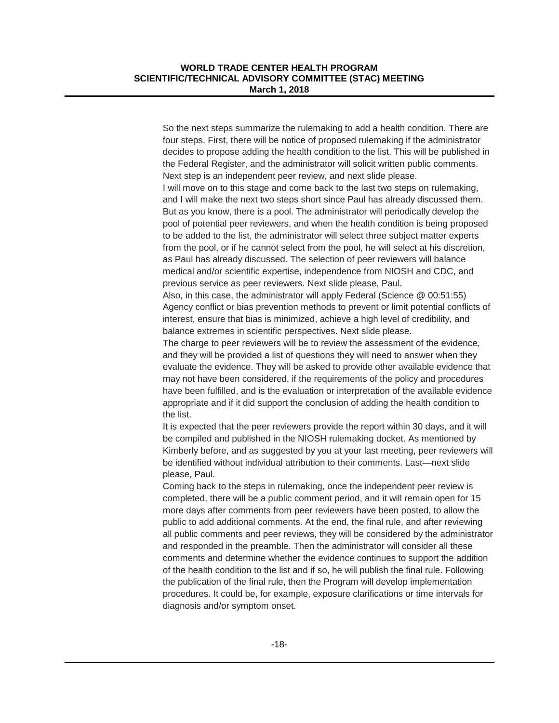So the next steps summarize the rulemaking to add a health condition. There are four steps. First, there will be notice of proposed rulemaking if the administrator decides to propose adding the health condition to the list. This will be published in the Federal Register, and the administrator will solicit written public comments. Next step is an independent peer review, and next slide please.

I will move on to this stage and come back to the last two steps on rulemaking, and I will make the next two steps short since Paul has already discussed them. But as you know, there is a pool. The administrator will periodically develop the pool of potential peer reviewers, and when the health condition is being proposed to be added to the list, the administrator will select three subject matter experts from the pool, or if he cannot select from the pool, he will select at his discretion, as Paul has already discussed. The selection of peer reviewers will balance medical and/or scientific expertise, independence from NIOSH and CDC, and previous service as peer reviewers. Next slide please, Paul.

Also, in this case, the administrator will apply Federal (Science @ 00:51:55) Agency conflict or bias prevention methods to prevent or limit potential conflicts of interest, ensure that bias is minimized, achieve a high level of credibility, and balance extremes in scientific perspectives. Next slide please.

The charge to peer reviewers will be to review the assessment of the evidence, and they will be provided a list of questions they will need to answer when they evaluate the evidence. They will be asked to provide other available evidence that may not have been considered, if the requirements of the policy and procedures have been fulfilled, and is the evaluation or interpretation of the available evidence appropriate and if it did support the conclusion of adding the health condition to the list.

It is expected that the peer reviewers provide the report within 30 days, and it will be compiled and published in the NIOSH rulemaking docket. As mentioned by Kimberly before, and as suggested by you at your last meeting, peer reviewers will be identified without individual attribution to their comments. Last—next slide please, Paul.

Coming back to the steps in rulemaking, once the independent peer review is completed, there will be a public comment period, and it will remain open for 15 more days after comments from peer reviewers have been posted, to allow the public to add additional comments. At the end, the final rule, and after reviewing all public comments and peer reviews, they will be considered by the administrator and responded in the preamble. Then the administrator will consider all these comments and determine whether the evidence continues to support the addition of the health condition to the list and if so, he will publish the final rule. Following the publication of the final rule, then the Program will develop implementation procedures. It could be, for example, exposure clarifications or time intervals for diagnosis and/or symptom onset.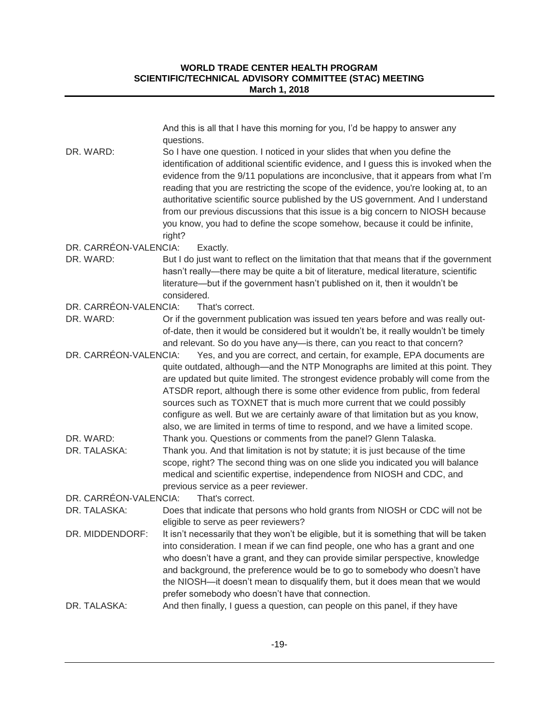|                       | And this is all that I have this morning for you, I'd be happy to answer any<br>questions.                                                                                                                                                                                                                                                                                                                                                                                                                                                                                                                         |
|-----------------------|--------------------------------------------------------------------------------------------------------------------------------------------------------------------------------------------------------------------------------------------------------------------------------------------------------------------------------------------------------------------------------------------------------------------------------------------------------------------------------------------------------------------------------------------------------------------------------------------------------------------|
| DR. WARD:             | So I have one question. I noticed in your slides that when you define the<br>identification of additional scientific evidence, and I guess this is invoked when the<br>evidence from the 9/11 populations are inconclusive, that it appears from what I'm<br>reading that you are restricting the scope of the evidence, you're looking at, to an<br>authoritative scientific source published by the US government. And I understand<br>from our previous discussions that this issue is a big concern to NIOSH because<br>you know, you had to define the scope somehow, because it could be infinite,<br>right? |
| DR. CARRÉON-VALENCIA: | Exactly.                                                                                                                                                                                                                                                                                                                                                                                                                                                                                                                                                                                                           |
| DR. WARD:             | But I do just want to reflect on the limitation that that means that if the government<br>hasn't really—there may be quite a bit of literature, medical literature, scientific<br>literature—but if the government hasn't published on it, then it wouldn't be<br>considered.                                                                                                                                                                                                                                                                                                                                      |
| DR. CARRÉON-VALENCIA: | That's correct.                                                                                                                                                                                                                                                                                                                                                                                                                                                                                                                                                                                                    |
| DR. WARD:             | Or if the government publication was issued ten years before and was really out-<br>of-date, then it would be considered but it wouldn't be, it really wouldn't be timely<br>and relevant. So do you have any-is there, can you react to that concern?                                                                                                                                                                                                                                                                                                                                                             |
| DR. CARRÉON-VALENCIA: | Yes, and you are correct, and certain, for example, EPA documents are<br>quite outdated, although-and the NTP Monographs are limited at this point. They<br>are updated but quite limited. The strongest evidence probably will come from the<br>ATSDR report, although there is some other evidence from public, from federal<br>sources such as TOXNET that is much more current that we could possibly<br>configure as well. But we are certainly aware of that limitation but as you know,<br>also, we are limited in terms of time to respond, and we have a limited scope.                                   |
| DR. WARD:             | Thank you. Questions or comments from the panel? Glenn Talaska.                                                                                                                                                                                                                                                                                                                                                                                                                                                                                                                                                    |
| DR. TALASKA:          | Thank you. And that limitation is not by statute; it is just because of the time<br>scope, right? The second thing was on one slide you indicated you will balance<br>medical and scientific expertise, independence from NIOSH and CDC, and<br>previous service as a peer reviewer.                                                                                                                                                                                                                                                                                                                               |
| DR. CARRÉON-VALENCIA: | That's correct.                                                                                                                                                                                                                                                                                                                                                                                                                                                                                                                                                                                                    |
| DR. TALASKA:          | Does that indicate that persons who hold grants from NIOSH or CDC will not be<br>eligible to serve as peer reviewers?                                                                                                                                                                                                                                                                                                                                                                                                                                                                                              |
|                       | DR. MIDDENDORF: It isn't necessarily that they won't be eligible, but it is something that will be taken<br>into consideration. I mean if we can find people, one who has a grant and one<br>who doesn't have a grant, and they can provide similar perspective, knowledge<br>and background, the preference would be to go to somebody who doesn't have<br>the NIOSH-it doesn't mean to disqualify them, but it does mean that we would<br>prefer somebody who doesn't have that connection.                                                                                                                      |
| DR. TALASKA:          | And then finally, I guess a question, can people on this panel, if they have                                                                                                                                                                                                                                                                                                                                                                                                                                                                                                                                       |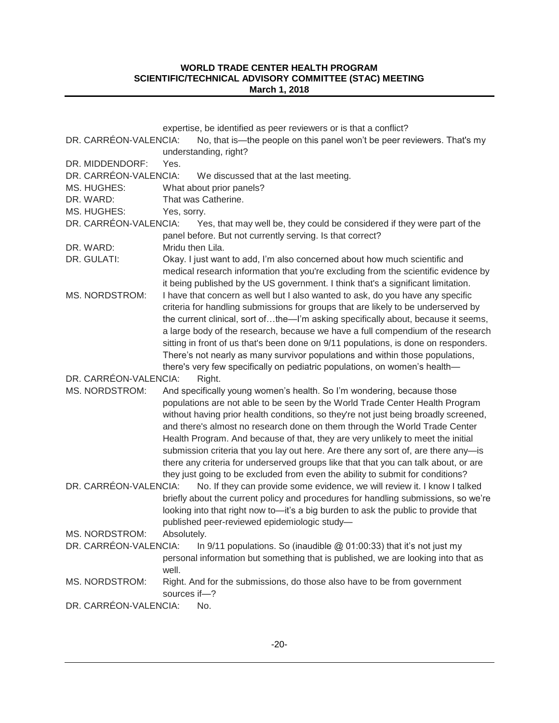|                       | expertise, be identified as peer reviewers or is that a conflict?                   |
|-----------------------|-------------------------------------------------------------------------------------|
| DR. CARRÉON-VALENCIA: | No, that is—the people on this panel won't be peer reviewers. That's my             |
|                       | understanding, right?                                                               |
| DR. MIDDENDORF:       | Yes.                                                                                |
| DR. CARRÉON-VALENCIA: | We discussed that at the last meeting.                                              |
| MS. HUGHES:           | What about prior panels?                                                            |
| DR. WARD:             | That was Catherine.                                                                 |
| MS. HUGHES:           | Yes, sorry.                                                                         |
| DR. CARRÉON-VALENCIA: | Yes, that may well be, they could be considered if they were part of the            |
|                       | panel before. But not currently serving. Is that correct?                           |
| DR. WARD:             | Mridu then Lila.                                                                    |
| DR. GULATI:           | Okay. I just want to add, I'm also concerned about how much scientific and          |
|                       | medical research information that you're excluding from the scientific evidence by  |
|                       | it being published by the US government. I think that's a significant limitation.   |
| <b>MS. NORDSTROM:</b> | I have that concern as well but I also wanted to ask, do you have any specific      |
|                       | criteria for handling submissions for groups that are likely to be underserved by   |
|                       | the current clinical, sort ofthe-'m asking specifically about, because it seems,    |
|                       | a large body of the research, because we have a full compendium of the research     |
|                       | sitting in front of us that's been done on 9/11 populations, is done on responders. |
|                       | There's not nearly as many survivor populations and within those populations,       |
|                       | there's very few specifically on pediatric populations, on women's health-          |
| DR. CARRÉON-VALENCIA: | Right.                                                                              |
| MS. NORDSTROM:        | And specifically young women's health. So I'm wondering, because those              |
|                       | populations are not able to be seen by the World Trade Center Health Program        |
|                       | without having prior health conditions, so they're not just being broadly screened, |
|                       | and there's almost no research done on them through the World Trade Center          |
|                       | Health Program. And because of that, they are very unlikely to meet the initial     |
|                       | submission criteria that you lay out here. Are there any sort of, are there any-is  |
|                       | there any criteria for underserved groups like that that you can talk about, or are |
|                       | they just going to be excluded from even the ability to submit for conditions?      |
| DR. CARRÉON-VALENCIA: | No. If they can provide some evidence, we will review it. I know I talked           |
|                       | briefly about the current policy and procedures for handling submissions, so we're  |
|                       | looking into that right now to-it's a big burden to ask the public to provide that  |
|                       | published peer-reviewed epidemiologic study-                                        |
| MS. NORDSTROM:        | Absolutely.                                                                         |
| DR. CARRÉON-VALENCIA: | In $9/11$ populations. So (inaudible $@$ 01:00:33) that it's not just my            |
|                       | personal information but something that is published, we are looking into that as   |
|                       | well.                                                                               |
| MS. NORDSTROM:        | Right. And for the submissions, do those also have to be from government            |
|                       | sources if-?                                                                        |
| DR. CARRÉON-VALENCIA: | No.                                                                                 |
|                       |                                                                                     |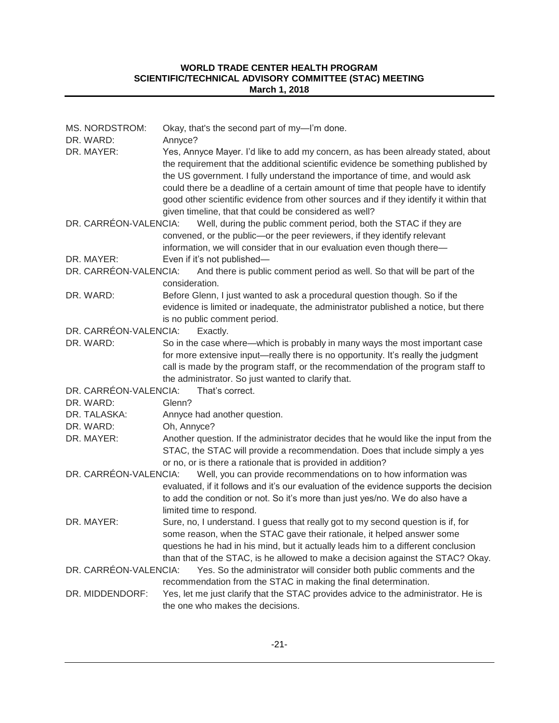| MS. NORDSTROM:        | Okay, that's the second part of my-I'm done.                                                                                                                                                                                                                                                                                                                                                                                                                                                  |
|-----------------------|-----------------------------------------------------------------------------------------------------------------------------------------------------------------------------------------------------------------------------------------------------------------------------------------------------------------------------------------------------------------------------------------------------------------------------------------------------------------------------------------------|
| DR. WARD:             | Annyce?                                                                                                                                                                                                                                                                                                                                                                                                                                                                                       |
| DR. MAYER:            | Yes, Annyce Mayer. I'd like to add my concern, as has been already stated, about<br>the requirement that the additional scientific evidence be something published by<br>the US government. I fully understand the importance of time, and would ask<br>could there be a deadline of a certain amount of time that people have to identify<br>good other scientific evidence from other sources and if they identify it within that<br>given timeline, that that could be considered as well? |
| DR. CARRÉON-VALENCIA: | Well, during the public comment period, both the STAC if they are                                                                                                                                                                                                                                                                                                                                                                                                                             |
|                       | convened, or the public-or the peer reviewers, if they identify relevant                                                                                                                                                                                                                                                                                                                                                                                                                      |
|                       | information, we will consider that in our evaluation even though there-                                                                                                                                                                                                                                                                                                                                                                                                                       |
| DR. MAYER:            | Even if it's not published-                                                                                                                                                                                                                                                                                                                                                                                                                                                                   |
| DR. CARRÉON-VALENCIA: | And there is public comment period as well. So that will be part of the                                                                                                                                                                                                                                                                                                                                                                                                                       |
|                       | consideration.                                                                                                                                                                                                                                                                                                                                                                                                                                                                                |
| DR. WARD:             | Before Glenn, I just wanted to ask a procedural question though. So if the                                                                                                                                                                                                                                                                                                                                                                                                                    |
|                       | evidence is limited or inadequate, the administrator published a notice, but there                                                                                                                                                                                                                                                                                                                                                                                                            |
|                       | is no public comment period.                                                                                                                                                                                                                                                                                                                                                                                                                                                                  |
| DR. CARRÉON-VALENCIA: | Exactly.                                                                                                                                                                                                                                                                                                                                                                                                                                                                                      |
| DR. WARD:             | So in the case where—which is probably in many ways the most important case                                                                                                                                                                                                                                                                                                                                                                                                                   |
|                       | for more extensive input—really there is no opportunity. It's really the judgment<br>call is made by the program staff, or the recommendation of the program staff to                                                                                                                                                                                                                                                                                                                         |
|                       | the administrator. So just wanted to clarify that.                                                                                                                                                                                                                                                                                                                                                                                                                                            |
| DR. CARRÉON-VALENCIA: | That's correct.                                                                                                                                                                                                                                                                                                                                                                                                                                                                               |
| DR. WARD:             | Glenn?                                                                                                                                                                                                                                                                                                                                                                                                                                                                                        |
| DR. TALASKA:          | Annyce had another question.                                                                                                                                                                                                                                                                                                                                                                                                                                                                  |
| DR. WARD:             | Oh, Annyce?                                                                                                                                                                                                                                                                                                                                                                                                                                                                                   |
| DR. MAYER:            | Another question. If the administrator decides that he would like the input from the                                                                                                                                                                                                                                                                                                                                                                                                          |
|                       | STAC, the STAC will provide a recommendation. Does that include simply a yes                                                                                                                                                                                                                                                                                                                                                                                                                  |
|                       | or no, or is there a rationale that is provided in addition?                                                                                                                                                                                                                                                                                                                                                                                                                                  |
| DR. CARRÉON-VALENCIA: | Well, you can provide recommendations on to how information was                                                                                                                                                                                                                                                                                                                                                                                                                               |
|                       | evaluated, if it follows and it's our evaluation of the evidence supports the decision                                                                                                                                                                                                                                                                                                                                                                                                        |
|                       | to add the condition or not. So it's more than just yes/no. We do also have a                                                                                                                                                                                                                                                                                                                                                                                                                 |
|                       | limited time to respond.                                                                                                                                                                                                                                                                                                                                                                                                                                                                      |
| DR. MAYER:            | Sure, no, I understand. I guess that really got to my second question is if, for                                                                                                                                                                                                                                                                                                                                                                                                              |
|                       | some reason, when the STAC gave their rationale, it helped answer some                                                                                                                                                                                                                                                                                                                                                                                                                        |
|                       | questions he had in his mind, but it actually leads him to a different conclusion                                                                                                                                                                                                                                                                                                                                                                                                             |
| DR. CARRÉON-VALENCIA: | than that of the STAC, is he allowed to make a decision against the STAC? Okay.<br>Yes. So the administrator will consider both public comments and the                                                                                                                                                                                                                                                                                                                                       |
|                       | recommendation from the STAC in making the final determination.                                                                                                                                                                                                                                                                                                                                                                                                                               |
| DR. MIDDENDORF:       | Yes, let me just clarify that the STAC provides advice to the administrator. He is                                                                                                                                                                                                                                                                                                                                                                                                            |
|                       | the one who makes the decisions.                                                                                                                                                                                                                                                                                                                                                                                                                                                              |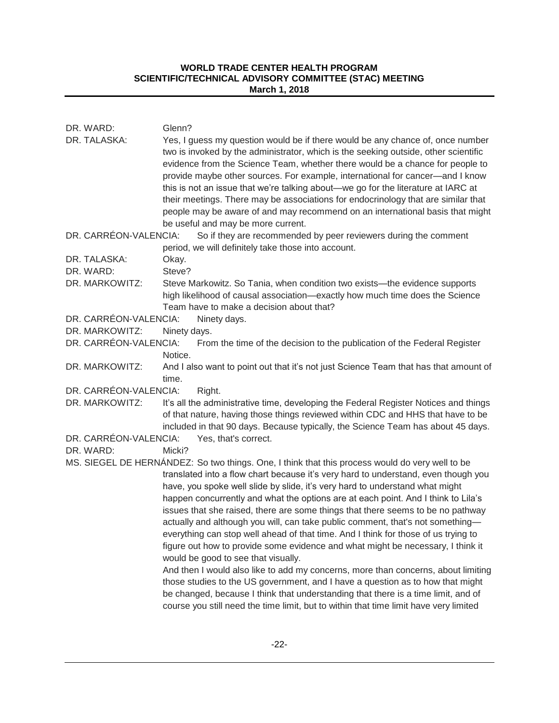| DR. WARD:<br>DR. TALASKA: | Glenn?<br>Yes, I guess my question would be if there would be any chance of, once number<br>two is invoked by the administrator, which is the seeking outside, other scientific<br>evidence from the Science Team, whether there would be a chance for people to<br>provide maybe other sources. For example, international for cancer-and I know<br>this is not an issue that we're talking about-we go for the literature at IARC at<br>their meetings. There may be associations for endocrinology that are similar that<br>people may be aware of and may recommend on an international basis that might<br>be useful and may be more current.                                                                                                                                                                                                                                                                                                                                                                                                                                                   |
|---------------------------|------------------------------------------------------------------------------------------------------------------------------------------------------------------------------------------------------------------------------------------------------------------------------------------------------------------------------------------------------------------------------------------------------------------------------------------------------------------------------------------------------------------------------------------------------------------------------------------------------------------------------------------------------------------------------------------------------------------------------------------------------------------------------------------------------------------------------------------------------------------------------------------------------------------------------------------------------------------------------------------------------------------------------------------------------------------------------------------------------|
| DR. CARRÉON-VALENCIA:     | So if they are recommended by peer reviewers during the comment                                                                                                                                                                                                                                                                                                                                                                                                                                                                                                                                                                                                                                                                                                                                                                                                                                                                                                                                                                                                                                      |
|                           | period, we will definitely take those into account.                                                                                                                                                                                                                                                                                                                                                                                                                                                                                                                                                                                                                                                                                                                                                                                                                                                                                                                                                                                                                                                  |
| DR. TALASKA:              | Okay.                                                                                                                                                                                                                                                                                                                                                                                                                                                                                                                                                                                                                                                                                                                                                                                                                                                                                                                                                                                                                                                                                                |
| DR. WARD:                 | Steve?                                                                                                                                                                                                                                                                                                                                                                                                                                                                                                                                                                                                                                                                                                                                                                                                                                                                                                                                                                                                                                                                                               |
| DR. MARKOWITZ:            | Steve Markowitz. So Tania, when condition two exists-the evidence supports<br>high likelihood of causal association-exactly how much time does the Science<br>Team have to make a decision about that?                                                                                                                                                                                                                                                                                                                                                                                                                                                                                                                                                                                                                                                                                                                                                                                                                                                                                               |
| DR. CARRÉON-VALENCIA:     | Ninety days.                                                                                                                                                                                                                                                                                                                                                                                                                                                                                                                                                                                                                                                                                                                                                                                                                                                                                                                                                                                                                                                                                         |
| DR. MARKOWITZ:            | Ninety days.                                                                                                                                                                                                                                                                                                                                                                                                                                                                                                                                                                                                                                                                                                                                                                                                                                                                                                                                                                                                                                                                                         |
| DR. CARRÉON-VALENCIA:     | From the time of the decision to the publication of the Federal Register<br>Notice.                                                                                                                                                                                                                                                                                                                                                                                                                                                                                                                                                                                                                                                                                                                                                                                                                                                                                                                                                                                                                  |
| DR. MARKOWITZ:            | And I also want to point out that it's not just Science Team that has that amount of<br>time.                                                                                                                                                                                                                                                                                                                                                                                                                                                                                                                                                                                                                                                                                                                                                                                                                                                                                                                                                                                                        |
| DR. CARRÉON-VALENCIA:     | Right.                                                                                                                                                                                                                                                                                                                                                                                                                                                                                                                                                                                                                                                                                                                                                                                                                                                                                                                                                                                                                                                                                               |
| DR. MARKOWITZ:            | It's all the administrative time, developing the Federal Register Notices and things<br>of that nature, having those things reviewed within CDC and HHS that have to be<br>included in that 90 days. Because typically, the Science Team has about 45 days.                                                                                                                                                                                                                                                                                                                                                                                                                                                                                                                                                                                                                                                                                                                                                                                                                                          |
| DR. CARRÉON-VALENCIA:     | Yes, that's correct.                                                                                                                                                                                                                                                                                                                                                                                                                                                                                                                                                                                                                                                                                                                                                                                                                                                                                                                                                                                                                                                                                 |
| DR. WARD:                 | Micki?                                                                                                                                                                                                                                                                                                                                                                                                                                                                                                                                                                                                                                                                                                                                                                                                                                                                                                                                                                                                                                                                                               |
|                           | MS. SIEGEL DE HERNÁNDEZ: So two things. One, I think that this process would do very well to be<br>translated into a flow chart because it's very hard to understand, even though you<br>have, you spoke well slide by slide, it's very hard to understand what might<br>happen concurrently and what the options are at each point. And I think to Lila's<br>issues that she raised, there are some things that there seems to be no pathway<br>actually and although you will, can take public comment, that's not something-<br>everything can stop well ahead of that time. And I think for those of us trying to<br>figure out how to provide some evidence and what might be necessary, I think it<br>would be good to see that visually.<br>And then I would also like to add my concerns, more than concerns, about limiting<br>those studies to the US government, and I have a question as to how that might<br>be changed, because I think that understanding that there is a time limit, and of<br>course you still need the time limit, but to within that time limit have very limited |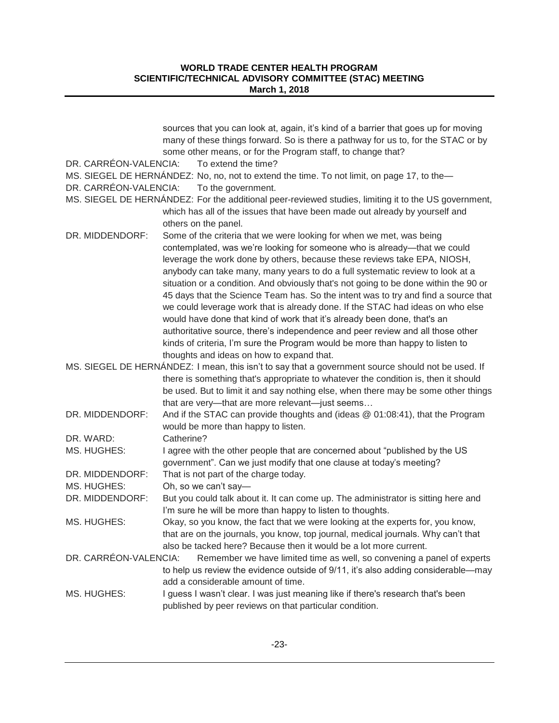| DR. CARRÉON-VALENCIA: | sources that you can look at, again, it's kind of a barrier that goes up for moving<br>many of these things forward. So is there a pathway for us to, for the STAC or by<br>some other means, or for the Program staff, to change that?<br>To extend the time? |
|-----------------------|----------------------------------------------------------------------------------------------------------------------------------------------------------------------------------------------------------------------------------------------------------------|
| DR. CARRÉON-VALENCIA: | MS. SIEGEL DE HERNÁNDEZ: No, no, not to extend the time. To not limit, on page 17, to the-<br>To the government.                                                                                                                                               |
|                       | MS. SIEGEL DE HERNÁNDEZ: For the additional peer-reviewed studies, limiting it to the US government,                                                                                                                                                           |
|                       | which has all of the issues that have been made out already by yourself and<br>others on the panel.                                                                                                                                                            |
| DR. MIDDENDORF:       | Some of the criteria that we were looking for when we met, was being                                                                                                                                                                                           |
|                       | contemplated, was we're looking for someone who is already-that we could<br>leverage the work done by others, because these reviews take EPA, NIOSH,<br>anybody can take many, many years to do a full systematic review to look at a                          |
|                       | situation or a condition. And obviously that's not going to be done within the 90 or<br>45 days that the Science Team has. So the intent was to try and find a source that                                                                                     |
|                       | we could leverage work that is already done. If the STAC had ideas on who else<br>would have done that kind of work that it's already been done, that's an                                                                                                     |
|                       | authoritative source, there's independence and peer review and all those other<br>kinds of criteria, I'm sure the Program would be more than happy to listen to                                                                                                |
|                       | thoughts and ideas on how to expand that.                                                                                                                                                                                                                      |
|                       | MS. SIEGEL DE HERNÁNDEZ: I mean, this isn't to say that a government source should not be used. If                                                                                                                                                             |
|                       | there is something that's appropriate to whatever the condition is, then it should                                                                                                                                                                             |
|                       | be used. But to limit it and say nothing else, when there may be some other things                                                                                                                                                                             |
|                       | that are very-that are more relevant-just seems                                                                                                                                                                                                                |
| DR. MIDDENDORF:       | And if the STAC can provide thoughts and (ideas @ 01:08:41), that the Program                                                                                                                                                                                  |
|                       | would be more than happy to listen.                                                                                                                                                                                                                            |
| DR. WARD:             | Catherine?                                                                                                                                                                                                                                                     |
| MS. HUGHES:           | I agree with the other people that are concerned about "published by the US<br>government". Can we just modify that one clause at today's meeting?                                                                                                             |
| DR. MIDDENDORF:       | That is not part of the charge today.                                                                                                                                                                                                                          |
| MS. HUGHES:           | Oh, so we can't say-                                                                                                                                                                                                                                           |
| DR. MIDDENDORF:       | But you could talk about it. It can come up. The administrator is sitting here and<br>I'm sure he will be more than happy to listen to thoughts.                                                                                                               |
| MS. HUGHES:           | Okay, so you know, the fact that we were looking at the experts for, you know,                                                                                                                                                                                 |
|                       | that are on the journals, you know, top journal, medical journals. Why can't that                                                                                                                                                                              |
|                       | also be tacked here? Because then it would be a lot more current.                                                                                                                                                                                              |
| DR. CARRÉON-VALENCIA: | Remember we have limited time as well, so convening a panel of experts                                                                                                                                                                                         |
|                       | to help us review the evidence outside of 9/11, it's also adding considerable—may                                                                                                                                                                              |
|                       | add a considerable amount of time.                                                                                                                                                                                                                             |
| MS. HUGHES:           | I guess I wasn't clear. I was just meaning like if there's research that's been<br>published by peer reviews on that particular condition.                                                                                                                     |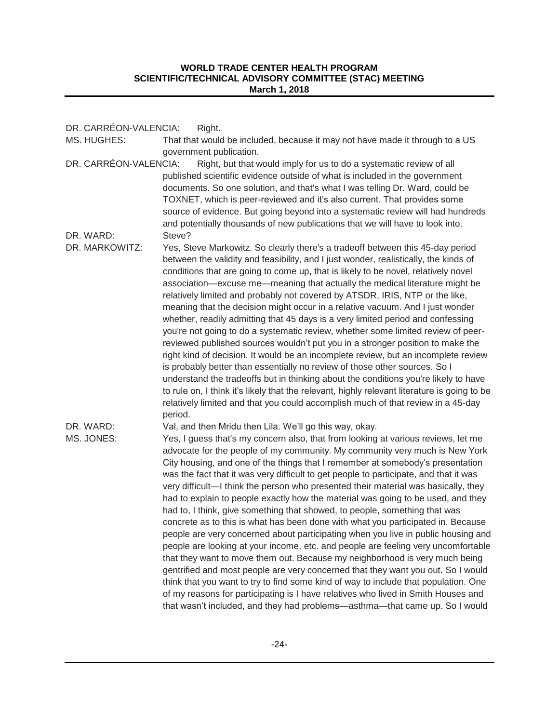| DR. CARRÉON-VALENCIA:<br>MS. HUGHES: | Right.<br>That that would be included, because it may not have made it through to a US                                                                                                                                                                                                                                                                                                                                                                                                                                                                                                                                                                                                                                                                                                                                                                                                                                                                                                                                                                                                                                                                                                                                                                                                          |
|--------------------------------------|-------------------------------------------------------------------------------------------------------------------------------------------------------------------------------------------------------------------------------------------------------------------------------------------------------------------------------------------------------------------------------------------------------------------------------------------------------------------------------------------------------------------------------------------------------------------------------------------------------------------------------------------------------------------------------------------------------------------------------------------------------------------------------------------------------------------------------------------------------------------------------------------------------------------------------------------------------------------------------------------------------------------------------------------------------------------------------------------------------------------------------------------------------------------------------------------------------------------------------------------------------------------------------------------------|
|                                      | government publication.                                                                                                                                                                                                                                                                                                                                                                                                                                                                                                                                                                                                                                                                                                                                                                                                                                                                                                                                                                                                                                                                                                                                                                                                                                                                         |
| DR. CARRÉON-VALENCIA:                | Right, but that would imply for us to do a systematic review of all<br>published scientific evidence outside of what is included in the government<br>documents. So one solution, and that's what I was telling Dr. Ward, could be<br>TOXNET, which is peer-reviewed and it's also current. That provides some<br>source of evidence. But going beyond into a systematic review will had hundreds<br>and potentially thousands of new publications that we will have to look into.                                                                                                                                                                                                                                                                                                                                                                                                                                                                                                                                                                                                                                                                                                                                                                                                              |
| DR. WARD:                            | Steve?                                                                                                                                                                                                                                                                                                                                                                                                                                                                                                                                                                                                                                                                                                                                                                                                                                                                                                                                                                                                                                                                                                                                                                                                                                                                                          |
| DR. MARKOWITZ:                       | Yes, Steve Markowitz. So clearly there's a tradeoff between this 45-day period<br>between the validity and feasibility, and I just wonder, realistically, the kinds of<br>conditions that are going to come up, that is likely to be novel, relatively novel<br>association—excuse me—meaning that actually the medical literature might be<br>relatively limited and probably not covered by ATSDR, IRIS, NTP or the like,<br>meaning that the decision might occur in a relative vacuum. And I just wonder<br>whether, readily admitting that 45 days is a very limited period and confessing<br>you're not going to do a systematic review, whether some limited review of peer-<br>reviewed published sources wouldn't put you in a stronger position to make the<br>right kind of decision. It would be an incomplete review, but an incomplete review<br>is probably better than essentially no review of those other sources. So I<br>understand the tradeoffs but in thinking about the conditions you're likely to have<br>to rule on, I think it's likely that the relevant, highly relevant literature is going to be<br>relatively limited and that you could accomplish much of that review in a 45-day<br>period.                                                                 |
| DR. WARD:                            | Val, and then Mridu then Lila. We'll go this way, okay.                                                                                                                                                                                                                                                                                                                                                                                                                                                                                                                                                                                                                                                                                                                                                                                                                                                                                                                                                                                                                                                                                                                                                                                                                                         |
| MS. JONES:                           | Yes, I guess that's my concern also, that from looking at various reviews, let me<br>advocate for the people of my community. My community very much is New York<br>City housing, and one of the things that I remember at somebody's presentation<br>was the fact that it was very difficult to get people to participate, and that it was<br>very difficult—I think the person who presented their material was basically, they<br>had to explain to people exactly how the material was going to be used, and they<br>had to, I think, give something that showed, to people, something that was<br>concrete as to this is what has been done with what you participated in. Because<br>people are very concerned about participating when you live in public housing and<br>people are looking at your income, etc. and people are feeling very uncomfortable<br>that they want to move them out. Because my neighborhood is very much being<br>gentrified and most people are very concerned that they want you out. So I would<br>think that you want to try to find some kind of way to include that population. One<br>of my reasons for participating is I have relatives who lived in Smith Houses and<br>that wasn't included, and they had problems-asthma-that came up. So I would |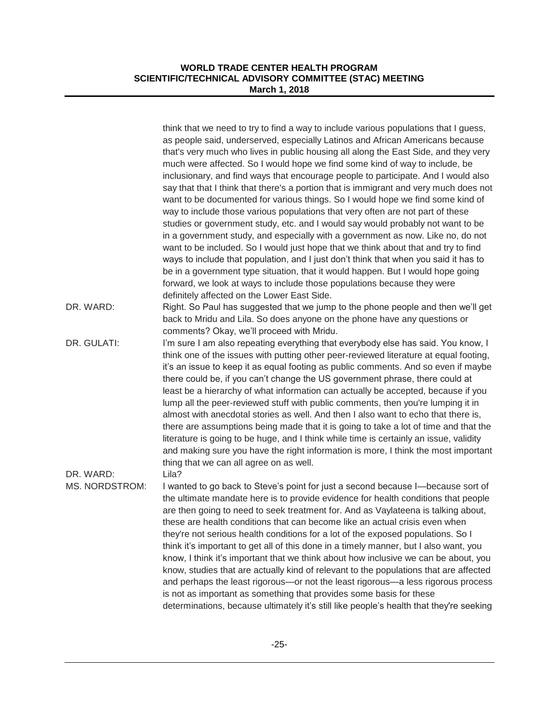|                             | think that we need to try to find a way to include various populations that I guess,<br>as people said, underserved, especially Latinos and African Americans because<br>that's very much who lives in public housing all along the East Side, and they very<br>much were affected. So I would hope we find some kind of way to include, be<br>inclusionary, and find ways that encourage people to participate. And I would also<br>say that that I think that there's a portion that is immigrant and very much does not<br>want to be documented for various things. So I would hope we find some kind of<br>way to include those various populations that very often are not part of these<br>studies or government study, etc. and I would say would probably not want to be<br>in a government study, and especially with a government as now. Like no, do not<br>want to be included. So I would just hope that we think about that and try to find<br>ways to include that population, and I just don't think that when you said it has to<br>be in a government type situation, that it would happen. But I would hope going<br>forward, we look at ways to include those populations because they were<br>definitely affected on the Lower East Side. |
|-----------------------------|-----------------------------------------------------------------------------------------------------------------------------------------------------------------------------------------------------------------------------------------------------------------------------------------------------------------------------------------------------------------------------------------------------------------------------------------------------------------------------------------------------------------------------------------------------------------------------------------------------------------------------------------------------------------------------------------------------------------------------------------------------------------------------------------------------------------------------------------------------------------------------------------------------------------------------------------------------------------------------------------------------------------------------------------------------------------------------------------------------------------------------------------------------------------------------------------------------------------------------------------------------------------|
| DR. WARD:                   | Right. So Paul has suggested that we jump to the phone people and then we'll get<br>back to Mridu and Lila. So does anyone on the phone have any questions or<br>comments? Okay, we'll proceed with Mridu.                                                                                                                                                                                                                                                                                                                                                                                                                                                                                                                                                                                                                                                                                                                                                                                                                                                                                                                                                                                                                                                      |
| DR. GULATI:                 | I'm sure I am also repeating everything that everybody else has said. You know, I<br>think one of the issues with putting other peer-reviewed literature at equal footing,<br>it's an issue to keep it as equal footing as public comments. And so even if maybe<br>there could be, if you can't change the US government phrase, there could at<br>least be a hierarchy of what information can actually be accepted, because if you<br>lump all the peer-reviewed stuff with public comments, then you're lumping it in<br>almost with anecdotal stories as well. And then I also want to echo that there is,<br>there are assumptions being made that it is going to take a lot of time and that the<br>literature is going to be huge, and I think while time is certainly an issue, validity<br>and making sure you have the right information is more, I think the most important<br>thing that we can all agree on as well.                                                                                                                                                                                                                                                                                                                              |
| DR. WARD:<br>MS. NORDSTROM: | Lila?<br>I wanted to go back to Steve's point for just a second because I-because sort of<br>the ultimate mandate here is to provide evidence for health conditions that people<br>are then going to need to seek treatment for. And as Vaylateena is talking about,<br>these are health conditions that can become like an actual crisis even when<br>they're not serious health conditions for a lot of the exposed populations. So I<br>think it's important to get all of this done in a timely manner, but I also want, you<br>know, I think it's important that we think about how inclusive we can be about, you<br>know, studies that are actually kind of relevant to the populations that are affected<br>and perhaps the least rigorous—or not the least rigorous—a less rigorous process<br>is not as important as something that provides some basis for these<br>determinations, because ultimately it's still like people's health that they're seeking                                                                                                                                                                                                                                                                                          |
|                             |                                                                                                                                                                                                                                                                                                                                                                                                                                                                                                                                                                                                                                                                                                                                                                                                                                                                                                                                                                                                                                                                                                                                                                                                                                                                 |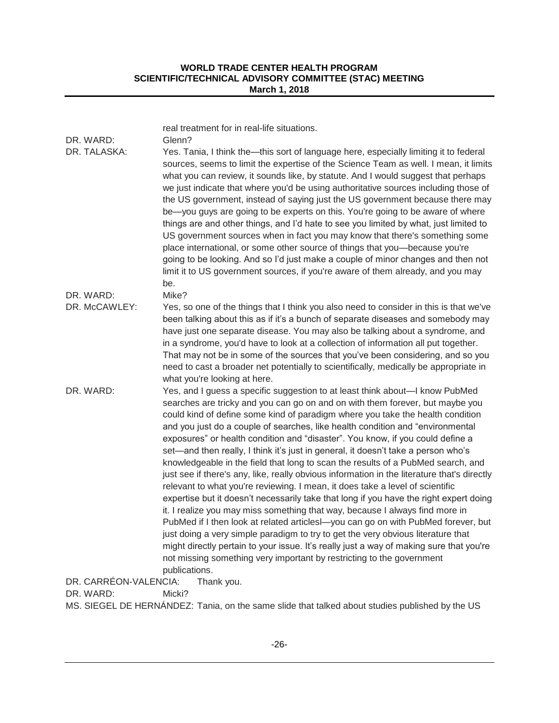| DR. WARD:<br>DR. TALASKA:           | real treatment for in real-life situations.<br>Glenn?<br>Yes. Tania, I think the-this sort of language here, especially limiting it to federal<br>sources, seems to limit the expertise of the Science Team as well. I mean, it limits<br>what you can review, it sounds like, by statute. And I would suggest that perhaps<br>we just indicate that where you'd be using authoritative sources including those of<br>the US government, instead of saying just the US government because there may<br>be-you guys are going to be experts on this. You're going to be aware of where<br>things are and other things, and I'd hate to see you limited by what, just limited to<br>US government sources when in fact you may know that there's something some<br>place international, or some other source of things that you-because you're<br>going to be looking. And so I'd just make a couple of minor changes and then not<br>limit it to US government sources, if you're aware of them already, and you may                                                                                                                                                                                                                                                                                                  |  |
|-------------------------------------|----------------------------------------------------------------------------------------------------------------------------------------------------------------------------------------------------------------------------------------------------------------------------------------------------------------------------------------------------------------------------------------------------------------------------------------------------------------------------------------------------------------------------------------------------------------------------------------------------------------------------------------------------------------------------------------------------------------------------------------------------------------------------------------------------------------------------------------------------------------------------------------------------------------------------------------------------------------------------------------------------------------------------------------------------------------------------------------------------------------------------------------------------------------------------------------------------------------------------------------------------------------------------------------------------------------------|--|
|                                     | be.                                                                                                                                                                                                                                                                                                                                                                                                                                                                                                                                                                                                                                                                                                                                                                                                                                                                                                                                                                                                                                                                                                                                                                                                                                                                                                                  |  |
| DR. WARD:                           | Mike?                                                                                                                                                                                                                                                                                                                                                                                                                                                                                                                                                                                                                                                                                                                                                                                                                                                                                                                                                                                                                                                                                                                                                                                                                                                                                                                |  |
| DR. McCAWLEY:                       | Yes, so one of the things that I think you also need to consider in this is that we've<br>been talking about this as if it's a bunch of separate diseases and somebody may<br>have just one separate disease. You may also be talking about a syndrome, and<br>in a syndrome, you'd have to look at a collection of information all put together.<br>That may not be in some of the sources that you've been considering, and so you<br>need to cast a broader net potentially to scientifically, medically be appropriate in<br>what you're looking at here.                                                                                                                                                                                                                                                                                                                                                                                                                                                                                                                                                                                                                                                                                                                                                        |  |
| DR. WARD:                           | Yes, and I guess a specific suggestion to at least think about-I know PubMed<br>searches are tricky and you can go on and on with them forever, but maybe you<br>could kind of define some kind of paradigm where you take the health condition<br>and you just do a couple of searches, like health condition and "environmental<br>exposures" or health condition and "disaster". You know, if you could define a<br>set—and then really, I think it's just in general, it doesn't take a person who's<br>knowledgeable in the field that long to scan the results of a PubMed search, and<br>just see if there's any, like, really obvious information in the literature that's directly<br>relevant to what you're reviewing. I mean, it does take a level of scientific<br>expertise but it doesn't necessarily take that long if you have the right expert doing<br>it. I realize you may miss something that way, because I always find more in<br>PubMed if I then look at related articlesl-you can go on with PubMed forever, but<br>just doing a very simple paradigm to try to get the very obvious literature that<br>might directly pertain to your issue. It's really just a way of making sure that you're<br>not missing something very important by restricting to the government<br>publications. |  |
| DR. CARRÉON-VALENCIA:<br>Thank you. |                                                                                                                                                                                                                                                                                                                                                                                                                                                                                                                                                                                                                                                                                                                                                                                                                                                                                                                                                                                                                                                                                                                                                                                                                                                                                                                      |  |

DR. WARD: Micki?

MS. SIEGEL DE HERNÁNDEZ: Tania, on the same slide that talked about studies published by the US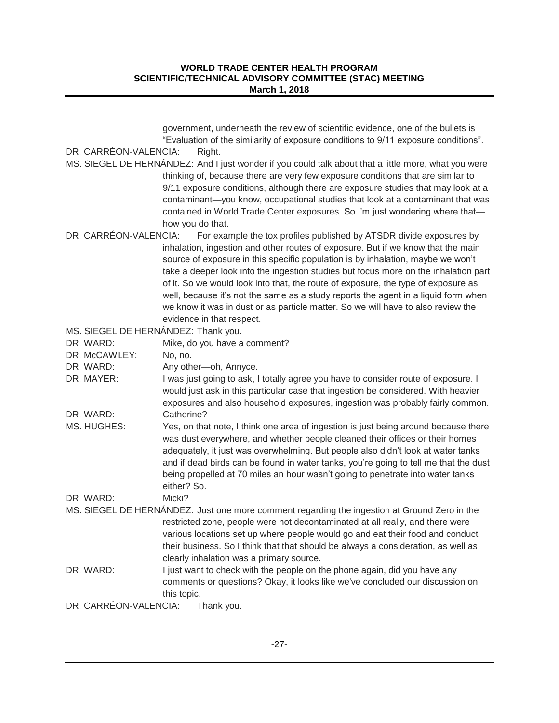| DR. CARRÉON-VALENCIA:<br>Right.<br>MS. SIEGEL DE HERNÁNDEZ: And I just wonder if you could talk about that a little more, what you were<br>thinking of, because there are very few exposure conditions that are similar to<br>9/11 exposure conditions, although there are exposure studies that may look at a<br>contaminant-you know, occupational studies that look at a contaminant that was<br>contained in World Trade Center exposures. So I'm just wondering where that-<br>how you do that.<br>DR. CARRÉON-VALENCIA:<br>For example the tox profiles published by ATSDR divide exposures by<br>inhalation, ingestion and other routes of exposure. But if we know that the main<br>source of exposure in this specific population is by inhalation, maybe we won't<br>take a deeper look into the ingestion studies but focus more on the inhalation part<br>of it. So we would look into that, the route of exposure, the type of exposure as<br>well, because it's not the same as a study reports the agent in a liquid form when<br>we know it was in dust or as particle matter. So we will have to also review the<br>evidence in that respect.<br>MS. SIEGEL DE HERNÁNDEZ: Thank you.<br>DR. WARD:<br>Mike, do you have a comment?<br>DR. McCAWLEY:<br>No, no.<br>DR. WARD:<br>Any other-oh, Annyce.<br>DR. MAYER:<br>I was just going to ask, I totally agree you have to consider route of exposure. I<br>would just ask in this particular case that ingestion be considered. With heavier<br>exposures and also household exposures, ingestion was probably fairly common.<br>DR. WARD:<br>Catherine?<br>MS. HUGHES:<br>Yes, on that note, I think one area of ingestion is just being around because there<br>was dust everywhere, and whether people cleaned their offices or their homes<br>adequately, it just was overwhelming. But people also didn't look at water tanks<br>and if dead birds can be found in water tanks, you're going to tell me that the dust<br>being propelled at 70 miles an hour wasn't going to penetrate into water tanks<br>either? So.<br>DR. WARD:<br>Micki?<br>MS. SIEGEL DE HERNÁNDEZ: Just one more comment regarding the ingestion at Ground Zero in the<br>restricted zone, people were not decontaminated at all really, and there were<br>various locations set up where people would go and eat their food and conduct<br>their business. So I think that that should be always a consideration, as well as<br>clearly inhalation was a primary source.<br>I just want to check with the people on the phone again, did you have any<br>DR. WARD:<br>comments or questions? Okay, it looks like we've concluded our discussion on<br>this topic.<br>DR. CARRÉON-VALENCIA:<br>Thank you. | government, underneath the review of scientific evidence, one of the bullets is    |
|--------------------------------------------------------------------------------------------------------------------------------------------------------------------------------------------------------------------------------------------------------------------------------------------------------------------------------------------------------------------------------------------------------------------------------------------------------------------------------------------------------------------------------------------------------------------------------------------------------------------------------------------------------------------------------------------------------------------------------------------------------------------------------------------------------------------------------------------------------------------------------------------------------------------------------------------------------------------------------------------------------------------------------------------------------------------------------------------------------------------------------------------------------------------------------------------------------------------------------------------------------------------------------------------------------------------------------------------------------------------------------------------------------------------------------------------------------------------------------------------------------------------------------------------------------------------------------------------------------------------------------------------------------------------------------------------------------------------------------------------------------------------------------------------------------------------------------------------------------------------------------------------------------------------------------------------------------------------------------------------------------------------------------------------------------------------------------------------------------------------------------------------------------------------------------------------------------------------------------------------------------------------------------------------------------------------------------------------------------------------------------------------------------------------------------------------------------------------------------------------------------------------------------------------------------------------------------------------------------------------------------------------------------------------------------------------------------------------------------------------------------|------------------------------------------------------------------------------------|
|                                                                                                                                                                                                                                                                                                                                                                                                                                                                                                                                                                                                                                                                                                                                                                                                                                                                                                                                                                                                                                                                                                                                                                                                                                                                                                                                                                                                                                                                                                                                                                                                                                                                                                                                                                                                                                                                                                                                                                                                                                                                                                                                                                                                                                                                                                                                                                                                                                                                                                                                                                                                                                                                                                                                                        | "Evaluation of the similarity of exposure conditions to 9/11 exposure conditions". |
|                                                                                                                                                                                                                                                                                                                                                                                                                                                                                                                                                                                                                                                                                                                                                                                                                                                                                                                                                                                                                                                                                                                                                                                                                                                                                                                                                                                                                                                                                                                                                                                                                                                                                                                                                                                                                                                                                                                                                                                                                                                                                                                                                                                                                                                                                                                                                                                                                                                                                                                                                                                                                                                                                                                                                        |                                                                                    |
|                                                                                                                                                                                                                                                                                                                                                                                                                                                                                                                                                                                                                                                                                                                                                                                                                                                                                                                                                                                                                                                                                                                                                                                                                                                                                                                                                                                                                                                                                                                                                                                                                                                                                                                                                                                                                                                                                                                                                                                                                                                                                                                                                                                                                                                                                                                                                                                                                                                                                                                                                                                                                                                                                                                                                        |                                                                                    |
|                                                                                                                                                                                                                                                                                                                                                                                                                                                                                                                                                                                                                                                                                                                                                                                                                                                                                                                                                                                                                                                                                                                                                                                                                                                                                                                                                                                                                                                                                                                                                                                                                                                                                                                                                                                                                                                                                                                                                                                                                                                                                                                                                                                                                                                                                                                                                                                                                                                                                                                                                                                                                                                                                                                                                        |                                                                                    |
|                                                                                                                                                                                                                                                                                                                                                                                                                                                                                                                                                                                                                                                                                                                                                                                                                                                                                                                                                                                                                                                                                                                                                                                                                                                                                                                                                                                                                                                                                                                                                                                                                                                                                                                                                                                                                                                                                                                                                                                                                                                                                                                                                                                                                                                                                                                                                                                                                                                                                                                                                                                                                                                                                                                                                        |                                                                                    |
|                                                                                                                                                                                                                                                                                                                                                                                                                                                                                                                                                                                                                                                                                                                                                                                                                                                                                                                                                                                                                                                                                                                                                                                                                                                                                                                                                                                                                                                                                                                                                                                                                                                                                                                                                                                                                                                                                                                                                                                                                                                                                                                                                                                                                                                                                                                                                                                                                                                                                                                                                                                                                                                                                                                                                        |                                                                                    |
|                                                                                                                                                                                                                                                                                                                                                                                                                                                                                                                                                                                                                                                                                                                                                                                                                                                                                                                                                                                                                                                                                                                                                                                                                                                                                                                                                                                                                                                                                                                                                                                                                                                                                                                                                                                                                                                                                                                                                                                                                                                                                                                                                                                                                                                                                                                                                                                                                                                                                                                                                                                                                                                                                                                                                        |                                                                                    |
|                                                                                                                                                                                                                                                                                                                                                                                                                                                                                                                                                                                                                                                                                                                                                                                                                                                                                                                                                                                                                                                                                                                                                                                                                                                                                                                                                                                                                                                                                                                                                                                                                                                                                                                                                                                                                                                                                                                                                                                                                                                                                                                                                                                                                                                                                                                                                                                                                                                                                                                                                                                                                                                                                                                                                        |                                                                                    |
|                                                                                                                                                                                                                                                                                                                                                                                                                                                                                                                                                                                                                                                                                                                                                                                                                                                                                                                                                                                                                                                                                                                                                                                                                                                                                                                                                                                                                                                                                                                                                                                                                                                                                                                                                                                                                                                                                                                                                                                                                                                                                                                                                                                                                                                                                                                                                                                                                                                                                                                                                                                                                                                                                                                                                        |                                                                                    |
|                                                                                                                                                                                                                                                                                                                                                                                                                                                                                                                                                                                                                                                                                                                                                                                                                                                                                                                                                                                                                                                                                                                                                                                                                                                                                                                                                                                                                                                                                                                                                                                                                                                                                                                                                                                                                                                                                                                                                                                                                                                                                                                                                                                                                                                                                                                                                                                                                                                                                                                                                                                                                                                                                                                                                        |                                                                                    |
|                                                                                                                                                                                                                                                                                                                                                                                                                                                                                                                                                                                                                                                                                                                                                                                                                                                                                                                                                                                                                                                                                                                                                                                                                                                                                                                                                                                                                                                                                                                                                                                                                                                                                                                                                                                                                                                                                                                                                                                                                                                                                                                                                                                                                                                                                                                                                                                                                                                                                                                                                                                                                                                                                                                                                        |                                                                                    |
|                                                                                                                                                                                                                                                                                                                                                                                                                                                                                                                                                                                                                                                                                                                                                                                                                                                                                                                                                                                                                                                                                                                                                                                                                                                                                                                                                                                                                                                                                                                                                                                                                                                                                                                                                                                                                                                                                                                                                                                                                                                                                                                                                                                                                                                                                                                                                                                                                                                                                                                                                                                                                                                                                                                                                        |                                                                                    |
|                                                                                                                                                                                                                                                                                                                                                                                                                                                                                                                                                                                                                                                                                                                                                                                                                                                                                                                                                                                                                                                                                                                                                                                                                                                                                                                                                                                                                                                                                                                                                                                                                                                                                                                                                                                                                                                                                                                                                                                                                                                                                                                                                                                                                                                                                                                                                                                                                                                                                                                                                                                                                                                                                                                                                        |                                                                                    |
|                                                                                                                                                                                                                                                                                                                                                                                                                                                                                                                                                                                                                                                                                                                                                                                                                                                                                                                                                                                                                                                                                                                                                                                                                                                                                                                                                                                                                                                                                                                                                                                                                                                                                                                                                                                                                                                                                                                                                                                                                                                                                                                                                                                                                                                                                                                                                                                                                                                                                                                                                                                                                                                                                                                                                        |                                                                                    |
|                                                                                                                                                                                                                                                                                                                                                                                                                                                                                                                                                                                                                                                                                                                                                                                                                                                                                                                                                                                                                                                                                                                                                                                                                                                                                                                                                                                                                                                                                                                                                                                                                                                                                                                                                                                                                                                                                                                                                                                                                                                                                                                                                                                                                                                                                                                                                                                                                                                                                                                                                                                                                                                                                                                                                        |                                                                                    |
|                                                                                                                                                                                                                                                                                                                                                                                                                                                                                                                                                                                                                                                                                                                                                                                                                                                                                                                                                                                                                                                                                                                                                                                                                                                                                                                                                                                                                                                                                                                                                                                                                                                                                                                                                                                                                                                                                                                                                                                                                                                                                                                                                                                                                                                                                                                                                                                                                                                                                                                                                                                                                                                                                                                                                        |                                                                                    |
|                                                                                                                                                                                                                                                                                                                                                                                                                                                                                                                                                                                                                                                                                                                                                                                                                                                                                                                                                                                                                                                                                                                                                                                                                                                                                                                                                                                                                                                                                                                                                                                                                                                                                                                                                                                                                                                                                                                                                                                                                                                                                                                                                                                                                                                                                                                                                                                                                                                                                                                                                                                                                                                                                                                                                        |                                                                                    |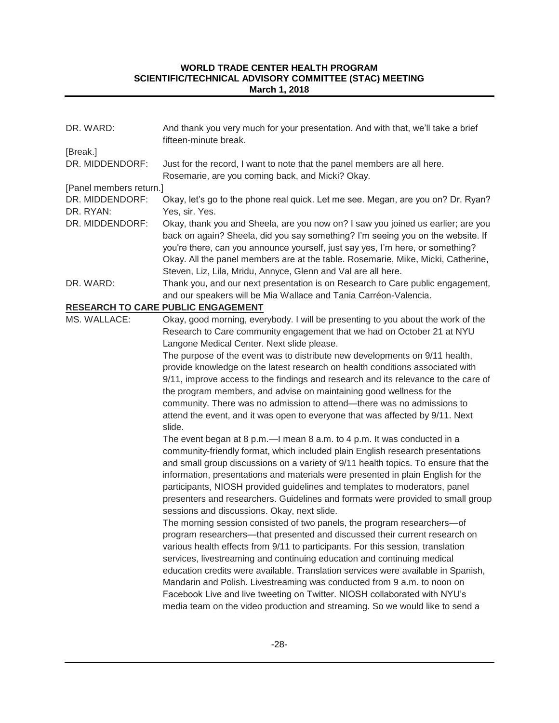| DR. WARD:               | And thank you very much for your presentation. And with that, we'll take a brief<br>fifteen-minute break.                                                                                                                                                                                                                                                                                                                                                                                                                                                                                                                                                                                                    |
|-------------------------|--------------------------------------------------------------------------------------------------------------------------------------------------------------------------------------------------------------------------------------------------------------------------------------------------------------------------------------------------------------------------------------------------------------------------------------------------------------------------------------------------------------------------------------------------------------------------------------------------------------------------------------------------------------------------------------------------------------|
| [Break.]                |                                                                                                                                                                                                                                                                                                                                                                                                                                                                                                                                                                                                                                                                                                              |
| DR. MIDDENDORF:         | Just for the record, I want to note that the panel members are all here.<br>Rosemarie, are you coming back, and Micki? Okay.                                                                                                                                                                                                                                                                                                                                                                                                                                                                                                                                                                                 |
| [Panel members return.] |                                                                                                                                                                                                                                                                                                                                                                                                                                                                                                                                                                                                                                                                                                              |
| DR. MIDDENDORF:         | Okay, let's go to the phone real quick. Let me see. Megan, are you on? Dr. Ryan?                                                                                                                                                                                                                                                                                                                                                                                                                                                                                                                                                                                                                             |
| DR. RYAN:               | Yes, sir. Yes.                                                                                                                                                                                                                                                                                                                                                                                                                                                                                                                                                                                                                                                                                               |
| DR. MIDDENDORF:         | Okay, thank you and Sheela, are you now on? I saw you joined us earlier; are you<br>back on again? Sheela, did you say something? I'm seeing you on the website. If<br>you're there, can you announce yourself, just say yes, I'm here, or something?<br>Okay. All the panel members are at the table. Rosemarie, Mike, Micki, Catherine,<br>Steven, Liz, Lila, Mridu, Annyce, Glenn and Val are all here.                                                                                                                                                                                                                                                                                                   |
| DR. WARD:               | Thank you, and our next presentation is on Research to Care public engagement,                                                                                                                                                                                                                                                                                                                                                                                                                                                                                                                                                                                                                               |
|                         | and our speakers will be Mia Wallace and Tania Carréon-Valencia.                                                                                                                                                                                                                                                                                                                                                                                                                                                                                                                                                                                                                                             |
|                         | <b>RESEARCH TO CARE PUBLIC ENGAGEMENT</b>                                                                                                                                                                                                                                                                                                                                                                                                                                                                                                                                                                                                                                                                    |
| MS. WALLACE:            | Okay, good morning, everybody. I will be presenting to you about the work of the<br>Research to Care community engagement that we had on October 21 at NYU<br>Langone Medical Center. Next slide please.                                                                                                                                                                                                                                                                                                                                                                                                                                                                                                     |
|                         | The purpose of the event was to distribute new developments on 9/11 health,<br>provide knowledge on the latest research on health conditions associated with<br>9/11, improve access to the findings and research and its relevance to the care of<br>the program members, and advise on maintaining good wellness for the<br>community. There was no admission to attend-there was no admissions to<br>attend the event, and it was open to everyone that was affected by 9/11. Next<br>slide.                                                                                                                                                                                                              |
|                         | The event began at 8 p.m.—I mean 8 a.m. to 4 p.m. It was conducted in a<br>community-friendly format, which included plain English research presentations<br>and small group discussions on a variety of 9/11 health topics. To ensure that the<br>information, presentations and materials were presented in plain English for the<br>participants, NIOSH provided guidelines and templates to moderators, panel<br>presenters and researchers. Guidelines and formats were provided to small group<br>sessions and discussions. Okay, next slide.<br>The morning session consisted of two panels, the program researchers-of<br>program researchers—that presented and discussed their current research on |
|                         | various health effects from 9/11 to participants. For this session, translation<br>services, livestreaming and continuing education and continuing medical<br>education credits were available. Translation services were available in Spanish,<br>Mandarin and Polish. Livestreaming was conducted from 9 a.m. to noon on<br>Facebook Live and live tweeting on Twitter. NIOSH collaborated with NYU's<br>media team on the video production and streaming. So we would like to send a                                                                                                                                                                                                                      |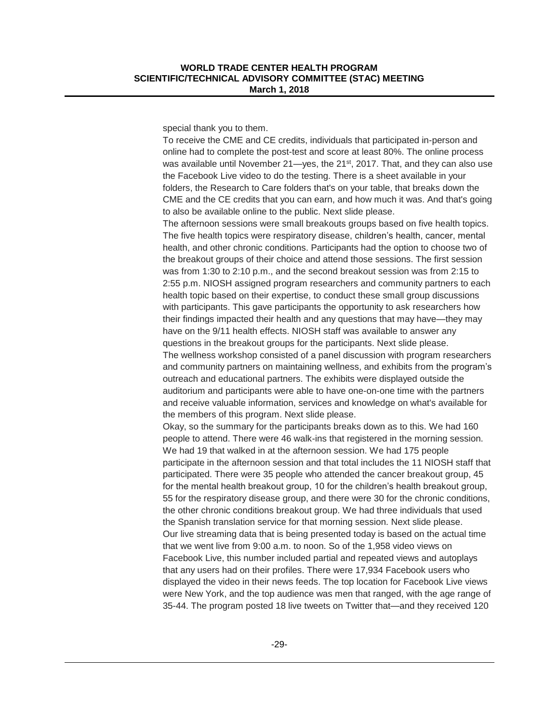special thank you to them.

To receive the CME and CE credits, individuals that participated in-person and online had to complete the post-test and score at least 80%. The online process was available until November 21—yes, the  $21<sup>st</sup>$ , 2017. That, and they can also use the Facebook Live video to do the testing. There is a sheet available in your folders, the Research to Care folders that's on your table, that breaks down the CME and the CE credits that you can earn, and how much it was. And that's going to also be available online to the public. Next slide please.

The afternoon sessions were small breakouts groups based on five health topics. The five health topics were respiratory disease, children's health, cancer, mental health, and other chronic conditions. Participants had the option to choose two of the breakout groups of their choice and attend those sessions. The first session was from 1:30 to 2:10 p.m., and the second breakout session was from 2:15 to 2:55 p.m. NIOSH assigned program researchers and community partners to each health topic based on their expertise, to conduct these small group discussions with participants. This gave participants the opportunity to ask researchers how their findings impacted their health and any questions that may have—they may have on the 9/11 health effects. NIOSH staff was available to answer any questions in the breakout groups for the participants. Next slide please. The wellness workshop consisted of a panel discussion with program researchers and community partners on maintaining wellness, and exhibits from the program's outreach and educational partners. The exhibits were displayed outside the auditorium and participants were able to have one-on-one time with the partners and receive valuable information, services and knowledge on what's available for the members of this program. Next slide please.

Okay, so the summary for the participants breaks down as to this. We had 160 people to attend. There were 46 walk-ins that registered in the morning session. We had 19 that walked in at the afternoon session. We had 175 people participate in the afternoon session and that total includes the 11 NIOSH staff that participated. There were 35 people who attended the cancer breakout group, 45 for the mental health breakout group, 10 for the children's health breakout group, 55 for the respiratory disease group, and there were 30 for the chronic conditions, the other chronic conditions breakout group. We had three individuals that used the Spanish translation service for that morning session. Next slide please. Our live streaming data that is being presented today is based on the actual time that we went live from 9:00 a.m. to noon. So of the 1,958 video views on Facebook Live, this number included partial and repeated views and autoplays that any users had on their profiles. There were 17,934 Facebook users who displayed the video in their news feeds. The top location for Facebook Live views were New York, and the top audience was men that ranged, with the age range of 35-44. The program posted 18 live tweets on Twitter that—and they received 120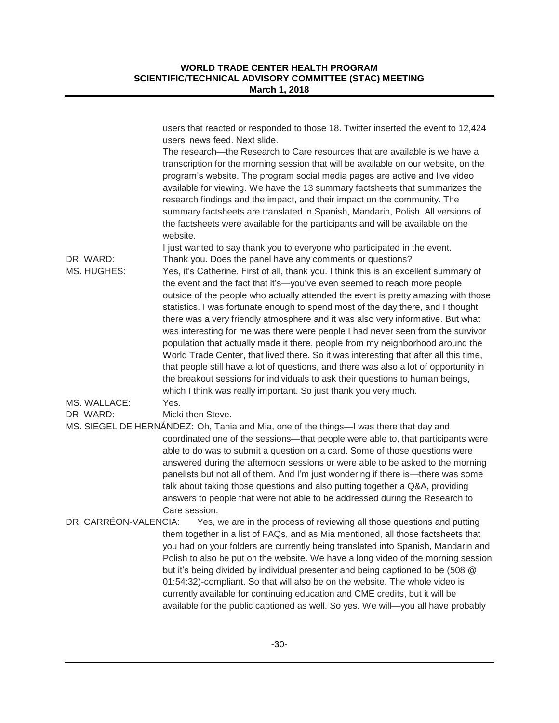|                       | users that reacted or responded to those 18. Twitter inserted the event to 12,424<br>users' news feed. Next slide.<br>The research—the Research to Care resources that are available is we have a<br>transcription for the morning session that will be available on our website, on the<br>program's website. The program social media pages are active and live video<br>available for viewing. We have the 13 summary factsheets that summarizes the<br>research findings and the impact, and their impact on the community. The<br>summary factsheets are translated in Spanish, Mandarin, Polish. All versions of<br>the factsheets were available for the participants and will be available on the<br>website.                                                                                                                                                                                                                                                                                   |
|-----------------------|---------------------------------------------------------------------------------------------------------------------------------------------------------------------------------------------------------------------------------------------------------------------------------------------------------------------------------------------------------------------------------------------------------------------------------------------------------------------------------------------------------------------------------------------------------------------------------------------------------------------------------------------------------------------------------------------------------------------------------------------------------------------------------------------------------------------------------------------------------------------------------------------------------------------------------------------------------------------------------------------------------|
| DR. WARD:             | I just wanted to say thank you to everyone who participated in the event.                                                                                                                                                                                                                                                                                                                                                                                                                                                                                                                                                                                                                                                                                                                                                                                                                                                                                                                               |
| MS. HUGHES:           | Thank you. Does the panel have any comments or questions?<br>Yes, it's Catherine. First of all, thank you. I think this is an excellent summary of<br>the event and the fact that it's-you've even seemed to reach more people<br>outside of the people who actually attended the event is pretty amazing with those<br>statistics. I was fortunate enough to spend most of the day there, and I thought<br>there was a very friendly atmosphere and it was also very informative. But what<br>was interesting for me was there were people I had never seen from the survivor<br>population that actually made it there, people from my neighborhood around the<br>World Trade Center, that lived there. So it was interesting that after all this time,<br>that people still have a lot of questions, and there was also a lot of opportunity in<br>the breakout sessions for individuals to ask their questions to human beings,<br>which I think was really important. So just thank you very much. |
| MS. WALLACE:          | Yes.                                                                                                                                                                                                                                                                                                                                                                                                                                                                                                                                                                                                                                                                                                                                                                                                                                                                                                                                                                                                    |
| DR. WARD:             | Micki then Steve.                                                                                                                                                                                                                                                                                                                                                                                                                                                                                                                                                                                                                                                                                                                                                                                                                                                                                                                                                                                       |
|                       | MS. SIEGEL DE HERNÁNDEZ: Oh, Tania and Mia, one of the things—I was there that day and                                                                                                                                                                                                                                                                                                                                                                                                                                                                                                                                                                                                                                                                                                                                                                                                                                                                                                                  |
|                       | coordinated one of the sessions-that people were able to, that participants were<br>able to do was to submit a question on a card. Some of those questions were<br>answered during the afternoon sessions or were able to be asked to the morning<br>panelists but not all of them. And I'm just wondering if there is—there was some<br>talk about taking those questions and also putting together a Q&A, providing<br>answers to people that were not able to be addressed during the Research to<br>Care session.                                                                                                                                                                                                                                                                                                                                                                                                                                                                                   |
| DR. CARRÉON-VALENCIA: | Yes, we are in the process of reviewing all those questions and putting                                                                                                                                                                                                                                                                                                                                                                                                                                                                                                                                                                                                                                                                                                                                                                                                                                                                                                                                 |
|                       | them together in a list of FAQs, and as Mia mentioned, all those factsheets that<br>you had on your folders are currently being translated into Spanish, Mandarin and<br>Polish to also be put on the website. We have a long video of the morning session<br>but it's being divided by individual presenter and being captioned to be (508 @<br>01:54:32)-compliant. So that will also be on the website. The whole video is<br>currently available for continuing education and CME credits, but it will be<br>available for the public captioned as well. So yes. We will-you all have probably                                                                                                                                                                                                                                                                                                                                                                                                      |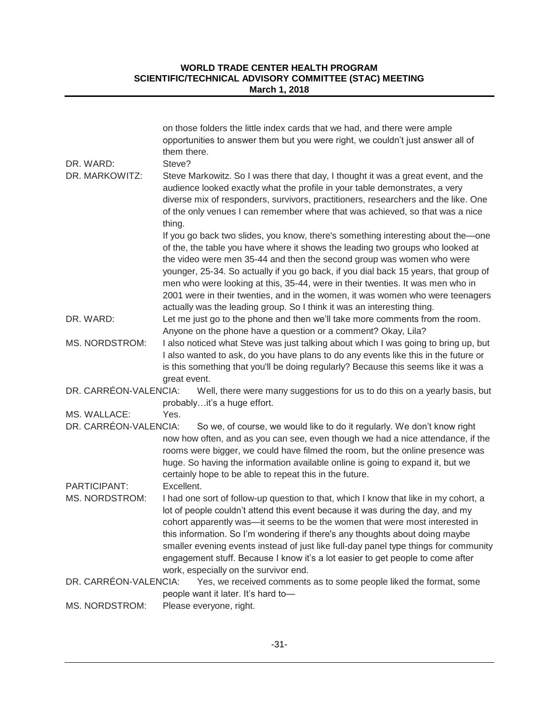|                                | on those folders the little index cards that we had, and there were ample<br>opportunities to answer them but you were right, we couldn't just answer all of<br>them there.                                                                                                                                                                                                                                                                                                                                                                                                        |
|--------------------------------|------------------------------------------------------------------------------------------------------------------------------------------------------------------------------------------------------------------------------------------------------------------------------------------------------------------------------------------------------------------------------------------------------------------------------------------------------------------------------------------------------------------------------------------------------------------------------------|
| DR. WARD:                      | Steve?                                                                                                                                                                                                                                                                                                                                                                                                                                                                                                                                                                             |
| DR. MARKOWITZ:                 | Steve Markowitz. So I was there that day, I thought it was a great event, and the<br>audience looked exactly what the profile in your table demonstrates, a very<br>diverse mix of responders, survivors, practitioners, researchers and the like. One<br>of the only venues I can remember where that was achieved, so that was a nice<br>thing.                                                                                                                                                                                                                                  |
|                                | If you go back two slides, you know, there's something interesting about the—one<br>of the, the table you have where it shows the leading two groups who looked at<br>the video were men 35-44 and then the second group was women who were<br>younger, 25-34. So actually if you go back, if you dial back 15 years, that group of<br>men who were looking at this, 35-44, were in their twenties. It was men who in<br>2001 were in their twenties, and in the women, it was women who were teenagers<br>actually was the leading group. So I think it was an interesting thing. |
| DR. WARD:                      | Let me just go to the phone and then we'll take more comments from the room.<br>Anyone on the phone have a question or a comment? Okay, Lila?                                                                                                                                                                                                                                                                                                                                                                                                                                      |
| <b>MS. NORDSTROM:</b>          | I also noticed what Steve was just talking about which I was going to bring up, but<br>I also wanted to ask, do you have plans to do any events like this in the future or<br>is this something that you'll be doing regularly? Because this seems like it was a<br>great event.                                                                                                                                                                                                                                                                                                   |
| DR. CARRÉON-VALENCIA:          | Well, there were many suggestions for us to do this on a yearly basis, but<br>probablyit's a huge effort.                                                                                                                                                                                                                                                                                                                                                                                                                                                                          |
| MS. WALLACE:                   | Yes.                                                                                                                                                                                                                                                                                                                                                                                                                                                                                                                                                                               |
| DR. CARRÉON-VALENCIA:          | So we, of course, we would like to do it regularly. We don't know right<br>now how often, and as you can see, even though we had a nice attendance, if the<br>rooms were bigger, we could have filmed the room, but the online presence was<br>huge. So having the information available online is going to expand it, but we<br>certainly hope to be able to repeat this in the future.                                                                                                                                                                                           |
| PARTICIPANT:<br>MS. NORDSTROM: | Excellent.<br>I had one sort of follow-up question to that, which I know that like in my cohort, a<br>lot of people couldn't attend this event because it was during the day, and my<br>cohort apparently was-it seems to be the women that were most interested in<br>this information. So I'm wondering if there's any thoughts about doing maybe<br>smaller evening events instead of just like full-day panel type things for community<br>engagement stuff. Because I know it's a lot easier to get people to come after<br>work, especially on the survivor end.             |
| DR. CARRÉON-VALENCIA:          | Yes, we received comments as to some people liked the format, some<br>people want it later. It's hard to-                                                                                                                                                                                                                                                                                                                                                                                                                                                                          |
| <b>MS. NORDSTROM:</b>          | Please everyone, right.                                                                                                                                                                                                                                                                                                                                                                                                                                                                                                                                                            |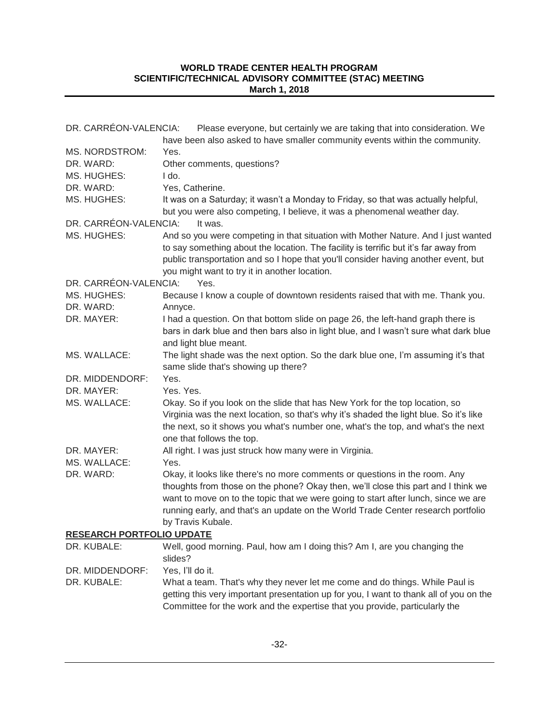| DR. CARRÉON-VALENCIA:            | Please everyone, but certainly we are taking that into consideration. We                                                                                                                                                                                                                                                                                       |
|----------------------------------|----------------------------------------------------------------------------------------------------------------------------------------------------------------------------------------------------------------------------------------------------------------------------------------------------------------------------------------------------------------|
|                                  | have been also asked to have smaller community events within the community.                                                                                                                                                                                                                                                                                    |
| MS. NORDSTROM:                   | Yes.                                                                                                                                                                                                                                                                                                                                                           |
| DR. WARD:                        | Other comments, questions?                                                                                                                                                                                                                                                                                                                                     |
| MS. HUGHES:                      | I do.                                                                                                                                                                                                                                                                                                                                                          |
| DR. WARD:                        | Yes, Catherine.                                                                                                                                                                                                                                                                                                                                                |
| MS. HUGHES:                      | It was on a Saturday; it wasn't a Monday to Friday, so that was actually helpful,<br>but you were also competing, I believe, it was a phenomenal weather day.                                                                                                                                                                                                  |
| DR. CARRÉON-VALENCIA:            | It was.                                                                                                                                                                                                                                                                                                                                                        |
| MS. HUGHES:                      | And so you were competing in that situation with Mother Nature. And I just wanted<br>to say something about the location. The facility is terrific but it's far away from<br>public transportation and so I hope that you'll consider having another event, but<br>you might want to try it in another location.                                               |
| DR. CARRÉON-VALENCIA:            | Yes.                                                                                                                                                                                                                                                                                                                                                           |
| MS. HUGHES:                      | Because I know a couple of downtown residents raised that with me. Thank you.                                                                                                                                                                                                                                                                                  |
| DR. WARD:                        | Annyce.                                                                                                                                                                                                                                                                                                                                                        |
| DR. MAYER:                       | I had a question. On that bottom slide on page 26, the left-hand graph there is<br>bars in dark blue and then bars also in light blue, and I wasn't sure what dark blue<br>and light blue meant.                                                                                                                                                               |
| MS. WALLACE:                     | The light shade was the next option. So the dark blue one, I'm assuming it's that<br>same slide that's showing up there?                                                                                                                                                                                                                                       |
| DR. MIDDENDORF:                  | Yes.                                                                                                                                                                                                                                                                                                                                                           |
| DR. MAYER:                       | Yes. Yes.                                                                                                                                                                                                                                                                                                                                                      |
| MS. WALLACE:                     | Okay. So if you look on the slide that has New York for the top location, so                                                                                                                                                                                                                                                                                   |
|                                  | Virginia was the next location, so that's why it's shaded the light blue. So it's like<br>the next, so it shows you what's number one, what's the top, and what's the next<br>one that follows the top.                                                                                                                                                        |
| DR. MAYER:                       | All right. I was just struck how many were in Virginia.                                                                                                                                                                                                                                                                                                        |
| MS. WALLACE:                     | Yes.                                                                                                                                                                                                                                                                                                                                                           |
| DR. WARD:                        | Okay, it looks like there's no more comments or questions in the room. Any<br>thoughts from those on the phone? Okay then, we'll close this part and I think we<br>want to move on to the topic that we were going to start after lunch, since we are<br>running early, and that's an update on the World Trade Center research portfolio<br>by Travis Kubale. |
| <b>RESEARCH PORTFOLIO UPDATE</b> |                                                                                                                                                                                                                                                                                                                                                                |
| DR. KUBALE:                      | Well, good morning. Paul, how am I doing this? Am I, are you changing the<br>slides?                                                                                                                                                                                                                                                                           |
| DR. MIDDENDORF:                  | Yes, I'll do it.                                                                                                                                                                                                                                                                                                                                               |
| DR. KUBALE:                      | What a team. That's why they never let me come and do things. While Paul is<br>getting this very important presentation up for you, I want to thank all of you on the<br>Committee for the work and the expertise that you provide, particularly the                                                                                                           |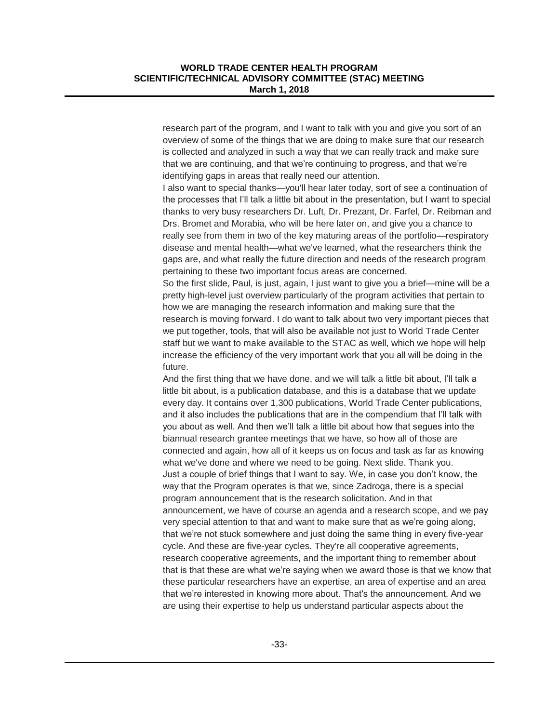research part of the program, and I want to talk with you and give you sort of an overview of some of the things that we are doing to make sure that our research is collected and analyzed in such a way that we can really track and make sure that we are continuing, and that we're continuing to progress, and that we're identifying gaps in areas that really need our attention.

I also want to special thanks—you'll hear later today, sort of see a continuation of the processes that I'll talk a little bit about in the presentation, but I want to special thanks to very busy researchers Dr. Luft, Dr. Prezant, Dr. Farfel, Dr. Reibman and Drs. Bromet and Morabia, who will be here later on, and give you a chance to really see from them in two of the key maturing areas of the portfolio—respiratory disease and mental health—what we've learned, what the researchers think the gaps are, and what really the future direction and needs of the research program pertaining to these two important focus areas are concerned.

So the first slide, Paul, is just, again, I just want to give you a brief—mine will be a pretty high-level just overview particularly of the program activities that pertain to how we are managing the research information and making sure that the research is moving forward. I do want to talk about two very important pieces that we put together, tools, that will also be available not just to World Trade Center staff but we want to make available to the STAC as well, which we hope will help increase the efficiency of the very important work that you all will be doing in the future.

And the first thing that we have done, and we will talk a little bit about, I'll talk a little bit about, is a publication database, and this is a database that we update every day. It contains over 1,300 publications, World Trade Center publications, and it also includes the publications that are in the compendium that I'll talk with you about as well. And then we'll talk a little bit about how that segues into the biannual research grantee meetings that we have, so how all of those are connected and again, how all of it keeps us on focus and task as far as knowing what we've done and where we need to be going. Next slide. Thank you. Just a couple of brief things that I want to say. We, in case you don't know, the way that the Program operates is that we, since Zadroga, there is a special program announcement that is the research solicitation. And in that announcement, we have of course an agenda and a research scope, and we pay very special attention to that and want to make sure that as we're going along, that we're not stuck somewhere and just doing the same thing in every five-year cycle. And these are five-year cycles. They're all cooperative agreements, research cooperative agreements, and the important thing to remember about that is that these are what we're saying when we award those is that we know that these particular researchers have an expertise, an area of expertise and an area that we're interested in knowing more about. That's the announcement. And we are using their expertise to help us understand particular aspects about the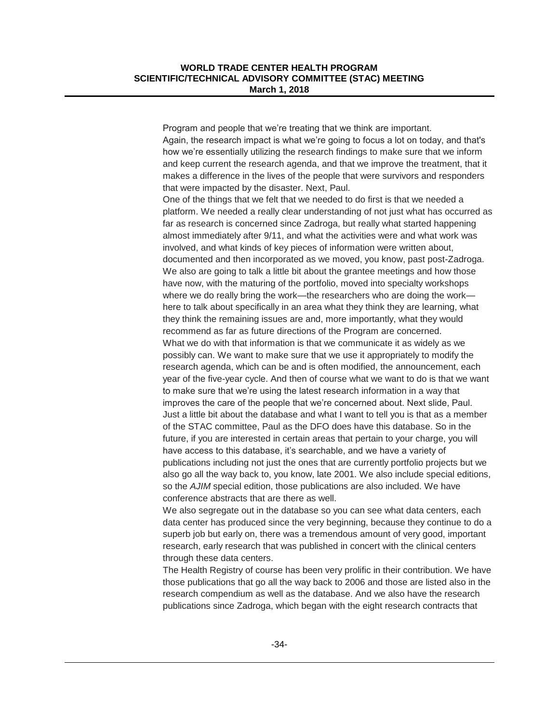Program and people that we're treating that we think are important. Again, the research impact is what we're going to focus a lot on today, and that's how we're essentially utilizing the research findings to make sure that we inform and keep current the research agenda, and that we improve the treatment, that it makes a difference in the lives of the people that were survivors and responders that were impacted by the disaster. Next, Paul.

One of the things that we felt that we needed to do first is that we needed a platform. We needed a really clear understanding of not just what has occurred as far as research is concerned since Zadroga, but really what started happening almost immediately after 9/11, and what the activities were and what work was involved, and what kinds of key pieces of information were written about, documented and then incorporated as we moved, you know, past post-Zadroga. We also are going to talk a little bit about the grantee meetings and how those have now, with the maturing of the portfolio, moved into specialty workshops where we do really bring the work—the researchers who are doing the work here to talk about specifically in an area what they think they are learning, what they think the remaining issues are and, more importantly, what they would recommend as far as future directions of the Program are concerned. What we do with that information is that we communicate it as widely as we possibly can. We want to make sure that we use it appropriately to modify the research agenda, which can be and is often modified, the announcement, each year of the five-year cycle. And then of course what we want to do is that we want to make sure that we're using the latest research information in a way that improves the care of the people that we're concerned about. Next slide, Paul. Just a little bit about the database and what I want to tell you is that as a member of the STAC committee, Paul as the DFO does have this database. So in the future, if you are interested in certain areas that pertain to your charge, you will have access to this database, it's searchable, and we have a variety of publications including not just the ones that are currently portfolio projects but we also go all the way back to, you know, late 2001. We also include special editions, so the *AJIM* special edition, those publications are also included. We have conference abstracts that are there as well.

We also segregate out in the database so you can see what data centers, each data center has produced since the very beginning, because they continue to do a superb job but early on, there was a tremendous amount of very good, important research, early research that was published in concert with the clinical centers through these data centers.

The Health Registry of course has been very prolific in their contribution. We have those publications that go all the way back to 2006 and those are listed also in the research compendium as well as the database. And we also have the research publications since Zadroga, which began with the eight research contracts that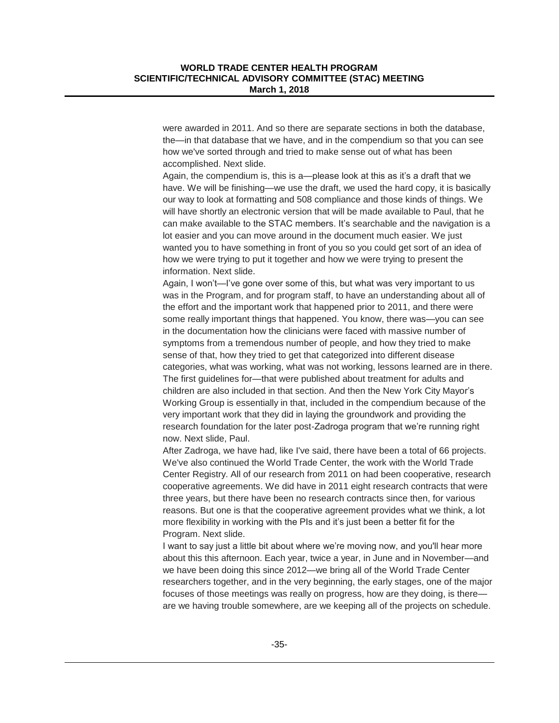were awarded in 2011. And so there are separate sections in both the database, the—in that database that we have, and in the compendium so that you can see how we've sorted through and tried to make sense out of what has been accomplished. Next slide.

Again, the compendium is, this is a—please look at this as it's a draft that we have. We will be finishing—we use the draft, we used the hard copy, it is basically our way to look at formatting and 508 compliance and those kinds of things. We will have shortly an electronic version that will be made available to Paul, that he can make available to the STAC members. It's searchable and the navigation is a lot easier and you can move around in the document much easier. We just wanted you to have something in front of you so you could get sort of an idea of how we were trying to put it together and how we were trying to present the information. Next slide.

Again, I won't—I've gone over some of this, but what was very important to us was in the Program, and for program staff, to have an understanding about all of the effort and the important work that happened prior to 2011, and there were some really important things that happened. You know, there was—you can see in the documentation how the clinicians were faced with massive number of symptoms from a tremendous number of people, and how they tried to make sense of that, how they tried to get that categorized into different disease categories, what was working, what was not working, lessons learned are in there. The first guidelines for—that were published about treatment for adults and children are also included in that section. And then the New York City Mayor's Working Group is essentially in that, included in the compendium because of the very important work that they did in laying the groundwork and providing the research foundation for the later post-Zadroga program that we're running right now. Next slide, Paul.

After Zadroga, we have had, like I've said, there have been a total of 66 projects. We've also continued the World Trade Center, the work with the World Trade Center Registry. All of our research from 2011 on had been cooperative, research cooperative agreements. We did have in 2011 eight research contracts that were three years, but there have been no research contracts since then, for various reasons. But one is that the cooperative agreement provides what we think, a lot more flexibility in working with the PIs and it's just been a better fit for the Program. Next slide.

I want to say just a little bit about where we're moving now, and you'll hear more about this this afternoon. Each year, twice a year, in June and in November—and we have been doing this since 2012—we bring all of the World Trade Center researchers together, and in the very beginning, the early stages, one of the major focuses of those meetings was really on progress, how are they doing, is there are we having trouble somewhere, are we keeping all of the projects on schedule.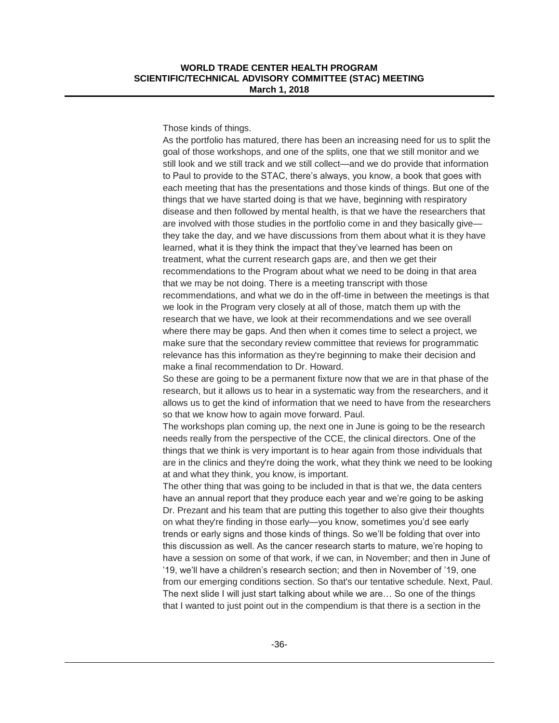Those kinds of things.

As the portfolio has matured, there has been an increasing need for us to split the goal of those workshops, and one of the splits, one that we still monitor and we still look and we still track and we still collect—and we do provide that information to Paul to provide to the STAC, there's always, you know, a book that goes with each meeting that has the presentations and those kinds of things. But one of the things that we have started doing is that we have, beginning with respiratory disease and then followed by mental health, is that we have the researchers that are involved with those studies in the portfolio come in and they basically give they take the day, and we have discussions from them about what it is they have learned, what it is they think the impact that they've learned has been on treatment, what the current research gaps are, and then we get their recommendations to the Program about what we need to be doing in that area that we may be not doing. There is a meeting transcript with those recommendations, and what we do in the off-time in between the meetings is that we look in the Program very closely at all of those, match them up with the research that we have, we look at their recommendations and we see overall where there may be gaps. And then when it comes time to select a project, we make sure that the secondary review committee that reviews for programmatic relevance has this information as they're beginning to make their decision and make a final recommendation to Dr. Howard.

So these are going to be a permanent fixture now that we are in that phase of the research, but it allows us to hear in a systematic way from the researchers, and it allows us to get the kind of information that we need to have from the researchers so that we know how to again move forward. Paul.

The workshops plan coming up, the next one in June is going to be the research needs really from the perspective of the CCE, the clinical directors. One of the things that we think is very important is to hear again from those individuals that are in the clinics and they're doing the work, what they think we need to be looking at and what they think, you know, is important.

The other thing that was going to be included in that is that we, the data centers have an annual report that they produce each year and we're going to be asking Dr. Prezant and his team that are putting this together to also give their thoughts on what they're finding in those early—you know, sometimes you'd see early trends or early signs and those kinds of things. So we'll be folding that over into this discussion as well. As the cancer research starts to mature, we're hoping to have a session on some of that work, if we can, in November; and then in June of '19, we'll have a children's research section; and then in November of '19, one from our emerging conditions section. So that's our tentative schedule. Next, Paul. The next slide I will just start talking about while we are… So one of the things that I wanted to just point out in the compendium is that there is a section in the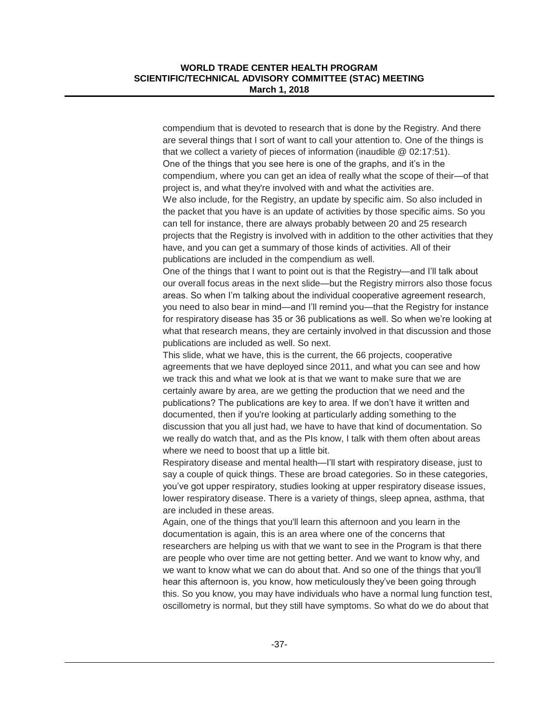compendium that is devoted to research that is done by the Registry. And there are several things that I sort of want to call your attention to. One of the things is that we collect a variety of pieces of information (inaudible @ 02:17:51). One of the things that you see here is one of the graphs, and it's in the compendium, where you can get an idea of really what the scope of their—of that project is, and what they're involved with and what the activities are. We also include, for the Registry, an update by specific aim. So also included in the packet that you have is an update of activities by those specific aims. So you can tell for instance, there are always probably between 20 and 25 research projects that the Registry is involved with in addition to the other activities that they have, and you can get a summary of those kinds of activities. All of their publications are included in the compendium as well.

One of the things that I want to point out is that the Registry—and I'll talk about our overall focus areas in the next slide—but the Registry mirrors also those focus areas. So when I'm talking about the individual cooperative agreement research, you need to also bear in mind—and I'll remind you—that the Registry for instance for respiratory disease has 35 or 36 publications as well. So when we're looking at what that research means, they are certainly involved in that discussion and those publications are included as well. So next.

This slide, what we have, this is the current, the 66 projects, cooperative agreements that we have deployed since 2011, and what you can see and how we track this and what we look at is that we want to make sure that we are certainly aware by area, are we getting the production that we need and the publications? The publications are key to area. If we don't have it written and documented, then if you're looking at particularly adding something to the discussion that you all just had, we have to have that kind of documentation. So we really do watch that, and as the PIs know, I talk with them often about areas where we need to boost that up a little bit.

Respiratory disease and mental health—I'll start with respiratory disease, just to say a couple of quick things. These are broad categories. So in these categories, you've got upper respiratory, studies looking at upper respiratory disease issues, lower respiratory disease. There is a variety of things, sleep apnea, asthma, that are included in these areas.

Again, one of the things that you'll learn this afternoon and you learn in the documentation is again, this is an area where one of the concerns that researchers are helping us with that we want to see in the Program is that there are people who over time are not getting better. And we want to know why, and we want to know what we can do about that. And so one of the things that you'll hear this afternoon is, you know, how meticulously they've been going through this. So you know, you may have individuals who have a normal lung function test, oscillometry is normal, but they still have symptoms. So what do we do about that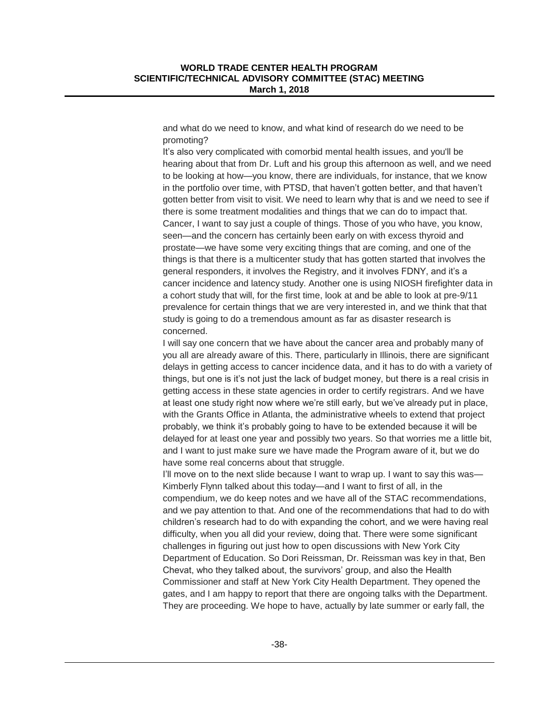and what do we need to know, and what kind of research do we need to be promoting?

It's also very complicated with comorbid mental health issues, and you'll be hearing about that from Dr. Luft and his group this afternoon as well, and we need to be looking at how—you know, there are individuals, for instance, that we know in the portfolio over time, with PTSD, that haven't gotten better, and that haven't gotten better from visit to visit. We need to learn why that is and we need to see if there is some treatment modalities and things that we can do to impact that. Cancer, I want to say just a couple of things. Those of you who have, you know, seen—and the concern has certainly been early on with excess thyroid and prostate—we have some very exciting things that are coming, and one of the things is that there is a multicenter study that has gotten started that involves the general responders, it involves the Registry, and it involves FDNY, and it's a cancer incidence and latency study. Another one is using NIOSH firefighter data in a cohort study that will, for the first time, look at and be able to look at pre-9/11 prevalence for certain things that we are very interested in, and we think that that study is going to do a tremendous amount as far as disaster research is concerned.

I will say one concern that we have about the cancer area and probably many of you all are already aware of this. There, particularly in Illinois, there are significant delays in getting access to cancer incidence data, and it has to do with a variety of things, but one is it's not just the lack of budget money, but there is a real crisis in getting access in these state agencies in order to certify registrars. And we have at least one study right now where we're still early, but we've already put in place, with the Grants Office in Atlanta, the administrative wheels to extend that project probably, we think it's probably going to have to be extended because it will be delayed for at least one year and possibly two years. So that worries me a little bit, and I want to just make sure we have made the Program aware of it, but we do have some real concerns about that struggle.

I'll move on to the next slide because I want to wrap up. I want to say this was— Kimberly Flynn talked about this today—and I want to first of all, in the compendium, we do keep notes and we have all of the STAC recommendations, and we pay attention to that. And one of the recommendations that had to do with children's research had to do with expanding the cohort, and we were having real difficulty, when you all did your review, doing that. There were some significant challenges in figuring out just how to open discussions with New York City Department of Education. So Dori Reissman, Dr. Reissman was key in that, Ben Chevat, who they talked about, the survivors' group, and also the Health Commissioner and staff at New York City Health Department. They opened the gates, and I am happy to report that there are ongoing talks with the Department. They are proceeding. We hope to have, actually by late summer or early fall, the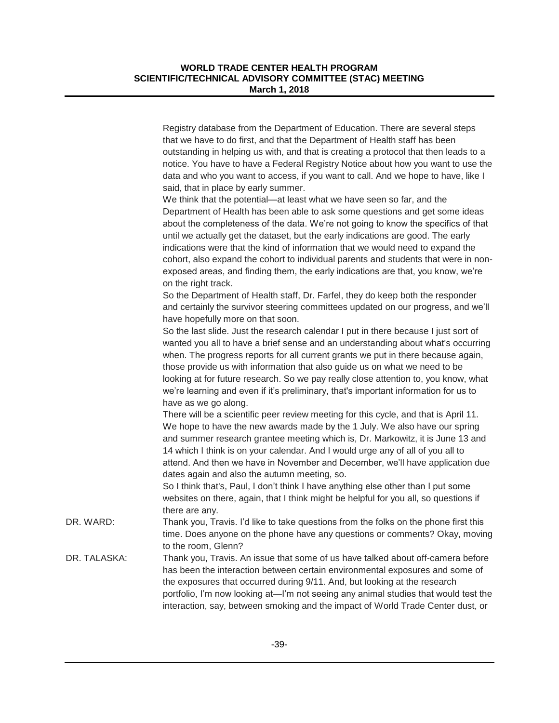|              | Registry database from the Department of Education. There are several steps<br>that we have to do first, and that the Department of Health staff has been<br>outstanding in helping us with, and that is creating a protocol that then leads to a<br>notice. You have to have a Federal Registry Notice about how you want to use the<br>data and who you want to access, if you want to call. And we hope to have, like I<br>said, that in place by early summer.                                                                                                                                                 |
|--------------|--------------------------------------------------------------------------------------------------------------------------------------------------------------------------------------------------------------------------------------------------------------------------------------------------------------------------------------------------------------------------------------------------------------------------------------------------------------------------------------------------------------------------------------------------------------------------------------------------------------------|
|              | We think that the potential—at least what we have seen so far, and the<br>Department of Health has been able to ask some questions and get some ideas<br>about the completeness of the data. We're not going to know the specifics of that<br>until we actually get the dataset, but the early indications are good. The early<br>indications were that the kind of information that we would need to expand the<br>cohort, also expand the cohort to individual parents and students that were in non-<br>exposed areas, and finding them, the early indications are that, you know, we're<br>on the right track. |
|              | So the Department of Health staff, Dr. Farfel, they do keep both the responder<br>and certainly the survivor steering committees updated on our progress, and we'll<br>have hopefully more on that soon.                                                                                                                                                                                                                                                                                                                                                                                                           |
|              | So the last slide. Just the research calendar I put in there because I just sort of<br>wanted you all to have a brief sense and an understanding about what's occurring<br>when. The progress reports for all current grants we put in there because again,<br>those provide us with information that also guide us on what we need to be<br>looking at for future research. So we pay really close attention to, you know, what<br>we're learning and even if it's preliminary, that's important information for us to<br>have as we go along.                                                                    |
|              | There will be a scientific peer review meeting for this cycle, and that is April 11.<br>We hope to have the new awards made by the 1 July. We also have our spring<br>and summer research grantee meeting which is, Dr. Markowitz, it is June 13 and<br>14 which I think is on your calendar. And I would urge any of all of you all to<br>attend. And then we have in November and December, we'll have application due<br>dates again and also the autumn meeting, so.<br>So I think that's, Paul, I don't think I have anything else other than I put some                                                      |
|              | websites on there, again, that I think might be helpful for you all, so questions if<br>there are any.                                                                                                                                                                                                                                                                                                                                                                                                                                                                                                             |
| DR. WARD:    | Thank you, Travis. I'd like to take questions from the folks on the phone first this<br>time. Does anyone on the phone have any questions or comments? Okay, moving<br>to the room, Glenn?                                                                                                                                                                                                                                                                                                                                                                                                                         |
| DR. TALASKA: | Thank you, Travis. An issue that some of us have talked about off-camera before<br>has been the interaction between certain environmental exposures and some of<br>the exposures that occurred during 9/11. And, but looking at the research<br>portfolio, I'm now looking at—I'm not seeing any animal studies that would test the<br>interaction, say, between smoking and the impact of World Trade Center dust, or                                                                                                                                                                                             |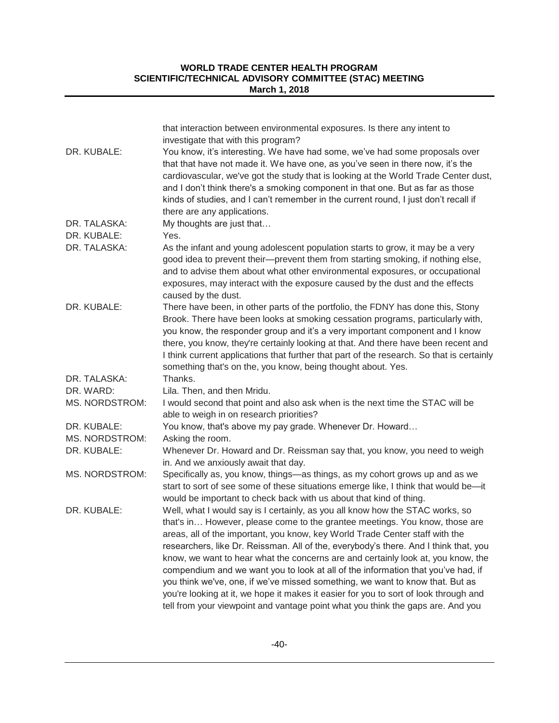| DR. KUBALE:           | that interaction between environmental exposures. Is there any intent to<br>investigate that with this program?<br>You know, it's interesting. We have had some, we've had some proposals over<br>that that have not made it. We have one, as you've seen in there now, it's the<br>cardiovascular, we've got the study that is looking at the World Trade Center dust,<br>and I don't think there's a smoking component in that one. But as far as those<br>kinds of studies, and I can't remember in the current round, I just don't recall if<br>there are any applications.                                                                                                                                                                                          |
|-----------------------|--------------------------------------------------------------------------------------------------------------------------------------------------------------------------------------------------------------------------------------------------------------------------------------------------------------------------------------------------------------------------------------------------------------------------------------------------------------------------------------------------------------------------------------------------------------------------------------------------------------------------------------------------------------------------------------------------------------------------------------------------------------------------|
| DR. TALASKA:          | My thoughts are just that                                                                                                                                                                                                                                                                                                                                                                                                                                                                                                                                                                                                                                                                                                                                                |
| DR. KUBALE:           | Yes.                                                                                                                                                                                                                                                                                                                                                                                                                                                                                                                                                                                                                                                                                                                                                                     |
| DR. TALASKA:          | As the infant and young adolescent population starts to grow, it may be a very<br>good idea to prevent their—prevent them from starting smoking, if nothing else,<br>and to advise them about what other environmental exposures, or occupational<br>exposures, may interact with the exposure caused by the dust and the effects<br>caused by the dust.                                                                                                                                                                                                                                                                                                                                                                                                                 |
| DR. KUBALE:           | There have been, in other parts of the portfolio, the FDNY has done this, Stony<br>Brook. There have been looks at smoking cessation programs, particularly with,<br>you know, the responder group and it's a very important component and I know<br>there, you know, they're certainly looking at that. And there have been recent and<br>I think current applications that further that part of the research. So that is certainly<br>something that's on the, you know, being thought about. Yes.                                                                                                                                                                                                                                                                     |
| DR. TALASKA:          | Thanks.                                                                                                                                                                                                                                                                                                                                                                                                                                                                                                                                                                                                                                                                                                                                                                  |
| DR. WARD:             | Lila. Then, and then Mridu.                                                                                                                                                                                                                                                                                                                                                                                                                                                                                                                                                                                                                                                                                                                                              |
| MS. NORDSTROM:        | I would second that point and also ask when is the next time the STAC will be<br>able to weigh in on research priorities?                                                                                                                                                                                                                                                                                                                                                                                                                                                                                                                                                                                                                                                |
| DR. KUBALE:           | You know, that's above my pay grade. Whenever Dr. Howard                                                                                                                                                                                                                                                                                                                                                                                                                                                                                                                                                                                                                                                                                                                 |
| MS. NORDSTROM:        | Asking the room.                                                                                                                                                                                                                                                                                                                                                                                                                                                                                                                                                                                                                                                                                                                                                         |
| DR. KUBALE:           | Whenever Dr. Howard and Dr. Reissman say that, you know, you need to weigh<br>in. And we anxiously await that day.                                                                                                                                                                                                                                                                                                                                                                                                                                                                                                                                                                                                                                                       |
| <b>MS. NORDSTROM:</b> | Specifically as, you know, things-as things, as my cohort grows up and as we<br>start to sort of see some of these situations emerge like, I think that would be-it<br>would be important to check back with us about that kind of thing.                                                                                                                                                                                                                                                                                                                                                                                                                                                                                                                                |
| DR. KUBALE:           | Well, what I would say is I certainly, as you all know how the STAC works, so<br>that's in However, please come to the grantee meetings. You know, those are<br>areas, all of the important, you know, key World Trade Center staff with the<br>researchers, like Dr. Reissman. All of the, everybody's there. And I think that, you<br>know, we want to hear what the concerns are and certainly look at, you know, the<br>compendium and we want you to look at all of the information that you've had, if<br>you think we've, one, if we've missed something, we want to know that. But as<br>you're looking at it, we hope it makes it easier for you to sort of look through and<br>tell from your viewpoint and vantage point what you think the gaps are. And you |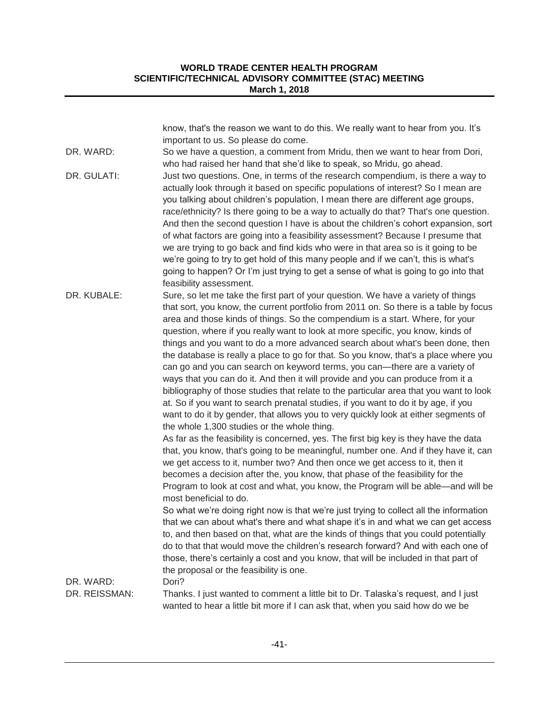|               | know, that's the reason we want to do this. We really want to hear from you. It's<br>important to us. So please do come.                                                                                                                                                                                                                                                                                                                                                                                                                                                                                                                                                                                                                                                                                                                                                                                                                                                                                                                                                                                                                                                                                                                                                                                                                                                                                                                                                                                                                                                                                                                                                                                                                                                                                                                                                                                                                                               |
|---------------|------------------------------------------------------------------------------------------------------------------------------------------------------------------------------------------------------------------------------------------------------------------------------------------------------------------------------------------------------------------------------------------------------------------------------------------------------------------------------------------------------------------------------------------------------------------------------------------------------------------------------------------------------------------------------------------------------------------------------------------------------------------------------------------------------------------------------------------------------------------------------------------------------------------------------------------------------------------------------------------------------------------------------------------------------------------------------------------------------------------------------------------------------------------------------------------------------------------------------------------------------------------------------------------------------------------------------------------------------------------------------------------------------------------------------------------------------------------------------------------------------------------------------------------------------------------------------------------------------------------------------------------------------------------------------------------------------------------------------------------------------------------------------------------------------------------------------------------------------------------------------------------------------------------------------------------------------------------------|
| DR. WARD:     | So we have a question, a comment from Mridu, then we want to hear from Dori,<br>who had raised her hand that she'd like to speak, so Mridu, go ahead.                                                                                                                                                                                                                                                                                                                                                                                                                                                                                                                                                                                                                                                                                                                                                                                                                                                                                                                                                                                                                                                                                                                                                                                                                                                                                                                                                                                                                                                                                                                                                                                                                                                                                                                                                                                                                  |
| DR. GULATI:   | Just two questions. One, in terms of the research compendium, is there a way to<br>actually look through it based on specific populations of interest? So I mean are<br>you talking about children's population, I mean there are different age groups,<br>race/ethnicity? Is there going to be a way to actually do that? That's one question.<br>And then the second question I have is about the children's cohort expansion, sort<br>of what factors are going into a feasibility assessment? Because I presume that<br>we are trying to go back and find kids who were in that area so is it going to be<br>we're going to try to get hold of this many people and if we can't, this is what's<br>going to happen? Or I'm just trying to get a sense of what is going to go into that<br>feasibility assessment.                                                                                                                                                                                                                                                                                                                                                                                                                                                                                                                                                                                                                                                                                                                                                                                                                                                                                                                                                                                                                                                                                                                                                  |
| DR. KUBALE:   | Sure, so let me take the first part of your question. We have a variety of things<br>that sort, you know, the current portfolio from 2011 on. So there is a table by focus<br>area and those kinds of things. So the compendium is a start. Where, for your<br>question, where if you really want to look at more specific, you know, kinds of<br>things and you want to do a more advanced search about what's been done, then<br>the database is really a place to go for that. So you know, that's a place where you<br>can go and you can search on keyword terms, you can—there are a variety of<br>ways that you can do it. And then it will provide and you can produce from it a<br>bibliography of those studies that relate to the particular area that you want to look<br>at. So if you want to search prenatal studies, if you want to do it by age, if you<br>want to do it by gender, that allows you to very quickly look at either segments of<br>the whole 1,300 studies or the whole thing.<br>As far as the feasibility is concerned, yes. The first big key is they have the data<br>that, you know, that's going to be meaningful, number one. And if they have it, can<br>we get access to it, number two? And then once we get access to it, then it<br>becomes a decision after the, you know, that phase of the feasibility for the<br>Program to look at cost and what, you know, the Program will be able—and will be<br>most beneficial to do.<br>So what we're doing right now is that we're just trying to collect all the information<br>that we can about what's there and what shape it's in and what we can get access<br>to, and then based on that, what are the kinds of things that you could potentially<br>do to that that would move the children's research forward? And with each one of<br>those, there's certainly a cost and you know, that will be included in that part of<br>the proposal or the feasibility is one. |
| DR. WARD:     | Dori?                                                                                                                                                                                                                                                                                                                                                                                                                                                                                                                                                                                                                                                                                                                                                                                                                                                                                                                                                                                                                                                                                                                                                                                                                                                                                                                                                                                                                                                                                                                                                                                                                                                                                                                                                                                                                                                                                                                                                                  |
| DR. REISSMAN: | Thanks. I just wanted to comment a little bit to Dr. Talaska's request, and I just<br>wanted to hear a little bit more if I can ask that, when you said how do we be                                                                                                                                                                                                                                                                                                                                                                                                                                                                                                                                                                                                                                                                                                                                                                                                                                                                                                                                                                                                                                                                                                                                                                                                                                                                                                                                                                                                                                                                                                                                                                                                                                                                                                                                                                                                   |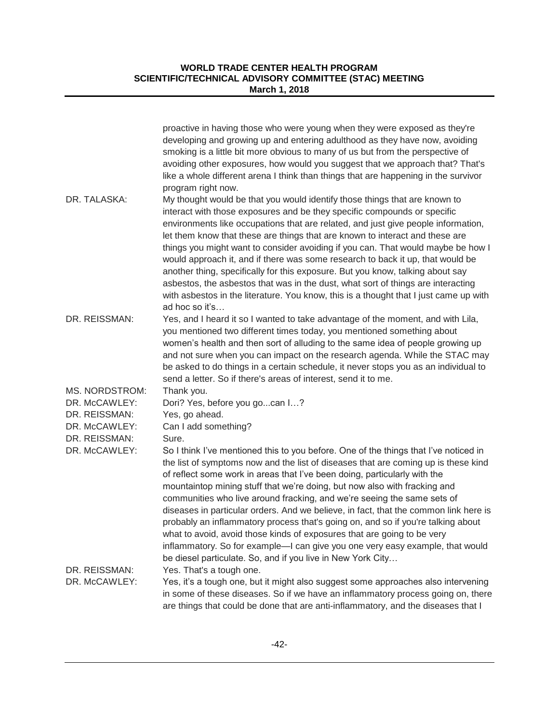|                                | proactive in having those who were young when they were exposed as they're<br>developing and growing up and entering adulthood as they have now, avoiding<br>smoking is a little bit more obvious to many of us but from the perspective of<br>avoiding other exposures, how would you suggest that we approach that? That's<br>like a whole different arena I think than things that are happening in the survivor<br>program right now.                                                                                                                                                                                                                                                                                                                                                                              |
|--------------------------------|------------------------------------------------------------------------------------------------------------------------------------------------------------------------------------------------------------------------------------------------------------------------------------------------------------------------------------------------------------------------------------------------------------------------------------------------------------------------------------------------------------------------------------------------------------------------------------------------------------------------------------------------------------------------------------------------------------------------------------------------------------------------------------------------------------------------|
| DR. TALASKA:                   | My thought would be that you would identify those things that are known to<br>interact with those exposures and be they specific compounds or specific<br>environments like occupations that are related, and just give people information,<br>let them know that these are things that are known to interact and these are<br>things you might want to consider avoiding if you can. That would maybe be how I<br>would approach it, and if there was some research to back it up, that would be<br>another thing, specifically for this exposure. But you know, talking about say<br>asbestos, the asbestos that was in the dust, what sort of things are interacting<br>with asbestos in the literature. You know, this is a thought that I just came up with<br>ad hoc so it's                                     |
| DR. REISSMAN:                  | Yes, and I heard it so I wanted to take advantage of the moment, and with Lila,<br>you mentioned two different times today, you mentioned something about<br>women's health and then sort of alluding to the same idea of people growing up<br>and not sure when you can impact on the research agenda. While the STAC may<br>be asked to do things in a certain schedule, it never stops you as an individual to<br>send a letter. So if there's areas of interest, send it to me.                                                                                                                                                                                                                                                                                                                                    |
| MS. NORDSTROM:                 | Thank you.                                                                                                                                                                                                                                                                                                                                                                                                                                                                                                                                                                                                                                                                                                                                                                                                             |
| DR. McCAWLEY:                  | Dori? Yes, before you gocan I?                                                                                                                                                                                                                                                                                                                                                                                                                                                                                                                                                                                                                                                                                                                                                                                         |
| DR. REISSMAN:                  | Yes, go ahead.                                                                                                                                                                                                                                                                                                                                                                                                                                                                                                                                                                                                                                                                                                                                                                                                         |
| DR. McCAWLEY:<br>DR. REISSMAN: | Can I add something?<br>Sure.                                                                                                                                                                                                                                                                                                                                                                                                                                                                                                                                                                                                                                                                                                                                                                                          |
| DR. McCAWLEY:                  | So I think I've mentioned this to you before. One of the things that I've noticed in<br>the list of symptoms now and the list of diseases that are coming up is these kind<br>of reflect some work in areas that I've been doing, particularly with the<br>mountaintop mining stuff that we're doing, but now also with fracking and<br>communities who live around fracking, and we're seeing the same sets of<br>diseases in particular orders. And we believe, in fact, that the common link here is<br>probably an inflammatory process that's going on, and so if you're talking about<br>what to avoid, avoid those kinds of exposures that are going to be very<br>inflammatory. So for example—I can give you one very easy example, that would<br>be diesel particulate. So, and if you live in New York City |
| DR. REISSMAN:                  | Yes. That's a tough one.                                                                                                                                                                                                                                                                                                                                                                                                                                                                                                                                                                                                                                                                                                                                                                                               |
| DR. McCAWLEY:                  | Yes, it's a tough one, but it might also suggest some approaches also intervening<br>in some of these diseases. So if we have an inflammatory process going on, there<br>are things that could be done that are anti-inflammatory, and the diseases that I                                                                                                                                                                                                                                                                                                                                                                                                                                                                                                                                                             |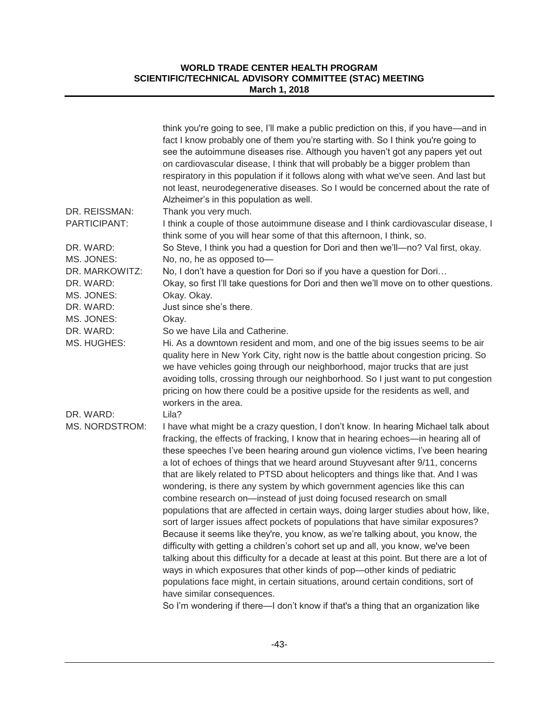|                                                        | think you're going to see, I'll make a public prediction on this, if you have—and in<br>fact I know probably one of them you're starting with. So I think you're going to<br>see the autoimmune diseases rise. Although you haven't got any papers yet out<br>on cardiovascular disease, I think that will probably be a bigger problem than<br>respiratory in this population if it follows along with what we've seen. And last but<br>not least, neurodegenerative diseases. So I would be concerned about the rate of<br>Alzheimer's in this population as well.                                                                                                                                                                                                                                                                                                                                                                                                                                                                                                                                                                                                                                                                                                                                                       |
|--------------------------------------------------------|----------------------------------------------------------------------------------------------------------------------------------------------------------------------------------------------------------------------------------------------------------------------------------------------------------------------------------------------------------------------------------------------------------------------------------------------------------------------------------------------------------------------------------------------------------------------------------------------------------------------------------------------------------------------------------------------------------------------------------------------------------------------------------------------------------------------------------------------------------------------------------------------------------------------------------------------------------------------------------------------------------------------------------------------------------------------------------------------------------------------------------------------------------------------------------------------------------------------------------------------------------------------------------------------------------------------------|
| DR. REISSMAN:<br>PARTICIPANT:                          | Thank you very much.<br>I think a couple of those autoimmune disease and I think cardiovascular disease, I<br>think some of you will hear some of that this afternoon, I think, so.                                                                                                                                                                                                                                                                                                                                                                                                                                                                                                                                                                                                                                                                                                                                                                                                                                                                                                                                                                                                                                                                                                                                        |
| DR. WARD:<br>MS. JONES:                                | So Steve, I think you had a question for Dori and then we'll-no? Val first, okay.<br>No, no, he as opposed to-                                                                                                                                                                                                                                                                                                                                                                                                                                                                                                                                                                                                                                                                                                                                                                                                                                                                                                                                                                                                                                                                                                                                                                                                             |
| DR. MARKOWITZ:<br>DR. WARD:<br>MS. JONES:<br>DR. WARD: | No, I don't have a question for Dori so if you have a question for Dori<br>Okay, so first I'll take questions for Dori and then we'll move on to other questions.<br>Okay. Okay.<br>Just since she's there.                                                                                                                                                                                                                                                                                                                                                                                                                                                                                                                                                                                                                                                                                                                                                                                                                                                                                                                                                                                                                                                                                                                |
| MS. JONES:                                             | Okay.                                                                                                                                                                                                                                                                                                                                                                                                                                                                                                                                                                                                                                                                                                                                                                                                                                                                                                                                                                                                                                                                                                                                                                                                                                                                                                                      |
| DR. WARD:<br>MS. HUGHES:<br>DR. WARD:                  | So we have Lila and Catherine.<br>Hi. As a downtown resident and mom, and one of the big issues seems to be air<br>quality here in New York City, right now is the battle about congestion pricing. So<br>we have vehicles going through our neighborhood, major trucks that are just<br>avoiding tolls, crossing through our neighborhood. So I just want to put congestion<br>pricing on how there could be a positive upside for the residents as well, and<br>workers in the area.<br>Lila?                                                                                                                                                                                                                                                                                                                                                                                                                                                                                                                                                                                                                                                                                                                                                                                                                            |
| MS. NORDSTROM:                                         | I have what might be a crazy question, I don't know. In hearing Michael talk about<br>fracking, the effects of fracking, I know that in hearing echoes-in hearing all of<br>these speeches I've been hearing around gun violence victims, I've been hearing<br>a lot of echoes of things that we heard around Stuyvesant after 9/11, concerns<br>that are likely related to PTSD about helicopters and things like that. And I was<br>wondering, is there any system by which government agencies like this can<br>combine research on-instead of just doing focused research on small<br>populations that are affected in certain ways, doing larger studies about how, like,<br>sort of larger issues affect pockets of populations that have similar exposures?<br>Because it seems like they're, you know, as we're talking about, you know, the<br>difficulty with getting a children's cohort set up and all, you know, we've been<br>talking about this difficulty for a decade at least at this point. But there are a lot of<br>ways in which exposures that other kinds of pop-other kinds of pediatric<br>populations face might, in certain situations, around certain conditions, sort of<br>have similar consequences.<br>So I'm wondering if there—I don't know if that's a thing that an organization like |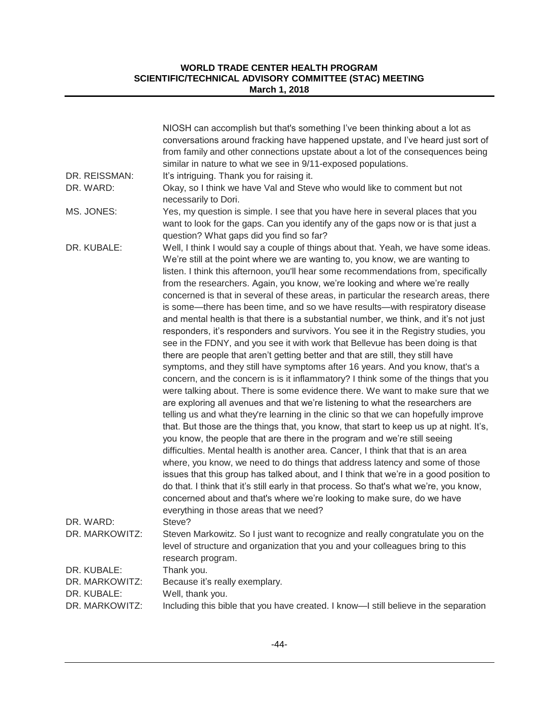|                             | NIOSH can accomplish but that's something I've been thinking about a lot as<br>conversations around fracking have happened upstate, and I've heard just sort of<br>from family and other connections upstate about a lot of the consequences being<br>similar in nature to what we see in 9/11-exposed populations.                                                                                                                                                                                                                                                                                                                                                                                                                                                                                                                                                                                                                                                                                                                                                                                                                                                                                                                                                                                                                                                                                                                                                                                                                                                                                                                                                                                                                                                                                                                                                                                                 |
|-----------------------------|---------------------------------------------------------------------------------------------------------------------------------------------------------------------------------------------------------------------------------------------------------------------------------------------------------------------------------------------------------------------------------------------------------------------------------------------------------------------------------------------------------------------------------------------------------------------------------------------------------------------------------------------------------------------------------------------------------------------------------------------------------------------------------------------------------------------------------------------------------------------------------------------------------------------------------------------------------------------------------------------------------------------------------------------------------------------------------------------------------------------------------------------------------------------------------------------------------------------------------------------------------------------------------------------------------------------------------------------------------------------------------------------------------------------------------------------------------------------------------------------------------------------------------------------------------------------------------------------------------------------------------------------------------------------------------------------------------------------------------------------------------------------------------------------------------------------------------------------------------------------------------------------------------------------|
| DR. REISSMAN:               | It's intriguing. Thank you for raising it.                                                                                                                                                                                                                                                                                                                                                                                                                                                                                                                                                                                                                                                                                                                                                                                                                                                                                                                                                                                                                                                                                                                                                                                                                                                                                                                                                                                                                                                                                                                                                                                                                                                                                                                                                                                                                                                                          |
| DR. WARD:                   | Okay, so I think we have Val and Steve who would like to comment but not<br>necessarily to Dori.                                                                                                                                                                                                                                                                                                                                                                                                                                                                                                                                                                                                                                                                                                                                                                                                                                                                                                                                                                                                                                                                                                                                                                                                                                                                                                                                                                                                                                                                                                                                                                                                                                                                                                                                                                                                                    |
| MS. JONES:                  | Yes, my question is simple. I see that you have here in several places that you<br>want to look for the gaps. Can you identify any of the gaps now or is that just a<br>question? What gaps did you find so far?                                                                                                                                                                                                                                                                                                                                                                                                                                                                                                                                                                                                                                                                                                                                                                                                                                                                                                                                                                                                                                                                                                                                                                                                                                                                                                                                                                                                                                                                                                                                                                                                                                                                                                    |
| DR. KUBALE:                 | Well, I think I would say a couple of things about that. Yeah, we have some ideas.<br>We're still at the point where we are wanting to, you know, we are wanting to<br>listen. I think this afternoon, you'll hear some recommendations from, specifically<br>from the researchers. Again, you know, we're looking and where we're really<br>concerned is that in several of these areas, in particular the research areas, there<br>is some—there has been time, and so we have results—with respiratory disease<br>and mental health is that there is a substantial number, we think, and it's not just<br>responders, it's responders and survivors. You see it in the Registry studies, you<br>see in the FDNY, and you see it with work that Bellevue has been doing is that<br>there are people that aren't getting better and that are still, they still have<br>symptoms, and they still have symptoms after 16 years. And you know, that's a<br>concern, and the concern is is it inflammatory? I think some of the things that you<br>were talking about. There is some evidence there. We want to make sure that we<br>are exploring all avenues and that we're listening to what the researchers are<br>telling us and what they're learning in the clinic so that we can hopefully improve<br>that. But those are the things that, you know, that start to keep us up at night. It's,<br>you know, the people that are there in the program and we're still seeing<br>difficulties. Mental health is another area. Cancer, I think that that is an area<br>where, you know, we need to do things that address latency and some of those<br>issues that this group has talked about, and I think that we're in a good position to<br>do that. I think that it's still early in that process. So that's what we're, you know,<br>concerned about and that's where we're looking to make sure, do we have |
| DR. WARD:<br>DR. MARKOWITZ: | everything in those areas that we need?<br>Steve?<br>Steven Markowitz. So I just want to recognize and really congratulate you on the                                                                                                                                                                                                                                                                                                                                                                                                                                                                                                                                                                                                                                                                                                                                                                                                                                                                                                                                                                                                                                                                                                                                                                                                                                                                                                                                                                                                                                                                                                                                                                                                                                                                                                                                                                               |
|                             | level of structure and organization that you and your colleagues bring to this<br>research program.                                                                                                                                                                                                                                                                                                                                                                                                                                                                                                                                                                                                                                                                                                                                                                                                                                                                                                                                                                                                                                                                                                                                                                                                                                                                                                                                                                                                                                                                                                                                                                                                                                                                                                                                                                                                                 |
| DR. KUBALE:                 | Thank you.                                                                                                                                                                                                                                                                                                                                                                                                                                                                                                                                                                                                                                                                                                                                                                                                                                                                                                                                                                                                                                                                                                                                                                                                                                                                                                                                                                                                                                                                                                                                                                                                                                                                                                                                                                                                                                                                                                          |
| DR. MARKOWITZ:              | Because it's really exemplary.                                                                                                                                                                                                                                                                                                                                                                                                                                                                                                                                                                                                                                                                                                                                                                                                                                                                                                                                                                                                                                                                                                                                                                                                                                                                                                                                                                                                                                                                                                                                                                                                                                                                                                                                                                                                                                                                                      |
| DR. KUBALE:                 | Well, thank you.                                                                                                                                                                                                                                                                                                                                                                                                                                                                                                                                                                                                                                                                                                                                                                                                                                                                                                                                                                                                                                                                                                                                                                                                                                                                                                                                                                                                                                                                                                                                                                                                                                                                                                                                                                                                                                                                                                    |
| DR. MARKOWITZ:              | Including this bible that you have created. I know-I still believe in the separation                                                                                                                                                                                                                                                                                                                                                                                                                                                                                                                                                                                                                                                                                                                                                                                                                                                                                                                                                                                                                                                                                                                                                                                                                                                                                                                                                                                                                                                                                                                                                                                                                                                                                                                                                                                                                                |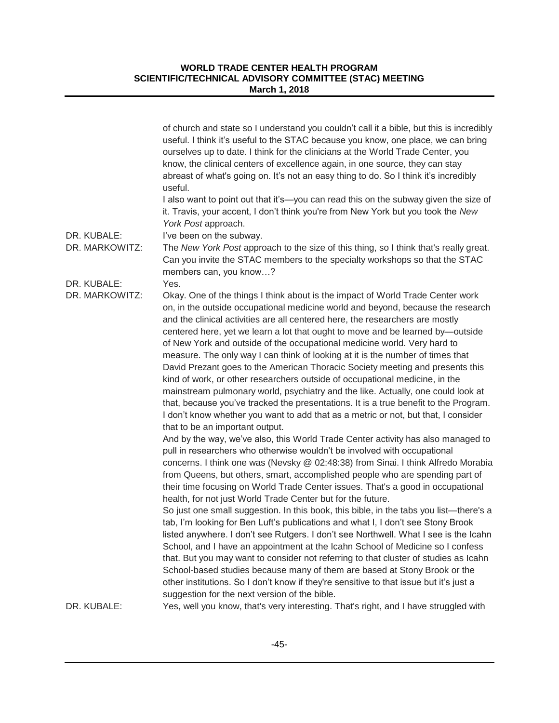|                               | of church and state so I understand you couldn't call it a bible, but this is incredibly<br>useful. I think it's useful to the STAC because you know, one place, we can bring<br>ourselves up to date. I think for the clinicians at the World Trade Center, you<br>know, the clinical centers of excellence again, in one source, they can stay<br>abreast of what's going on. It's not an easy thing to do. So I think it's incredibly<br>useful.                                                                                                                                                                                                                                                                                                                                                                                                                                                                                                                                                                                                                                                                                                                                                                                                                                                                                                                                             |
|-------------------------------|-------------------------------------------------------------------------------------------------------------------------------------------------------------------------------------------------------------------------------------------------------------------------------------------------------------------------------------------------------------------------------------------------------------------------------------------------------------------------------------------------------------------------------------------------------------------------------------------------------------------------------------------------------------------------------------------------------------------------------------------------------------------------------------------------------------------------------------------------------------------------------------------------------------------------------------------------------------------------------------------------------------------------------------------------------------------------------------------------------------------------------------------------------------------------------------------------------------------------------------------------------------------------------------------------------------------------------------------------------------------------------------------------|
|                               | I also want to point out that it's—you can read this on the subway given the size of<br>it. Travis, your accent, I don't think you're from New York but you took the New<br>York Post approach.                                                                                                                                                                                                                                                                                                                                                                                                                                                                                                                                                                                                                                                                                                                                                                                                                                                                                                                                                                                                                                                                                                                                                                                                 |
| DR. KUBALE:<br>DR. MARKOWITZ: | I've been on the subway.<br>The New York Post approach to the size of this thing, so I think that's really great.<br>Can you invite the STAC members to the specialty workshops so that the STAC<br>members can, you know?                                                                                                                                                                                                                                                                                                                                                                                                                                                                                                                                                                                                                                                                                                                                                                                                                                                                                                                                                                                                                                                                                                                                                                      |
| DR. KUBALE:                   | Yes.                                                                                                                                                                                                                                                                                                                                                                                                                                                                                                                                                                                                                                                                                                                                                                                                                                                                                                                                                                                                                                                                                                                                                                                                                                                                                                                                                                                            |
| DR. MARKOWITZ:                | Okay. One of the things I think about is the impact of World Trade Center work<br>on, in the outside occupational medicine world and beyond, because the research<br>and the clinical activities are all centered here, the researchers are mostly<br>centered here, yet we learn a lot that ought to move and be learned by—outside<br>of New York and outside of the occupational medicine world. Very hard to<br>measure. The only way I can think of looking at it is the number of times that<br>David Prezant goes to the American Thoracic Society meeting and presents this<br>kind of work, or other researchers outside of occupational medicine, in the<br>mainstream pulmonary world, psychiatry and the like. Actually, one could look at<br>that, because you've tracked the presentations. It is a true benefit to the Program.<br>I don't know whether you want to add that as a metric or not, but that, I consider<br>that to be an important output.<br>And by the way, we've also, this World Trade Center activity has also managed to<br>pull in researchers who otherwise wouldn't be involved with occupational<br>concerns. I think one was (Nevsky @ 02:48:38) from Sinai. I think Alfredo Morabia<br>from Queens, but others, smart, accomplished people who are spending part of<br>their time focusing on World Trade Center issues. That's a good in occupational |
|                               | health, for not just World Trade Center but for the future.                                                                                                                                                                                                                                                                                                                                                                                                                                                                                                                                                                                                                                                                                                                                                                                                                                                                                                                                                                                                                                                                                                                                                                                                                                                                                                                                     |
|                               | So just one small suggestion. In this book, this bible, in the tabs you list—there's a<br>tab, I'm looking for Ben Luft's publications and what I, I don't see Stony Brook<br>listed anywhere. I don't see Rutgers. I don't see Northwell. What I see is the Icahn<br>School, and I have an appointment at the Icahn School of Medicine so I confess<br>that. But you may want to consider not referring to that cluster of studies as Icahn<br>School-based studies because many of them are based at Stony Brook or the<br>other institutions. So I don't know if they're sensitive to that issue but it's just a                                                                                                                                                                                                                                                                                                                                                                                                                                                                                                                                                                                                                                                                                                                                                                             |
|                               | suggestion for the next version of the bible.                                                                                                                                                                                                                                                                                                                                                                                                                                                                                                                                                                                                                                                                                                                                                                                                                                                                                                                                                                                                                                                                                                                                                                                                                                                                                                                                                   |
| DR. KUBALE:                   | Yes, well you know, that's very interesting. That's right, and I have struggled with                                                                                                                                                                                                                                                                                                                                                                                                                                                                                                                                                                                                                                                                                                                                                                                                                                                                                                                                                                                                                                                                                                                                                                                                                                                                                                            |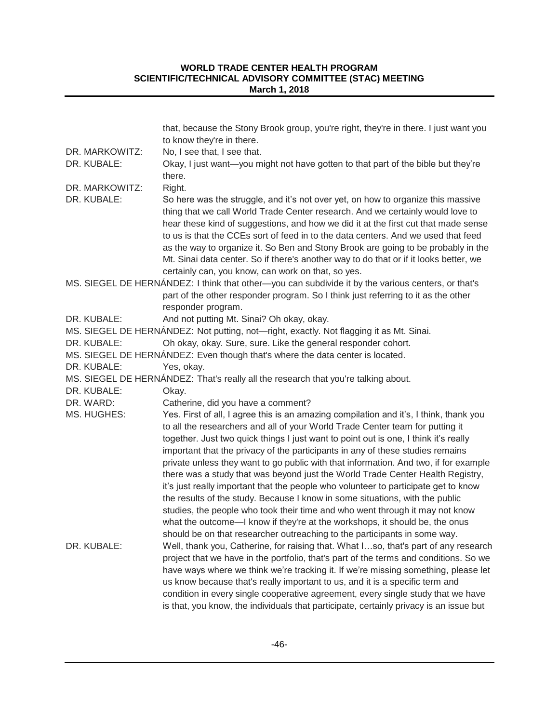|                | that, because the Stony Brook group, you're right, they're in there. I just want you<br>to know they're in there.                                                                                                                                                                                                                                                                                                                                                                                                                                                                                                                                                                                                                                                                                                                                                                                                                              |
|----------------|------------------------------------------------------------------------------------------------------------------------------------------------------------------------------------------------------------------------------------------------------------------------------------------------------------------------------------------------------------------------------------------------------------------------------------------------------------------------------------------------------------------------------------------------------------------------------------------------------------------------------------------------------------------------------------------------------------------------------------------------------------------------------------------------------------------------------------------------------------------------------------------------------------------------------------------------|
| DR. MARKOWITZ: | No, I see that, I see that.                                                                                                                                                                                                                                                                                                                                                                                                                                                                                                                                                                                                                                                                                                                                                                                                                                                                                                                    |
| DR. KUBALE:    | Okay, I just want-you might not have gotten to that part of the bible but they're<br>there.                                                                                                                                                                                                                                                                                                                                                                                                                                                                                                                                                                                                                                                                                                                                                                                                                                                    |
| DR. MARKOWITZ: | Right.                                                                                                                                                                                                                                                                                                                                                                                                                                                                                                                                                                                                                                                                                                                                                                                                                                                                                                                                         |
| DR. KUBALE:    | So here was the struggle, and it's not over yet, on how to organize this massive<br>thing that we call World Trade Center research. And we certainly would love to<br>hear these kind of suggestions, and how we did it at the first cut that made sense<br>to us is that the CCEs sort of feed in to the data centers. And we used that feed<br>as the way to organize it. So Ben and Stony Brook are going to be probably in the<br>Mt. Sinai data center. So if there's another way to do that or if it looks better, we<br>certainly can, you know, can work on that, so yes.                                                                                                                                                                                                                                                                                                                                                              |
|                | MS. SIEGEL DE HERNÁNDEZ: I think that other—you can subdivide it by the various centers, or that's                                                                                                                                                                                                                                                                                                                                                                                                                                                                                                                                                                                                                                                                                                                                                                                                                                             |
|                | part of the other responder program. So I think just referring to it as the other<br>responder program.                                                                                                                                                                                                                                                                                                                                                                                                                                                                                                                                                                                                                                                                                                                                                                                                                                        |
| DR. KUBALE:    | And not putting Mt. Sinai? Oh okay, okay.                                                                                                                                                                                                                                                                                                                                                                                                                                                                                                                                                                                                                                                                                                                                                                                                                                                                                                      |
|                | MS. SIEGEL DE HERNÁNDEZ: Not putting, not—right, exactly. Not flagging it as Mt. Sinai.                                                                                                                                                                                                                                                                                                                                                                                                                                                                                                                                                                                                                                                                                                                                                                                                                                                        |
| DR. KUBALE:    | Oh okay, okay. Sure, sure. Like the general responder cohort.                                                                                                                                                                                                                                                                                                                                                                                                                                                                                                                                                                                                                                                                                                                                                                                                                                                                                  |
|                | MS. SIEGEL DE HERNÁNDEZ: Even though that's where the data center is located.                                                                                                                                                                                                                                                                                                                                                                                                                                                                                                                                                                                                                                                                                                                                                                                                                                                                  |
| DR. KUBALE:    | Yes, okay.                                                                                                                                                                                                                                                                                                                                                                                                                                                                                                                                                                                                                                                                                                                                                                                                                                                                                                                                     |
|                | MS. SIEGEL DE HERNÁNDEZ: That's really all the research that you're talking about.                                                                                                                                                                                                                                                                                                                                                                                                                                                                                                                                                                                                                                                                                                                                                                                                                                                             |
| DR. KUBALE:    | Okay.                                                                                                                                                                                                                                                                                                                                                                                                                                                                                                                                                                                                                                                                                                                                                                                                                                                                                                                                          |
| DR. WARD:      | Catherine, did you have a comment?                                                                                                                                                                                                                                                                                                                                                                                                                                                                                                                                                                                                                                                                                                                                                                                                                                                                                                             |
| MS. HUGHES:    | Yes. First of all, I agree this is an amazing compilation and it's, I think, thank you<br>to all the researchers and all of your World Trade Center team for putting it<br>together. Just two quick things I just want to point out is one, I think it's really<br>important that the privacy of the participants in any of these studies remains<br>private unless they want to go public with that information. And two, if for example<br>there was a study that was beyond just the World Trade Center Health Registry,<br>it's just really important that the people who volunteer to participate get to know<br>the results of the study. Because I know in some situations, with the public<br>studies, the people who took their time and who went through it may not know<br>what the outcome—I know if they're at the workshops, it should be, the onus<br>should be on that researcher outreaching to the participants in some way. |
| DR. KUBALE:    | Well, thank you, Catherine, for raising that. What Iso, that's part of any research<br>project that we have in the portfolio, that's part of the terms and conditions. So we<br>have ways where we think we're tracking it. If we're missing something, please let<br>us know because that's really important to us, and it is a specific term and<br>condition in every single cooperative agreement, every single study that we have<br>is that, you know, the individuals that participate, certainly privacy is an issue but                                                                                                                                                                                                                                                                                                                                                                                                               |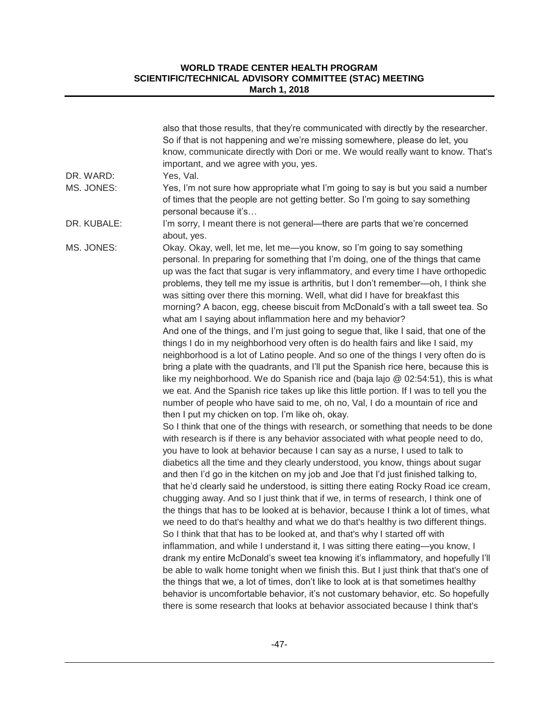|             | also that those results, that they're communicated with directly by the researcher.<br>So if that is not happening and we're missing somewhere, please do let, you<br>know, communicate directly with Dori or me. We would really want to know. That's<br>important, and we agree with you, yes.                                                                                                                                                                                                                                                                                                                                                                                                                                                                                                                                                                                                                                                                                                                                                                                                                                                                                                                                                                                                                                                                                                                   |
|-------------|--------------------------------------------------------------------------------------------------------------------------------------------------------------------------------------------------------------------------------------------------------------------------------------------------------------------------------------------------------------------------------------------------------------------------------------------------------------------------------------------------------------------------------------------------------------------------------------------------------------------------------------------------------------------------------------------------------------------------------------------------------------------------------------------------------------------------------------------------------------------------------------------------------------------------------------------------------------------------------------------------------------------------------------------------------------------------------------------------------------------------------------------------------------------------------------------------------------------------------------------------------------------------------------------------------------------------------------------------------------------------------------------------------------------|
| DR. WARD:   | Yes, Val.                                                                                                                                                                                                                                                                                                                                                                                                                                                                                                                                                                                                                                                                                                                                                                                                                                                                                                                                                                                                                                                                                                                                                                                                                                                                                                                                                                                                          |
| MS. JONES:  | Yes, I'm not sure how appropriate what I'm going to say is but you said a number<br>of times that the people are not getting better. So I'm going to say something<br>personal because it's                                                                                                                                                                                                                                                                                                                                                                                                                                                                                                                                                                                                                                                                                                                                                                                                                                                                                                                                                                                                                                                                                                                                                                                                                        |
| DR. KUBALE: | I'm sorry, I meant there is not general—there are parts that we're concerned<br>about, yes.                                                                                                                                                                                                                                                                                                                                                                                                                                                                                                                                                                                                                                                                                                                                                                                                                                                                                                                                                                                                                                                                                                                                                                                                                                                                                                                        |
| MS. JONES:  | Okay. Okay, well, let me, let me-you know, so I'm going to say something<br>personal. In preparing for something that I'm doing, one of the things that came<br>up was the fact that sugar is very inflammatory, and every time I have orthopedic<br>problems, they tell me my issue is arthritis, but I don't remember—oh, I think she<br>was sitting over there this morning. Well, what did I have for breakfast this<br>morning? A bacon, egg, cheese biscuit from McDonald's with a tall sweet tea. So<br>what am I saying about inflammation here and my behavior?<br>And one of the things, and I'm just going to segue that, like I said, that one of the<br>things I do in my neighborhood very often is do health fairs and like I said, my<br>neighborhood is a lot of Latino people. And so one of the things I very often do is<br>bring a plate with the quadrants, and I'll put the Spanish rice here, because this is<br>like my neighborhood. We do Spanish rice and (baja lajo @ 02:54:51), this is what<br>we eat. And the Spanish rice takes up like this little portion. If I was to tell you the<br>number of people who have said to me, oh no, Val, I do a mountain of rice and<br>then I put my chicken on top. I'm like oh, okay.                                                                                                                                                        |
|             | So I think that one of the things with research, or something that needs to be done<br>with research is if there is any behavior associated with what people need to do,<br>you have to look at behavior because I can say as a nurse, I used to talk to<br>diabetics all the time and they clearly understood, you know, things about sugar<br>and then I'd go in the kitchen on my job and Joe that I'd just finished talking to,<br>that he'd clearly said he understood, is sitting there eating Rocky Road ice cream,<br>chugging away. And so I just think that if we, in terms of research, I think one of<br>the things that has to be looked at is behavior, because I think a lot of times, what<br>we need to do that's healthy and what we do that's healthy is two different things.<br>So I think that that has to be looked at, and that's why I started off with<br>inflammation, and while I understand it, I was sitting there eating—you know, I<br>drank my entire McDonald's sweet tea knowing it's inflammatory, and hopefully I'll<br>be able to walk home tonight when we finish this. But I just think that that's one of<br>the things that we, a lot of times, don't like to look at is that sometimes healthy<br>behavior is uncomfortable behavior, it's not customary behavior, etc. So hopefully<br>there is some research that looks at behavior associated because I think that's |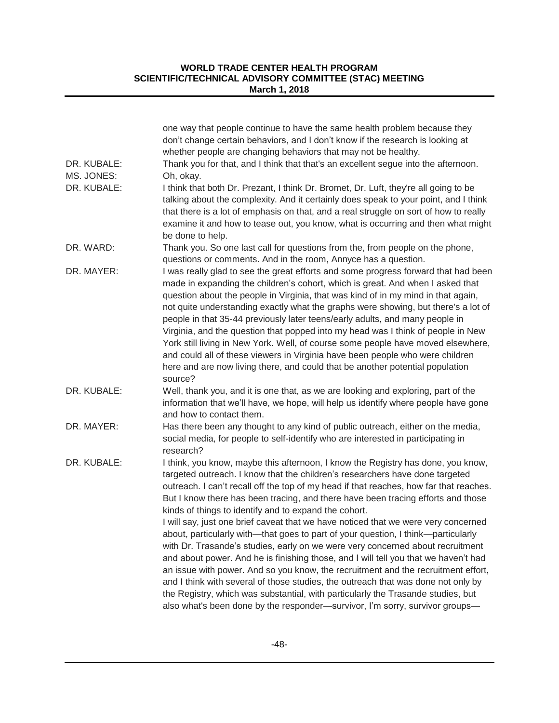| one way that people continue to have the same health problem because they<br>don't change certain behaviors, and I don't know if the research is looking at<br>whether people are changing behaviors that may not be healthy.                                                                                                                                                                                                                                                                                                                                                                                                                                                                                                                                                                                                                                                                                                                                                                                                                                                                             |
|-----------------------------------------------------------------------------------------------------------------------------------------------------------------------------------------------------------------------------------------------------------------------------------------------------------------------------------------------------------------------------------------------------------------------------------------------------------------------------------------------------------------------------------------------------------------------------------------------------------------------------------------------------------------------------------------------------------------------------------------------------------------------------------------------------------------------------------------------------------------------------------------------------------------------------------------------------------------------------------------------------------------------------------------------------------------------------------------------------------|
| Thank you for that, and I think that that's an excellent segue into the afternoon.                                                                                                                                                                                                                                                                                                                                                                                                                                                                                                                                                                                                                                                                                                                                                                                                                                                                                                                                                                                                                        |
| Oh, okay.                                                                                                                                                                                                                                                                                                                                                                                                                                                                                                                                                                                                                                                                                                                                                                                                                                                                                                                                                                                                                                                                                                 |
| I think that both Dr. Prezant, I think Dr. Bromet, Dr. Luft, they're all going to be<br>talking about the complexity. And it certainly does speak to your point, and I think<br>that there is a lot of emphasis on that, and a real struggle on sort of how to really<br>examine it and how to tease out, you know, what is occurring and then what might<br>be done to help.                                                                                                                                                                                                                                                                                                                                                                                                                                                                                                                                                                                                                                                                                                                             |
| Thank you. So one last call for questions from the, from people on the phone,<br>questions or comments. And in the room, Annyce has a question.                                                                                                                                                                                                                                                                                                                                                                                                                                                                                                                                                                                                                                                                                                                                                                                                                                                                                                                                                           |
| I was really glad to see the great efforts and some progress forward that had been<br>made in expanding the children's cohort, which is great. And when I asked that<br>question about the people in Virginia, that was kind of in my mind in that again,<br>not quite understanding exactly what the graphs were showing, but there's a lot of<br>people in that 35-44 previously later teens/early adults, and many people in<br>Virginia, and the question that popped into my head was I think of people in New<br>York still living in New York. Well, of course some people have moved elsewhere,<br>and could all of these viewers in Virginia have been people who were children<br>here and are now living there, and could that be another potential population<br>source?                                                                                                                                                                                                                                                                                                                      |
| Well, thank you, and it is one that, as we are looking and exploring, part of the<br>information that we'll have, we hope, will help us identify where people have gone<br>and how to contact them.                                                                                                                                                                                                                                                                                                                                                                                                                                                                                                                                                                                                                                                                                                                                                                                                                                                                                                       |
| Has there been any thought to any kind of public outreach, either on the media,<br>social media, for people to self-identify who are interested in participating in<br>research?                                                                                                                                                                                                                                                                                                                                                                                                                                                                                                                                                                                                                                                                                                                                                                                                                                                                                                                          |
| I think, you know, maybe this afternoon, I know the Registry has done, you know,<br>targeted outreach. I know that the children's researchers have done targeted<br>outreach. I can't recall off the top of my head if that reaches, how far that reaches.<br>But I know there has been tracing, and there have been tracing efforts and those<br>kinds of things to identify and to expand the cohort.<br>I will say, just one brief caveat that we have noticed that we were very concerned<br>about, particularly with—that goes to part of your question, I think—particularly<br>with Dr. Trasande's studies, early on we were very concerned about recruitment<br>and about power. And he is finishing those, and I will tell you that we haven't had<br>an issue with power. And so you know, the recruitment and the recruitment effort,<br>and I think with several of those studies, the outreach that was done not only by<br>the Registry, which was substantial, with particularly the Trasande studies, but<br>also what's been done by the responder-survivor, I'm sorry, survivor groups- |
|                                                                                                                                                                                                                                                                                                                                                                                                                                                                                                                                                                                                                                                                                                                                                                                                                                                                                                                                                                                                                                                                                                           |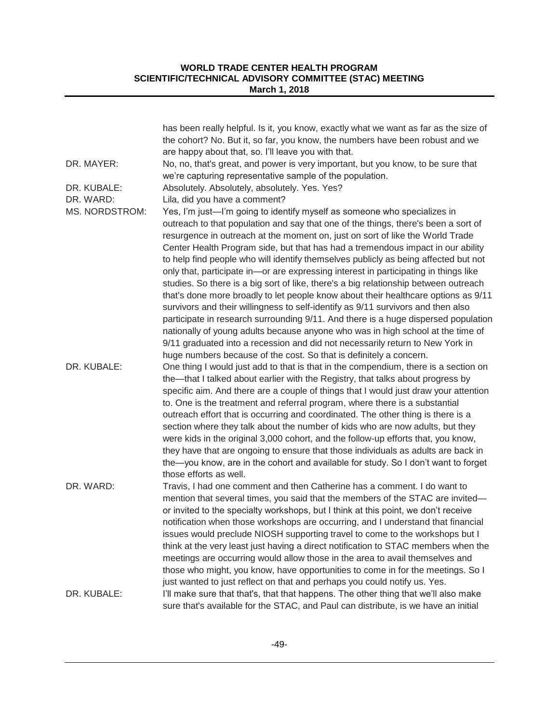| DR. MAYER:     | has been really helpful. Is it, you know, exactly what we want as far as the size of<br>the cohort? No. But it, so far, you know, the numbers have been robust and we<br>are happy about that, so. I'll leave you with that.<br>No, no, that's great, and power is very important, but you know, to be sure that                                                                                                                                                                                                                                                                                                                                                                                                                                                                                                                                                                                                                                                                                                                                                                                                    |
|----------------|---------------------------------------------------------------------------------------------------------------------------------------------------------------------------------------------------------------------------------------------------------------------------------------------------------------------------------------------------------------------------------------------------------------------------------------------------------------------------------------------------------------------------------------------------------------------------------------------------------------------------------------------------------------------------------------------------------------------------------------------------------------------------------------------------------------------------------------------------------------------------------------------------------------------------------------------------------------------------------------------------------------------------------------------------------------------------------------------------------------------|
|                | we're capturing representative sample of the population.                                                                                                                                                                                                                                                                                                                                                                                                                                                                                                                                                                                                                                                                                                                                                                                                                                                                                                                                                                                                                                                            |
| DR. KUBALE:    | Absolutely. Absolutely, absolutely. Yes. Yes?                                                                                                                                                                                                                                                                                                                                                                                                                                                                                                                                                                                                                                                                                                                                                                                                                                                                                                                                                                                                                                                                       |
| DR. WARD:      | Lila, did you have a comment?                                                                                                                                                                                                                                                                                                                                                                                                                                                                                                                                                                                                                                                                                                                                                                                                                                                                                                                                                                                                                                                                                       |
| MS. NORDSTROM: | Yes, I'm just—I'm going to identify myself as someone who specializes in<br>outreach to that population and say that one of the things, there's been a sort of<br>resurgence in outreach at the moment on, just on sort of like the World Trade<br>Center Health Program side, but that has had a tremendous impact in our ability<br>to help find people who will identify themselves publicly as being affected but not<br>only that, participate in-or are expressing interest in participating in things like<br>studies. So there is a big sort of like, there's a big relationship between outreach<br>that's done more broadly to let people know about their healthcare options as 9/11<br>survivors and their willingness to self-identify as 9/11 survivors and then also<br>participate in research surrounding 9/11. And there is a huge dispersed population<br>nationally of young adults because anyone who was in high school at the time of<br>9/11 graduated into a recession and did not necessarily return to New York in<br>huge numbers because of the cost. So that is definitely a concern. |
| DR. KUBALE:    | One thing I would just add to that is that in the compendium, there is a section on<br>the—that I talked about earlier with the Registry, that talks about progress by<br>specific aim. And there are a couple of things that I would just draw your attention<br>to. One is the treatment and referral program, where there is a substantial<br>outreach effort that is occurring and coordinated. The other thing is there is a<br>section where they talk about the number of kids who are now adults, but they<br>were kids in the original 3,000 cohort, and the follow-up efforts that, you know,<br>they have that are ongoing to ensure that those individuals as adults are back in<br>the-you know, are in the cohort and available for study. So I don't want to forget<br>those efforts as well.                                                                                                                                                                                                                                                                                                        |
| DR. WARD:      | Travis, I had one comment and then Catherine has a comment. I do want to<br>mention that several times, you said that the members of the STAC are invited-<br>or invited to the specialty workshops, but I think at this point, we don't receive<br>notification when those workshops are occurring, and I understand that financial<br>issues would preclude NIOSH supporting travel to come to the workshops but I<br>think at the very least just having a direct notification to STAC members when the<br>meetings are occurring would allow those in the area to avail themselves and<br>those who might, you know, have opportunities to come in for the meetings. So I<br>just wanted to just reflect on that and perhaps you could notify us. Yes.                                                                                                                                                                                                                                                                                                                                                          |
| DR. KUBALE:    | I'll make sure that that's, that that happens. The other thing that we'll also make<br>sure that's available for the STAC, and Paul can distribute, is we have an initial                                                                                                                                                                                                                                                                                                                                                                                                                                                                                                                                                                                                                                                                                                                                                                                                                                                                                                                                           |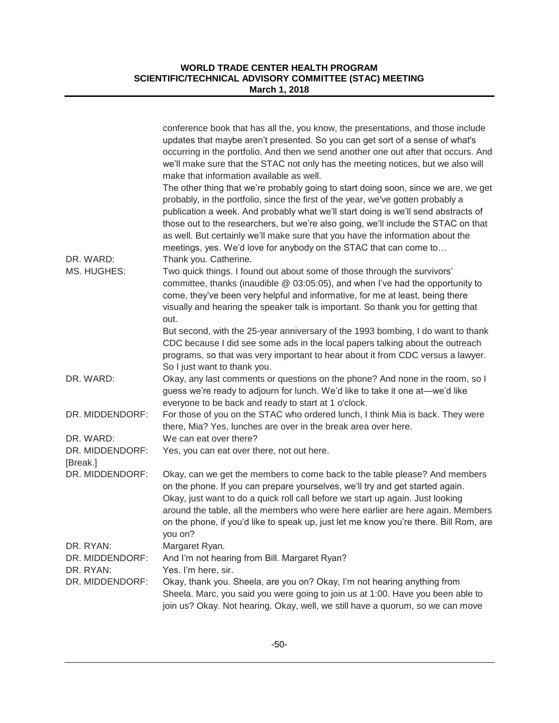|                                          | conference book that has all the, you know, the presentations, and those include<br>updates that maybe aren't presented. So you can get sort of a sense of what's<br>occurring in the portfolio. And then we send another one out after that occurs. And<br>we'll make sure that the STAC not only has the meeting notices, but we also will<br>make that information available as well.                                                                                                                   |
|------------------------------------------|------------------------------------------------------------------------------------------------------------------------------------------------------------------------------------------------------------------------------------------------------------------------------------------------------------------------------------------------------------------------------------------------------------------------------------------------------------------------------------------------------------|
| DR. WARD:                                | The other thing that we're probably going to start doing soon, since we are, we get<br>probably, in the portfolio, since the first of the year, we've gotten probably a<br>publication a week. And probably what we'll start doing is we'll send abstracts of<br>those out to the researchers, but we're also going, we'll include the STAC on that<br>as well. But certainly we'll make sure that you have the information about the<br>meetings, yes. We'd love for anybody on the STAC that can come to |
| MS. HUGHES:                              | Thank you. Catherine.<br>Two quick things. I found out about some of those through the survivors'<br>committee, thanks (inaudible @ 03:05:05), and when I've had the opportunity to<br>come, they've been very helpful and informative, for me at least, being there<br>visually and hearing the speaker talk is important. So thank you for getting that<br>out.<br>But second, with the 25-year anniversary of the 1993 bombing, I do want to thank                                                      |
|                                          | CDC because I did see some ads in the local papers talking about the outreach<br>programs, so that was very important to hear about it from CDC versus a lawyer.<br>So I just want to thank you.                                                                                                                                                                                                                                                                                                           |
| DR. WARD:                                | Okay, any last comments or questions on the phone? And none in the room, so I<br>guess we're ready to adjourn for lunch. We'd like to take it one at-we'd like<br>everyone to be back and ready to start at 1 o'clock.                                                                                                                                                                                                                                                                                     |
| DR. MIDDENDORF:                          | For those of you on the STAC who ordered lunch, I think Mia is back. They were<br>there, Mia? Yes, lunches are over in the break area over here.                                                                                                                                                                                                                                                                                                                                                           |
| DR. WARD:<br>DR. MIDDENDORF:<br>[Break.] | We can eat over there?<br>Yes, you can eat over there, not out here.                                                                                                                                                                                                                                                                                                                                                                                                                                       |
| DR. MIDDENDORF:                          | Okay, can we get the members to come back to the table please? And members<br>on the phone. If you can prepare yourselves, we'll try and get started again.<br>Okay, just want to do a quick roll call before we start up again. Just looking<br>around the table, all the members who were here earlier are here again. Members<br>on the phone, if you'd like to speak up, just let me know you're there. Bill Rom, are<br>you on?                                                                       |
| DR. RYAN:<br>DR. MIDDENDORF:             | Margaret Ryan.<br>And I'm not hearing from Bill. Margaret Ryan?                                                                                                                                                                                                                                                                                                                                                                                                                                            |
| DR. RYAN:<br>DR. MIDDENDORF:             | Yes. I'm here, sir.<br>Okay, thank you. Sheela, are you on? Okay, I'm not hearing anything from<br>Sheela. Marc, you said you were going to join us at 1:00. Have you been able to<br>join us? Okay. Not hearing. Okay, well, we still have a quorum, so we can move                                                                                                                                                                                                                                       |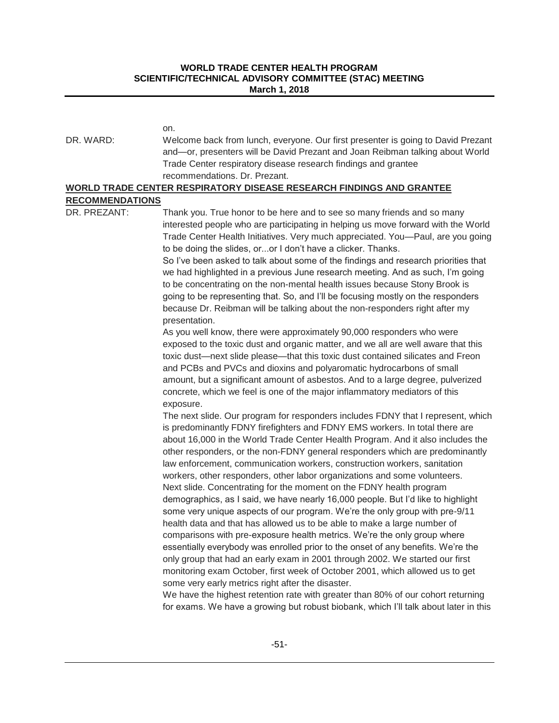|                                        | on.                                                                                                                                                                                                                                                                                                                                                                                                                                                                                                                                                                                                                                                                                                                                                                                                                                                                                                                                                                                                                                                                                                                                                                                                                                                                                                                                                                                |
|----------------------------------------|------------------------------------------------------------------------------------------------------------------------------------------------------------------------------------------------------------------------------------------------------------------------------------------------------------------------------------------------------------------------------------------------------------------------------------------------------------------------------------------------------------------------------------------------------------------------------------------------------------------------------------------------------------------------------------------------------------------------------------------------------------------------------------------------------------------------------------------------------------------------------------------------------------------------------------------------------------------------------------------------------------------------------------------------------------------------------------------------------------------------------------------------------------------------------------------------------------------------------------------------------------------------------------------------------------------------------------------------------------------------------------|
| DR. WARD:                              | Welcome back from lunch, everyone. Our first presenter is going to David Prezant<br>and-or, presenters will be David Prezant and Joan Reibman talking about World<br>Trade Center respiratory disease research findings and grantee<br>recommendations. Dr. Prezant.                                                                                                                                                                                                                                                                                                                                                                                                                                                                                                                                                                                                                                                                                                                                                                                                                                                                                                                                                                                                                                                                                                               |
|                                        | WORLD TRADE CENTER RESPIRATORY DISEASE RESEARCH FINDINGS AND GRANTEE                                                                                                                                                                                                                                                                                                                                                                                                                                                                                                                                                                                                                                                                                                                                                                                                                                                                                                                                                                                                                                                                                                                                                                                                                                                                                                               |
| <b>RECOMMENDATIONS</b><br>DR. PREZANT: | Thank you. True honor to be here and to see so many friends and so many                                                                                                                                                                                                                                                                                                                                                                                                                                                                                                                                                                                                                                                                                                                                                                                                                                                                                                                                                                                                                                                                                                                                                                                                                                                                                                            |
|                                        | interested people who are participating in helping us move forward with the World<br>Trade Center Health Initiatives. Very much appreciated. You—Paul, are you going<br>to be doing the slides, oror I don't have a clicker. Thanks.<br>So I've been asked to talk about some of the findings and research priorities that<br>we had highlighted in a previous June research meeting. And as such, I'm going<br>to be concentrating on the non-mental health issues because Stony Brook is<br>going to be representing that. So, and I'll be focusing mostly on the responders<br>because Dr. Reibman will be talking about the non-responders right after my<br>presentation.                                                                                                                                                                                                                                                                                                                                                                                                                                                                                                                                                                                                                                                                                                     |
|                                        | As you well know, there were approximately 90,000 responders who were<br>exposed to the toxic dust and organic matter, and we all are well aware that this<br>toxic dust—next slide please—that this toxic dust contained silicates and Freon<br>and PCBs and PVCs and dioxins and polyaromatic hydrocarbons of small<br>amount, but a significant amount of asbestos. And to a large degree, pulverized<br>concrete, which we feel is one of the major inflammatory mediators of this<br>exposure.                                                                                                                                                                                                                                                                                                                                                                                                                                                                                                                                                                                                                                                                                                                                                                                                                                                                                |
|                                        | The next slide. Our program for responders includes FDNY that I represent, which<br>is predominantly FDNY firefighters and FDNY EMS workers. In total there are<br>about 16,000 in the World Trade Center Health Program. And it also includes the<br>other responders, or the non-FDNY general responders which are predominantly<br>law enforcement, communication workers, construction workers, sanitation<br>workers, other responders, other labor organizations and some volunteers.<br>Next slide. Concentrating for the moment on the FDNY health program<br>demographics, as I said, we have nearly 16,000 people. But I'd like to highlight<br>some very unique aspects of our program. We're the only group with pre-9/11<br>health data and that has allowed us to be able to make a large number of<br>comparisons with pre-exposure health metrics. We're the only group where<br>essentially everybody was enrolled prior to the onset of any benefits. We're the<br>only group that had an early exam in 2001 through 2002. We started our first<br>monitoring exam October, first week of October 2001, which allowed us to get<br>some very early metrics right after the disaster.<br>We have the highest retention rate with greater than 80% of our cohort returning<br>for exams. We have a growing but robust biobank, which I'll talk about later in this |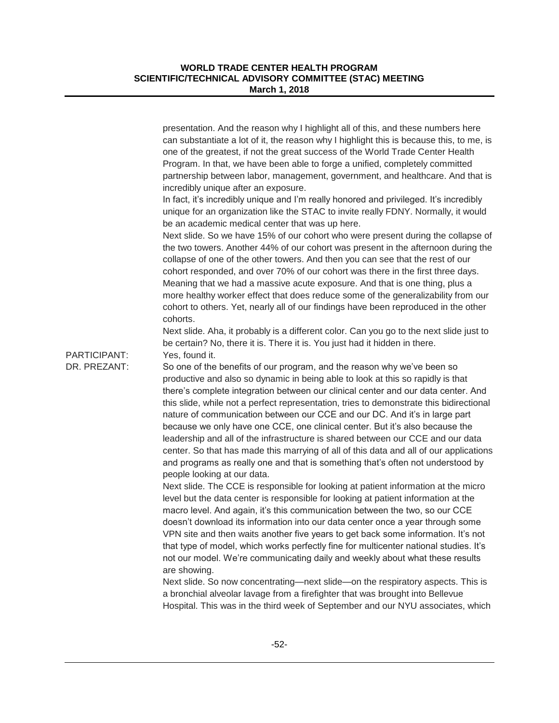|                              | presentation. And the reason why I highlight all of this, and these numbers here<br>can substantiate a lot of it, the reason why I highlight this is because this, to me, is<br>one of the greatest, if not the great success of the World Trade Center Health<br>Program. In that, we have been able to forge a unified, completely committed<br>partnership between labor, management, government, and healthcare. And that is<br>incredibly unique after an exposure.<br>In fact, it's incredibly unique and I'm really honored and privileged. It's incredibly<br>unique for an organization like the STAC to invite really FDNY. Normally, it would<br>be an academic medical center that was up here.<br>Next slide. So we have 15% of our cohort who were present during the collapse of<br>the two towers. Another 44% of our cohort was present in the afternoon during the |
|------------------------------|--------------------------------------------------------------------------------------------------------------------------------------------------------------------------------------------------------------------------------------------------------------------------------------------------------------------------------------------------------------------------------------------------------------------------------------------------------------------------------------------------------------------------------------------------------------------------------------------------------------------------------------------------------------------------------------------------------------------------------------------------------------------------------------------------------------------------------------------------------------------------------------|
|                              | collapse of one of the other towers. And then you can see that the rest of our<br>cohort responded, and over 70% of our cohort was there in the first three days.<br>Meaning that we had a massive acute exposure. And that is one thing, plus a<br>more healthy worker effect that does reduce some of the generalizability from our<br>cohort to others. Yet, nearly all of our findings have been reproduced in the other<br>cohorts.<br>Next slide. Aha, it probably is a different color. Can you go to the next slide just to<br>be certain? No, there it is. There it is. You just had it hidden in there.                                                                                                                                                                                                                                                                    |
| PARTICIPANT:<br>DR. PREZANT: | Yes, found it.<br>So one of the benefits of our program, and the reason why we've been so<br>productive and also so dynamic in being able to look at this so rapidly is that<br>there's complete integration between our clinical center and our data center. And<br>this slide, while not a perfect representation, tries to demonstrate this bidirectional<br>nature of communication between our CCE and our DC. And it's in large part<br>because we only have one CCE, one clinical center. But it's also because the<br>leadership and all of the infrastructure is shared between our CCE and our data<br>center. So that has made this marrying of all of this data and all of our applications<br>and programs as really one and that is something that's often not understood by<br>people looking at our data.                                                            |
|                              | Next slide. The CCE is responsible for looking at patient information at the micro<br>level but the data center is responsible for looking at patient information at the<br>macro level. And again, it's this communication between the two, so our CCE<br>doesn't download its information into our data center once a year through some<br>VPN site and then waits another five years to get back some information. It's not<br>that type of model, which works perfectly fine for multicenter national studies. It's<br>not our model. We're communicating daily and weekly about what these results<br>are showing.                                                                                                                                                                                                                                                              |
|                              | Next slide. So now concentrating—next slide—on the respiratory aspects. This is<br>a bronchial alveolar lavage from a firefighter that was brought into Bellevue<br>Hospital. This was in the third week of September and our NYU associates, which                                                                                                                                                                                                                                                                                                                                                                                                                                                                                                                                                                                                                                  |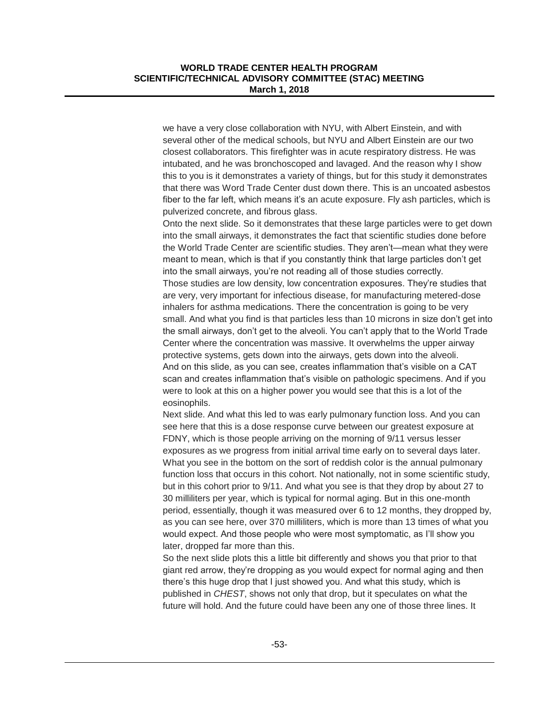we have a very close collaboration with NYU, with Albert Einstein, and with several other of the medical schools, but NYU and Albert Einstein are our two closest collaborators. This firefighter was in acute respiratory distress. He was intubated, and he was bronchoscoped and lavaged. And the reason why I show this to you is it demonstrates a variety of things, but for this study it demonstrates that there was Word Trade Center dust down there. This is an uncoated asbestos fiber to the far left, which means it's an acute exposure. Fly ash particles, which is pulverized concrete, and fibrous glass.

Onto the next slide. So it demonstrates that these large particles were to get down into the small airways, it demonstrates the fact that scientific studies done before the World Trade Center are scientific studies. They aren't—mean what they were meant to mean, which is that if you constantly think that large particles don't get into the small airways, you're not reading all of those studies correctly. Those studies are low density, low concentration exposures. They're studies that are very, very important for infectious disease, for manufacturing metered-dose inhalers for asthma medications. There the concentration is going to be very small. And what you find is that particles less than 10 microns in size don't get into the small airways, don't get to the alveoli. You can't apply that to the World Trade Center where the concentration was massive. It overwhelms the upper airway protective systems, gets down into the airways, gets down into the alveoli. And on this slide, as you can see, creates inflammation that's visible on a CAT scan and creates inflammation that's visible on pathologic specimens. And if you were to look at this on a higher power you would see that this is a lot of the eosinophils.

Next slide. And what this led to was early pulmonary function loss. And you can see here that this is a dose response curve between our greatest exposure at FDNY, which is those people arriving on the morning of 9/11 versus lesser exposures as we progress from initial arrival time early on to several days later. What you see in the bottom on the sort of reddish color is the annual pulmonary function loss that occurs in this cohort. Not nationally, not in some scientific study, but in this cohort prior to 9/11. And what you see is that they drop by about 27 to 30 milliliters per year, which is typical for normal aging. But in this one-month period, essentially, though it was measured over 6 to 12 months, they dropped by, as you can see here, over 370 milliliters, which is more than 13 times of what you would expect. And those people who were most symptomatic, as I'll show you later, dropped far more than this.

So the next slide plots this a little bit differently and shows you that prior to that giant red arrow, they're dropping as you would expect for normal aging and then there's this huge drop that I just showed you. And what this study, which is published in *CHEST*, shows not only that drop, but it speculates on what the future will hold. And the future could have been any one of those three lines. It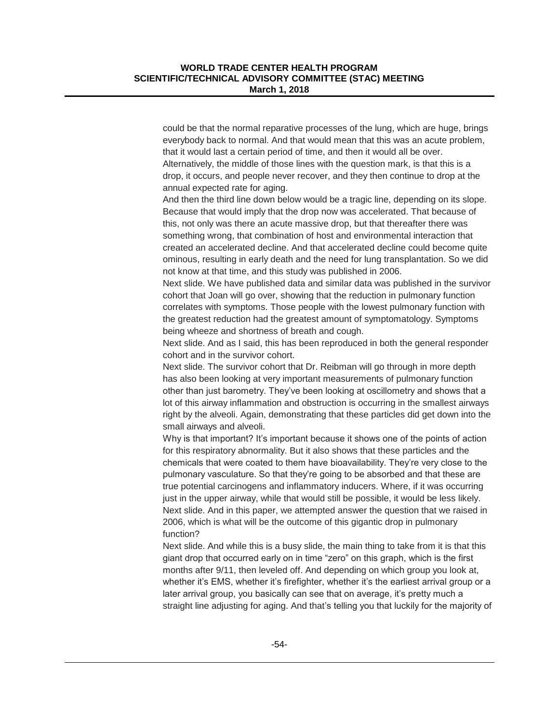could be that the normal reparative processes of the lung, which are huge, brings everybody back to normal. And that would mean that this was an acute problem, that it would last a certain period of time, and then it would all be over. Alternatively, the middle of those lines with the question mark, is that this is a drop, it occurs, and people never recover, and they then continue to drop at the annual expected rate for aging.

And then the third line down below would be a tragic line, depending on its slope. Because that would imply that the drop now was accelerated. That because of this, not only was there an acute massive drop, but that thereafter there was something wrong, that combination of host and environmental interaction that created an accelerated decline. And that accelerated decline could become quite ominous, resulting in early death and the need for lung transplantation. So we did not know at that time, and this study was published in 2006.

Next slide. We have published data and similar data was published in the survivor cohort that Joan will go over, showing that the reduction in pulmonary function correlates with symptoms. Those people with the lowest pulmonary function with the greatest reduction had the greatest amount of symptomatology. Symptoms being wheeze and shortness of breath and cough.

Next slide. And as I said, this has been reproduced in both the general responder cohort and in the survivor cohort.

Next slide. The survivor cohort that Dr. Reibman will go through in more depth has also been looking at very important measurements of pulmonary function other than just barometry. They've been looking at oscillometry and shows that a lot of this airway inflammation and obstruction is occurring in the smallest airways right by the alveoli. Again, demonstrating that these particles did get down into the small airways and alveoli.

Why is that important? It's important because it shows one of the points of action for this respiratory abnormality. But it also shows that these particles and the chemicals that were coated to them have bioavailability. They're very close to the pulmonary vasculature. So that they're going to be absorbed and that these are true potential carcinogens and inflammatory inducers. Where, if it was occurring just in the upper airway, while that would still be possible, it would be less likely. Next slide. And in this paper, we attempted answer the question that we raised in 2006, which is what will be the outcome of this gigantic drop in pulmonary function?

Next slide. And while this is a busy slide, the main thing to take from it is that this giant drop that occurred early on in time "zero" on this graph, which is the first months after 9/11, then leveled off. And depending on which group you look at, whether it's EMS, whether it's firefighter, whether it's the earliest arrival group or a later arrival group, you basically can see that on average, it's pretty much a straight line adjusting for aging. And that's telling you that luckily for the majority of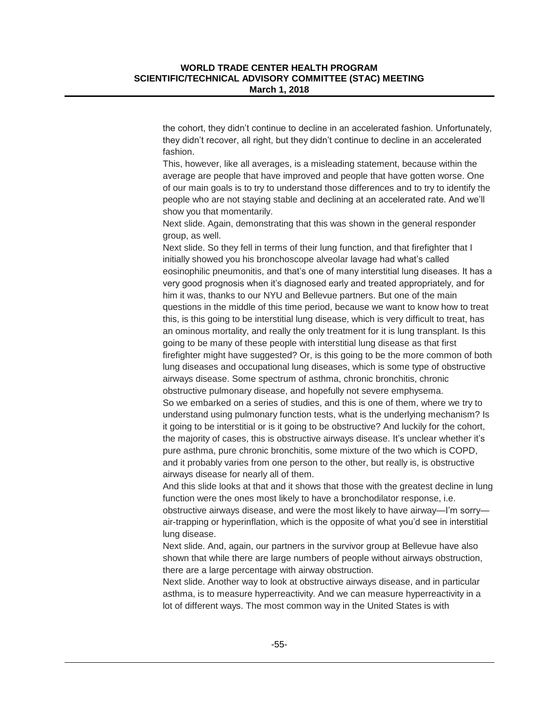the cohort, they didn't continue to decline in an accelerated fashion. Unfortunately, they didn't recover, all right, but they didn't continue to decline in an accelerated fashion.

This, however, like all averages, is a misleading statement, because within the average are people that have improved and people that have gotten worse. One of our main goals is to try to understand those differences and to try to identify the people who are not staying stable and declining at an accelerated rate. And we'll show you that momentarily.

Next slide. Again, demonstrating that this was shown in the general responder group, as well.

Next slide. So they fell in terms of their lung function, and that firefighter that I initially showed you his bronchoscope alveolar lavage had what's called eosinophilic pneumonitis, and that's one of many interstitial lung diseases. It has a very good prognosis when it's diagnosed early and treated appropriately, and for him it was, thanks to our NYU and Bellevue partners. But one of the main questions in the middle of this time period, because we want to know how to treat this, is this going to be interstitial lung disease, which is very difficult to treat, has an ominous mortality, and really the only treatment for it is lung transplant. Is this going to be many of these people with interstitial lung disease as that first firefighter might have suggested? Or, is this going to be the more common of both lung diseases and occupational lung diseases, which is some type of obstructive airways disease. Some spectrum of asthma, chronic bronchitis, chronic obstructive pulmonary disease, and hopefully not severe emphysema. So we embarked on a series of studies, and this is one of them, where we try to understand using pulmonary function tests, what is the underlying mechanism? Is it going to be interstitial or is it going to be obstructive? And luckily for the cohort, the majority of cases, this is obstructive airways disease. It's unclear whether it's pure asthma, pure chronic bronchitis, some mixture of the two which is COPD, and it probably varies from one person to the other, but really is, is obstructive airways disease for nearly all of them.

And this slide looks at that and it shows that those with the greatest decline in lung function were the ones most likely to have a bronchodilator response, i.e. obstructive airways disease, and were the most likely to have airway—I'm sorry air-trapping or hyperinflation, which is the opposite of what you'd see in interstitial lung disease.

Next slide. And, again, our partners in the survivor group at Bellevue have also shown that while there are large numbers of people without airways obstruction, there are a large percentage with airway obstruction.

Next slide. Another way to look at obstructive airways disease, and in particular asthma, is to measure hyperreactivity. And we can measure hyperreactivity in a lot of different ways. The most common way in the United States is with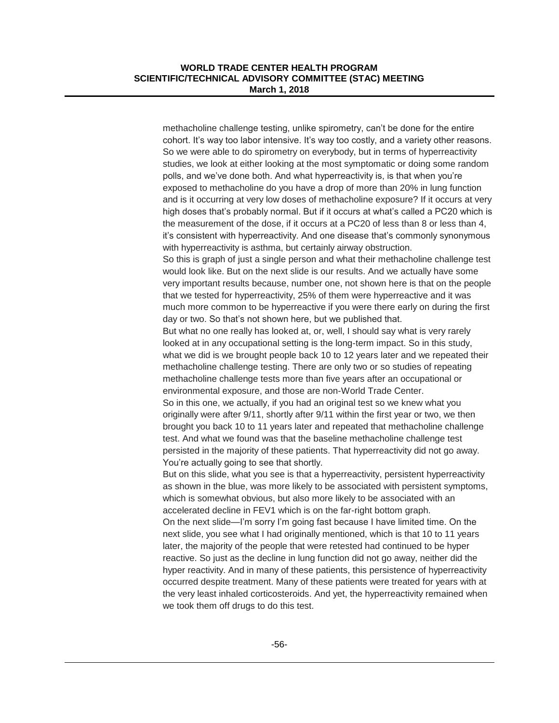methacholine challenge testing, unlike spirometry, can't be done for the entire cohort. It's way too labor intensive. It's way too costly, and a variety other reasons. So we were able to do spirometry on everybody, but in terms of hyperreactivity studies, we look at either looking at the most symptomatic or doing some random polls, and we've done both. And what hyperreactivity is, is that when you're exposed to methacholine do you have a drop of more than 20% in lung function and is it occurring at very low doses of methacholine exposure? If it occurs at very high doses that's probably normal. But if it occurs at what's called a PC20 which is the measurement of the dose, if it occurs at a PC20 of less than 8 or less than 4, it's consistent with hyperreactivity. And one disease that's commonly synonymous with hyperreactivity is asthma, but certainly airway obstruction.

So this is graph of just a single person and what their methacholine challenge test would look like. But on the next slide is our results. And we actually have some very important results because, number one, not shown here is that on the people that we tested for hyperreactivity, 25% of them were hyperreactive and it was much more common to be hyperreactive if you were there early on during the first day or two. So that's not shown here, but we published that.

But what no one really has looked at, or, well, I should say what is very rarely looked at in any occupational setting is the long-term impact. So in this study, what we did is we brought people back 10 to 12 years later and we repeated their methacholine challenge testing. There are only two or so studies of repeating methacholine challenge tests more than five years after an occupational or environmental exposure, and those are non-World Trade Center.

So in this one, we actually, if you had an original test so we knew what you originally were after 9/11, shortly after 9/11 within the first year or two, we then brought you back 10 to 11 years later and repeated that methacholine challenge test. And what we found was that the baseline methacholine challenge test persisted in the majority of these patients. That hyperreactivity did not go away. You're actually going to see that shortly.

But on this slide, what you see is that a hyperreactivity, persistent hyperreactivity as shown in the blue, was more likely to be associated with persistent symptoms, which is somewhat obvious, but also more likely to be associated with an accelerated decline in FEV1 which is on the far-right bottom graph. On the next slide—I'm sorry I'm going fast because I have limited time. On the next slide, you see what I had originally mentioned, which is that 10 to 11 years later, the majority of the people that were retested had continued to be hyper reactive. So just as the decline in lung function did not go away, neither did the hyper reactivity. And in many of these patients, this persistence of hyperreactivity occurred despite treatment. Many of these patients were treated for years with at the very least inhaled corticosteroids. And yet, the hyperreactivity remained when we took them off drugs to do this test.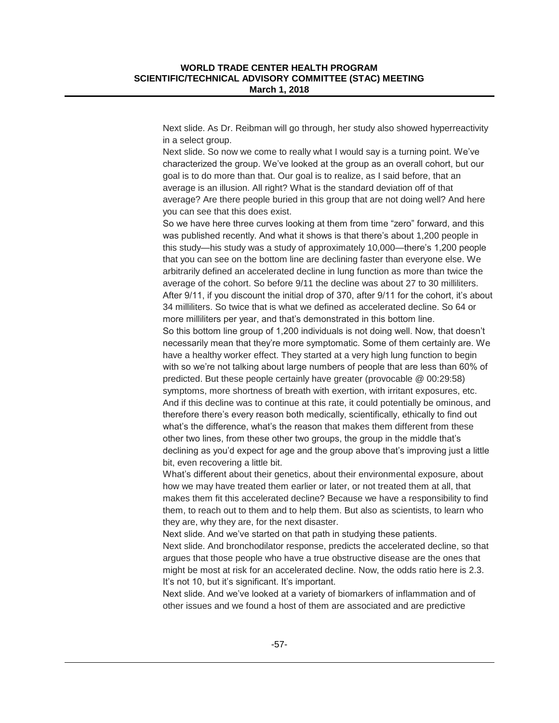Next slide. As Dr. Reibman will go through, her study also showed hyperreactivity in a select group.

Next slide. So now we come to really what I would say is a turning point. We've characterized the group. We've looked at the group as an overall cohort, but our goal is to do more than that. Our goal is to realize, as I said before, that an average is an illusion. All right? What is the standard deviation off of that average? Are there people buried in this group that are not doing well? And here you can see that this does exist.

So we have here three curves looking at them from time "zero" forward, and this was published recently. And what it shows is that there's about 1,200 people in this study—his study was a study of approximately 10,000—there's 1,200 people that you can see on the bottom line are declining faster than everyone else. We arbitrarily defined an accelerated decline in lung function as more than twice the average of the cohort. So before 9/11 the decline was about 27 to 30 milliliters. After 9/11, if you discount the initial drop of 370, after 9/11 for the cohort, it's about 34 milliliters. So twice that is what we defined as accelerated decline. So 64 or more milliliters per year, and that's demonstrated in this bottom line. So this bottom line group of 1,200 individuals is not doing well. Now, that doesn't necessarily mean that they're more symptomatic. Some of them certainly are. We have a healthy worker effect. They started at a very high lung function to begin with so we're not talking about large numbers of people that are less than 60% of predicted. But these people certainly have greater (provocable @ 00:29:58) symptoms, more shortness of breath with exertion, with irritant exposures, etc. And if this decline was to continue at this rate, it could potentially be ominous, and therefore there's every reason both medically, scientifically, ethically to find out what's the difference, what's the reason that makes them different from these other two lines, from these other two groups, the group in the middle that's declining as you'd expect for age and the group above that's improving just a little bit, even recovering a little bit.

What's different about their genetics, about their environmental exposure, about how we may have treated them earlier or later, or not treated them at all, that makes them fit this accelerated decline? Because we have a responsibility to find them, to reach out to them and to help them. But also as scientists, to learn who they are, why they are, for the next disaster.

Next slide. And we've started on that path in studying these patients.

Next slide. And bronchodilator response, predicts the accelerated decline, so that argues that those people who have a true obstructive disease are the ones that might be most at risk for an accelerated decline. Now, the odds ratio here is 2.3. It's not 10, but it's significant. It's important.

Next slide. And we've looked at a variety of biomarkers of inflammation and of other issues and we found a host of them are associated and are predictive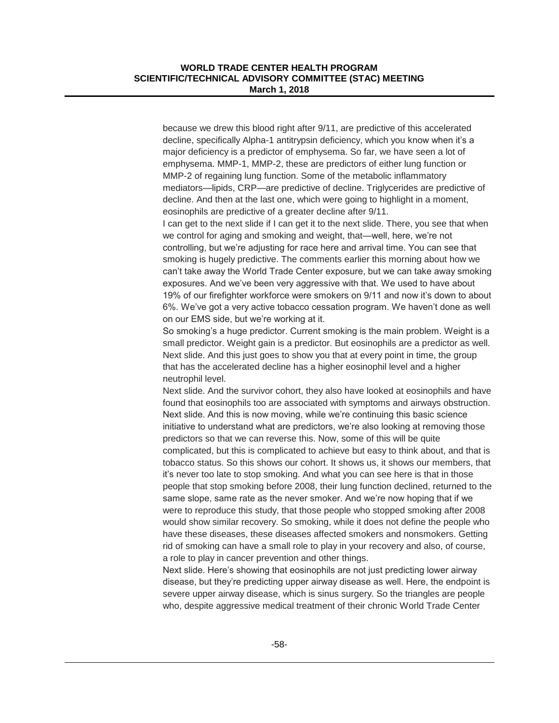because we drew this blood right after 9/11, are predictive of this accelerated decline, specifically Alpha-1 antitrypsin deficiency, which you know when it's a major deficiency is a predictor of emphysema. So far, we have seen a lot of emphysema. MMP-1, MMP-2, these are predictors of either lung function or MMP-2 of regaining lung function. Some of the metabolic inflammatory mediators—lipids, CRP—are predictive of decline. Triglycerides are predictive of decline. And then at the last one, which were going to highlight in a moment, eosinophils are predictive of a greater decline after 9/11.

I can get to the next slide if I can get it to the next slide. There, you see that when we control for aging and smoking and weight, that—well, here, we're not controlling, but we're adjusting for race here and arrival time. You can see that smoking is hugely predictive. The comments earlier this morning about how we can't take away the World Trade Center exposure, but we can take away smoking exposures. And we've been very aggressive with that. We used to have about 19% of our firefighter workforce were smokers on 9/11 and now it's down to about 6%. We've got a very active tobacco cessation program. We haven't done as well on our EMS side, but we're working at it.

So smoking's a huge predictor. Current smoking is the main problem. Weight is a small predictor. Weight gain is a predictor. But eosinophils are a predictor as well. Next slide. And this just goes to show you that at every point in time, the group that has the accelerated decline has a higher eosinophil level and a higher neutrophil level.

Next slide. And the survivor cohort, they also have looked at eosinophils and have found that eosinophils too are associated with symptoms and airways obstruction. Next slide. And this is now moving, while we're continuing this basic science initiative to understand what are predictors, we're also looking at removing those predictors so that we can reverse this. Now, some of this will be quite complicated, but this is complicated to achieve but easy to think about, and that is tobacco status. So this shows our cohort. It shows us, it shows our members, that it's never too late to stop smoking. And what you can see here is that in those people that stop smoking before 2008, their lung function declined, returned to the same slope, same rate as the never smoker. And we're now hoping that if we were to reproduce this study, that those people who stopped smoking after 2008 would show similar recovery. So smoking, while it does not define the people who have these diseases, these diseases affected smokers and nonsmokers. Getting rid of smoking can have a small role to play in your recovery and also, of course, a role to play in cancer prevention and other things.

Next slide. Here's showing that eosinophils are not just predicting lower airway disease, but they're predicting upper airway disease as well. Here, the endpoint is severe upper airway disease, which is sinus surgery. So the triangles are people who, despite aggressive medical treatment of their chronic World Trade Center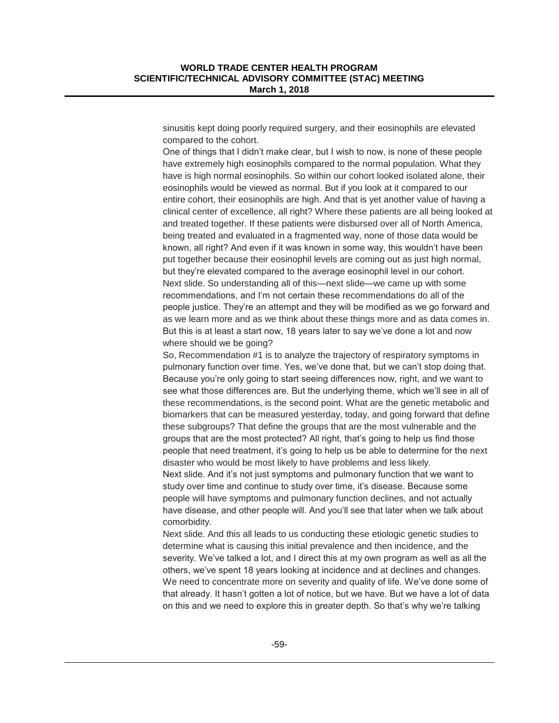sinusitis kept doing poorly required surgery, and their eosinophils are elevated compared to the cohort.

One of things that I didn't make clear, but I wish to now, is none of these people have extremely high eosinophils compared to the normal population. What they have is high normal eosinophils. So within our cohort looked isolated alone, their eosinophils would be viewed as normal. But if you look at it compared to our entire cohort, their eosinophils are high. And that is yet another value of having a clinical center of excellence, all right? Where these patients are all being looked at and treated together. If these patients were disbursed over all of North America, being treated and evaluated in a fragmented way, none of those data would be known, all right? And even if it was known in some way, this wouldn't have been put together because their eosinophil levels are coming out as just high normal, but they're elevated compared to the average eosinophil level in our cohort. Next slide. So understanding all of this—next slide—we came up with some recommendations, and I'm not certain these recommendations do all of the people justice. They're an attempt and they will be modified as we go forward and as we learn more and as we think about these things more and as data comes in. But this is at least a start now, 18 years later to say we've done a lot and now where should we be going?

So, Recommendation #1 is to analyze the trajectory of respiratory symptoms in pulmonary function over time. Yes, we've done that, but we can't stop doing that. Because you're only going to start seeing differences now, right, and we want to see what those differences are. But the underlying theme, which we'll see in all of these recommendations, is the second point. What are the genetic metabolic and biomarkers that can be measured yesterday, today, and going forward that define these subgroups? That define the groups that are the most vulnerable and the groups that are the most protected? All right, that's going to help us find those people that need treatment, it's going to help us be able to determine for the next disaster who would be most likely to have problems and less likely.

Next slide. And it's not just symptoms and pulmonary function that we want to study over time and continue to study over time, it's disease. Because some people will have symptoms and pulmonary function declines, and not actually have disease, and other people will. And you'll see that later when we talk about comorbidity.

Next slide. And this all leads to us conducting these etiologic genetic studies to determine what is causing this initial prevalence and then incidence, and the severity. We've talked a lot, and I direct this at my own program as well as all the others, we've spent 18 years looking at incidence and at declines and changes. We need to concentrate more on severity and quality of life. We've done some of that already. It hasn't gotten a lot of notice, but we have. But we have a lot of data on this and we need to explore this in greater depth. So that's why we're talking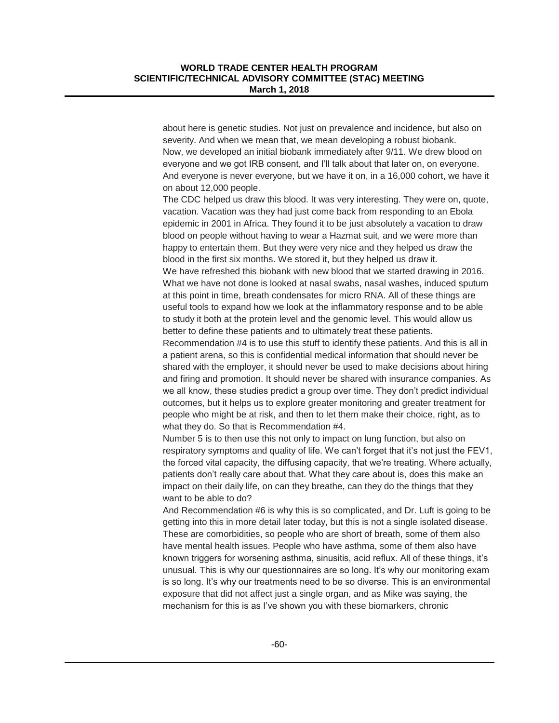about here is genetic studies. Not just on prevalence and incidence, but also on severity. And when we mean that, we mean developing a robust biobank. Now, we developed an initial biobank immediately after 9/11. We drew blood on everyone and we got IRB consent, and I'll talk about that later on, on everyone. And everyone is never everyone, but we have it on, in a 16,000 cohort, we have it on about 12,000 people.

The CDC helped us draw this blood. It was very interesting. They were on, quote, vacation. Vacation was they had just come back from responding to an Ebola epidemic in 2001 in Africa. They found it to be just absolutely a vacation to draw blood on people without having to wear a Hazmat suit, and we were more than happy to entertain them. But they were very nice and they helped us draw the blood in the first six months. We stored it, but they helped us draw it. We have refreshed this biobank with new blood that we started drawing in 2016. What we have not done is looked at nasal swabs, nasal washes, induced sputum

at this point in time, breath condensates for micro RNA. All of these things are useful tools to expand how we look at the inflammatory response and to be able to study it both at the protein level and the genomic level. This would allow us better to define these patients and to ultimately treat these patients.

Recommendation #4 is to use this stuff to identify these patients. And this is all in a patient arena, so this is confidential medical information that should never be shared with the employer, it should never be used to make decisions about hiring and firing and promotion. It should never be shared with insurance companies. As we all know, these studies predict a group over time. They don't predict individual outcomes, but it helps us to explore greater monitoring and greater treatment for people who might be at risk, and then to let them make their choice, right, as to what they do. So that is Recommendation #4.

Number 5 is to then use this not only to impact on lung function, but also on respiratory symptoms and quality of life. We can't forget that it's not just the FEV1, the forced vital capacity, the diffusing capacity, that we're treating. Where actually, patients don't really care about that. What they care about is, does this make an impact on their daily life, on can they breathe, can they do the things that they want to be able to do?

And Recommendation #6 is why this is so complicated, and Dr. Luft is going to be getting into this in more detail later today, but this is not a single isolated disease. These are comorbidities, so people who are short of breath, some of them also have mental health issues. People who have asthma, some of them also have known triggers for worsening asthma, sinusitis, acid reflux. All of these things, it's unusual. This is why our questionnaires are so long. It's why our monitoring exam is so long. It's why our treatments need to be so diverse. This is an environmental exposure that did not affect just a single organ, and as Mike was saying, the mechanism for this is as I've shown you with these biomarkers, chronic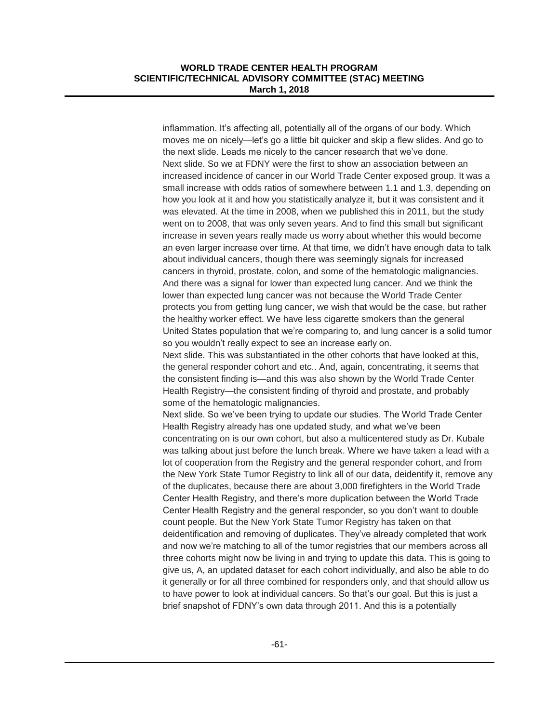inflammation. It's affecting all, potentially all of the organs of our body. Which moves me on nicely—let's go a little bit quicker and skip a flew slides. And go to the next slide. Leads me nicely to the cancer research that we've done. Next slide. So we at FDNY were the first to show an association between an increased incidence of cancer in our World Trade Center exposed group. It was a small increase with odds ratios of somewhere between 1.1 and 1.3, depending on how you look at it and how you statistically analyze it, but it was consistent and it was elevated. At the time in 2008, when we published this in 2011, but the study went on to 2008, that was only seven years. And to find this small but significant increase in seven years really made us worry about whether this would become an even larger increase over time. At that time, we didn't have enough data to talk about individual cancers, though there was seemingly signals for increased cancers in thyroid, prostate, colon, and some of the hematologic malignancies. And there was a signal for lower than expected lung cancer. And we think the lower than expected lung cancer was not because the World Trade Center protects you from getting lung cancer, we wish that would be the case, but rather the healthy worker effect. We have less cigarette smokers than the general United States population that we're comparing to, and lung cancer is a solid tumor so you wouldn't really expect to see an increase early on.

Next slide. This was substantiated in the other cohorts that have looked at this, the general responder cohort and etc.. And, again, concentrating, it seems that the consistent finding is—and this was also shown by the World Trade Center Health Registry—the consistent finding of thyroid and prostate, and probably some of the hematologic malignancies.

Next slide. So we've been trying to update our studies. The World Trade Center Health Registry already has one updated study, and what we've been concentrating on is our own cohort, but also a multicentered study as Dr. Kubale was talking about just before the lunch break. Where we have taken a lead with a lot of cooperation from the Registry and the general responder cohort, and from the New York State Tumor Registry to link all of our data, deidentify it, remove any of the duplicates, because there are about 3,000 firefighters in the World Trade Center Health Registry, and there's more duplication between the World Trade Center Health Registry and the general responder, so you don't want to double count people. But the New York State Tumor Registry has taken on that deidentification and removing of duplicates. They've already completed that work and now we're matching to all of the tumor registries that our members across all three cohorts might now be living in and trying to update this data. This is going to give us, A, an updated dataset for each cohort individually, and also be able to do it generally or for all three combined for responders only, and that should allow us to have power to look at individual cancers. So that's our goal. But this is just a brief snapshot of FDNY's own data through 2011. And this is a potentially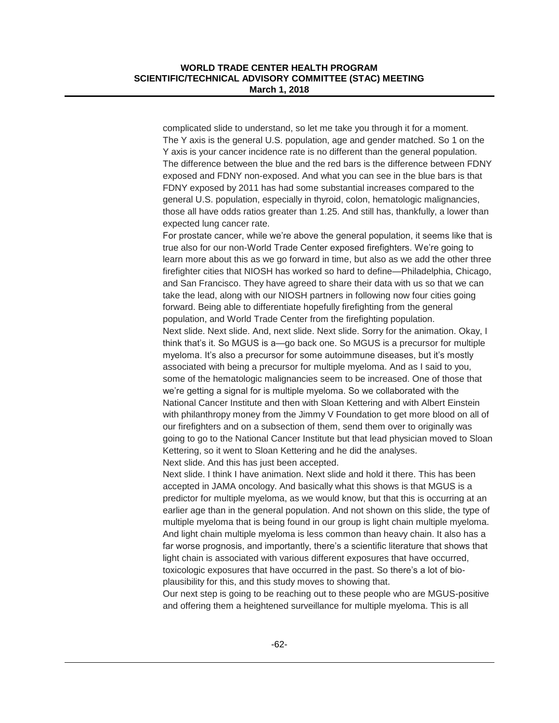complicated slide to understand, so let me take you through it for a moment. The Y axis is the general U.S. population, age and gender matched. So 1 on the Y axis is your cancer incidence rate is no different than the general population. The difference between the blue and the red bars is the difference between FDNY exposed and FDNY non-exposed. And what you can see in the blue bars is that FDNY exposed by 2011 has had some substantial increases compared to the general U.S. population, especially in thyroid, colon, hematologic malignancies, those all have odds ratios greater than 1.25. And still has, thankfully, a lower than expected lung cancer rate.

For prostate cancer, while we're above the general population, it seems like that is true also for our non-World Trade Center exposed firefighters. We're going to learn more about this as we go forward in time, but also as we add the other three firefighter cities that NIOSH has worked so hard to define—Philadelphia, Chicago, and San Francisco. They have agreed to share their data with us so that we can take the lead, along with our NIOSH partners in following now four cities going forward. Being able to differentiate hopefully firefighting from the general population, and World Trade Center from the firefighting population. Next slide. Next slide. And, next slide. Next slide. Sorry for the animation. Okay, I think that's it. So MGUS is a—go back one. So MGUS is a precursor for multiple myeloma. It's also a precursor for some autoimmune diseases, but it's mostly associated with being a precursor for multiple myeloma. And as I said to you, some of the hematologic malignancies seem to be increased. One of those that we're getting a signal for is multiple myeloma. So we collaborated with the National Cancer Institute and then with Sloan Kettering and with Albert Einstein with philanthropy money from the Jimmy V Foundation to get more blood on all of our firefighters and on a subsection of them, send them over to originally was going to go to the National Cancer Institute but that lead physician moved to Sloan Kettering, so it went to Sloan Kettering and he did the analyses. Next slide. And this has just been accepted.

Next slide. I think I have animation. Next slide and hold it there. This has been accepted in JAMA oncology. And basically what this shows is that MGUS is a predictor for multiple myeloma, as we would know, but that this is occurring at an earlier age than in the general population. And not shown on this slide, the type of multiple myeloma that is being found in our group is light chain multiple myeloma. And light chain multiple myeloma is less common than heavy chain. It also has a far worse prognosis, and importantly, there's a scientific literature that shows that light chain is associated with various different exposures that have occurred, toxicologic exposures that have occurred in the past. So there's a lot of bioplausibility for this, and this study moves to showing that.

Our next step is going to be reaching out to these people who are MGUS-positive and offering them a heightened surveillance for multiple myeloma. This is all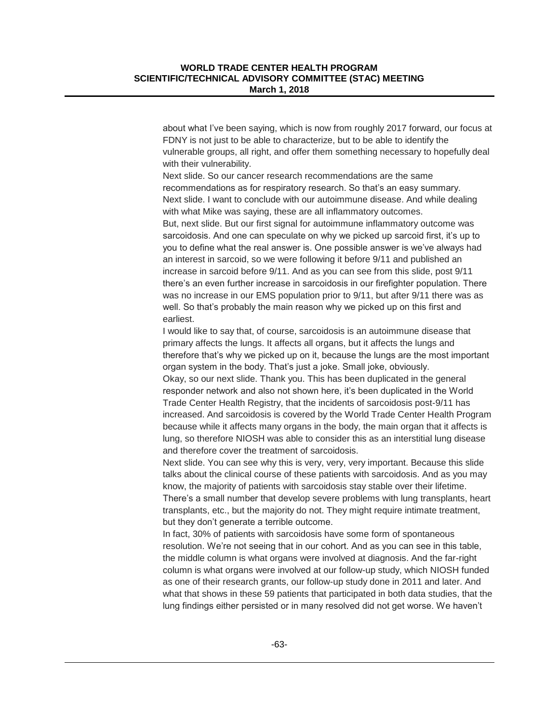about what I've been saying, which is now from roughly 2017 forward, our focus at FDNY is not just to be able to characterize, but to be able to identify the vulnerable groups, all right, and offer them something necessary to hopefully deal with their vulnerability.

Next slide. So our cancer research recommendations are the same recommendations as for respiratory research. So that's an easy summary. Next slide. I want to conclude with our autoimmune disease. And while dealing with what Mike was saying, these are all inflammatory outcomes.

But, next slide. But our first signal for autoimmune inflammatory outcome was sarcoidosis. And one can speculate on why we picked up sarcoid first, it's up to you to define what the real answer is. One possible answer is we've always had an interest in sarcoid, so we were following it before 9/11 and published an increase in sarcoid before 9/11. And as you can see from this slide, post 9/11 there's an even further increase in sarcoidosis in our firefighter population. There was no increase in our EMS population prior to 9/11, but after 9/11 there was as well. So that's probably the main reason why we picked up on this first and earliest.

I would like to say that, of course, sarcoidosis is an autoimmune disease that primary affects the lungs. It affects all organs, but it affects the lungs and therefore that's why we picked up on it, because the lungs are the most important organ system in the body. That's just a joke. Small joke, obviously.

Okay, so our next slide. Thank you. This has been duplicated in the general responder network and also not shown here, it's been duplicated in the World Trade Center Health Registry, that the incidents of sarcoidosis post-9/11 has increased. And sarcoidosis is covered by the World Trade Center Health Program because while it affects many organs in the body, the main organ that it affects is lung, so therefore NIOSH was able to consider this as an interstitial lung disease and therefore cover the treatment of sarcoidosis.

Next slide. You can see why this is very, very, very important. Because this slide talks about the clinical course of these patients with sarcoidosis. And as you may know, the majority of patients with sarcoidosis stay stable over their lifetime. There's a small number that develop severe problems with lung transplants, heart transplants, etc., but the majority do not. They might require intimate treatment, but they don't generate a terrible outcome.

In fact, 30% of patients with sarcoidosis have some form of spontaneous resolution. We're not seeing that in our cohort. And as you can see in this table, the middle column is what organs were involved at diagnosis. And the far-right column is what organs were involved at our follow-up study, which NIOSH funded as one of their research grants, our follow-up study done in 2011 and later. And what that shows in these 59 patients that participated in both data studies, that the lung findings either persisted or in many resolved did not get worse. We haven't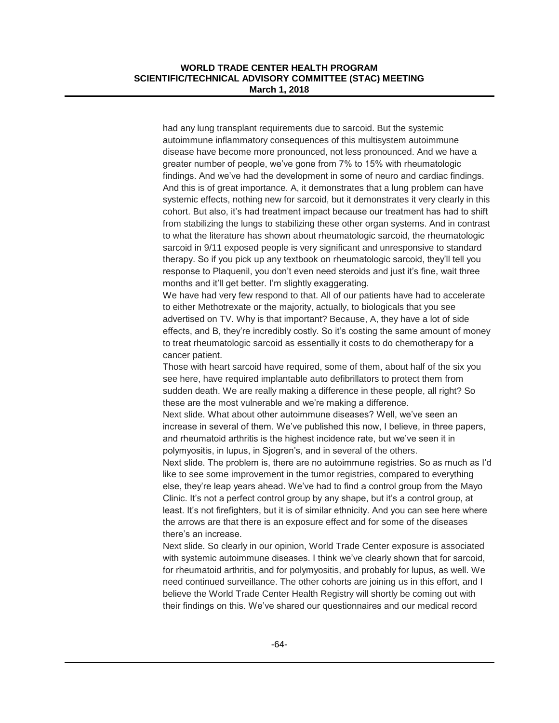had any lung transplant requirements due to sarcoid. But the systemic autoimmune inflammatory consequences of this multisystem autoimmune disease have become more pronounced, not less pronounced. And we have a greater number of people, we've gone from 7% to 15% with rheumatologic findings. And we've had the development in some of neuro and cardiac findings. And this is of great importance. A, it demonstrates that a lung problem can have systemic effects, nothing new for sarcoid, but it demonstrates it very clearly in this cohort. But also, it's had treatment impact because our treatment has had to shift from stabilizing the lungs to stabilizing these other organ systems. And in contrast to what the literature has shown about rheumatologic sarcoid, the rheumatologic sarcoid in 9/11 exposed people is very significant and unresponsive to standard therapy. So if you pick up any textbook on rheumatologic sarcoid, they'll tell you response to Plaquenil, you don't even need steroids and just it's fine, wait three months and it'll get better. I'm slightly exaggerating.

We have had very few respond to that. All of our patients have had to accelerate to either Methotrexate or the majority, actually, to biologicals that you see advertised on TV. Why is that important? Because, A, they have a lot of side effects, and B, they're incredibly costly. So it's costing the same amount of money to treat rheumatologic sarcoid as essentially it costs to do chemotherapy for a cancer patient.

Those with heart sarcoid have required, some of them, about half of the six you see here, have required implantable auto defibrillators to protect them from sudden death. We are really making a difference in these people, all right? So these are the most vulnerable and we're making a difference.

Next slide. What about other autoimmune diseases? Well, we've seen an increase in several of them. We've published this now, I believe, in three papers, and rheumatoid arthritis is the highest incidence rate, but we've seen it in polymyositis, in lupus, in Sjogren's, and in several of the others.

Next slide. The problem is, there are no autoimmune registries. So as much as I'd like to see some improvement in the tumor registries, compared to everything else, they're leap years ahead. We've had to find a control group from the Mayo Clinic. It's not a perfect control group by any shape, but it's a control group, at least. It's not firefighters, but it is of similar ethnicity. And you can see here where the arrows are that there is an exposure effect and for some of the diseases there's an increase.

Next slide. So clearly in our opinion, World Trade Center exposure is associated with systemic autoimmune diseases. I think we've clearly shown that for sarcoid, for rheumatoid arthritis, and for polymyositis, and probably for lupus, as well. We need continued surveillance. The other cohorts are joining us in this effort, and I believe the World Trade Center Health Registry will shortly be coming out with their findings on this. We've shared our questionnaires and our medical record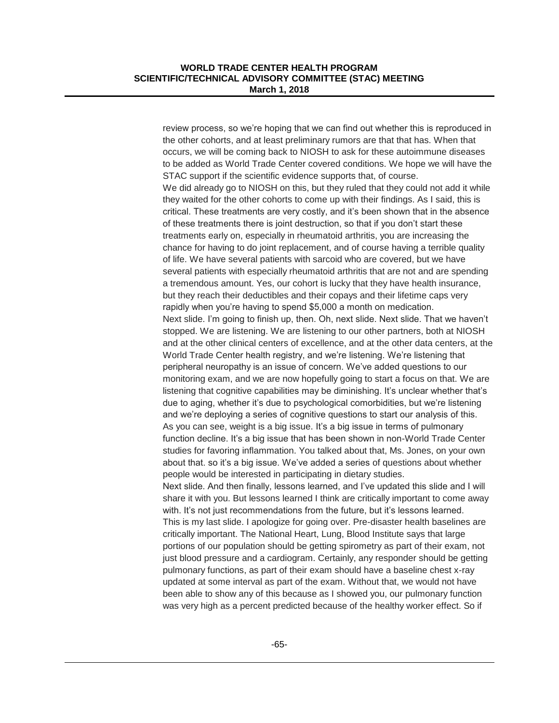review process, so we're hoping that we can find out whether this is reproduced in the other cohorts, and at least preliminary rumors are that that has. When that occurs, we will be coming back to NIOSH to ask for these autoimmune diseases to be added as World Trade Center covered conditions. We hope we will have the STAC support if the scientific evidence supports that, of course. We did already go to NIOSH on this, but they ruled that they could not add it while they waited for the other cohorts to come up with their findings. As I said, this is critical. These treatments are very costly, and it's been shown that in the absence of these treatments there is joint destruction, so that if you don't start these treatments early on, especially in rheumatoid arthritis, you are increasing the chance for having to do joint replacement, and of course having a terrible quality of life. We have several patients with sarcoid who are covered, but we have several patients with especially rheumatoid arthritis that are not and are spending a tremendous amount. Yes, our cohort is lucky that they have health insurance, but they reach their deductibles and their copays and their lifetime caps very rapidly when you're having to spend \$5,000 a month on medication. Next slide. I'm going to finish up, then. Oh, next slide. Next slide. That we haven't stopped. We are listening. We are listening to our other partners, both at NIOSH and at the other clinical centers of excellence, and at the other data centers, at the World Trade Center health registry, and we're listening. We're listening that peripheral neuropathy is an issue of concern. We've added questions to our monitoring exam, and we are now hopefully going to start a focus on that. We are listening that cognitive capabilities may be diminishing. It's unclear whether that's due to aging, whether it's due to psychological comorbidities, but we're listening and we're deploying a series of cognitive questions to start our analysis of this. As you can see, weight is a big issue. It's a big issue in terms of pulmonary function decline. It's a big issue that has been shown in non-World Trade Center studies for favoring inflammation. You talked about that, Ms. Jones, on your own about that. so it's a big issue. We've added a series of questions about whether people would be interested in participating in dietary studies. Next slide. And then finally, lessons learned, and I've updated this slide and I will share it with you. But lessons learned I think are critically important to come away with. It's not just recommendations from the future, but it's lessons learned. This is my last slide. I apologize for going over. Pre-disaster health baselines are critically important. The National Heart, Lung, Blood Institute says that large portions of our population should be getting spirometry as part of their exam, not just blood pressure and a cardiogram. Certainly, any responder should be getting pulmonary functions, as part of their exam should have a baseline chest x-ray updated at some interval as part of the exam. Without that, we would not have been able to show any of this because as I showed you, our pulmonary function was very high as a percent predicted because of the healthy worker effect. So if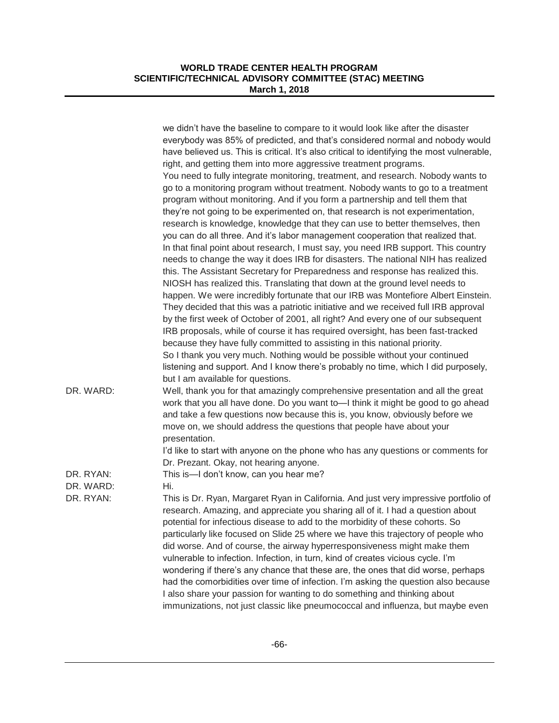|                        | we didn't have the baseline to compare to it would look like after the disaster<br>everybody was 85% of predicted, and that's considered normal and nobody would<br>have believed us. This is critical. It's also critical to identifying the most vulnerable,<br>right, and getting them into more aggressive treatment programs.<br>You need to fully integrate monitoring, treatment, and research. Nobody wants to<br>go to a monitoring program without treatment. Nobody wants to go to a treatment<br>program without monitoring. And if you form a partnership and tell them that<br>they're not going to be experimented on, that research is not experimentation,<br>research is knowledge, knowledge that they can use to better themselves, then<br>you can do all three. And it's labor management cooperation that realized that.<br>In that final point about research, I must say, you need IRB support. This country<br>needs to change the way it does IRB for disasters. The national NIH has realized<br>this. The Assistant Secretary for Preparedness and response has realized this.<br>NIOSH has realized this. Translating that down at the ground level needs to<br>happen. We were incredibly fortunate that our IRB was Montefiore Albert Einstein.<br>They decided that this was a patriotic initiative and we received full IRB approval<br>by the first week of October of 2001, all right? And every one of our subsequent<br>IRB proposals, while of course it has required oversight, has been fast-tracked<br>because they have fully committed to assisting in this national priority.<br>So I thank you very much. Nothing would be possible without your continued<br>listening and support. And I know there's probably no time, which I did purposely, |
|------------------------|------------------------------------------------------------------------------------------------------------------------------------------------------------------------------------------------------------------------------------------------------------------------------------------------------------------------------------------------------------------------------------------------------------------------------------------------------------------------------------------------------------------------------------------------------------------------------------------------------------------------------------------------------------------------------------------------------------------------------------------------------------------------------------------------------------------------------------------------------------------------------------------------------------------------------------------------------------------------------------------------------------------------------------------------------------------------------------------------------------------------------------------------------------------------------------------------------------------------------------------------------------------------------------------------------------------------------------------------------------------------------------------------------------------------------------------------------------------------------------------------------------------------------------------------------------------------------------------------------------------------------------------------------------------------------------------------------------------------------------------------------------------------------------------------|
| DR. WARD:              | but I am available for questions.<br>Well, thank you for that amazingly comprehensive presentation and all the great<br>work that you all have done. Do you want to-I think it might be good to go ahead<br>and take a few questions now because this is, you know, obviously before we<br>move on, we should address the questions that people have about your<br>presentation.                                                                                                                                                                                                                                                                                                                                                                                                                                                                                                                                                                                                                                                                                                                                                                                                                                                                                                                                                                                                                                                                                                                                                                                                                                                                                                                                                                                                               |
| DR. RYAN:              | I'd like to start with anyone on the phone who has any questions or comments for<br>Dr. Prezant. Okay, not hearing anyone.<br>This is-I don't know, can you hear me?                                                                                                                                                                                                                                                                                                                                                                                                                                                                                                                                                                                                                                                                                                                                                                                                                                                                                                                                                                                                                                                                                                                                                                                                                                                                                                                                                                                                                                                                                                                                                                                                                           |
| DR. WARD:<br>DR. RYAN: | Hi.<br>This is Dr. Ryan, Margaret Ryan in California. And just very impressive portfolio of<br>research. Amazing, and appreciate you sharing all of it. I had a question about<br>potential for infectious disease to add to the morbidity of these cohorts. So<br>particularly like focused on Slide 25 where we have this trajectory of people who<br>did worse. And of course, the airway hyperresponsiveness might make them<br>vulnerable to infection. Infection, in turn, kind of creates vicious cycle. I'm<br>wondering if there's any chance that these are, the ones that did worse, perhaps<br>had the comorbidities over time of infection. I'm asking the question also because<br>I also share your passion for wanting to do something and thinking about<br>immunizations, not just classic like pneumococcal and influenza, but maybe even                                                                                                                                                                                                                                                                                                                                                                                                                                                                                                                                                                                                                                                                                                                                                                                                                                                                                                                                   |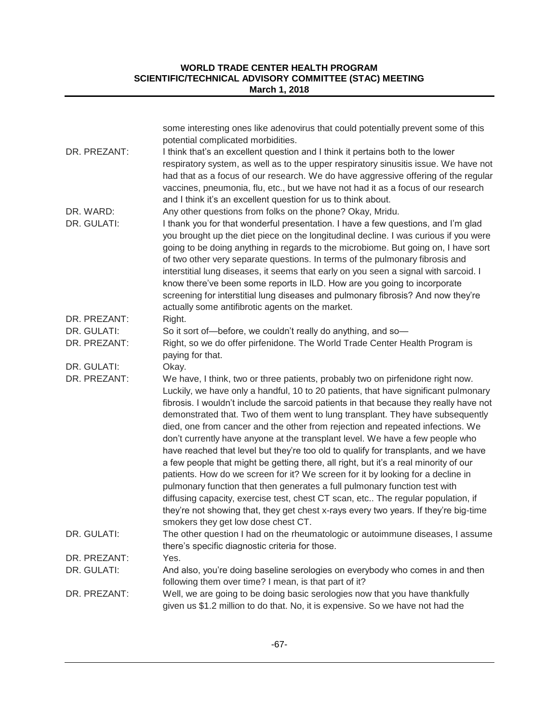| DR. PREZANT:             | some interesting ones like adenovirus that could potentially prevent some of this<br>potential complicated morbidities.<br>I think that's an excellent question and I think it pertains both to the lower<br>respiratory system, as well as to the upper respiratory sinusitis issue. We have not<br>had that as a focus of our research. We do have aggressive offering of the regular<br>vaccines, pneumonia, flu, etc., but we have not had it as a focus of our research                                                                                                                                                                                                                                                                                                                                                                                                                                                                                                                                                                                                             |
|--------------------------|------------------------------------------------------------------------------------------------------------------------------------------------------------------------------------------------------------------------------------------------------------------------------------------------------------------------------------------------------------------------------------------------------------------------------------------------------------------------------------------------------------------------------------------------------------------------------------------------------------------------------------------------------------------------------------------------------------------------------------------------------------------------------------------------------------------------------------------------------------------------------------------------------------------------------------------------------------------------------------------------------------------------------------------------------------------------------------------|
| DR. WARD:<br>DR. GULATI: | and I think it's an excellent question for us to think about.<br>Any other questions from folks on the phone? Okay, Mridu.<br>I thank you for that wonderful presentation. I have a few questions, and I'm glad<br>you brought up the diet piece on the longitudinal decline. I was curious if you were<br>going to be doing anything in regards to the microbiome. But going on, I have sort<br>of two other very separate questions. In terms of the pulmonary fibrosis and<br>interstitial lung diseases, it seems that early on you seen a signal with sarcoid. I<br>know there've been some reports in ILD. How are you going to incorporate<br>screening for interstitial lung diseases and pulmonary fibrosis? And now they're<br>actually some antifibrotic agents on the market.                                                                                                                                                                                                                                                                                                |
| DR. PREZANT:             | Right.                                                                                                                                                                                                                                                                                                                                                                                                                                                                                                                                                                                                                                                                                                                                                                                                                                                                                                                                                                                                                                                                                   |
| DR. GULATI:              | So it sort of-before, we couldn't really do anything, and so-                                                                                                                                                                                                                                                                                                                                                                                                                                                                                                                                                                                                                                                                                                                                                                                                                                                                                                                                                                                                                            |
| DR. PREZANT:             | Right, so we do offer pirfenidone. The World Trade Center Health Program is<br>paying for that.                                                                                                                                                                                                                                                                                                                                                                                                                                                                                                                                                                                                                                                                                                                                                                                                                                                                                                                                                                                          |
| DR. GULATI:              | Okay.                                                                                                                                                                                                                                                                                                                                                                                                                                                                                                                                                                                                                                                                                                                                                                                                                                                                                                                                                                                                                                                                                    |
| DR. PREZANT:             | We have, I think, two or three patients, probably two on pirfenidone right now.<br>Luckily, we have only a handful, 10 to 20 patients, that have significant pulmonary<br>fibrosis. I wouldn't include the sarcoid patients in that because they really have not<br>demonstrated that. Two of them went to lung transplant. They have subsequently<br>died, one from cancer and the other from rejection and repeated infections. We<br>don't currently have anyone at the transplant level. We have a few people who<br>have reached that level but they're too old to qualify for transplants, and we have<br>a few people that might be getting there, all right, but it's a real minority of our<br>patients. How do we screen for it? We screen for it by looking for a decline in<br>pulmonary function that then generates a full pulmonary function test with<br>diffusing capacity, exercise test, chest CT scan, etc The regular population, if<br>they're not showing that, they get chest x-rays every two years. If they're big-time<br>smokers they get low dose chest CT. |
| DR. GULATI:              | The other question I had on the rheumatologic or autoimmune diseases, I assume<br>there's specific diagnostic criteria for those.                                                                                                                                                                                                                                                                                                                                                                                                                                                                                                                                                                                                                                                                                                                                                                                                                                                                                                                                                        |
| DR. PREZANT:             | Yes.                                                                                                                                                                                                                                                                                                                                                                                                                                                                                                                                                                                                                                                                                                                                                                                                                                                                                                                                                                                                                                                                                     |
| DR. GULATI:              | And also, you're doing baseline serologies on everybody who comes in and then<br>following them over time? I mean, is that part of it?                                                                                                                                                                                                                                                                                                                                                                                                                                                                                                                                                                                                                                                                                                                                                                                                                                                                                                                                                   |
| DR. PREZANT:             | Well, we are going to be doing basic serologies now that you have thankfully<br>given us \$1.2 million to do that. No, it is expensive. So we have not had the                                                                                                                                                                                                                                                                                                                                                                                                                                                                                                                                                                                                                                                                                                                                                                                                                                                                                                                           |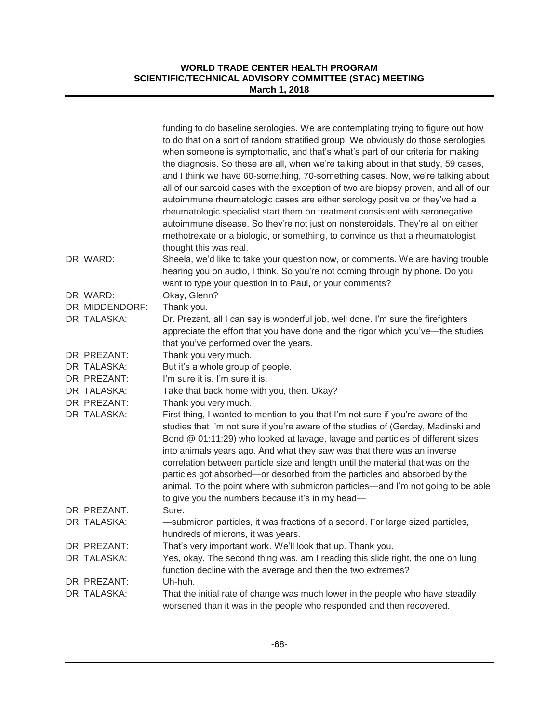|                 | funding to do baseline serologies. We are contemplating trying to figure out how<br>to do that on a sort of random stratified group. We obviously do those serologies<br>when someone is symptomatic, and that's what's part of our criteria for making<br>the diagnosis. So these are all, when we're talking about in that study, 59 cases,<br>and I think we have 60-something, 70-something cases. Now, we're talking about<br>all of our sarcoid cases with the exception of two are biopsy proven, and all of our<br>autoimmune rheumatologic cases are either serology positive or they've had a<br>rheumatologic specialist start them on treatment consistent with seronegative<br>autoimmune disease. So they're not just on nonsteroidals. They're all on either<br>methotrexate or a biologic, or something, to convince us that a rheumatologist<br>thought this was real. |
|-----------------|-----------------------------------------------------------------------------------------------------------------------------------------------------------------------------------------------------------------------------------------------------------------------------------------------------------------------------------------------------------------------------------------------------------------------------------------------------------------------------------------------------------------------------------------------------------------------------------------------------------------------------------------------------------------------------------------------------------------------------------------------------------------------------------------------------------------------------------------------------------------------------------------|
| DR. WARD:       | Sheela, we'd like to take your question now, or comments. We are having trouble<br>hearing you on audio, I think. So you're not coming through by phone. Do you<br>want to type your question in to Paul, or your comments?                                                                                                                                                                                                                                                                                                                                                                                                                                                                                                                                                                                                                                                             |
| DR. WARD:       | Okay, Glenn?                                                                                                                                                                                                                                                                                                                                                                                                                                                                                                                                                                                                                                                                                                                                                                                                                                                                            |
| DR. MIDDENDORF: | Thank you.                                                                                                                                                                                                                                                                                                                                                                                                                                                                                                                                                                                                                                                                                                                                                                                                                                                                              |
| DR. TALASKA:    | Dr. Prezant, all I can say is wonderful job, well done. I'm sure the firefighters<br>appreciate the effort that you have done and the rigor which you've-the studies<br>that you've performed over the years.                                                                                                                                                                                                                                                                                                                                                                                                                                                                                                                                                                                                                                                                           |
| DR. PREZANT:    | Thank you very much.                                                                                                                                                                                                                                                                                                                                                                                                                                                                                                                                                                                                                                                                                                                                                                                                                                                                    |
| DR. TALASKA:    | But it's a whole group of people.                                                                                                                                                                                                                                                                                                                                                                                                                                                                                                                                                                                                                                                                                                                                                                                                                                                       |
| DR. PREZANT:    | I'm sure it is. I'm sure it is.                                                                                                                                                                                                                                                                                                                                                                                                                                                                                                                                                                                                                                                                                                                                                                                                                                                         |
| DR. TALASKA:    | Take that back home with you, then. Okay?                                                                                                                                                                                                                                                                                                                                                                                                                                                                                                                                                                                                                                                                                                                                                                                                                                               |
| DR. PREZANT:    | Thank you very much.                                                                                                                                                                                                                                                                                                                                                                                                                                                                                                                                                                                                                                                                                                                                                                                                                                                                    |
| DR. TALASKA:    | First thing, I wanted to mention to you that I'm not sure if you're aware of the<br>studies that I'm not sure if you're aware of the studies of (Gerday, Madinski and<br>Bond @ 01:11:29) who looked at lavage, lavage and particles of different sizes<br>into animals years ago. And what they saw was that there was an inverse<br>correlation between particle size and length until the material that was on the<br>particles got absorbed—or desorbed from the particles and absorbed by the<br>animal. To the point where with submicron particles—and I'm not going to be able<br>to give you the numbers because it's in my head-                                                                                                                                                                                                                                              |
| DR. PREZANT:    | Sure.                                                                                                                                                                                                                                                                                                                                                                                                                                                                                                                                                                                                                                                                                                                                                                                                                                                                                   |
| DR. TALASKA:    | -submicron particles, it was fractions of a second. For large sized particles,<br>hundreds of microns, it was years.                                                                                                                                                                                                                                                                                                                                                                                                                                                                                                                                                                                                                                                                                                                                                                    |
| DR. PREZANT:    | That's very important work. We'll look that up. Thank you.                                                                                                                                                                                                                                                                                                                                                                                                                                                                                                                                                                                                                                                                                                                                                                                                                              |
| DR. TALASKA:    | Yes, okay. The second thing was, am I reading this slide right, the one on lung<br>function decline with the average and then the two extremes?                                                                                                                                                                                                                                                                                                                                                                                                                                                                                                                                                                                                                                                                                                                                         |
| DR. PREZANT:    | Uh-huh.                                                                                                                                                                                                                                                                                                                                                                                                                                                                                                                                                                                                                                                                                                                                                                                                                                                                                 |
| DR. TALASKA:    | That the initial rate of change was much lower in the people who have steadily<br>worsened than it was in the people who responded and then recovered.                                                                                                                                                                                                                                                                                                                                                                                                                                                                                                                                                                                                                                                                                                                                  |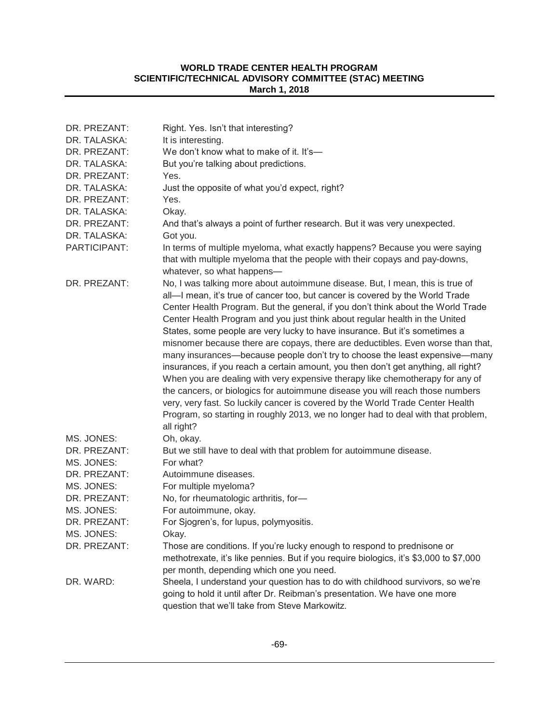| DR. PREZANT: | Right. Yes. Isn't that interesting?                                                                                                                                                                                                                                                                                                                                                                                                                                                                                                                                                                                                                                                                                                                                                                                                                                                                                                                                                                                            |
|--------------|--------------------------------------------------------------------------------------------------------------------------------------------------------------------------------------------------------------------------------------------------------------------------------------------------------------------------------------------------------------------------------------------------------------------------------------------------------------------------------------------------------------------------------------------------------------------------------------------------------------------------------------------------------------------------------------------------------------------------------------------------------------------------------------------------------------------------------------------------------------------------------------------------------------------------------------------------------------------------------------------------------------------------------|
| DR. TALASKA: | It is interesting.                                                                                                                                                                                                                                                                                                                                                                                                                                                                                                                                                                                                                                                                                                                                                                                                                                                                                                                                                                                                             |
| DR. PREZANT: | We don't know what to make of it. It's-                                                                                                                                                                                                                                                                                                                                                                                                                                                                                                                                                                                                                                                                                                                                                                                                                                                                                                                                                                                        |
| DR. TALASKA: | But you're talking about predictions.                                                                                                                                                                                                                                                                                                                                                                                                                                                                                                                                                                                                                                                                                                                                                                                                                                                                                                                                                                                          |
| DR. PREZANT: | Yes.                                                                                                                                                                                                                                                                                                                                                                                                                                                                                                                                                                                                                                                                                                                                                                                                                                                                                                                                                                                                                           |
| DR. TALASKA: | Just the opposite of what you'd expect, right?                                                                                                                                                                                                                                                                                                                                                                                                                                                                                                                                                                                                                                                                                                                                                                                                                                                                                                                                                                                 |
| DR. PREZANT: | Yes.                                                                                                                                                                                                                                                                                                                                                                                                                                                                                                                                                                                                                                                                                                                                                                                                                                                                                                                                                                                                                           |
| DR. TALASKA: | Okay.                                                                                                                                                                                                                                                                                                                                                                                                                                                                                                                                                                                                                                                                                                                                                                                                                                                                                                                                                                                                                          |
| DR. PREZANT: | And that's always a point of further research. But it was very unexpected.                                                                                                                                                                                                                                                                                                                                                                                                                                                                                                                                                                                                                                                                                                                                                                                                                                                                                                                                                     |
| DR. TALASKA: | Got you.                                                                                                                                                                                                                                                                                                                                                                                                                                                                                                                                                                                                                                                                                                                                                                                                                                                                                                                                                                                                                       |
| PARTICIPANT: | In terms of multiple myeloma, what exactly happens? Because you were saying<br>that with multiple myeloma that the people with their copays and pay-downs,<br>whatever, so what happens-                                                                                                                                                                                                                                                                                                                                                                                                                                                                                                                                                                                                                                                                                                                                                                                                                                       |
| DR. PREZANT: | No, I was talking more about autoimmune disease. But, I mean, this is true of<br>all-I mean, it's true of cancer too, but cancer is covered by the World Trade<br>Center Health Program. But the general, if you don't think about the World Trade<br>Center Health Program and you just think about regular health in the United<br>States, some people are very lucky to have insurance. But it's sometimes a<br>misnomer because there are copays, there are deductibles. Even worse than that,<br>many insurances—because people don't try to choose the least expensive—many<br>insurances, if you reach a certain amount, you then don't get anything, all right?<br>When you are dealing with very expensive therapy like chemotherapy for any of<br>the cancers, or biologics for autoimmune disease you will reach those numbers<br>very, very fast. So luckily cancer is covered by the World Trade Center Health<br>Program, so starting in roughly 2013, we no longer had to deal with that problem,<br>all right? |
| MS. JONES:   | Oh, okay.                                                                                                                                                                                                                                                                                                                                                                                                                                                                                                                                                                                                                                                                                                                                                                                                                                                                                                                                                                                                                      |
| DR. PREZANT: | But we still have to deal with that problem for autoimmune disease.                                                                                                                                                                                                                                                                                                                                                                                                                                                                                                                                                                                                                                                                                                                                                                                                                                                                                                                                                            |
| MS. JONES:   | For what?                                                                                                                                                                                                                                                                                                                                                                                                                                                                                                                                                                                                                                                                                                                                                                                                                                                                                                                                                                                                                      |
| DR. PREZANT: | Autoimmune diseases.                                                                                                                                                                                                                                                                                                                                                                                                                                                                                                                                                                                                                                                                                                                                                                                                                                                                                                                                                                                                           |
| MS. JONES:   | For multiple myeloma?                                                                                                                                                                                                                                                                                                                                                                                                                                                                                                                                                                                                                                                                                                                                                                                                                                                                                                                                                                                                          |
| DR. PREZANT: | No, for rheumatologic arthritis, for-                                                                                                                                                                                                                                                                                                                                                                                                                                                                                                                                                                                                                                                                                                                                                                                                                                                                                                                                                                                          |
| MS. JONES:   | For autoimmune, okay.                                                                                                                                                                                                                                                                                                                                                                                                                                                                                                                                                                                                                                                                                                                                                                                                                                                                                                                                                                                                          |
| DR. PREZANT: | For Sjogren's, for lupus, polymyositis.                                                                                                                                                                                                                                                                                                                                                                                                                                                                                                                                                                                                                                                                                                                                                                                                                                                                                                                                                                                        |
| MS. JONES:   | Okay.                                                                                                                                                                                                                                                                                                                                                                                                                                                                                                                                                                                                                                                                                                                                                                                                                                                                                                                                                                                                                          |
| DR. PREZANT: | Those are conditions. If you're lucky enough to respond to prednisone or                                                                                                                                                                                                                                                                                                                                                                                                                                                                                                                                                                                                                                                                                                                                                                                                                                                                                                                                                       |
|              | methotrexate, it's like pennies. But if you require biologics, it's \$3,000 to \$7,000                                                                                                                                                                                                                                                                                                                                                                                                                                                                                                                                                                                                                                                                                                                                                                                                                                                                                                                                         |
|              | per month, depending which one you need.                                                                                                                                                                                                                                                                                                                                                                                                                                                                                                                                                                                                                                                                                                                                                                                                                                                                                                                                                                                       |
| DR. WARD:    | Sheela, I understand your question has to do with childhood survivors, so we're                                                                                                                                                                                                                                                                                                                                                                                                                                                                                                                                                                                                                                                                                                                                                                                                                                                                                                                                                |
|              | going to hold it until after Dr. Reibman's presentation. We have one more<br>question that we'll take from Steve Markowitz.                                                                                                                                                                                                                                                                                                                                                                                                                                                                                                                                                                                                                                                                                                                                                                                                                                                                                                    |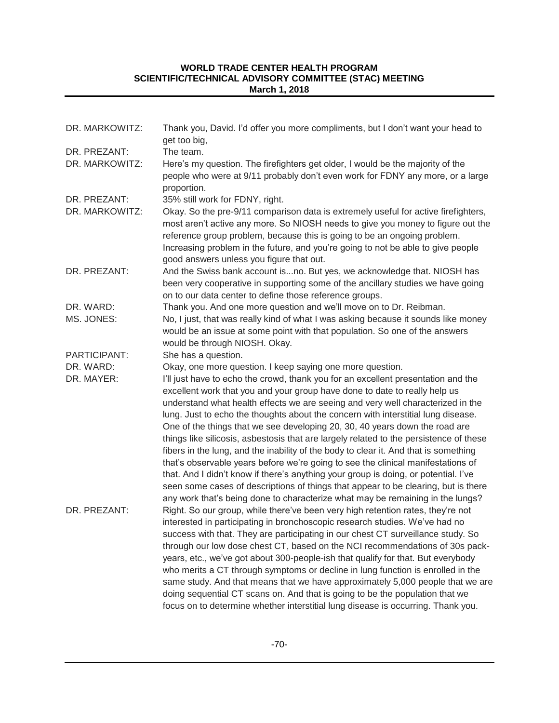| DR. MARKOWITZ: | Thank you, David. I'd offer you more compliments, but I don't want your head to<br>get too big,                                                                                                                                                                                                                                                                                                                                                                                                                                                                                                                                                                                                                                                                                                                                                                                                                                                             |
|----------------|-------------------------------------------------------------------------------------------------------------------------------------------------------------------------------------------------------------------------------------------------------------------------------------------------------------------------------------------------------------------------------------------------------------------------------------------------------------------------------------------------------------------------------------------------------------------------------------------------------------------------------------------------------------------------------------------------------------------------------------------------------------------------------------------------------------------------------------------------------------------------------------------------------------------------------------------------------------|
| DR. PREZANT:   | The team.                                                                                                                                                                                                                                                                                                                                                                                                                                                                                                                                                                                                                                                                                                                                                                                                                                                                                                                                                   |
| DR. MARKOWITZ: | Here's my question. The firefighters get older, I would be the majority of the<br>people who were at 9/11 probably don't even work for FDNY any more, or a large<br>proportion.                                                                                                                                                                                                                                                                                                                                                                                                                                                                                                                                                                                                                                                                                                                                                                             |
| DR. PREZANT:   | 35% still work for FDNY, right.                                                                                                                                                                                                                                                                                                                                                                                                                                                                                                                                                                                                                                                                                                                                                                                                                                                                                                                             |
| DR. MARKOWITZ: | Okay. So the pre-9/11 comparison data is extremely useful for active firefighters,<br>most aren't active any more. So NIOSH needs to give you money to figure out the<br>reference group problem, because this is going to be an ongoing problem.<br>Increasing problem in the future, and you're going to not be able to give people<br>good answers unless you figure that out.                                                                                                                                                                                                                                                                                                                                                                                                                                                                                                                                                                           |
| DR. PREZANT:   | And the Swiss bank account isno. But yes, we acknowledge that. NIOSH has<br>been very cooperative in supporting some of the ancillary studies we have going<br>on to our data center to define those reference groups.                                                                                                                                                                                                                                                                                                                                                                                                                                                                                                                                                                                                                                                                                                                                      |
| DR. WARD:      | Thank you. And one more question and we'll move on to Dr. Reibman.                                                                                                                                                                                                                                                                                                                                                                                                                                                                                                                                                                                                                                                                                                                                                                                                                                                                                          |
| MS. JONES:     | No, I just, that was really kind of what I was asking because it sounds like money<br>would be an issue at some point with that population. So one of the answers<br>would be through NIOSH. Okay.                                                                                                                                                                                                                                                                                                                                                                                                                                                                                                                                                                                                                                                                                                                                                          |
| PARTICIPANT:   | She has a question.                                                                                                                                                                                                                                                                                                                                                                                                                                                                                                                                                                                                                                                                                                                                                                                                                                                                                                                                         |
| DR. WARD:      | Okay, one more question. I keep saying one more question.                                                                                                                                                                                                                                                                                                                                                                                                                                                                                                                                                                                                                                                                                                                                                                                                                                                                                                   |
| DR. MAYER:     | I'll just have to echo the crowd, thank you for an excellent presentation and the<br>excellent work that you and your group have done to date to really help us<br>understand what health effects we are seeing and very well characterized in the<br>lung. Just to echo the thoughts about the concern with interstitial lung disease.<br>One of the things that we see developing 20, 30, 40 years down the road are<br>things like silicosis, asbestosis that are largely related to the persistence of these<br>fibers in the lung, and the inability of the body to clear it. And that is something<br>that's observable years before we're going to see the clinical manifestations of<br>that. And I didn't know if there's anything your group is doing, or potential. I've<br>seen some cases of descriptions of things that appear to be clearing, but is there<br>any work that's being done to characterize what may be remaining in the lungs? |
| DR. PREZANT:   | Right. So our group, while there've been very high retention rates, they're not<br>interested in participating in bronchoscopic research studies. We've had no<br>success with that. They are participating in our chest CT surveillance study. So<br>through our low dose chest CT, based on the NCI recommendations of 30s pack-<br>years, etc., we've got about 300-people-ish that qualify for that. But everybody<br>who merits a CT through symptoms or decline in lung function is enrolled in the<br>same study. And that means that we have approximately 5,000 people that we are<br>doing sequential CT scans on. And that is going to be the population that we<br>focus on to determine whether interstitial lung disease is occurring. Thank you.                                                                                                                                                                                             |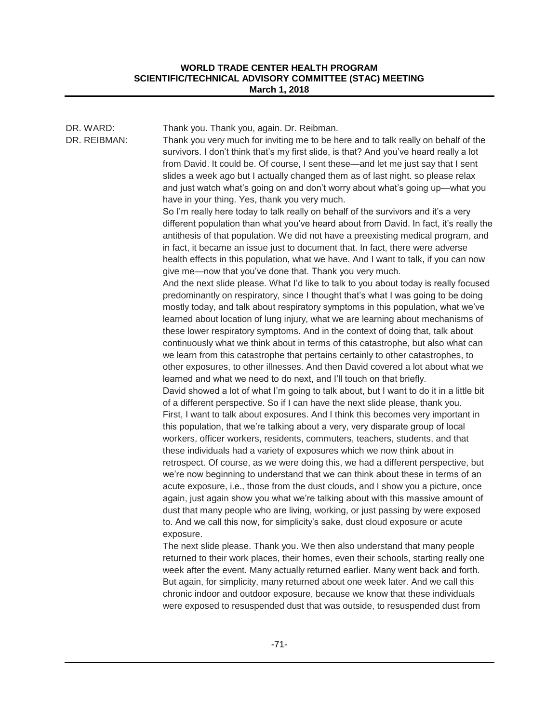| DR. WARD:<br>DR. REIBMAN: | Thank you. Thank you, again. Dr. Reibman.<br>Thank you very much for inviting me to be here and to talk really on behalf of the<br>survivors. I don't think that's my first slide, is that? And you've heard really a lot<br>from David. It could be. Of course, I sent these-and let me just say that I sent<br>slides a week ago but I actually changed them as of last night. so please relax<br>and just watch what's going on and don't worry about what's going up-what you<br>have in your thing. Yes, thank you very much.<br>So I'm really here today to talk really on behalf of the survivors and it's a very<br>different population than what you've heard about from David. In fact, it's really the<br>antithesis of that population. We did not have a preexisting medical program, and<br>in fact, it became an issue just to document that. In fact, there were adverse<br>health effects in this population, what we have. And I want to talk, if you can now<br>give me-now that you've done that. Thank you very much.<br>And the next slide please. What I'd like to talk to you about today is really focused<br>predominantly on respiratory, since I thought that's what I was going to be doing<br>mostly today, and talk about respiratory symptoms in this population, what we've<br>learned about location of lung injury, what we are learning about mechanisms of<br>these lower respiratory symptoms. And in the context of doing that, talk about<br>continuously what we think about in terms of this catastrophe, but also what can<br>we learn from this catastrophe that pertains certainly to other catastrophes, to<br>other exposures, to other illnesses. And then David covered a lot about what we<br>learned and what we need to do next, and I'll touch on that briefly.<br>David showed a lot of what I'm going to talk about, but I want to do it in a little bit<br>of a different perspective. So if I can have the next slide please, thank you.<br>First, I want to talk about exposures. And I think this becomes very important in<br>this population, that we're talking about a very, very disparate group of local<br>workers, officer workers, residents, commuters, teachers, students, and that<br>these individuals had a variety of exposures which we now think about in<br>retrospect. Of course, as we were doing this, we had a different perspective, but |
|---------------------------|-----------------------------------------------------------------------------------------------------------------------------------------------------------------------------------------------------------------------------------------------------------------------------------------------------------------------------------------------------------------------------------------------------------------------------------------------------------------------------------------------------------------------------------------------------------------------------------------------------------------------------------------------------------------------------------------------------------------------------------------------------------------------------------------------------------------------------------------------------------------------------------------------------------------------------------------------------------------------------------------------------------------------------------------------------------------------------------------------------------------------------------------------------------------------------------------------------------------------------------------------------------------------------------------------------------------------------------------------------------------------------------------------------------------------------------------------------------------------------------------------------------------------------------------------------------------------------------------------------------------------------------------------------------------------------------------------------------------------------------------------------------------------------------------------------------------------------------------------------------------------------------------------------------------------------------------------------------------------------------------------------------------------------------------------------------------------------------------------------------------------------------------------------------------------------------------------------------------------------------------------------------------------------------------------------------------------------------------------------------------------------------------------------------------------------|
|                           | we're now beginning to understand that we can think about these in terms of an<br>acute exposure, i.e., those from the dust clouds, and I show you a picture, once<br>again, just again show you what we're talking about with this massive amount of<br>dust that many people who are living, working, or just passing by were exposed<br>to. And we call this now, for simplicity's sake, dust cloud exposure or acute<br>exposure.                                                                                                                                                                                                                                                                                                                                                                                                                                                                                                                                                                                                                                                                                                                                                                                                                                                                                                                                                                                                                                                                                                                                                                                                                                                                                                                                                                                                                                                                                                                                                                                                                                                                                                                                                                                                                                                                                                                                                                                       |
|                           | The next slide please. Thank you. We then also understand that many people<br>returned to their work places, their homes, even their schools, starting really one<br>week after the event. Many actually returned earlier. Many went back and forth.<br>But again, for simplicity, many returned about one week later. And we call this                                                                                                                                                                                                                                                                                                                                                                                                                                                                                                                                                                                                                                                                                                                                                                                                                                                                                                                                                                                                                                                                                                                                                                                                                                                                                                                                                                                                                                                                                                                                                                                                                                                                                                                                                                                                                                                                                                                                                                                                                                                                                     |

chronic indoor and outdoor exposure, because we know that these individuals were exposed to resuspended dust that was outside, to resuspended dust from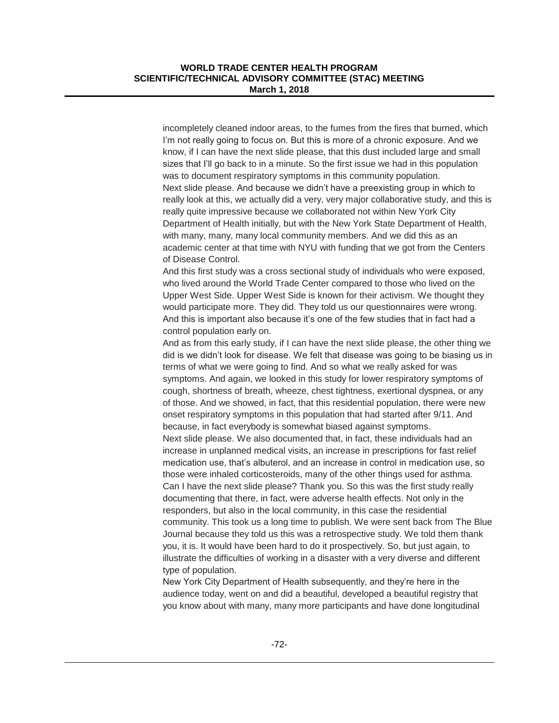incompletely cleaned indoor areas, to the fumes from the fires that burned, which I'm not really going to focus on. But this is more of a chronic exposure. And we know, if I can have the next slide please, that this dust included large and small sizes that I'll go back to in a minute. So the first issue we had in this population was to document respiratory symptoms in this community population. Next slide please. And because we didn't have a preexisting group in which to really look at this, we actually did a very, very major collaborative study, and this is really quite impressive because we collaborated not within New York City Department of Health initially, but with the New York State Department of Health, with many, many, many local community members. And we did this as an academic center at that time with NYU with funding that we got from the Centers of Disease Control.

And this first study was a cross sectional study of individuals who were exposed, who lived around the World Trade Center compared to those who lived on the Upper West Side. Upper West Side is known for their activism. We thought they would participate more. They did. They told us our questionnaires were wrong. And this is important also because it's one of the few studies that in fact had a control population early on.

And as from this early study, if I can have the next slide please, the other thing we did is we didn't look for disease. We felt that disease was going to be biasing us in terms of what we were going to find. And so what we really asked for was symptoms. And again, we looked in this study for lower respiratory symptoms of cough, shortness of breath, wheeze, chest tightness, exertional dyspnea, or any of those. And we showed, in fact, that this residential population, there were new onset respiratory symptoms in this population that had started after 9/11. And because, in fact everybody is somewhat biased against symptoms. Next slide please. We also documented that, in fact, these individuals had an increase in unplanned medical visits, an increase in prescriptions for fast relief medication use, that's albuterol, and an increase in control in medication use, so those were inhaled corticosteroids, many of the other things used for asthma. Can I have the next slide please? Thank you. So this was the first study really documenting that there, in fact, were adverse health effects. Not only in the responders, but also in the local community, in this case the residential community. This took us a long time to publish. We were sent back from The Blue Journal because they told us this was a retrospective study. We told them thank you, it is. It would have been hard to do it prospectively. So, but just again, to illustrate the difficulties of working in a disaster with a very diverse and different type of population.

New York City Department of Health subsequently, and they're here in the audience today, went on and did a beautiful, developed a beautiful registry that you know about with many, many more participants and have done longitudinal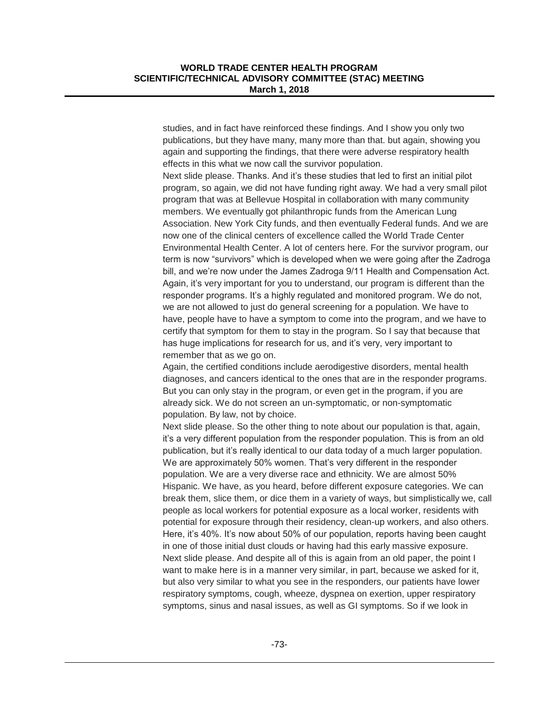studies, and in fact have reinforced these findings. And I show you only two publications, but they have many, many more than that. but again, showing you again and supporting the findings, that there were adverse respiratory health effects in this what we now call the survivor population.

Next slide please. Thanks. And it's these studies that led to first an initial pilot program, so again, we did not have funding right away. We had a very small pilot program that was at Bellevue Hospital in collaboration with many community members. We eventually got philanthropic funds from the American Lung Association. New York City funds, and then eventually Federal funds. And we are now one of the clinical centers of excellence called the World Trade Center Environmental Health Center. A lot of centers here. For the survivor program, our term is now "survivors" which is developed when we were going after the Zadroga bill, and we're now under the James Zadroga 9/11 Health and Compensation Act. Again, it's very important for you to understand, our program is different than the responder programs. It's a highly regulated and monitored program. We do not, we are not allowed to just do general screening for a population. We have to have, people have to have a symptom to come into the program, and we have to certify that symptom for them to stay in the program. So I say that because that has huge implications for research for us, and it's very, very important to remember that as we go on.

Again, the certified conditions include aerodigestive disorders, mental health diagnoses, and cancers identical to the ones that are in the responder programs. But you can only stay in the program, or even get in the program, if you are already sick. We do not screen an un-symptomatic, or non-symptomatic population. By law, not by choice.

Next slide please. So the other thing to note about our population is that, again, it's a very different population from the responder population. This is from an old publication, but it's really identical to our data today of a much larger population. We are approximately 50% women. That's very different in the responder population. We are a very diverse race and ethnicity. We are almost 50% Hispanic. We have, as you heard, before different exposure categories. We can break them, slice them, or dice them in a variety of ways, but simplistically we, call people as local workers for potential exposure as a local worker, residents with potential for exposure through their residency, clean-up workers, and also others. Here, it's 40%. It's now about 50% of our population, reports having been caught in one of those initial dust clouds or having had this early massive exposure. Next slide please. And despite all of this is again from an old paper, the point I want to make here is in a manner very similar, in part, because we asked for it, but also very similar to what you see in the responders, our patients have lower respiratory symptoms, cough, wheeze, dyspnea on exertion, upper respiratory symptoms, sinus and nasal issues, as well as GI symptoms. So if we look in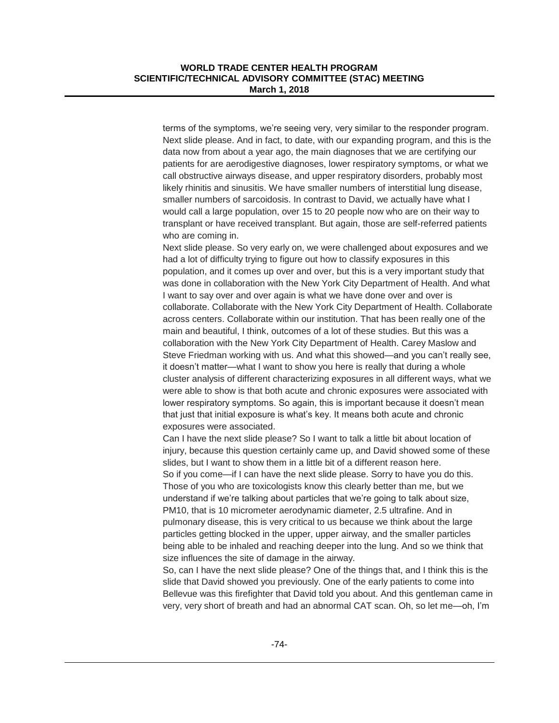terms of the symptoms, we're seeing very, very similar to the responder program. Next slide please. And in fact, to date, with our expanding program, and this is the data now from about a year ago, the main diagnoses that we are certifying our patients for are aerodigestive diagnoses, lower respiratory symptoms, or what we call obstructive airways disease, and upper respiratory disorders, probably most likely rhinitis and sinusitis. We have smaller numbers of interstitial lung disease, smaller numbers of sarcoidosis. In contrast to David, we actually have what I would call a large population, over 15 to 20 people now who are on their way to transplant or have received transplant. But again, those are self-referred patients who are coming in.

Next slide please. So very early on, we were challenged about exposures and we had a lot of difficulty trying to figure out how to classify exposures in this population, and it comes up over and over, but this is a very important study that was done in collaboration with the New York City Department of Health. And what I want to say over and over again is what we have done over and over is collaborate. Collaborate with the New York City Department of Health. Collaborate across centers. Collaborate within our institution. That has been really one of the main and beautiful, I think, outcomes of a lot of these studies. But this was a collaboration with the New York City Department of Health. Carey Maslow and Steve Friedman working with us. And what this showed—and you can't really see, it doesn't matter—what I want to show you here is really that during a whole cluster analysis of different characterizing exposures in all different ways, what we were able to show is that both acute and chronic exposures were associated with lower respiratory symptoms. So again, this is important because it doesn't mean that just that initial exposure is what's key. It means both acute and chronic exposures were associated.

Can I have the next slide please? So I want to talk a little bit about location of injury, because this question certainly came up, and David showed some of these slides, but I want to show them in a little bit of a different reason here. So if you come—if I can have the next slide please. Sorry to have you do this. Those of you who are toxicologists know this clearly better than me, but we understand if we're talking about particles that we're going to talk about size, PM10, that is 10 micrometer aerodynamic diameter, 2.5 ultrafine. And in

pulmonary disease, this is very critical to us because we think about the large particles getting blocked in the upper, upper airway, and the smaller particles being able to be inhaled and reaching deeper into the lung. And so we think that size influences the site of damage in the airway.

So, can I have the next slide please? One of the things that, and I think this is the slide that David showed you previously. One of the early patients to come into Bellevue was this firefighter that David told you about. And this gentleman came in very, very short of breath and had an abnormal CAT scan. Oh, so let me—oh, I'm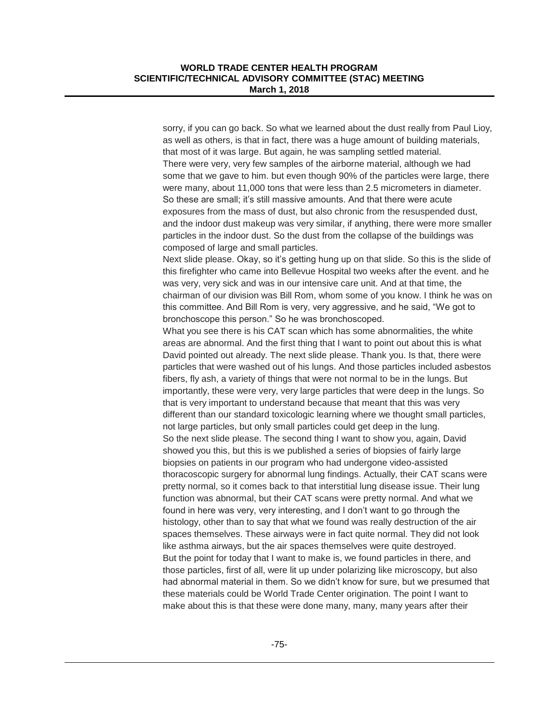sorry, if you can go back. So what we learned about the dust really from Paul Lioy, as well as others, is that in fact, there was a huge amount of building materials, that most of it was large. But again, he was sampling settled material. There were very, very few samples of the airborne material, although we had some that we gave to him. but even though 90% of the particles were large, there were many, about 11,000 tons that were less than 2.5 micrometers in diameter. So these are small; it's still massive amounts. And that there were acute exposures from the mass of dust, but also chronic from the resuspended dust, and the indoor dust makeup was very similar, if anything, there were more smaller particles in the indoor dust. So the dust from the collapse of the buildings was composed of large and small particles.

Next slide please. Okay, so it's getting hung up on that slide. So this is the slide of this firefighter who came into Bellevue Hospital two weeks after the event. and he was very, very sick and was in our intensive care unit. And at that time, the chairman of our division was Bill Rom, whom some of you know. I think he was on this committee. And Bill Rom is very, very aggressive, and he said, "We got to bronchoscope this person." So he was bronchoscoped.

What you see there is his CAT scan which has some abnormalities, the white areas are abnormal. And the first thing that I want to point out about this is what David pointed out already. The next slide please. Thank you. Is that, there were particles that were washed out of his lungs. And those particles included asbestos fibers, fly ash, a variety of things that were not normal to be in the lungs. But importantly, these were very, very large particles that were deep in the lungs. So that is very important to understand because that meant that this was very different than our standard toxicologic learning where we thought small particles, not large particles, but only small particles could get deep in the lung. So the next slide please. The second thing I want to show you, again, David showed you this, but this is we published a series of biopsies of fairly large biopsies on patients in our program who had undergone video-assisted thoracoscopic surgery for abnormal lung findings. Actually, their CAT scans were pretty normal, so it comes back to that interstitial lung disease issue. Their lung function was abnormal, but their CAT scans were pretty normal. And what we found in here was very, very interesting, and I don't want to go through the histology, other than to say that what we found was really destruction of the air spaces themselves. These airways were in fact quite normal. They did not look like asthma airways, but the air spaces themselves were quite destroyed. But the point for today that I want to make is, we found particles in there, and those particles, first of all, were lit up under polarizing like microscopy, but also had abnormal material in them. So we didn't know for sure, but we presumed that these materials could be World Trade Center origination. The point I want to make about this is that these were done many, many, many years after their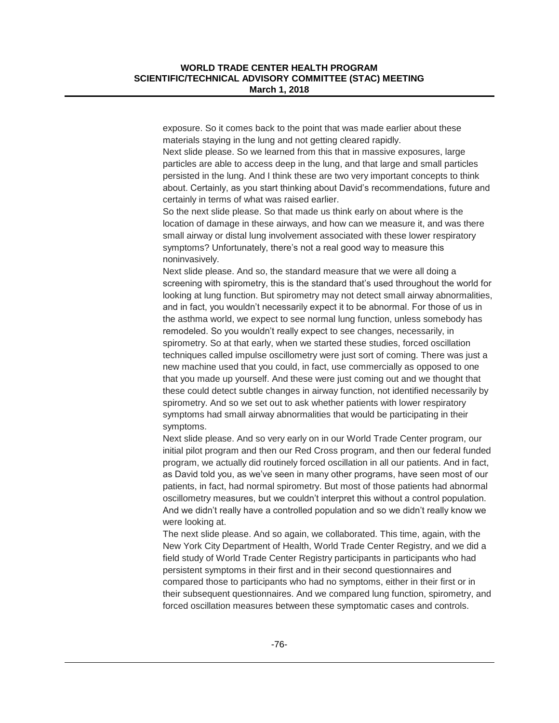exposure. So it comes back to the point that was made earlier about these materials staying in the lung and not getting cleared rapidly.

Next slide please. So we learned from this that in massive exposures, large particles are able to access deep in the lung, and that large and small particles persisted in the lung. And I think these are two very important concepts to think about. Certainly, as you start thinking about David's recommendations, future and certainly in terms of what was raised earlier.

So the next slide please. So that made us think early on about where is the location of damage in these airways, and how can we measure it, and was there small airway or distal lung involvement associated with these lower respiratory symptoms? Unfortunately, there's not a real good way to measure this noninvasively.

Next slide please. And so, the standard measure that we were all doing a screening with spirometry, this is the standard that's used throughout the world for looking at lung function. But spirometry may not detect small airway abnormalities, and in fact, you wouldn't necessarily expect it to be abnormal. For those of us in the asthma world, we expect to see normal lung function, unless somebody has remodeled. So you wouldn't really expect to see changes, necessarily, in spirometry. So at that early, when we started these studies, forced oscillation techniques called impulse oscillometry were just sort of coming. There was just a new machine used that you could, in fact, use commercially as opposed to one that you made up yourself. And these were just coming out and we thought that these could detect subtle changes in airway function, not identified necessarily by spirometry. And so we set out to ask whether patients with lower respiratory symptoms had small airway abnormalities that would be participating in their symptoms.

Next slide please. And so very early on in our World Trade Center program, our initial pilot program and then our Red Cross program, and then our federal funded program, we actually did routinely forced oscillation in all our patients. And in fact, as David told you, as we've seen in many other programs, have seen most of our patients, in fact, had normal spirometry. But most of those patients had abnormal oscillometry measures, but we couldn't interpret this without a control population. And we didn't really have a controlled population and so we didn't really know we were looking at.

The next slide please. And so again, we collaborated. This time, again, with the New York City Department of Health, World Trade Center Registry, and we did a field study of World Trade Center Registry participants in participants who had persistent symptoms in their first and in their second questionnaires and compared those to participants who had no symptoms, either in their first or in their subsequent questionnaires. And we compared lung function, spirometry, and forced oscillation measures between these symptomatic cases and controls.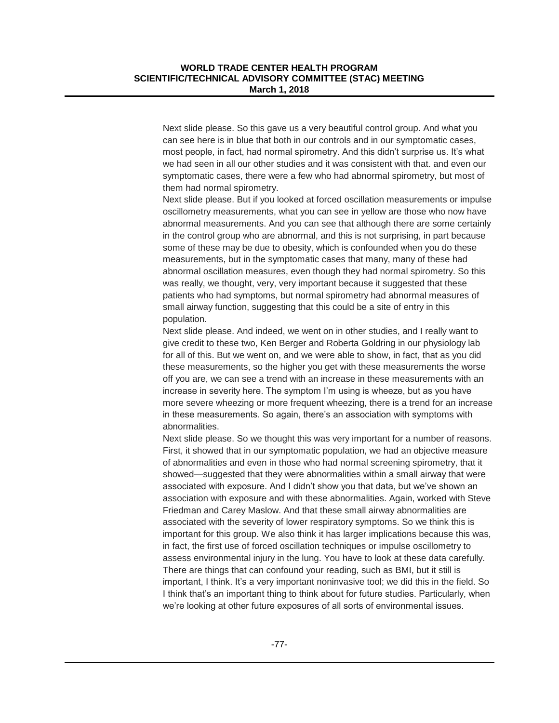Next slide please. So this gave us a very beautiful control group. And what you can see here is in blue that both in our controls and in our symptomatic cases, most people, in fact, had normal spirometry. And this didn't surprise us. It's what we had seen in all our other studies and it was consistent with that. and even our symptomatic cases, there were a few who had abnormal spirometry, but most of them had normal spirometry.

Next slide please. But if you looked at forced oscillation measurements or impulse oscillometry measurements, what you can see in yellow are those who now have abnormal measurements. And you can see that although there are some certainly in the control group who are abnormal, and this is not surprising, in part because some of these may be due to obesity, which is confounded when you do these measurements, but in the symptomatic cases that many, many of these had abnormal oscillation measures, even though they had normal spirometry. So this was really, we thought, very, very important because it suggested that these patients who had symptoms, but normal spirometry had abnormal measures of small airway function, suggesting that this could be a site of entry in this population.

Next slide please. And indeed, we went on in other studies, and I really want to give credit to these two, Ken Berger and Roberta Goldring in our physiology lab for all of this. But we went on, and we were able to show, in fact, that as you did these measurements, so the higher you get with these measurements the worse off you are, we can see a trend with an increase in these measurements with an increase in severity here. The symptom I'm using is wheeze, but as you have more severe wheezing or more frequent wheezing, there is a trend for an increase in these measurements. So again, there's an association with symptoms with abnormalities.

Next slide please. So we thought this was very important for a number of reasons. First, it showed that in our symptomatic population, we had an objective measure of abnormalities and even in those who had normal screening spirometry, that it showed—suggested that they were abnormalities within a small airway that were associated with exposure. And I didn't show you that data, but we've shown an association with exposure and with these abnormalities. Again, worked with Steve Friedman and Carey Maslow. And that these small airway abnormalities are associated with the severity of lower respiratory symptoms. So we think this is important for this group. We also think it has larger implications because this was, in fact, the first use of forced oscillation techniques or impulse oscillometry to assess environmental injury in the lung. You have to look at these data carefully. There are things that can confound your reading, such as BMI, but it still is important, I think. It's a very important noninvasive tool; we did this in the field. So I think that's an important thing to think about for future studies. Particularly, when we're looking at other future exposures of all sorts of environmental issues.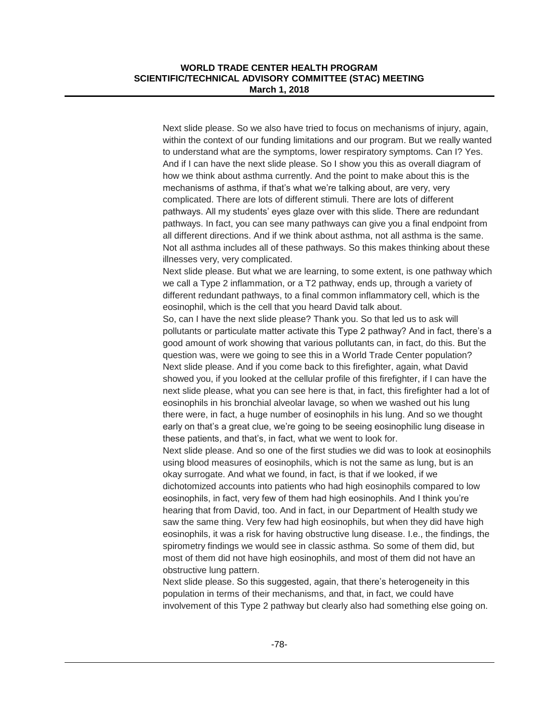Next slide please. So we also have tried to focus on mechanisms of injury, again, within the context of our funding limitations and our program. But we really wanted to understand what are the symptoms, lower respiratory symptoms. Can I? Yes. And if I can have the next slide please. So I show you this as overall diagram of how we think about asthma currently. And the point to make about this is the mechanisms of asthma, if that's what we're talking about, are very, very complicated. There are lots of different stimuli. There are lots of different pathways. All my students' eyes glaze over with this slide. There are redundant pathways. In fact, you can see many pathways can give you a final endpoint from all different directions. And if we think about asthma, not all asthma is the same. Not all asthma includes all of these pathways. So this makes thinking about these illnesses very, very complicated.

Next slide please. But what we are learning, to some extent, is one pathway which we call a Type 2 inflammation, or a T2 pathway, ends up, through a variety of different redundant pathways, to a final common inflammatory cell, which is the eosinophil, which is the cell that you heard David talk about.

So, can I have the next slide please? Thank you. So that led us to ask will pollutants or particulate matter activate this Type 2 pathway? And in fact, there's a good amount of work showing that various pollutants can, in fact, do this. But the question was, were we going to see this in a World Trade Center population? Next slide please. And if you come back to this firefighter, again, what David showed you, if you looked at the cellular profile of this firefighter, if I can have the next slide please, what you can see here is that, in fact, this firefighter had a lot of eosinophils in his bronchial alveolar lavage, so when we washed out his lung there were, in fact, a huge number of eosinophils in his lung. And so we thought early on that's a great clue, we're going to be seeing eosinophilic lung disease in these patients, and that's, in fact, what we went to look for.

Next slide please. And so one of the first studies we did was to look at eosinophils using blood measures of eosinophils, which is not the same as lung, but is an okay surrogate. And what we found, in fact, is that if we looked, if we dichotomized accounts into patients who had high eosinophils compared to low eosinophils, in fact, very few of them had high eosinophils. And I think you're hearing that from David, too. And in fact, in our Department of Health study we saw the same thing. Very few had high eosinophils, but when they did have high eosinophils, it was a risk for having obstructive lung disease. I.e., the findings, the spirometry findings we would see in classic asthma. So some of them did, but most of them did not have high eosinophils, and most of them did not have an obstructive lung pattern.

Next slide please. So this suggested, again, that there's heterogeneity in this population in terms of their mechanisms, and that, in fact, we could have involvement of this Type 2 pathway but clearly also had something else going on.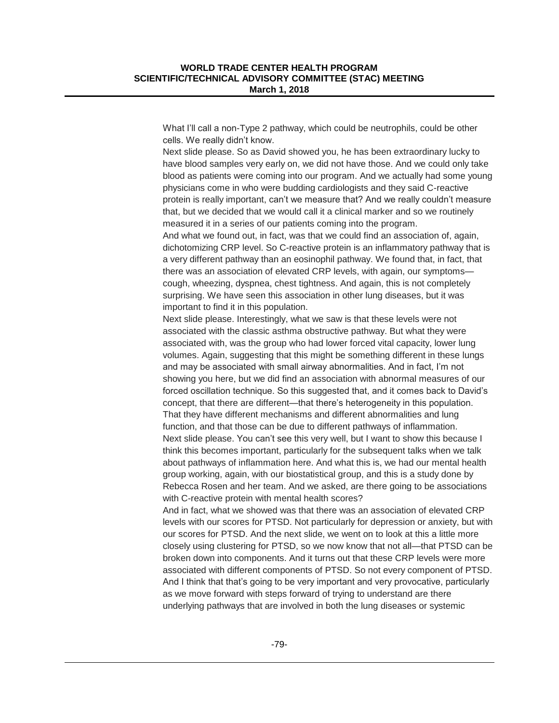What I'll call a non-Type 2 pathway, which could be neutrophils, could be other cells. We really didn't know.

Next slide please. So as David showed you, he has been extraordinary lucky to have blood samples very early on, we did not have those. And we could only take blood as patients were coming into our program. And we actually had some young physicians come in who were budding cardiologists and they said C-reactive protein is really important, can't we measure that? And we really couldn't measure that, but we decided that we would call it a clinical marker and so we routinely measured it in a series of our patients coming into the program.

And what we found out, in fact, was that we could find an association of, again, dichotomizing CRP level. So C-reactive protein is an inflammatory pathway that is a very different pathway than an eosinophil pathway. We found that, in fact, that there was an association of elevated CRP levels, with again, our symptoms cough, wheezing, dyspnea, chest tightness. And again, this is not completely surprising. We have seen this association in other lung diseases, but it was important to find it in this population.

Next slide please. Interestingly, what we saw is that these levels were not associated with the classic asthma obstructive pathway. But what they were associated with, was the group who had lower forced vital capacity, lower lung volumes. Again, suggesting that this might be something different in these lungs and may be associated with small airway abnormalities. And in fact, I'm not showing you here, but we did find an association with abnormal measures of our forced oscillation technique. So this suggested that, and it comes back to David's concept, that there are different—that there's heterogeneity in this population. That they have different mechanisms and different abnormalities and lung function, and that those can be due to different pathways of inflammation. Next slide please. You can't see this very well, but I want to show this because I think this becomes important, particularly for the subsequent talks when we talk about pathways of inflammation here. And what this is, we had our mental health group working, again, with our biostatistical group, and this is a study done by Rebecca Rosen and her team. And we asked, are there going to be associations with C-reactive protein with mental health scores?

And in fact, what we showed was that there was an association of elevated CRP levels with our scores for PTSD. Not particularly for depression or anxiety, but with our scores for PTSD. And the next slide, we went on to look at this a little more closely using clustering for PTSD, so we now know that not all—that PTSD can be broken down into components. And it turns out that these CRP levels were more associated with different components of PTSD. So not every component of PTSD. And I think that that's going to be very important and very provocative, particularly as we move forward with steps forward of trying to understand are there underlying pathways that are involved in both the lung diseases or systemic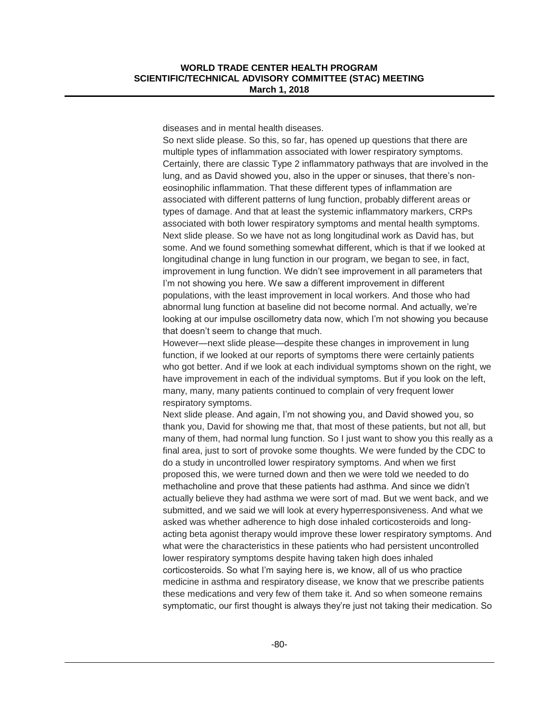diseases and in mental health diseases.

So next slide please. So this, so far, has opened up questions that there are multiple types of inflammation associated with lower respiratory symptoms. Certainly, there are classic Type 2 inflammatory pathways that are involved in the lung, and as David showed you, also in the upper or sinuses, that there's noneosinophilic inflammation. That these different types of inflammation are associated with different patterns of lung function, probably different areas or types of damage. And that at least the systemic inflammatory markers, CRPs associated with both lower respiratory symptoms and mental health symptoms. Next slide please. So we have not as long longitudinal work as David has, but some. And we found something somewhat different, which is that if we looked at longitudinal change in lung function in our program, we began to see, in fact, improvement in lung function. We didn't see improvement in all parameters that I'm not showing you here. We saw a different improvement in different populations, with the least improvement in local workers. And those who had abnormal lung function at baseline did not become normal. And actually, we're looking at our impulse oscillometry data now, which I'm not showing you because that doesn't seem to change that much.

However—next slide please—despite these changes in improvement in lung function, if we looked at our reports of symptoms there were certainly patients who got better. And if we look at each individual symptoms shown on the right, we have improvement in each of the individual symptoms. But if you look on the left, many, many, many patients continued to complain of very frequent lower respiratory symptoms.

Next slide please. And again, I'm not showing you, and David showed you, so thank you, David for showing me that, that most of these patients, but not all, but many of them, had normal lung function. So I just want to show you this really as a final area, just to sort of provoke some thoughts. We were funded by the CDC to do a study in uncontrolled lower respiratory symptoms. And when we first proposed this, we were turned down and then we were told we needed to do methacholine and prove that these patients had asthma. And since we didn't actually believe they had asthma we were sort of mad. But we went back, and we submitted, and we said we will look at every hyperresponsiveness. And what we asked was whether adherence to high dose inhaled corticosteroids and longacting beta agonist therapy would improve these lower respiratory symptoms. And what were the characteristics in these patients who had persistent uncontrolled lower respiratory symptoms despite having taken high does inhaled corticosteroids. So what I'm saying here is, we know, all of us who practice medicine in asthma and respiratory disease, we know that we prescribe patients these medications and very few of them take it. And so when someone remains symptomatic, our first thought is always they're just not taking their medication. So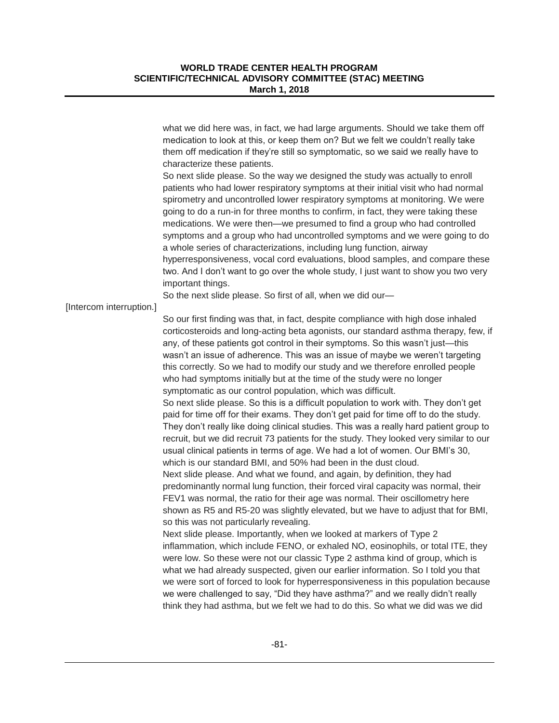|                          | what we did here was, in fact, we had large arguments. Should we take them off<br>medication to look at this, or keep them on? But we felt we couldn't really take<br>them off medication if they're still so symptomatic, so we said we really have to<br>characterize these patients.<br>So next slide please. So the way we designed the study was actually to enroll<br>patients who had lower respiratory symptoms at their initial visit who had normal<br>spirometry and uncontrolled lower respiratory symptoms at monitoring. We were<br>going to do a run-in for three months to confirm, in fact, they were taking these<br>medications. We were then—we presumed to find a group who had controlled<br>symptoms and a group who had uncontrolled symptoms and we were going to do<br>a whole series of characterizations, including lung function, airway<br>hyperresponsiveness, vocal cord evaluations, blood samples, and compare these<br>two. And I don't want to go over the whole study, I just want to show you two very<br>important things.                                                                                                                                                                                                                                                                                                                                                                  |
|--------------------------|------------------------------------------------------------------------------------------------------------------------------------------------------------------------------------------------------------------------------------------------------------------------------------------------------------------------------------------------------------------------------------------------------------------------------------------------------------------------------------------------------------------------------------------------------------------------------------------------------------------------------------------------------------------------------------------------------------------------------------------------------------------------------------------------------------------------------------------------------------------------------------------------------------------------------------------------------------------------------------------------------------------------------------------------------------------------------------------------------------------------------------------------------------------------------------------------------------------------------------------------------------------------------------------------------------------------------------------------------------------------------------------------------------------------------------|
|                          | So the next slide please. So first of all, when we did our-                                                                                                                                                                                                                                                                                                                                                                                                                                                                                                                                                                                                                                                                                                                                                                                                                                                                                                                                                                                                                                                                                                                                                                                                                                                                                                                                                                        |
| [Intercom interruption.] |                                                                                                                                                                                                                                                                                                                                                                                                                                                                                                                                                                                                                                                                                                                                                                                                                                                                                                                                                                                                                                                                                                                                                                                                                                                                                                                                                                                                                                    |
|                          | So our first finding was that, in fact, despite compliance with high dose inhaled<br>corticosteroids and long-acting beta agonists, our standard asthma therapy, few, if<br>any, of these patients got control in their symptoms. So this wasn't just-this<br>wasn't an issue of adherence. This was an issue of maybe we weren't targeting<br>this correctly. So we had to modify our study and we therefore enrolled people<br>who had symptoms initially but at the time of the study were no longer<br>symptomatic as our control population, which was difficult.<br>So next slide please. So this is a difficult population to work with. They don't get<br>paid for time off for their exams. They don't get paid for time off to do the study.<br>They don't really like doing clinical studies. This was a really hard patient group to<br>recruit, but we did recruit 73 patients for the study. They looked very similar to our<br>usual clinical patients in terms of age. We had a lot of women. Our BMI's 30,<br>which is our standard BMI, and 50% had been in the dust cloud.<br>Next slide please. And what we found, and again, by definition, they had<br>predominantly normal lung function, their forced viral capacity was normal, their<br>FEV1 was normal, the ratio for their age was normal. Their oscillometry here<br>shown as R5 and R5-20 was slightly elevated, but we have to adjust that for BMI, |
|                          | so this was not particularly revealing.<br>Next slide please. Importantly, when we looked at markers of Type 2<br>inflammation, which include FENO, or exhaled NO, eosinophils, or total ITE, they<br>were low. So these were not our classic Type 2 asthma kind of group, which is<br>what we had already suspected, given our earlier information. So I told you that<br>we were sort of forced to look for hyperresponsiveness in this population because<br>we were challenged to say, "Did they have asthma?" and we really didn't really<br>think they had asthma, but we felt we had to do this. So what we did was we did                                                                                                                                                                                                                                                                                                                                                                                                                                                                                                                                                                                                                                                                                                                                                                                                  |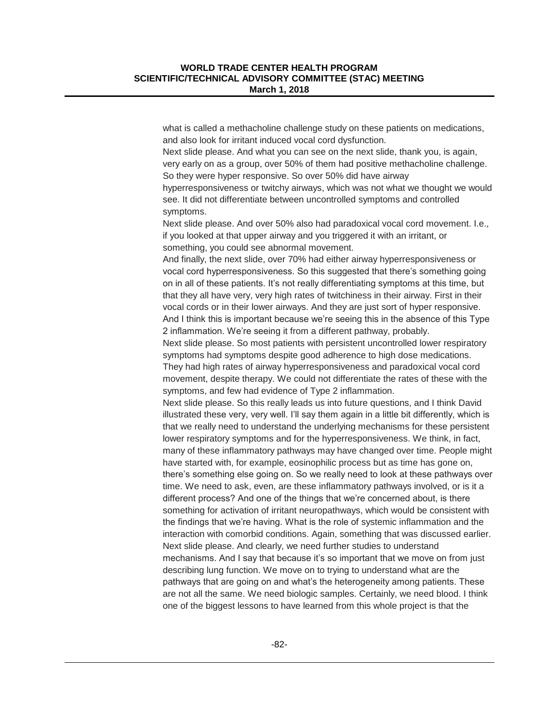what is called a methacholine challenge study on these patients on medications, and also look for irritant induced vocal cord dysfunction.

Next slide please. And what you can see on the next slide, thank you, is again, very early on as a group, over 50% of them had positive methacholine challenge. So they were hyper responsive. So over 50% did have airway

hyperresponsiveness or twitchy airways, which was not what we thought we would see. It did not differentiate between uncontrolled symptoms and controlled symptoms.

Next slide please. And over 50% also had paradoxical vocal cord movement. I.e., if you looked at that upper airway and you triggered it with an irritant, or something, you could see abnormal movement.

And finally, the next slide, over 70% had either airway hyperresponsiveness or vocal cord hyperresponsiveness. So this suggested that there's something going on in all of these patients. It's not really differentiating symptoms at this time, but that they all have very, very high rates of twitchiness in their airway. First in their vocal cords or in their lower airways. And they are just sort of hyper responsive. And I think this is important because we're seeing this in the absence of this Type 2 inflammation. We're seeing it from a different pathway, probably.

Next slide please. So most patients with persistent uncontrolled lower respiratory symptoms had symptoms despite good adherence to high dose medications. They had high rates of airway hyperresponsiveness and paradoxical vocal cord movement, despite therapy. We could not differentiate the rates of these with the symptoms, and few had evidence of Type 2 inflammation.

Next slide please. So this really leads us into future questions, and I think David illustrated these very, very well. I'll say them again in a little bit differently, which is that we really need to understand the underlying mechanisms for these persistent lower respiratory symptoms and for the hyperresponsiveness. We think, in fact, many of these inflammatory pathways may have changed over time. People might have started with, for example, eosinophilic process but as time has gone on, there's something else going on. So we really need to look at these pathways over time. We need to ask, even, are these inflammatory pathways involved, or is it a different process? And one of the things that we're concerned about, is there something for activation of irritant neuropathways, which would be consistent with the findings that we're having. What is the role of systemic inflammation and the interaction with comorbid conditions. Again, something that was discussed earlier. Next slide please. And clearly, we need further studies to understand mechanisms. And I say that because it's so important that we move on from just describing lung function. We move on to trying to understand what are the pathways that are going on and what's the heterogeneity among patients. These are not all the same. We need biologic samples. Certainly, we need blood. I think one of the biggest lessons to have learned from this whole project is that the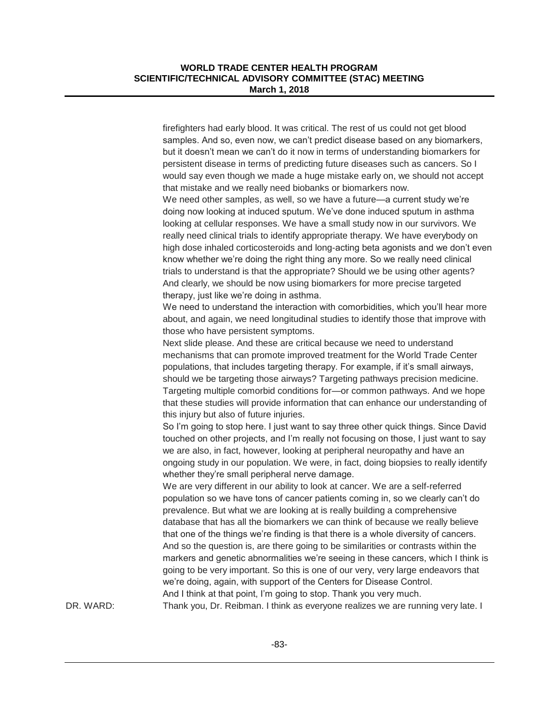firefighters had early blood. It was critical. The rest of us could not get blood samples. And so, even now, we can't predict disease based on any biomarkers, but it doesn't mean we can't do it now in terms of understanding biomarkers for persistent disease in terms of predicting future diseases such as cancers. So I would say even though we made a huge mistake early on, we should not accept that mistake and we really need biobanks or biomarkers now.

We need other samples, as well, so we have a future—a current study we're doing now looking at induced sputum. We've done induced sputum in asthma looking at cellular responses. We have a small study now in our survivors. We really need clinical trials to identify appropriate therapy. We have everybody on high dose inhaled corticosteroids and long-acting beta agonists and we don't even know whether we're doing the right thing any more. So we really need clinical trials to understand is that the appropriate? Should we be using other agents? And clearly, we should be now using biomarkers for more precise targeted therapy, just like we're doing in asthma.

We need to understand the interaction with comorbidities, which you'll hear more about, and again, we need longitudinal studies to identify those that improve with those who have persistent symptoms.

Next slide please. And these are critical because we need to understand mechanisms that can promote improved treatment for the World Trade Center populations, that includes targeting therapy. For example, if it's small airways, should we be targeting those airways? Targeting pathways precision medicine. Targeting multiple comorbid conditions for—or common pathways. And we hope that these studies will provide information that can enhance our understanding of this injury but also of future injuries.

So I'm going to stop here. I just want to say three other quick things. Since David touched on other projects, and I'm really not focusing on those, I just want to say we are also, in fact, however, looking at peripheral neuropathy and have an ongoing study in our population. We were, in fact, doing biopsies to really identify whether they're small peripheral nerve damage.

We are very different in our ability to look at cancer. We are a self-referred population so we have tons of cancer patients coming in, so we clearly can't do prevalence. But what we are looking at is really building a comprehensive database that has all the biomarkers we can think of because we really believe that one of the things we're finding is that there is a whole diversity of cancers. And so the question is, are there going to be similarities or contrasts within the markers and genetic abnormalities we're seeing in these cancers, which I think is going to be very important. So this is one of our very, very large endeavors that we're doing, again, with support of the Centers for Disease Control. And I think at that point, I'm going to stop. Thank you very much.

DR. WARD: Thank you, Dr. Reibman. I think as everyone realizes we are running very late. I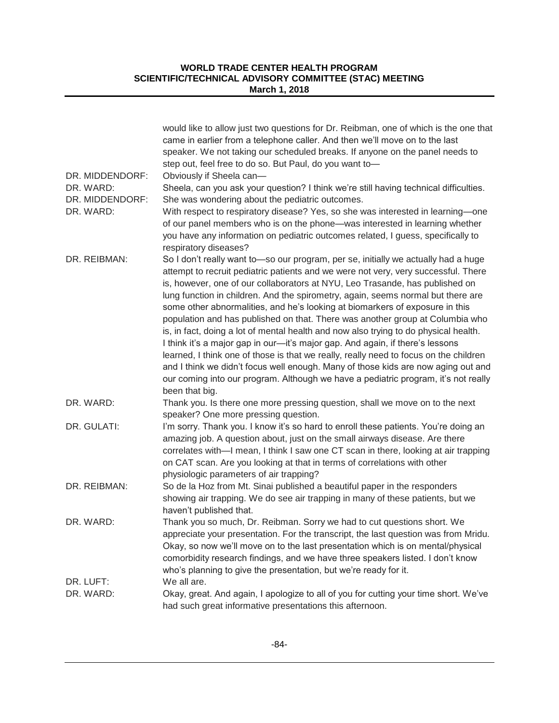| DR. MIDDENDORF:              | would like to allow just two questions for Dr. Reibman, one of which is the one that<br>came in earlier from a telephone caller. And then we'll move on to the last<br>speaker. We not taking our scheduled breaks. If anyone on the panel needs to<br>step out, feel free to do so. But Paul, do you want to-<br>Obviously if Sheela can-                                                                                                                                                                                                                                                                                                                                                                                                                                     |
|------------------------------|--------------------------------------------------------------------------------------------------------------------------------------------------------------------------------------------------------------------------------------------------------------------------------------------------------------------------------------------------------------------------------------------------------------------------------------------------------------------------------------------------------------------------------------------------------------------------------------------------------------------------------------------------------------------------------------------------------------------------------------------------------------------------------|
| DR. WARD:                    | Sheela, can you ask your question? I think we're still having technical difficulties.                                                                                                                                                                                                                                                                                                                                                                                                                                                                                                                                                                                                                                                                                          |
| DR. MIDDENDORF:<br>DR. WARD: | She was wondering about the pediatric outcomes.<br>With respect to respiratory disease? Yes, so she was interested in learning-one                                                                                                                                                                                                                                                                                                                                                                                                                                                                                                                                                                                                                                             |
|                              | of our panel members who is on the phone-was interested in learning whether<br>you have any information on pediatric outcomes related, I guess, specifically to<br>respiratory diseases?                                                                                                                                                                                                                                                                                                                                                                                                                                                                                                                                                                                       |
| DR. REIBMAN:                 | So I don't really want to-so our program, per se, initially we actually had a huge                                                                                                                                                                                                                                                                                                                                                                                                                                                                                                                                                                                                                                                                                             |
|                              | attempt to recruit pediatric patients and we were not very, very successful. There<br>is, however, one of our collaborators at NYU, Leo Trasande, has published on<br>lung function in children. And the spirometry, again, seems normal but there are<br>some other abnormalities, and he's looking at biomarkers of exposure in this<br>population and has published on that. There was another group at Columbia who<br>is, in fact, doing a lot of mental health and now also trying to do physical health.<br>I think it's a major gap in our-it's major gap. And again, if there's lessons<br>learned, I think one of those is that we really, really need to focus on the children<br>and I think we didn't focus well enough. Many of those kids are now aging out and |
|                              | our coming into our program. Although we have a pediatric program, it's not really<br>been that big.                                                                                                                                                                                                                                                                                                                                                                                                                                                                                                                                                                                                                                                                           |
| DR. WARD:                    | Thank you. Is there one more pressing question, shall we move on to the next<br>speaker? One more pressing question.                                                                                                                                                                                                                                                                                                                                                                                                                                                                                                                                                                                                                                                           |
| DR. GULATI:                  | I'm sorry. Thank you. I know it's so hard to enroll these patients. You're doing an<br>amazing job. A question about, just on the small airways disease. Are there<br>correlates with-I mean, I think I saw one CT scan in there, looking at air trapping<br>on CAT scan. Are you looking at that in terms of correlations with other<br>physiologic parameters of air trapping?                                                                                                                                                                                                                                                                                                                                                                                               |
| DR. REIBMAN:                 | So de la Hoz from Mt. Sinai published a beautiful paper in the responders                                                                                                                                                                                                                                                                                                                                                                                                                                                                                                                                                                                                                                                                                                      |
|                              | showing air trapping. We do see air trapping in many of these patients, but we                                                                                                                                                                                                                                                                                                                                                                                                                                                                                                                                                                                                                                                                                                 |
|                              | haven't published that.                                                                                                                                                                                                                                                                                                                                                                                                                                                                                                                                                                                                                                                                                                                                                        |
| DR. WARD:                    | Thank you so much, Dr. Reibman. Sorry we had to cut questions short. We<br>appreciate your presentation. For the transcript, the last question was from Mridu.<br>Okay, so now we'll move on to the last presentation which is on mental/physical<br>comorbidity research findings, and we have three speakers listed. I don't know<br>who's planning to give the presentation, but we're ready for it.                                                                                                                                                                                                                                                                                                                                                                        |
| DR. LUFT:                    | We all are.                                                                                                                                                                                                                                                                                                                                                                                                                                                                                                                                                                                                                                                                                                                                                                    |
| DR. WARD:                    | Okay, great. And again, I apologize to all of you for cutting your time short. We've<br>had such great informative presentations this afternoon.                                                                                                                                                                                                                                                                                                                                                                                                                                                                                                                                                                                                                               |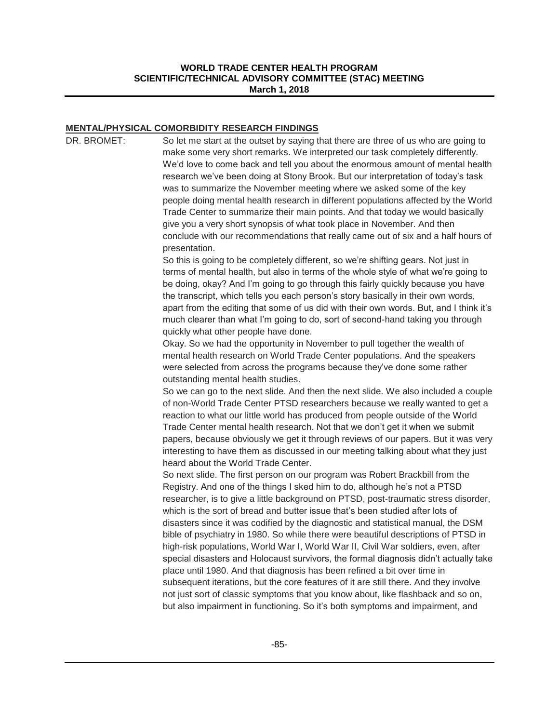#### **MENTAL/PHYSICAL COMORBIDITY RESEARCH FINDINGS**

DR. BROMET: So let me start at the outset by saying that there are three of us who are going to make some very short remarks. We interpreted our task completely differently. We'd love to come back and tell you about the enormous amount of mental health research we've been doing at Stony Brook. But our interpretation of today's task was to summarize the November meeting where we asked some of the key people doing mental health research in different populations affected by the World Trade Center to summarize their main points. And that today we would basically give you a very short synopsis of what took place in November. And then conclude with our recommendations that really came out of six and a half hours of presentation. So this is going to be completely different, so we're shifting gears. Not just in terms of mental health, but also in terms of the whole style of what we're going to be doing, okay? And I'm going to go through this fairly quickly because you have the transcript, which tells you each person's story basically in their own words, apart from the editing that some of us did with their own words. But, and I think it's much clearer than what I'm going to do, sort of second-hand taking you through quickly what other people have done. Okay. So we had the opportunity in November to pull together the wealth of mental health research on World Trade Center populations. And the speakers were selected from across the programs because they've done some rather outstanding mental health studies. So we can go to the next slide. And then the next slide. We also included a couple of non-World Trade Center PTSD researchers because we really wanted to get a reaction to what our little world has produced from people outside of the World Trade Center mental health research. Not that we don't get it when we submit papers, because obviously we get it through reviews of our papers. But it was very interesting to have them as discussed in our meeting talking about what they just heard about the World Trade Center. So next slide. The first person on our program was Robert Brackbill from the Registry. And one of the things I sked him to do, although he's not a PTSD researcher, is to give a little background on PTSD, post-traumatic stress disorder, which is the sort of bread and butter issue that's been studied after lots of disasters since it was codified by the diagnostic and statistical manual, the DSM bible of psychiatry in 1980. So while there were beautiful descriptions of PTSD in high-risk populations, World War I, World War II, Civil War soldiers, even, after special disasters and Holocaust survivors, the formal diagnosis didn't actually take place until 1980. And that diagnosis has been refined a bit over time in subsequent iterations, but the core features of it are still there. And they involve

not just sort of classic symptoms that you know about, like flashback and so on, but also impairment in functioning. So it's both symptoms and impairment, and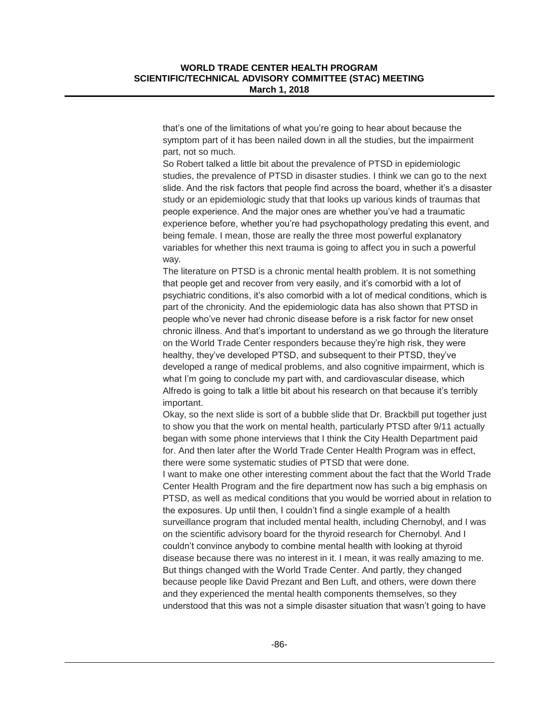that's one of the limitations of what you're going to hear about because the symptom part of it has been nailed down in all the studies, but the impairment part, not so much.

So Robert talked a little bit about the prevalence of PTSD in epidemiologic studies, the prevalence of PTSD in disaster studies. I think we can go to the next slide. And the risk factors that people find across the board, whether it's a disaster study or an epidemiologic study that that looks up various kinds of traumas that people experience. And the major ones are whether you've had a traumatic experience before, whether you're had psychopathology predating this event, and being female. I mean, those are really the three most powerful explanatory variables for whether this next trauma is going to affect you in such a powerful way.

The literature on PTSD is a chronic mental health problem. It is not something that people get and recover from very easily, and it's comorbid with a lot of psychiatric conditions, it's also comorbid with a lot of medical conditions, which is part of the chronicity. And the epidemiologic data has also shown that PTSD in people who've never had chronic disease before is a risk factor for new onset chronic illness. And that's important to understand as we go through the literature on the World Trade Center responders because they're high risk, they were healthy, they've developed PTSD, and subsequent to their PTSD, they've developed a range of medical problems, and also cognitive impairment, which is what I'm going to conclude my part with, and cardiovascular disease, which Alfredo is going to talk a little bit about his research on that because it's terribly important.

Okay, so the next slide is sort of a bubble slide that Dr. Brackbill put together just to show you that the work on mental health, particularly PTSD after 9/11 actually began with some phone interviews that I think the City Health Department paid for. And then later after the World Trade Center Health Program was in effect, there were some systematic studies of PTSD that were done.

I want to make one other interesting comment about the fact that the World Trade Center Health Program and the fire department now has such a big emphasis on PTSD, as well as medical conditions that you would be worried about in relation to the exposures. Up until then, I couldn't find a single example of a health surveillance program that included mental health, including Chernobyl, and I was on the scientific advisory board for the thyroid research for Chernobyl. And I couldn't convince anybody to combine mental health with looking at thyroid disease because there was no interest in it. I mean, it was really amazing to me. But things changed with the World Trade Center. And partly, they changed because people like David Prezant and Ben Luft, and others, were down there and they experienced the mental health components themselves, so they understood that this was not a simple disaster situation that wasn't going to have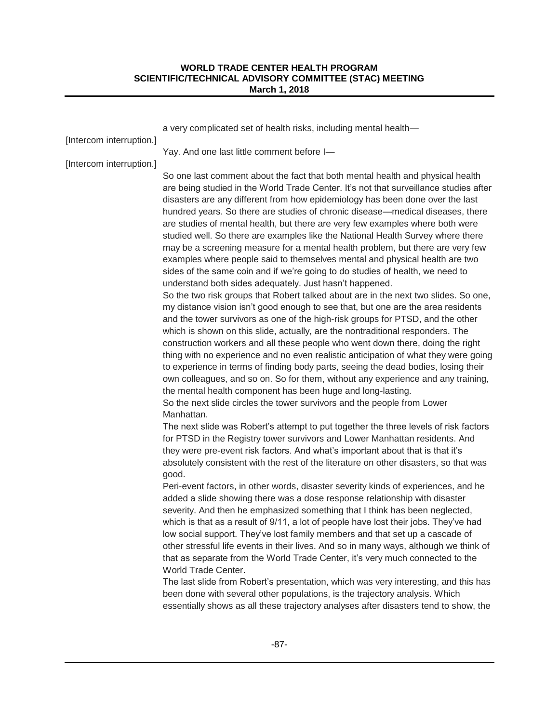| [Intercom interruption.] | a very complicated set of health risks, including mental health-                                                                                                                                                                                                                                                                                                                                                                                                                                                                                                                                                                                                                                                                                                                                                                                                                                                                                                                                                                                                                                                                                                                                                                                                                                                                                                                                                                                                                                                                                                                                                                                                                                                                                                                                                                                                                                                                                                                                                                                                                                                                                                                                                                                                                                                                                                                                                                                                                                                                                                                                                                                                                                                                                                                                                                                   |
|--------------------------|----------------------------------------------------------------------------------------------------------------------------------------------------------------------------------------------------------------------------------------------------------------------------------------------------------------------------------------------------------------------------------------------------------------------------------------------------------------------------------------------------------------------------------------------------------------------------------------------------------------------------------------------------------------------------------------------------------------------------------------------------------------------------------------------------------------------------------------------------------------------------------------------------------------------------------------------------------------------------------------------------------------------------------------------------------------------------------------------------------------------------------------------------------------------------------------------------------------------------------------------------------------------------------------------------------------------------------------------------------------------------------------------------------------------------------------------------------------------------------------------------------------------------------------------------------------------------------------------------------------------------------------------------------------------------------------------------------------------------------------------------------------------------------------------------------------------------------------------------------------------------------------------------------------------------------------------------------------------------------------------------------------------------------------------------------------------------------------------------------------------------------------------------------------------------------------------------------------------------------------------------------------------------------------------------------------------------------------------------------------------------------------------------------------------------------------------------------------------------------------------------------------------------------------------------------------------------------------------------------------------------------------------------------------------------------------------------------------------------------------------------------------------------------------------------------------------------------------------------|
|                          | Yay. And one last little comment before I-                                                                                                                                                                                                                                                                                                                                                                                                                                                                                                                                                                                                                                                                                                                                                                                                                                                                                                                                                                                                                                                                                                                                                                                                                                                                                                                                                                                                                                                                                                                                                                                                                                                                                                                                                                                                                                                                                                                                                                                                                                                                                                                                                                                                                                                                                                                                                                                                                                                                                                                                                                                                                                                                                                                                                                                                         |
| [Intercom interruption.] | So one last comment about the fact that both mental health and physical health<br>are being studied in the World Trade Center. It's not that surveillance studies after<br>disasters are any different from how epidemiology has been done over the last<br>hundred years. So there are studies of chronic disease—medical diseases, there<br>are studies of mental health, but there are very few examples where both were<br>studied well. So there are examples like the National Health Survey where there<br>may be a screening measure for a mental health problem, but there are very few<br>examples where people said to themselves mental and physical health are two<br>sides of the same coin and if we're going to do studies of health, we need to<br>understand both sides adequately. Just hasn't happened.<br>So the two risk groups that Robert talked about are in the next two slides. So one,<br>my distance vision isn't good enough to see that, but one are the area residents<br>and the tower survivors as one of the high-risk groups for PTSD, and the other<br>which is shown on this slide, actually, are the nontraditional responders. The<br>construction workers and all these people who went down there, doing the right<br>thing with no experience and no even realistic anticipation of what they were going<br>to experience in terms of finding body parts, seeing the dead bodies, losing their<br>own colleagues, and so on. So for them, without any experience and any training,<br>the mental health component has been huge and long-lasting.<br>So the next slide circles the tower survivors and the people from Lower<br>Manhattan.<br>The next slide was Robert's attempt to put together the three levels of risk factors<br>for PTSD in the Registry tower survivors and Lower Manhattan residents. And<br>they were pre-event risk factors. And what's important about that is that it's<br>absolutely consistent with the rest of the literature on other disasters, so that was<br>good.<br>Peri-event factors, in other words, disaster severity kinds of experiences, and he<br>added a slide showing there was a dose response relationship with disaster<br>severity. And then he emphasized something that I think has been neglected,<br>which is that as a result of 9/11, a lot of people have lost their jobs. They've had<br>low social support. They've lost family members and that set up a cascade of<br>other stressful life events in their lives. And so in many ways, although we think of<br>that as separate from the World Trade Center, it's very much connected to the<br>World Trade Center.<br>The last slide from Robert's presentation, which was very interesting, and this has<br>been done with several other populations, is the trajectory analysis. Which |
|                          | essentially shows as all these trajectory analyses after disasters tend to show, the                                                                                                                                                                                                                                                                                                                                                                                                                                                                                                                                                                                                                                                                                                                                                                                                                                                                                                                                                                                                                                                                                                                                                                                                                                                                                                                                                                                                                                                                                                                                                                                                                                                                                                                                                                                                                                                                                                                                                                                                                                                                                                                                                                                                                                                                                                                                                                                                                                                                                                                                                                                                                                                                                                                                                               |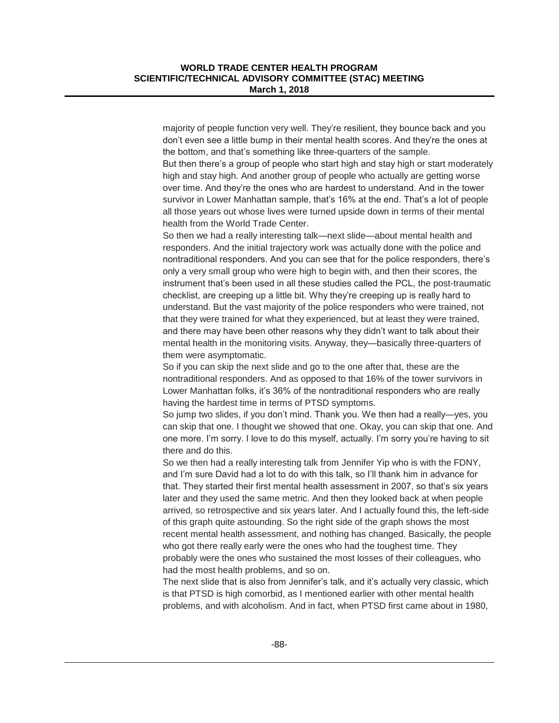majority of people function very well. They're resilient, they bounce back and you don't even see a little bump in their mental health scores. And they're the ones at the bottom, and that's something like three-quarters of the sample.

But then there's a group of people who start high and stay high or start moderately high and stay high. And another group of people who actually are getting worse over time. And they're the ones who are hardest to understand. And in the tower survivor in Lower Manhattan sample, that's 16% at the end. That's a lot of people all those years out whose lives were turned upside down in terms of their mental health from the World Trade Center.

So then we had a really interesting talk—next slide—about mental health and responders. And the initial trajectory work was actually done with the police and nontraditional responders. And you can see that for the police responders, there's only a very small group who were high to begin with, and then their scores, the instrument that's been used in all these studies called the PCL, the post-traumatic checklist, are creeping up a little bit. Why they're creeping up is really hard to understand. But the vast majority of the police responders who were trained, not that they were trained for what they experienced, but at least they were trained, and there may have been other reasons why they didn't want to talk about their mental health in the monitoring visits. Anyway, they—basically three-quarters of them were asymptomatic.

So if you can skip the next slide and go to the one after that, these are the nontraditional responders. And as opposed to that 16% of the tower survivors in Lower Manhattan folks, it's 36% of the nontraditional responders who are really having the hardest time in terms of PTSD symptoms.

So jump two slides, if you don't mind. Thank you. We then had a really—yes, you can skip that one. I thought we showed that one. Okay, you can skip that one. And one more. I'm sorry. I love to do this myself, actually. I'm sorry you're having to sit there and do this.

So we then had a really interesting talk from Jennifer Yip who is with the FDNY, and I'm sure David had a lot to do with this talk, so I'll thank him in advance for that. They started their first mental health assessment in 2007, so that's six years later and they used the same metric. And then they looked back at when people arrived, so retrospective and six years later. And I actually found this, the left-side of this graph quite astounding. So the right side of the graph shows the most recent mental health assessment, and nothing has changed. Basically, the people who got there really early were the ones who had the toughest time. They probably were the ones who sustained the most losses of their colleagues, who had the most health problems, and so on.

The next slide that is also from Jennifer's talk, and it's actually very classic, which is that PTSD is high comorbid, as I mentioned earlier with other mental health problems, and with alcoholism. And in fact, when PTSD first came about in 1980,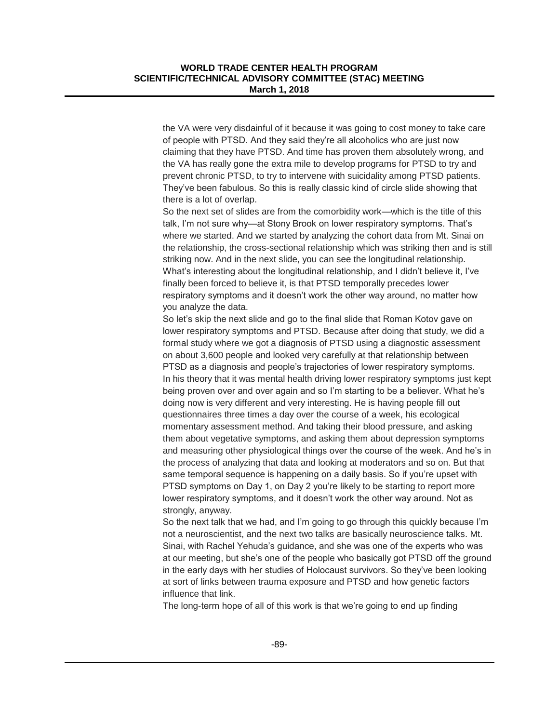the VA were very disdainful of it because it was going to cost money to take care of people with PTSD. And they said they're all alcoholics who are just now claiming that they have PTSD. And time has proven them absolutely wrong, and the VA has really gone the extra mile to develop programs for PTSD to try and prevent chronic PTSD, to try to intervene with suicidality among PTSD patients. They've been fabulous. So this is really classic kind of circle slide showing that there is a lot of overlap.

So the next set of slides are from the comorbidity work—which is the title of this talk, I'm not sure why—at Stony Brook on lower respiratory symptoms. That's where we started. And we started by analyzing the cohort data from Mt. Sinai on the relationship, the cross-sectional relationship which was striking then and is still striking now. And in the next slide, you can see the longitudinal relationship. What's interesting about the longitudinal relationship, and I didn't believe it, I've finally been forced to believe it, is that PTSD temporally precedes lower respiratory symptoms and it doesn't work the other way around, no matter how you analyze the data.

So let's skip the next slide and go to the final slide that Roman Kotov gave on lower respiratory symptoms and PTSD. Because after doing that study, we did a formal study where we got a diagnosis of PTSD using a diagnostic assessment on about 3,600 people and looked very carefully at that relationship between PTSD as a diagnosis and people's trajectories of lower respiratory symptoms. In his theory that it was mental health driving lower respiratory symptoms just kept being proven over and over again and so I'm starting to be a believer. What he's doing now is very different and very interesting. He is having people fill out questionnaires three times a day over the course of a week, his ecological momentary assessment method. And taking their blood pressure, and asking them about vegetative symptoms, and asking them about depression symptoms and measuring other physiological things over the course of the week. And he's in the process of analyzing that data and looking at moderators and so on. But that same temporal sequence is happening on a daily basis. So if you're upset with PTSD symptoms on Day 1, on Day 2 you're likely to be starting to report more lower respiratory symptoms, and it doesn't work the other way around. Not as strongly, anyway.

So the next talk that we had, and I'm going to go through this quickly because I'm not a neuroscientist, and the next two talks are basically neuroscience talks. Mt. Sinai, with Rachel Yehuda's guidance, and she was one of the experts who was at our meeting, but she's one of the people who basically got PTSD off the ground in the early days with her studies of Holocaust survivors. So they've been looking at sort of links between trauma exposure and PTSD and how genetic factors influence that link.

The long-term hope of all of this work is that we're going to end up finding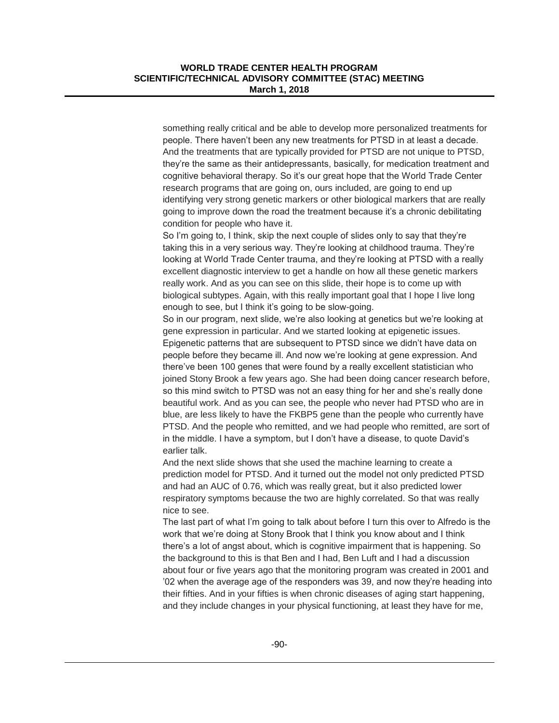something really critical and be able to develop more personalized treatments for people. There haven't been any new treatments for PTSD in at least a decade. And the treatments that are typically provided for PTSD are not unique to PTSD, they're the same as their antidepressants, basically, for medication treatment and cognitive behavioral therapy. So it's our great hope that the World Trade Center research programs that are going on, ours included, are going to end up identifying very strong genetic markers or other biological markers that are really going to improve down the road the treatment because it's a chronic debilitating condition for people who have it.

So I'm going to, I think, skip the next couple of slides only to say that they're taking this in a very serious way. They're looking at childhood trauma. They're looking at World Trade Center trauma, and they're looking at PTSD with a really excellent diagnostic interview to get a handle on how all these genetic markers really work. And as you can see on this slide, their hope is to come up with biological subtypes. Again, with this really important goal that I hope I live long enough to see, but I think it's going to be slow-going.

So in our program, next slide, we're also looking at genetics but we're looking at gene expression in particular. And we started looking at epigenetic issues. Epigenetic patterns that are subsequent to PTSD since we didn't have data on people before they became ill. And now we're looking at gene expression. And there've been 100 genes that were found by a really excellent statistician who joined Stony Brook a few years ago. She had been doing cancer research before, so this mind switch to PTSD was not an easy thing for her and she's really done beautiful work. And as you can see, the people who never had PTSD who are in blue, are less likely to have the FKBP5 gene than the people who currently have PTSD. And the people who remitted, and we had people who remitted, are sort of in the middle. I have a symptom, but I don't have a disease, to quote David's earlier talk.

And the next slide shows that she used the machine learning to create a prediction model for PTSD. And it turned out the model not only predicted PTSD and had an AUC of 0.76, which was really great, but it also predicted lower respiratory symptoms because the two are highly correlated. So that was really nice to see.

The last part of what I'm going to talk about before I turn this over to Alfredo is the work that we're doing at Stony Brook that I think you know about and I think there's a lot of angst about, which is cognitive impairment that is happening. So the background to this is that Ben and I had, Ben Luft and I had a discussion about four or five years ago that the monitoring program was created in 2001 and '02 when the average age of the responders was 39, and now they're heading into their fifties. And in your fifties is when chronic diseases of aging start happening, and they include changes in your physical functioning, at least they have for me,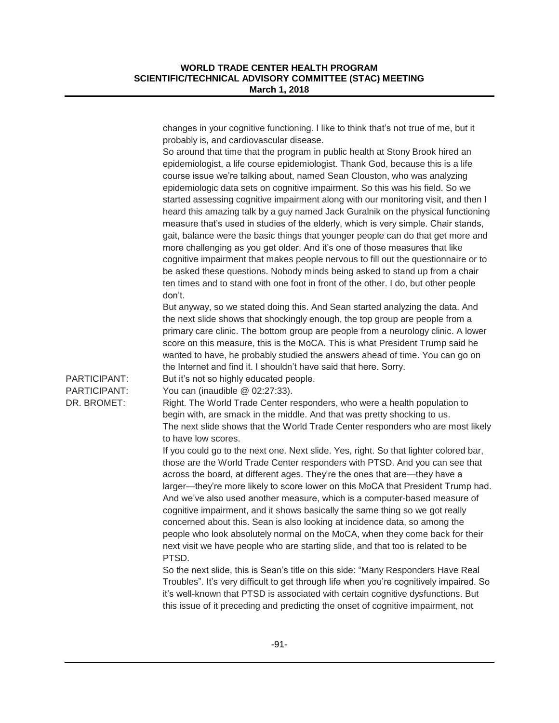|                              | changes in your cognitive functioning. I like to think that's not true of me, but it<br>probably is, and cardiovascular disease.<br>So around that time that the program in public health at Stony Brook hired an<br>epidemiologist, a life course epidemiologist. Thank God, because this is a life<br>course issue we're talking about, named Sean Clouston, who was analyzing<br>epidemiologic data sets on cognitive impairment. So this was his field. So we<br>started assessing cognitive impairment along with our monitoring visit, and then I<br>heard this amazing talk by a guy named Jack Guralnik on the physical functioning<br>measure that's used in studies of the elderly, which is very simple. Chair stands,<br>gait, balance were the basic things that younger people can do that get more and<br>more challenging as you get older. And it's one of those measures that like<br>cognitive impairment that makes people nervous to fill out the questionnaire or to<br>be asked these questions. Nobody minds being asked to stand up from a chair<br>ten times and to stand with one foot in front of the other. I do, but other people |
|------------------------------|-----------------------------------------------------------------------------------------------------------------------------------------------------------------------------------------------------------------------------------------------------------------------------------------------------------------------------------------------------------------------------------------------------------------------------------------------------------------------------------------------------------------------------------------------------------------------------------------------------------------------------------------------------------------------------------------------------------------------------------------------------------------------------------------------------------------------------------------------------------------------------------------------------------------------------------------------------------------------------------------------------------------------------------------------------------------------------------------------------------------------------------------------------------------|
| PARTICIPANT:<br>PARTICIPANT: | don't.<br>But anyway, so we stated doing this. And Sean started analyzing the data. And<br>the next slide shows that shockingly enough, the top group are people from a<br>primary care clinic. The bottom group are people from a neurology clinic. A lower<br>score on this measure, this is the MoCA. This is what President Trump said he<br>wanted to have, he probably studied the answers ahead of time. You can go on<br>the Internet and find it. I shouldn't have said that here. Sorry.<br>But it's not so highly educated people.<br>You can (inaudible @ 02:27:33).                                                                                                                                                                                                                                                                                                                                                                                                                                                                                                                                                                                |
| DR. BROMET:                  | Right. The World Trade Center responders, who were a health population to<br>begin with, are smack in the middle. And that was pretty shocking to us.<br>The next slide shows that the World Trade Center responders who are most likely<br>to have low scores.<br>If you could go to the next one. Next slide. Yes, right. So that lighter colored bar,<br>those are the World Trade Center responders with PTSD. And you can see that<br>across the board, at different ages. They're the ones that are-they have a<br>larger-they're more likely to score lower on this MoCA that President Trump had.<br>And we've also used another measure, which is a computer-based measure of<br>cognitive impairment, and it shows basically the same thing so we got really                                                                                                                                                                                                                                                                                                                                                                                          |
|                              | concerned about this. Sean is also looking at incidence data, so among the<br>people who look absolutely normal on the MoCA, when they come back for their<br>next visit we have people who are starting slide, and that too is related to be<br>PTSD.<br>So the next slide, this is Sean's title on this side: "Many Responders Have Real<br>Troubles". It's very difficult to get through life when you're cognitively impaired. So<br>it's well-known that PTSD is associated with certain cognitive dysfunctions. But<br>this issue of it preceding and predicting the onset of cognitive impairment, not                                                                                                                                                                                                                                                                                                                                                                                                                                                                                                                                                   |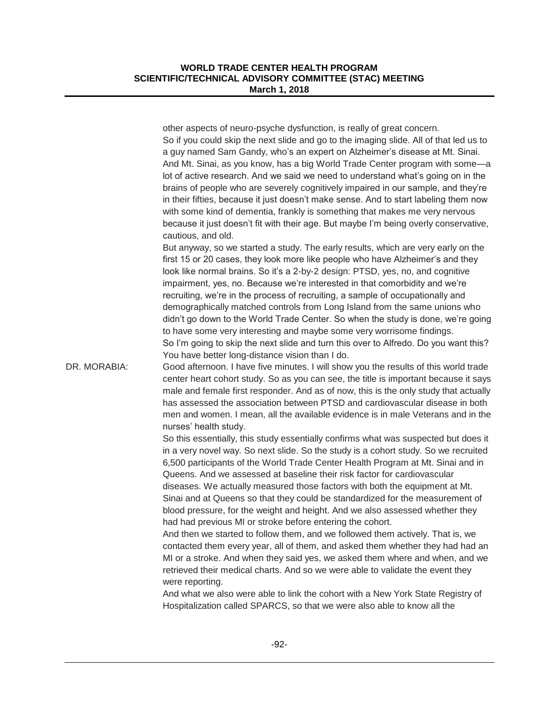other aspects of neuro-psyche dysfunction, is really of great concern. So if you could skip the next slide and go to the imaging slide. All of that led us to a guy named Sam Gandy, who's an expert on Alzheimer's disease at Mt. Sinai. And Mt. Sinai, as you know, has a big World Trade Center program with some—a lot of active research. And we said we need to understand what's going on in the brains of people who are severely cognitively impaired in our sample, and they're in their fifties, because it just doesn't make sense. And to start labeling them now with some kind of dementia, frankly is something that makes me very nervous because it just doesn't fit with their age. But maybe I'm being overly conservative, cautious, and old. But anyway, so we started a study. The early results, which are very early on the first 15 or 20 cases, they look more like people who have Alzheimer's and they look like normal brains. So it's a 2-by-2 design: PTSD, yes, no, and cognitive impairment, yes, no. Because we're interested in that comorbidity and we're recruiting, we're in the process of recruiting, a sample of occupationally and demographically matched controls from Long Island from the same unions who didn't go down to the World Trade Center. So when the study is done, we're going to have some very interesting and maybe some very worrisome findings. So I'm going to skip the next slide and turn this over to Alfredo. Do you want this? You have better long-distance vision than I do. DR. MORABIA: Good afternoon. I have five minutes. I will show you the results of this world trade center heart cohort study. So as you can see, the title is important because it says male and female first responder. And as of now, this is the only study that actually has assessed the association between PTSD and cardiovascular disease in both men and women. I mean, all the available evidence is in male Veterans and in the nurses' health study. So this essentially, this study essentially confirms what was suspected but does it in a very novel way. So next slide. So the study is a cohort study. So we recruited 6,500 participants of the World Trade Center Health Program at Mt. Sinai and in Queens. And we assessed at baseline their risk factor for cardiovascular diseases. We actually measured those factors with both the equipment at Mt. Sinai and at Queens so that they could be standardized for the measurement of blood pressure, for the weight and height. And we also assessed whether they

> had had previous MI or stroke before entering the cohort. And then we started to follow them, and we followed them actively. That is, we contacted them every year, all of them, and asked them whether they had had an MI or a stroke. And when they said yes, we asked them where and when, and we retrieved their medical charts. And so we were able to validate the event they were reporting.

And what we also were able to link the cohort with a New York State Registry of Hospitalization called SPARCS, so that we were also able to know all the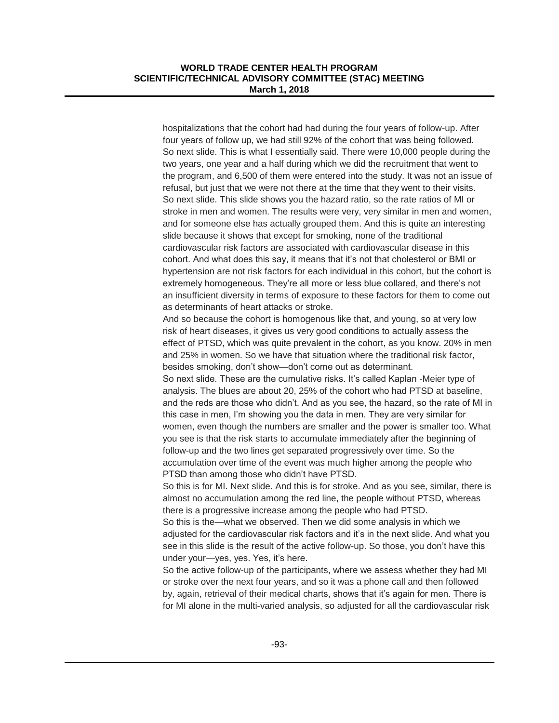hospitalizations that the cohort had had during the four years of follow-up. After four years of follow up, we had still 92% of the cohort that was being followed. So next slide. This is what I essentially said. There were 10,000 people during the two years, one year and a half during which we did the recruitment that went to the program, and 6,500 of them were entered into the study. It was not an issue of refusal, but just that we were not there at the time that they went to their visits. So next slide. This slide shows you the hazard ratio, so the rate ratios of MI or stroke in men and women. The results were very, very similar in men and women, and for someone else has actually grouped them. And this is quite an interesting slide because it shows that except for smoking, none of the traditional cardiovascular risk factors are associated with cardiovascular disease in this cohort. And what does this say, it means that it's not that cholesterol or BMI or hypertension are not risk factors for each individual in this cohort, but the cohort is extremely homogeneous. They're all more or less blue collared, and there's not an insufficient diversity in terms of exposure to these factors for them to come out as determinants of heart attacks or stroke.

And so because the cohort is homogenous like that, and young, so at very low risk of heart diseases, it gives us very good conditions to actually assess the effect of PTSD, which was quite prevalent in the cohort, as you know. 20% in men and 25% in women. So we have that situation where the traditional risk factor, besides smoking, don't show—don't come out as determinant.

So next slide. These are the cumulative risks. It's called Kaplan -Meier type of analysis. The blues are about 20, 25% of the cohort who had PTSD at baseline, and the reds are those who didn't. And as you see, the hazard, so the rate of MI in this case in men, I'm showing you the data in men. They are very similar for women, even though the numbers are smaller and the power is smaller too. What you see is that the risk starts to accumulate immediately after the beginning of follow-up and the two lines get separated progressively over time. So the accumulation over time of the event was much higher among the people who PTSD than among those who didn't have PTSD.

So this is for MI. Next slide. And this is for stroke. And as you see, similar, there is almost no accumulation among the red line, the people without PTSD, whereas there is a progressive increase among the people who had PTSD.

So this is the—what we observed. Then we did some analysis in which we adjusted for the cardiovascular risk factors and it's in the next slide. And what you see in this slide is the result of the active follow-up. So those, you don't have this under your—yes, yes. Yes, it's here.

So the active follow-up of the participants, where we assess whether they had MI or stroke over the next four years, and so it was a phone call and then followed by, again, retrieval of their medical charts, shows that it's again for men. There is for MI alone in the multi-varied analysis, so adjusted for all the cardiovascular risk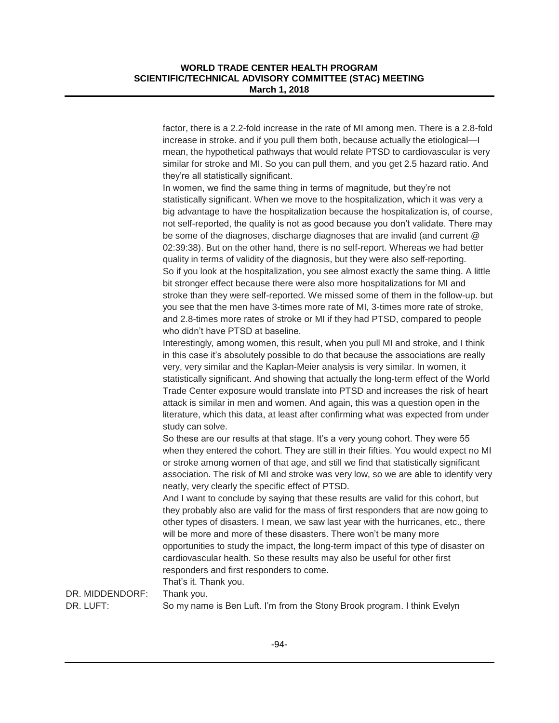factor, there is a 2.2-fold increase in the rate of MI among men. There is a 2.8-fold increase in stroke. and if you pull them both, because actually the etiological—I mean, the hypothetical pathways that would relate PTSD to cardiovascular is very similar for stroke and MI. So you can pull them, and you get 2.5 hazard ratio. And they're all statistically significant.

In women, we find the same thing in terms of magnitude, but they're not statistically significant. When we move to the hospitalization, which it was very a big advantage to have the hospitalization because the hospitalization is, of course, not self-reported, the quality is not as good because you don't validate. There may be some of the diagnoses, discharge diagnoses that are invalid (and current @ 02:39:38). But on the other hand, there is no self-report. Whereas we had better quality in terms of validity of the diagnosis, but they were also self-reporting. So if you look at the hospitalization, you see almost exactly the same thing. A little bit stronger effect because there were also more hospitalizations for MI and stroke than they were self-reported. We missed some of them in the follow-up. but you see that the men have 3-times more rate of MI, 3-times more rate of stroke, and 2.8-times more rates of stroke or MI if they had PTSD, compared to people who didn't have PTSD at baseline.

Interestingly, among women, this result, when you pull MI and stroke, and I think in this case it's absolutely possible to do that because the associations are really very, very similar and the Kaplan-Meier analysis is very similar. In women, it statistically significant. And showing that actually the long-term effect of the World Trade Center exposure would translate into PTSD and increases the risk of heart attack is similar in men and women. And again, this was a question open in the literature, which this data, at least after confirming what was expected from under study can solve.

So these are our results at that stage. It's a very young cohort. They were 55 when they entered the cohort. They are still in their fifties. You would expect no MI or stroke among women of that age, and still we find that statistically significant association. The risk of MI and stroke was very low, so we are able to identify very neatly, very clearly the specific effect of PTSD.

And I want to conclude by saying that these results are valid for this cohort, but they probably also are valid for the mass of first responders that are now going to other types of disasters. I mean, we saw last year with the hurricanes, etc., there will be more and more of these disasters. There won't be many more opportunities to study the impact, the long-term impact of this type of disaster on cardiovascular health. So these results may also be useful for other first responders and first responders to come.

That's it. Thank you.

DR. MIDDENDORF: Thank you.

DR. LUFT: So my name is Ben Luft. I'm from the Stony Brook program. I think Evelyn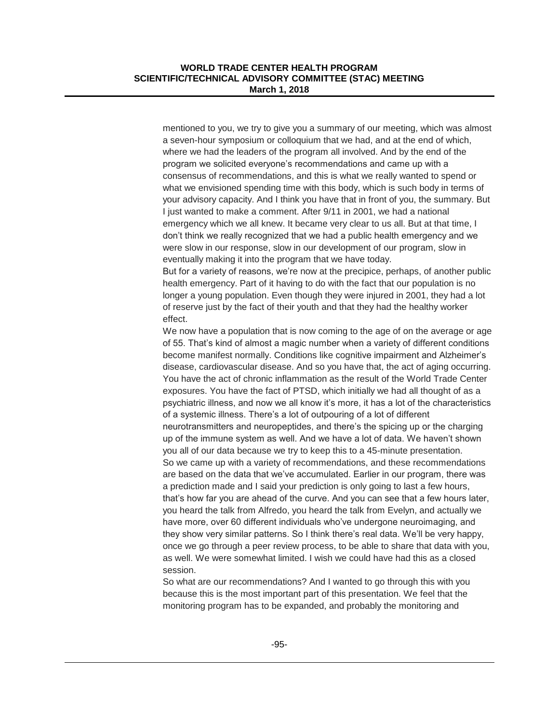mentioned to you, we try to give you a summary of our meeting, which was almost a seven-hour symposium or colloquium that we had, and at the end of which, where we had the leaders of the program all involved. And by the end of the program we solicited everyone's recommendations and came up with a consensus of recommendations, and this is what we really wanted to spend or what we envisioned spending time with this body, which is such body in terms of your advisory capacity. And I think you have that in front of you, the summary. But I just wanted to make a comment. After 9/11 in 2001, we had a national emergency which we all knew. It became very clear to us all. But at that time, I don't think we really recognized that we had a public health emergency and we were slow in our response, slow in our development of our program, slow in eventually making it into the program that we have today.

But for a variety of reasons, we're now at the precipice, perhaps, of another public health emergency. Part of it having to do with the fact that our population is no longer a young population. Even though they were injured in 2001, they had a lot of reserve just by the fact of their youth and that they had the healthy worker effect.

We now have a population that is now coming to the age of on the average or age of 55. That's kind of almost a magic number when a variety of different conditions become manifest normally. Conditions like cognitive impairment and Alzheimer's disease, cardiovascular disease. And so you have that, the act of aging occurring. You have the act of chronic inflammation as the result of the World Trade Center exposures. You have the fact of PTSD, which initially we had all thought of as a psychiatric illness, and now we all know it's more, it has a lot of the characteristics of a systemic illness. There's a lot of outpouring of a lot of different neurotransmitters and neuropeptides, and there's the spicing up or the charging up of the immune system as well. And we have a lot of data. We haven't shown you all of our data because we try to keep this to a 45-minute presentation. So we came up with a variety of recommendations, and these recommendations are based on the data that we've accumulated. Earlier in our program, there was a prediction made and I said your prediction is only going to last a few hours, that's how far you are ahead of the curve. And you can see that a few hours later, you heard the talk from Alfredo, you heard the talk from Evelyn, and actually we have more, over 60 different individuals who've undergone neuroimaging, and they show very similar patterns. So I think there's real data. We'll be very happy, once we go through a peer review process, to be able to share that data with you, as well. We were somewhat limited. I wish we could have had this as a closed session.

So what are our recommendations? And I wanted to go through this with you because this is the most important part of this presentation. We feel that the monitoring program has to be expanded, and probably the monitoring and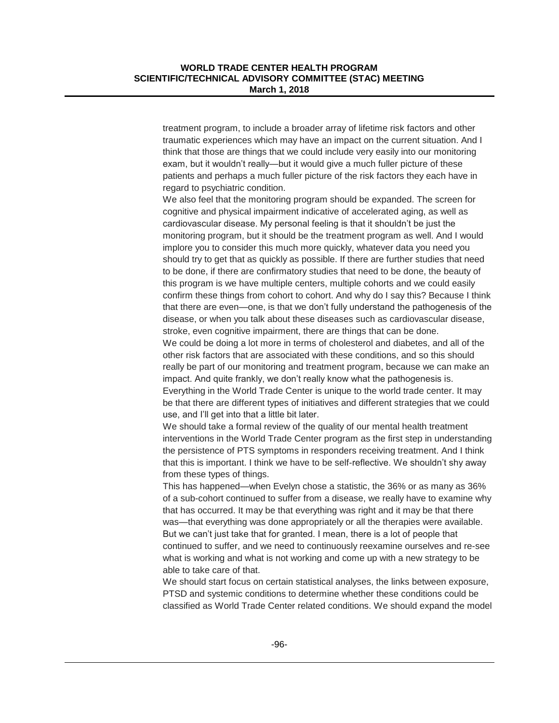treatment program, to include a broader array of lifetime risk factors and other traumatic experiences which may have an impact on the current situation. And I think that those are things that we could include very easily into our monitoring exam, but it wouldn't really—but it would give a much fuller picture of these patients and perhaps a much fuller picture of the risk factors they each have in regard to psychiatric condition.

We also feel that the monitoring program should be expanded. The screen for cognitive and physical impairment indicative of accelerated aging, as well as cardiovascular disease. My personal feeling is that it shouldn't be just the monitoring program, but it should be the treatment program as well. And I would implore you to consider this much more quickly, whatever data you need you should try to get that as quickly as possible. If there are further studies that need to be done, if there are confirmatory studies that need to be done, the beauty of this program is we have multiple centers, multiple cohorts and we could easily confirm these things from cohort to cohort. And why do I say this? Because I think that there are even—one, is that we don't fully understand the pathogenesis of the disease, or when you talk about these diseases such as cardiovascular disease, stroke, even cognitive impairment, there are things that can be done.

We could be doing a lot more in terms of cholesterol and diabetes, and all of the other risk factors that are associated with these conditions, and so this should really be part of our monitoring and treatment program, because we can make an impact. And quite frankly, we don't really know what the pathogenesis is. Everything in the World Trade Center is unique to the world trade center. It may be that there are different types of initiatives and different strategies that we could use, and I'll get into that a little bit later.

We should take a formal review of the quality of our mental health treatment interventions in the World Trade Center program as the first step in understanding the persistence of PTS symptoms in responders receiving treatment. And I think that this is important. I think we have to be self-reflective. We shouldn't shy away from these types of things.

This has happened—when Evelyn chose a statistic, the 36% or as many as 36% of a sub-cohort continued to suffer from a disease, we really have to examine why that has occurred. It may be that everything was right and it may be that there was—that everything was done appropriately or all the therapies were available. But we can't just take that for granted. I mean, there is a lot of people that continued to suffer, and we need to continuously reexamine ourselves and re-see what is working and what is not working and come up with a new strategy to be able to take care of that.

We should start focus on certain statistical analyses, the links between exposure, PTSD and systemic conditions to determine whether these conditions could be classified as World Trade Center related conditions. We should expand the model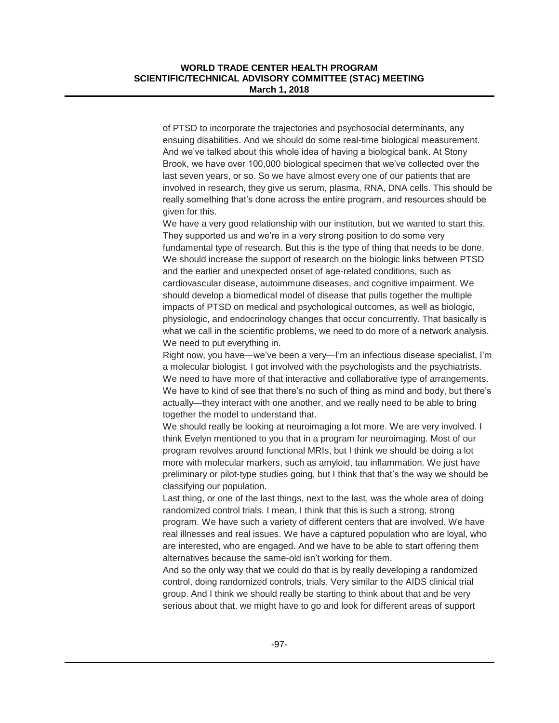of PTSD to incorporate the trajectories and psychosocial determinants, any ensuing disabilities. And we should do some real-time biological measurement. And we've talked about this whole idea of having a biological bank. At Stony Brook, we have over 100,000 biological specimen that we've collected over the last seven years, or so. So we have almost every one of our patients that are involved in research, they give us serum, plasma, RNA, DNA cells. This should be really something that's done across the entire program, and resources should be given for this.

We have a very good relationship with our institution, but we wanted to start this. They supported us and we're in a very strong position to do some very fundamental type of research. But this is the type of thing that needs to be done. We should increase the support of research on the biologic links between PTSD and the earlier and unexpected onset of age-related conditions, such as cardiovascular disease, autoimmune diseases, and cognitive impairment. We should develop a biomedical model of disease that pulls together the multiple impacts of PTSD on medical and psychological outcomes, as well as biologic, physiologic, and endocrinology changes that occur concurrently. That basically is what we call in the scientific problems, we need to do more of a network analysis. We need to put everything in.

Right now, you have—we've been a very—I'm an infectious disease specialist, I'm a molecular biologist. I got involved with the psychologists and the psychiatrists. We need to have more of that interactive and collaborative type of arrangements. We have to kind of see that there's no such of thing as mind and body, but there's actually—they interact with one another, and we really need to be able to bring together the model to understand that.

We should really be looking at neuroimaging a lot more. We are very involved. I think Evelyn mentioned to you that in a program for neuroimaging. Most of our program revolves around functional MRIs, but I think we should be doing a lot more with molecular markers, such as amyloid, tau inflammation. We just have preliminary or pilot-type studies going, but I think that that's the way we should be classifying our population.

Last thing, or one of the last things, next to the last, was the whole area of doing randomized control trials. I mean, I think that this is such a strong, strong program. We have such a variety of different centers that are involved. We have real illnesses and real issues. We have a captured population who are loyal, who are interested, who are engaged. And we have to be able to start offering them alternatives because the same-old isn't working for them.

And so the only way that we could do that is by really developing a randomized control, doing randomized controls, trials. Very similar to the AIDS clinical trial group. And I think we should really be starting to think about that and be very serious about that. we might have to go and look for different areas of support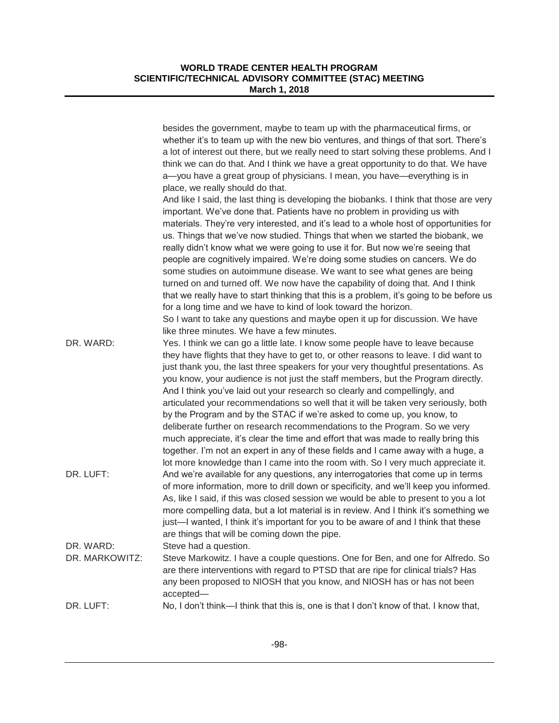|                             | besides the government, maybe to team up with the pharmaceutical firms, or<br>whether it's to team up with the new bio ventures, and things of that sort. There's<br>a lot of interest out there, but we really need to start solving these problems. And I<br>think we can do that. And I think we have a great opportunity to do that. We have<br>a-you have a great group of physicians. I mean, you have-everything is in<br>place, we really should do that.                                                                                                                                                                                                                                                                                                                                                                                                                                                                           |
|-----------------------------|---------------------------------------------------------------------------------------------------------------------------------------------------------------------------------------------------------------------------------------------------------------------------------------------------------------------------------------------------------------------------------------------------------------------------------------------------------------------------------------------------------------------------------------------------------------------------------------------------------------------------------------------------------------------------------------------------------------------------------------------------------------------------------------------------------------------------------------------------------------------------------------------------------------------------------------------|
|                             | And like I said, the last thing is developing the biobanks. I think that those are very<br>important. We've done that. Patients have no problem in providing us with<br>materials. They're very interested, and it's lead to a whole host of opportunities for<br>us. Things that we've now studied. Things that when we started the biobank, we<br>really didn't know what we were going to use it for. But now we're seeing that<br>people are cognitively impaired. We're doing some studies on cancers. We do<br>some studies on autoimmune disease. We want to see what genes are being<br>turned on and turned off. We now have the capability of doing that. And I think<br>that we really have to start thinking that this is a problem, it's going to be before us<br>for a long time and we have to kind of look toward the horizon.                                                                                              |
|                             | So I want to take any questions and maybe open it up for discussion. We have<br>like three minutes. We have a few minutes.                                                                                                                                                                                                                                                                                                                                                                                                                                                                                                                                                                                                                                                                                                                                                                                                                  |
| DR. WARD:                   | Yes. I think we can go a little late. I know some people have to leave because<br>they have flights that they have to get to, or other reasons to leave. I did want to<br>just thank you, the last three speakers for your very thoughtful presentations. As<br>you know, your audience is not just the staff members, but the Program directly.<br>And I think you've laid out your research so clearly and compellingly, and<br>articulated your recommendations so well that it will be taken very seriously, both<br>by the Program and by the STAC if we're asked to come up, you know, to<br>deliberate further on research recommendations to the Program. So we very<br>much appreciate, it's clear the time and effort that was made to really bring this<br>together. I'm not an expert in any of these fields and I came away with a huge, a<br>lot more knowledge than I came into the room with. So I very much appreciate it. |
| DR. LUFT:                   | And we're available for any questions, any interrogatories that come up in terms<br>of more information, more to drill down or specificity, and we'll keep you informed.<br>As, like I said, if this was closed session we would be able to present to you a lot<br>more compelling data, but a lot material is in review. And I think it's something we<br>just-I wanted, I think it's important for you to be aware of and I think that these<br>are things that will be coming down the pipe.                                                                                                                                                                                                                                                                                                                                                                                                                                            |
| DR. WARD:<br>DR. MARKOWITZ: | Steve had a question.<br>Steve Markowitz. I have a couple questions. One for Ben, and one for Alfredo. So<br>are there interventions with regard to PTSD that are ripe for clinical trials? Has<br>any been proposed to NIOSH that you know, and NIOSH has or has not been<br>accepted-                                                                                                                                                                                                                                                                                                                                                                                                                                                                                                                                                                                                                                                     |
| DR. LUFT:                   | No, I don't think—I think that this is, one is that I don't know of that. I know that,                                                                                                                                                                                                                                                                                                                                                                                                                                                                                                                                                                                                                                                                                                                                                                                                                                                      |
|                             |                                                                                                                                                                                                                                                                                                                                                                                                                                                                                                                                                                                                                                                                                                                                                                                                                                                                                                                                             |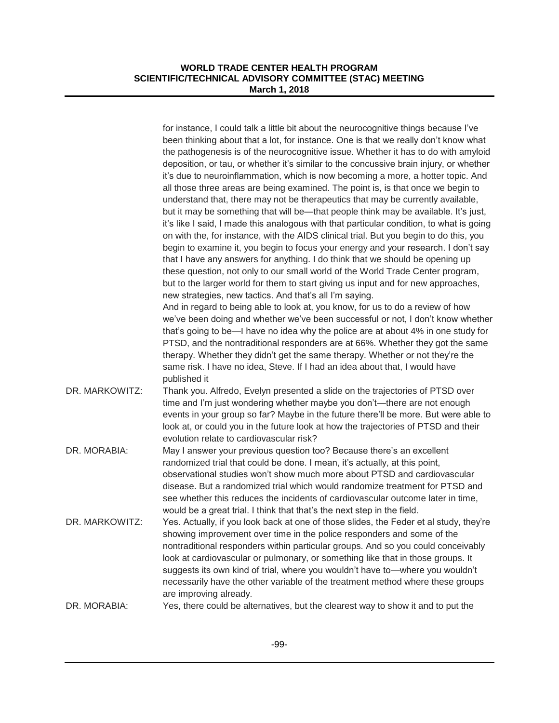|                | for instance, I could talk a little bit about the neurocognitive things because I've<br>been thinking about that a lot, for instance. One is that we really don't know what                                                                                                                                                                                                                                                                                                                                                          |
|----------------|--------------------------------------------------------------------------------------------------------------------------------------------------------------------------------------------------------------------------------------------------------------------------------------------------------------------------------------------------------------------------------------------------------------------------------------------------------------------------------------------------------------------------------------|
|                | the pathogenesis is of the neurocognitive issue. Whether it has to do with amyloid<br>deposition, or tau, or whether it's similar to the concussive brain injury, or whether<br>it's due to neuroinflammation, which is now becoming a more, a hotter topic. And                                                                                                                                                                                                                                                                     |
|                | all those three areas are being examined. The point is, is that once we begin to<br>understand that, there may not be therapeutics that may be currently available,                                                                                                                                                                                                                                                                                                                                                                  |
|                | but it may be something that will be—that people think may be available. It's just,<br>it's like I said, I made this analogous with that particular condition, to what is going<br>on with the, for instance, with the AIDS clinical trial. But you begin to do this, you                                                                                                                                                                                                                                                            |
|                | begin to examine it, you begin to focus your energy and your research. I don't say<br>that I have any answers for anything. I do think that we should be opening up                                                                                                                                                                                                                                                                                                                                                                  |
|                | these question, not only to our small world of the World Trade Center program,<br>but to the larger world for them to start giving us input and for new approaches,<br>new strategies, new tactics. And that's all I'm saying.                                                                                                                                                                                                                                                                                                       |
|                | And in regard to being able to look at, you know, for us to do a review of how<br>we've been doing and whether we've been successful or not, I don't know whether<br>that's going to be—I have no idea why the police are at about 4% in one study for                                                                                                                                                                                                                                                                               |
|                | PTSD, and the nontraditional responders are at 66%. Whether they got the same<br>therapy. Whether they didn't get the same therapy. Whether or not they're the                                                                                                                                                                                                                                                                                                                                                                       |
|                | same risk. I have no idea, Steve. If I had an idea about that, I would have<br>published it                                                                                                                                                                                                                                                                                                                                                                                                                                          |
| DR. MARKOWITZ: | Thank you. Alfredo, Evelyn presented a slide on the trajectories of PTSD over<br>time and I'm just wondering whether maybe you don't—there are not enough<br>events in your group so far? Maybe in the future there'll be more. But were able to<br>look at, or could you in the future look at how the trajectories of PTSD and their<br>evolution relate to cardiovascular risk?                                                                                                                                                   |
| DR. MORABIA:   | May I answer your previous question too? Because there's an excellent<br>randomized trial that could be done. I mean, it's actually, at this point,<br>observational studies won't show much more about PTSD and cardiovascular                                                                                                                                                                                                                                                                                                      |
|                | disease. But a randomized trial which would randomize treatment for PTSD and<br>see whether this reduces the incidents of cardiovascular outcome later in time,<br>would be a great trial. I think that that's the next step in the field.                                                                                                                                                                                                                                                                                           |
| DR. MARKOWITZ: | Yes. Actually, if you look back at one of those slides, the Feder et al study, they're<br>showing improvement over time in the police responders and some of the<br>nontraditional responders within particular groups. And so you could conceivably<br>look at cardiovascular or pulmonary, or something like that in those groups. It<br>suggests its own kind of trial, where you wouldn't have to-where you wouldn't<br>necessarily have the other variable of the treatment method where these groups<br>are improving already. |
| DR. MORABIA:   | Yes, there could be alternatives, but the clearest way to show it and to put the                                                                                                                                                                                                                                                                                                                                                                                                                                                     |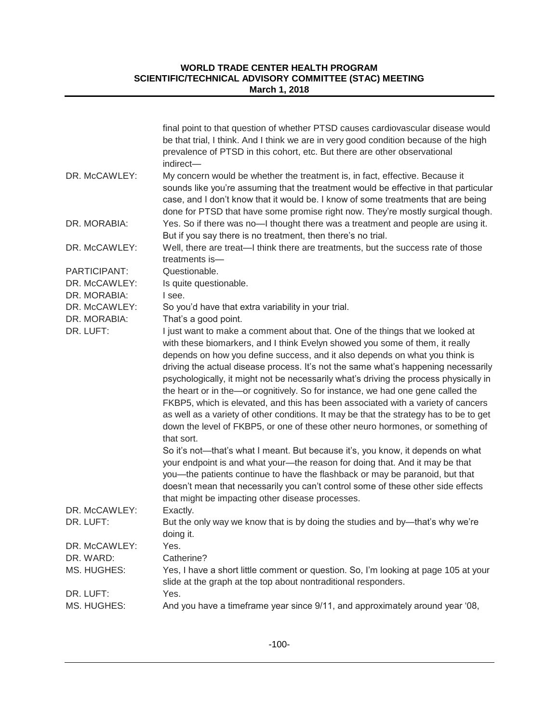|                               | final point to that question of whether PTSD causes cardiovascular disease would<br>be that trial, I think. And I think we are in very good condition because of the high<br>prevalence of PTSD in this cohort, etc. But there are other observational                                                                                                                                                                                                                                                                                                                                                                                                                                                                                                                                                                                                                                                                                                          |
|-------------------------------|-----------------------------------------------------------------------------------------------------------------------------------------------------------------------------------------------------------------------------------------------------------------------------------------------------------------------------------------------------------------------------------------------------------------------------------------------------------------------------------------------------------------------------------------------------------------------------------------------------------------------------------------------------------------------------------------------------------------------------------------------------------------------------------------------------------------------------------------------------------------------------------------------------------------------------------------------------------------|
|                               | indirect-                                                                                                                                                                                                                                                                                                                                                                                                                                                                                                                                                                                                                                                                                                                                                                                                                                                                                                                                                       |
| DR. McCAWLEY:                 | My concern would be whether the treatment is, in fact, effective. Because it<br>sounds like you're assuming that the treatment would be effective in that particular<br>case, and I don't know that it would be. I know of some treatments that are being<br>done for PTSD that have some promise right now. They're mostly surgical though.                                                                                                                                                                                                                                                                                                                                                                                                                                                                                                                                                                                                                    |
| DR. MORABIA:                  | Yes. So if there was no-I thought there was a treatment and people are using it.<br>But if you say there is no treatment, then there's no trial.                                                                                                                                                                                                                                                                                                                                                                                                                                                                                                                                                                                                                                                                                                                                                                                                                |
| DR. McCAWLEY:                 | Well, there are treat—I think there are treatments, but the success rate of those<br>treatments is-                                                                                                                                                                                                                                                                                                                                                                                                                                                                                                                                                                                                                                                                                                                                                                                                                                                             |
| PARTICIPANT:<br>DR. McCAWLEY: | Questionable.<br>Is quite questionable.                                                                                                                                                                                                                                                                                                                                                                                                                                                                                                                                                                                                                                                                                                                                                                                                                                                                                                                         |
| DR. MORABIA:                  | I see.                                                                                                                                                                                                                                                                                                                                                                                                                                                                                                                                                                                                                                                                                                                                                                                                                                                                                                                                                          |
| DR. McCAWLEY:                 | So you'd have that extra variability in your trial.                                                                                                                                                                                                                                                                                                                                                                                                                                                                                                                                                                                                                                                                                                                                                                                                                                                                                                             |
| DR. MORABIA:                  | That's a good point.                                                                                                                                                                                                                                                                                                                                                                                                                                                                                                                                                                                                                                                                                                                                                                                                                                                                                                                                            |
| DR. LUFT:                     | I just want to make a comment about that. One of the things that we looked at<br>with these biomarkers, and I think Evelyn showed you some of them, it really<br>depends on how you define success, and it also depends on what you think is<br>driving the actual disease process. It's not the same what's happening necessarily<br>psychologically, it might not be necessarily what's driving the process physically in<br>the heart or in the-or cognitively. So for instance, we had one gene called the<br>FKBP5, which is elevated, and this has been associated with a variety of cancers<br>as well as a variety of other conditions. It may be that the strategy has to be to get<br>down the level of FKBP5, or one of these other neuro hormones, or something of<br>that sort.<br>So it's not—that's what I meant. But because it's, you know, it depends on what<br>your endpoint is and what your-the reason for doing that. And it may be that |
|                               | you-the patients continue to have the flashback or may be paranoid, but that<br>doesn't mean that necessarily you can't control some of these other side effects<br>that might be impacting other disease processes.                                                                                                                                                                                                                                                                                                                                                                                                                                                                                                                                                                                                                                                                                                                                            |
| DR. McCAWLEY:                 | Exactly.                                                                                                                                                                                                                                                                                                                                                                                                                                                                                                                                                                                                                                                                                                                                                                                                                                                                                                                                                        |
| DR. LUFT:                     | But the only way we know that is by doing the studies and by-that's why we're<br>doing it.                                                                                                                                                                                                                                                                                                                                                                                                                                                                                                                                                                                                                                                                                                                                                                                                                                                                      |
| DR. McCAWLEY:                 | Yes.                                                                                                                                                                                                                                                                                                                                                                                                                                                                                                                                                                                                                                                                                                                                                                                                                                                                                                                                                            |
| DR. WARD:<br>MS. HUGHES:      | Catherine?<br>Yes, I have a short little comment or question. So, I'm looking at page 105 at your<br>slide at the graph at the top about nontraditional responders.                                                                                                                                                                                                                                                                                                                                                                                                                                                                                                                                                                                                                                                                                                                                                                                             |
| DR. LUFT:                     | Yes.                                                                                                                                                                                                                                                                                                                                                                                                                                                                                                                                                                                                                                                                                                                                                                                                                                                                                                                                                            |
| MS. HUGHES:                   | And you have a timeframe year since 9/11, and approximately around year '08,                                                                                                                                                                                                                                                                                                                                                                                                                                                                                                                                                                                                                                                                                                                                                                                                                                                                                    |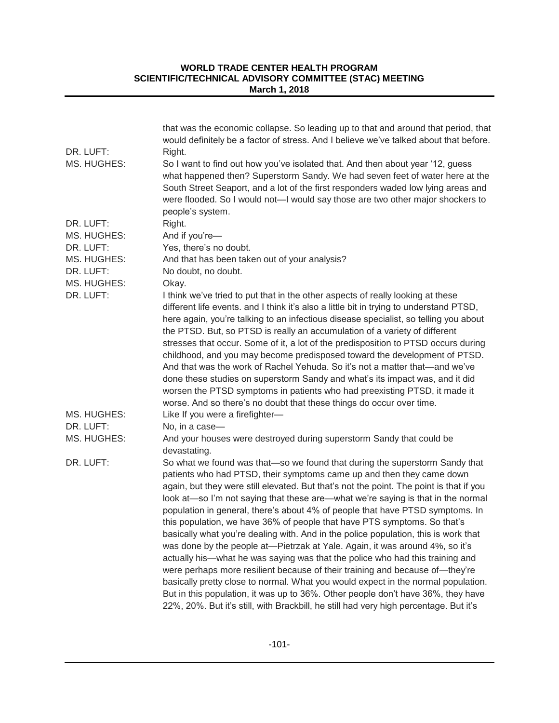|                          | that was the economic collapse. So leading up to that and around that period, that<br>would definitely be a factor of stress. And I believe we've talked about that before.                                                                                                                                                                                                                                                                                                                                                                                                                                                                                                                                                                                                                                                                                                                                                                                                                                                                                                                                |
|--------------------------|------------------------------------------------------------------------------------------------------------------------------------------------------------------------------------------------------------------------------------------------------------------------------------------------------------------------------------------------------------------------------------------------------------------------------------------------------------------------------------------------------------------------------------------------------------------------------------------------------------------------------------------------------------------------------------------------------------------------------------------------------------------------------------------------------------------------------------------------------------------------------------------------------------------------------------------------------------------------------------------------------------------------------------------------------------------------------------------------------------|
| DR. LUFT:                | Right.                                                                                                                                                                                                                                                                                                                                                                                                                                                                                                                                                                                                                                                                                                                                                                                                                                                                                                                                                                                                                                                                                                     |
| MS. HUGHES:              | So I want to find out how you've isolated that. And then about year '12, guess<br>what happened then? Superstorm Sandy. We had seven feet of water here at the<br>South Street Seaport, and a lot of the first responders waded low lying areas and<br>were flooded. So I would not—I would say those are two other major shockers to<br>people's system.                                                                                                                                                                                                                                                                                                                                                                                                                                                                                                                                                                                                                                                                                                                                                  |
| DR. LUFT:                | Right.                                                                                                                                                                                                                                                                                                                                                                                                                                                                                                                                                                                                                                                                                                                                                                                                                                                                                                                                                                                                                                                                                                     |
| MS. HUGHES:              | And if you're-                                                                                                                                                                                                                                                                                                                                                                                                                                                                                                                                                                                                                                                                                                                                                                                                                                                                                                                                                                                                                                                                                             |
| DR. LUFT:                | Yes, there's no doubt.                                                                                                                                                                                                                                                                                                                                                                                                                                                                                                                                                                                                                                                                                                                                                                                                                                                                                                                                                                                                                                                                                     |
| MS. HUGHES:              | And that has been taken out of your analysis?                                                                                                                                                                                                                                                                                                                                                                                                                                                                                                                                                                                                                                                                                                                                                                                                                                                                                                                                                                                                                                                              |
| DR. LUFT:                | No doubt, no doubt.                                                                                                                                                                                                                                                                                                                                                                                                                                                                                                                                                                                                                                                                                                                                                                                                                                                                                                                                                                                                                                                                                        |
| MS. HUGHES:              | Okay.                                                                                                                                                                                                                                                                                                                                                                                                                                                                                                                                                                                                                                                                                                                                                                                                                                                                                                                                                                                                                                                                                                      |
| DR. LUFT:<br>MS. HUGHES: | I think we've tried to put that in the other aspects of really looking at these<br>different life events. and I think it's also a little bit in trying to understand PTSD,<br>here again, you're talking to an infectious disease specialist, so telling you about<br>the PTSD. But, so PTSD is really an accumulation of a variety of different<br>stresses that occur. Some of it, a lot of the predisposition to PTSD occurs during<br>childhood, and you may become predisposed toward the development of PTSD.<br>And that was the work of Rachel Yehuda. So it's not a matter that—and we've<br>done these studies on superstorm Sandy and what's its impact was, and it did<br>worsen the PTSD symptoms in patients who had preexisting PTSD, it made it<br>worse. And so there's no doubt that these things do occur over time.<br>Like If you were a firefighter-                                                                                                                                                                                                                                 |
| DR. LUFT:                | No, in a case-                                                                                                                                                                                                                                                                                                                                                                                                                                                                                                                                                                                                                                                                                                                                                                                                                                                                                                                                                                                                                                                                                             |
| MS. HUGHES:              | And your houses were destroyed during superstorm Sandy that could be<br>devastating.                                                                                                                                                                                                                                                                                                                                                                                                                                                                                                                                                                                                                                                                                                                                                                                                                                                                                                                                                                                                                       |
| DR. LUFT:                | So what we found was that-so we found that during the superstorm Sandy that<br>patients who had PTSD, their symptoms came up and then they came down<br>again, but they were still elevated. But that's not the point. The point is that if you<br>look at—so I'm not saying that these are—what we're saying is that in the normal<br>population in general, there's about 4% of people that have PTSD symptoms. In<br>this population, we have 36% of people that have PTS symptoms. So that's<br>basically what you're dealing with. And in the police population, this is work that<br>was done by the people at-Pietrzak at Yale. Again, it was around 4%, so it's<br>actually his—what he was saying was that the police who had this training and<br>were perhaps more resilient because of their training and because of-they're<br>basically pretty close to normal. What you would expect in the normal population.<br>But in this population, it was up to 36%. Other people don't have 36%, they have<br>22%, 20%. But it's still, with Brackbill, he still had very high percentage. But it's |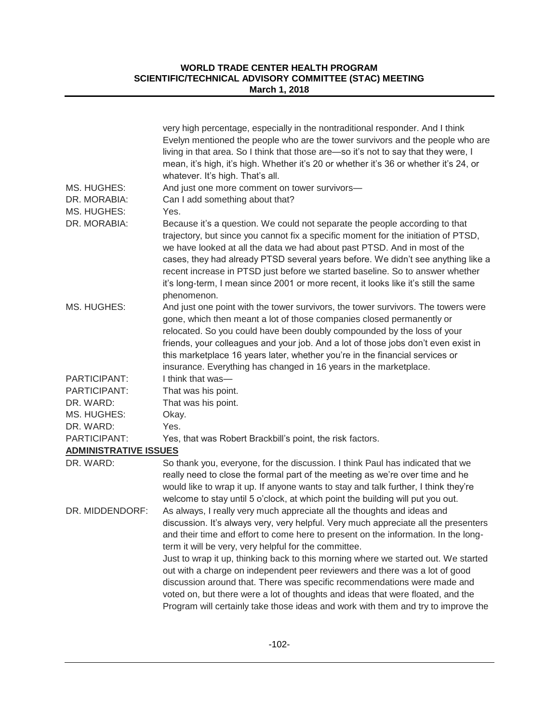| MS. HUGHES:<br>DR. MORABIA:  | very high percentage, especially in the nontraditional responder. And I think<br>Evelyn mentioned the people who are the tower survivors and the people who are<br>living in that area. So I think that those are-so it's not to say that they were, I<br>mean, it's high, it's high. Whether it's 20 or whether it's 36 or whether it's 24, or<br>whatever. It's high. That's all.<br>And just one more comment on tower survivors-<br>Can I add something about that?                                                                                                                                                                                                                                                                |
|------------------------------|----------------------------------------------------------------------------------------------------------------------------------------------------------------------------------------------------------------------------------------------------------------------------------------------------------------------------------------------------------------------------------------------------------------------------------------------------------------------------------------------------------------------------------------------------------------------------------------------------------------------------------------------------------------------------------------------------------------------------------------|
| MS. HUGHES:                  | Yes.                                                                                                                                                                                                                                                                                                                                                                                                                                                                                                                                                                                                                                                                                                                                   |
| DR. MORABIA:                 | Because it's a question. We could not separate the people according to that<br>trajectory, but since you cannot fix a specific moment for the initiation of PTSD,<br>we have looked at all the data we had about past PTSD. And in most of the<br>cases, they had already PTSD several years before. We didn't see anything like a<br>recent increase in PTSD just before we started baseline. So to answer whether<br>it's long-term, I mean since 2001 or more recent, it looks like it's still the same<br>phenomenon.                                                                                                                                                                                                              |
| MS. HUGHES:                  | And just one point with the tower survivors, the tower survivors. The towers were<br>gone, which then meant a lot of those companies closed permanently or<br>relocated. So you could have been doubly compounded by the loss of your<br>friends, your colleagues and your job. And a lot of those jobs don't even exist in<br>this marketplace 16 years later, whether you're in the financial services or<br>insurance. Everything has changed in 16 years in the marketplace.                                                                                                                                                                                                                                                       |
| PARTICIPANT:                 | I think that was-                                                                                                                                                                                                                                                                                                                                                                                                                                                                                                                                                                                                                                                                                                                      |
| PARTICIPANT:                 | That was his point.                                                                                                                                                                                                                                                                                                                                                                                                                                                                                                                                                                                                                                                                                                                    |
| DR. WARD:                    | That was his point.                                                                                                                                                                                                                                                                                                                                                                                                                                                                                                                                                                                                                                                                                                                    |
| MS. HUGHES:                  | Okay.                                                                                                                                                                                                                                                                                                                                                                                                                                                                                                                                                                                                                                                                                                                                  |
| DR. WARD:                    | Yes.                                                                                                                                                                                                                                                                                                                                                                                                                                                                                                                                                                                                                                                                                                                                   |
| PARTICIPANT:                 | Yes, that was Robert Brackbill's point, the risk factors.                                                                                                                                                                                                                                                                                                                                                                                                                                                                                                                                                                                                                                                                              |
| <b>ADMINISTRATIVE ISSUES</b> |                                                                                                                                                                                                                                                                                                                                                                                                                                                                                                                                                                                                                                                                                                                                        |
| DR. WARD:                    | So thank you, everyone, for the discussion. I think Paul has indicated that we<br>really need to close the formal part of the meeting as we're over time and he<br>would like to wrap it up. If anyone wants to stay and talk further, I think they're<br>welcome to stay until 5 o'clock, at which point the building will put you out.                                                                                                                                                                                                                                                                                                                                                                                               |
| DR. MIDDENDORF:              | As always, I really very much appreciate all the thoughts and ideas and<br>discussion. It's always very, very helpful. Very much appreciate all the presenters<br>and their time and effort to come here to present on the information. In the long-<br>term it will be very, very helpful for the committee.<br>Just to wrap it up, thinking back to this morning where we started out. We started<br>out with a charge on independent peer reviewers and there was a lot of good<br>discussion around that. There was specific recommendations were made and<br>voted on, but there were a lot of thoughts and ideas that were floated, and the<br>Program will certainly take those ideas and work with them and try to improve the |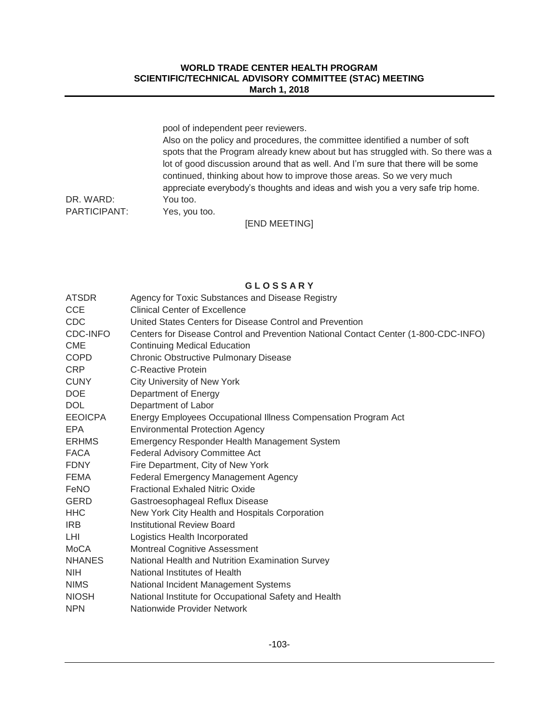|              | pool of independent peer reviewers.                                              |
|--------------|----------------------------------------------------------------------------------|
|              | Also on the policy and procedures, the committee identified a number of soft     |
|              | spots that the Program already knew about but has struggled with. So there was a |
|              | lot of good discussion around that as well. And I'm sure that there will be some |
|              | continued, thinking about how to improve those areas. So we very much            |
|              | appreciate everybody's thoughts and ideas and wish you a very safe trip home.    |
| DR. WARD:    | You too.                                                                         |
| PARTICIPANT: | Yes, you too.                                                                    |

[END MEETING]

# **G L O S S A R Y**

| <b>ATSDR</b>   | Agency for Toxic Substances and Disease Registry                                    |
|----------------|-------------------------------------------------------------------------------------|
| <b>CCE</b>     | <b>Clinical Center of Excellence</b>                                                |
| <b>CDC</b>     | United States Centers for Disease Control and Prevention                            |
| CDC-INFO       | Centers for Disease Control and Prevention National Contact Center (1-800-CDC-INFO) |
| <b>CME</b>     | <b>Continuing Medical Education</b>                                                 |
| <b>COPD</b>    | <b>Chronic Obstructive Pulmonary Disease</b>                                        |
| <b>CRP</b>     | C-Reactive Protein                                                                  |
| <b>CUNY</b>    | <b>City University of New York</b>                                                  |
| <b>DOE</b>     | Department of Energy                                                                |
| <b>DOL</b>     | Department of Labor                                                                 |
| <b>EEOICPA</b> | Energy Employees Occupational Illness Compensation Program Act                      |
| <b>EPA</b>     | <b>Environmental Protection Agency</b>                                              |
| <b>ERHMS</b>   | Emergency Responder Health Management System                                        |
| <b>FACA</b>    | Federal Advisory Committee Act                                                      |
| <b>FDNY</b>    | Fire Department, City of New York                                                   |
| <b>FEMA</b>    | <b>Federal Emergency Management Agency</b>                                          |
| FeNO           | <b>Fractional Exhaled Nitric Oxide</b>                                              |
| <b>GERD</b>    | Gastroesophageal Reflux Disease                                                     |
| <b>HHC</b>     | New York City Health and Hospitals Corporation                                      |
| IRB            | <b>Institutional Review Board</b>                                                   |
| LHI.           | Logistics Health Incorporated                                                       |
| MoCA           | Montreal Cognitive Assessment                                                       |
| <b>NHANES</b>  | National Health and Nutrition Examination Survey                                    |
| <b>NIH</b>     | National Institutes of Health                                                       |
| <b>NIMS</b>    | National Incident Management Systems                                                |
| <b>NIOSH</b>   | National Institute for Occupational Safety and Health                               |
| <b>NPN</b>     | Nationwide Provider Network                                                         |